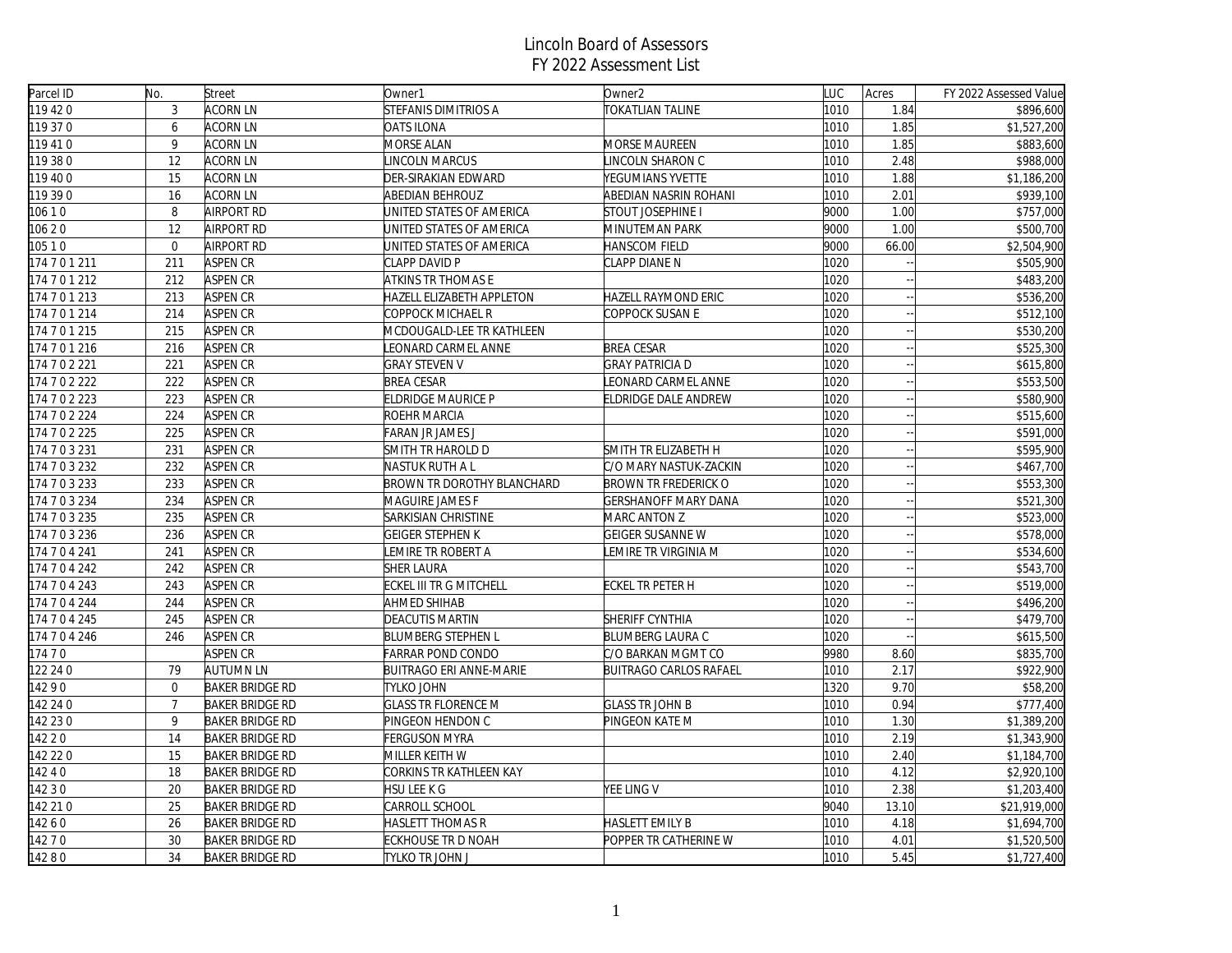| Parcel ID | No.            | Street                 | Owner1                         | Owner <sub>2</sub>          | LUC  | Acres | FY 2022 Assessed Value |
|-----------|----------------|------------------------|--------------------------------|-----------------------------|------|-------|------------------------|
| 119 420   | 3              | ACORN LN               | STEFANIS DIMITRIOS A           | <b>TOKATLIAN TALINE</b>     | 1010 | 1.84  | \$896,600              |
| 119 37 0  | 6              | <b>ACORN LN</b>        | <b>OATS ILONA</b>              |                             | 1010 | 1.85  | \$1,527,200            |
| 119 410   | 9              | ACORN LN               | MORSE ALAN                     | <b>MORSE MAUREEN</b>        | 1010 | 1.85  | \$883,600              |
| 119 38 0  | 12             | <b>ACORN LN</b>        | <b>INCOLN MARCUS</b>           | LINCOLN SHARON C            | 1010 | 2.48  | \$988,000              |
| 119 400   | 15             | <b>ACORN LN</b>        | DER-SIRAKIAN EDWARD            | YEGUMIANS YVETTE            | 1010 | 1.88  | \$1,186,200            |
| 119 390   | 16             | <b>ACORN LN</b>        | <b>ABEDIAN BEHROUZ</b>         | ABEDIAN NASRIN ROHANI       | 1010 | 2.01  | \$939,100              |
| 10610     | 8              | <b>AIRPORT RD</b>      | UNITED STATES OF AMERICA       | STOUT JOSEPHINE I           | 9000 | 1.00  | \$757,000              |
| 10620     | 12             | <b>AIRPORT RD</b>      | UNITED STATES OF AMERICA       | MINUTEMAN PARK              | 9000 | 1.00  | \$500,700              |
| 10510     | $\mathbf{0}$   | <b>AIRPORT RD</b>      | UNITED STATES OF AMERICA       | HANSCOM FIELD               | 9000 | 66.00 | \$2,504,900            |
| 174701211 | 211            | ASPEN CR               | CLAPP DAVID P                  | CLAPP DIANE N               | 1020 |       | \$505,900              |
| 174701212 | 212            | ASPEN CR               | ATKINS TR THOMAS E             |                             | 1020 |       | \$483,200              |
| 174701213 | 213            | ASPEN CR               | HAZELL ELIZABETH APPLETON      | <b>HAZELL RAYMOND ERIC</b>  | 1020 |       | \$536,200              |
| 174701214 | 214            | ASPEN CR               | COPPOCK MICHAEL R              | COPPOCK SUSAN E             | 1020 |       | \$512,100              |
| 174701215 | 215            | ASPEN CR               | MCDOUGALD-LEE TR KATHLEEN      |                             | 1020 |       | \$530,200              |
| 174701216 | 216            | ASPEN CR               | EONARD CARMEL ANNE             | <b>BREA CESAR</b>           | 1020 |       | \$525,300              |
| 174702221 | 221            | <b>ASPEN CR</b>        | <b>GRAY STEVEN V</b>           | <b>GRAY PATRICIA D</b>      | 1020 |       | \$615,800              |
| 174702222 | 222            | ASPEN CR               | <b>BREA CESAR</b>              | EONARD CARMEL ANNE          | 1020 |       | \$553,500              |
| 174702223 | 223            | ASPEN CR               | <b>ELDRIDGE MAURICE P</b>      | ELDRIDGE DALE ANDREW        | 1020 |       | \$580,900              |
| 174702224 | 224            | <b>ASPEN CR</b>        | ROEHR MARCIA                   |                             | 1020 |       | \$515,600              |
| 174702225 | 225            | ASPEN CR               | <b>FARAN JR JAMES J</b>        |                             | 1020 |       | \$591,000              |
| 174703231 | 231            | ASPEN CR               | SMITH TR HAROLD D              | SMITH TR ELIZABETH H        | 1020 |       | \$595,900              |
| 174703232 | 232            | ASPEN CR               | NASTUK RUTH A L                | C/O MARY NASTUK-ZACKIN      | 1020 |       | \$467,700              |
| 174703233 | 233            | ASPEN CR               | BROWN TR DOROTHY BLANCHARD     | BROWN TR FREDERICK O        | 1020 |       | \$553,300              |
| 174703234 | 234            | <b>ASPEN CR</b>        | MAGUIRE JAMES F                | <b>GERSHANOFF MARY DANA</b> | 1020 |       | $\overline{$}521,300$  |
| 174703235 | 235            | ASPEN CR               | SARKISIAN CHRISTINE            | MARC ANTON Z                | 1020 |       | \$523,000              |
| 174703236 | 236            | ASPEN CR               | <b>GEIGER STEPHEN K</b>        | <b>GEIGER SUSANNE W</b>     | 1020 |       | \$578,000              |
| 174704241 | 241            | ASPEN CR               | EMIRE TR ROBERT A              | LEMIRE TR VIRGINIA M        | 1020 |       | \$534,600              |
| 174704242 | 242            | ASPEN CR               | <b>SHER LAURA</b>              |                             | 1020 |       | \$543,700              |
| 174704243 | 243            | ASPEN CR               | ECKEL III TR G MITCHELL        | <b>ECKEL TR PETER H</b>     | 1020 |       | \$519,000              |
| 174704244 | 244            | ASPEN CR               | AHMED SHIHAB                   |                             | 1020 |       | \$496,200              |
| 174704245 | 245            | ASPEN CR               | <b>DEACUTIS MARTIN</b>         | SHERIFF CYNTHIA             | 1020 |       | \$479,700              |
| 174704246 | 246            | <b>ASPEN CR</b>        | <b>BLUMBERG STEPHEN L</b>      | <b>BLUMBERG LAURA C</b>     | 1020 |       | \$615,500              |
| 174 7 0   |                | ASPEN CR               | FARRAR POND CONDO              | C/O BARKAN MGMT CO          | 9980 | 8.60  | \$835,700              |
| 122 24 0  | 79             | AUTUMN LN              | <b>BUITRAGO ERI ANNE-MARIE</b> | BUITRAGO CARLOS RAFAEL      | 1010 | 2.17  | \$922,900              |
| 14290     | $\mathbf{0}$   | <b>BAKER BRIDGE RD</b> | TYLKO JOHN                     |                             | 1320 | 9.70  | \$58,200               |
| 142 24 0  | $\overline{7}$ | <b>BAKER BRIDGE RD</b> | <b>GLASS TR FLORENCE M</b>     | <b>GLASS TR JOHN B</b>      | 1010 | 0.94  | \$777,400              |
| 142 23 0  | 9              | <b>BAKER BRIDGE RD</b> | PINGEON HENDON C               | PINGEON KATE M              | 1010 | 1.30  | \$1,389,200            |
| 142 2 0   | 14             | <b>BAKER BRIDGE RD</b> | FERGUSON MYRA                  |                             | 1010 | 2.19  | \$1,343,900            |
| 142 22 0  | 15             | <b>BAKER BRIDGE RD</b> | MILLER KEITH W                 |                             | 1010 | 2.40  | \$1,184,700            |
| 14240     | 18             | <b>BAKER BRIDGE RD</b> | CORKINS TR KATHLEEN KAY        |                             | 1010 | 4.12  | \$2,920,100            |
| 14230     | 20             | <b>BAKER BRIDGE RD</b> | HSU LEE K G                    | YEE LING V                  | 1010 | 2.38  | \$1,203,400            |
| 142 210   | 25             | <b>BAKER BRIDGE RD</b> | CARROLL SCHOOL                 |                             | 9040 | 13.10 | \$21,919,000           |
| 14260     | 26             | <b>BAKER BRIDGE RD</b> | HASLETT THOMAS R               | <b>HASLETT EMILY B</b>      | 1010 | 4.18  | \$1,694,700            |
| 14270     | 30             | <b>BAKER BRIDGE RD</b> | ECKHOUSE TR D NOAH             | POPPER TR CATHERINE W       | 1010 | 4.01  | \$1,520,500            |
| 14280     | 34             | <b>BAKER BRIDGE RD</b> | tylko t <u>r John J</u>        |                             | 1010 | 5.45  | \$1,727,400            |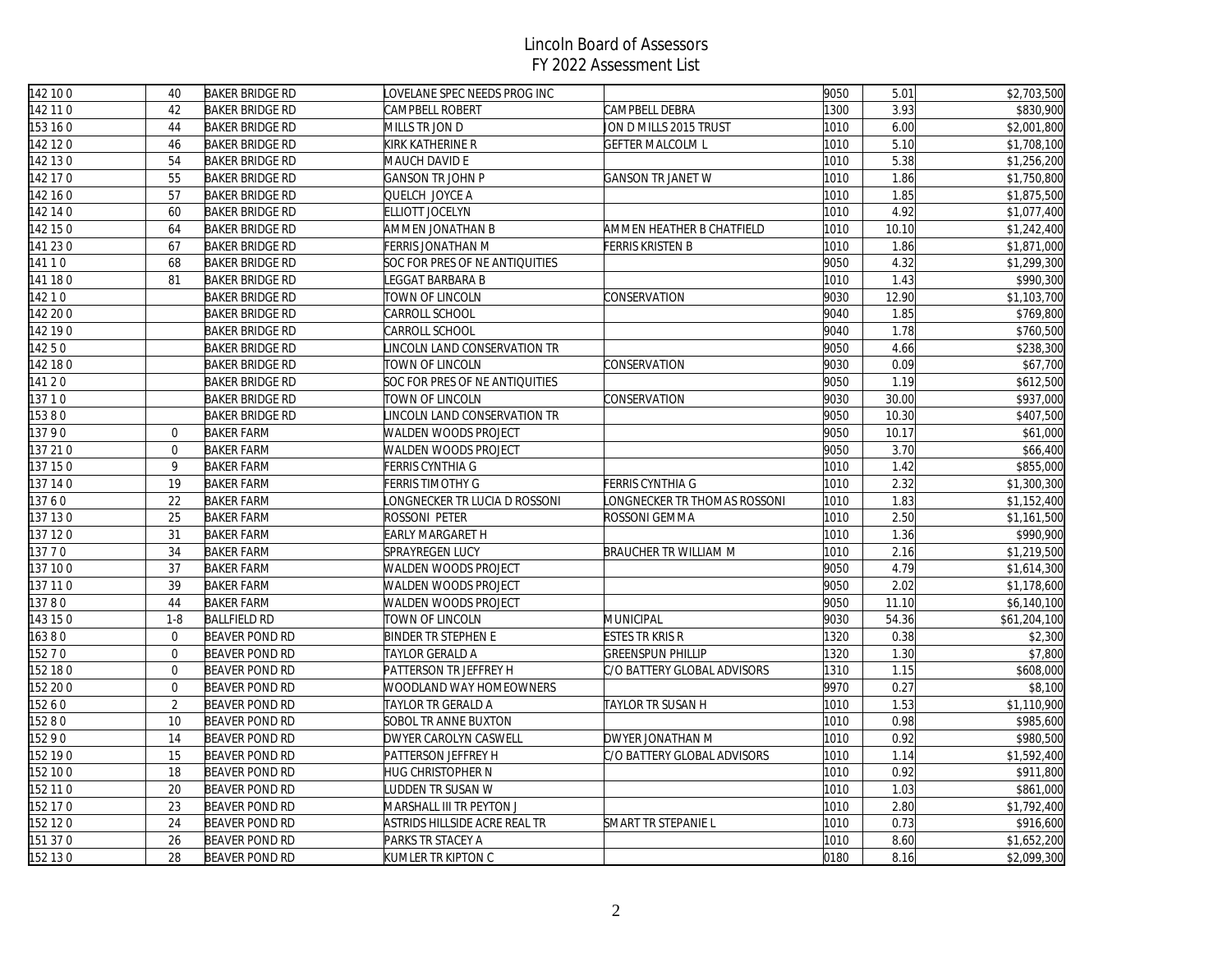| 142 100  | 40             | <b>BAKER BRIDGE RD</b> | OVELANE SPEC NEEDS PROG INC    |                              | 9050 | 5.01  | \$2,703,500  |
|----------|----------------|------------------------|--------------------------------|------------------------------|------|-------|--------------|
| 142 11 0 | 42             | <b>BAKER BRIDGE RD</b> | CAMPBELL ROBERT                | CAMPBELL DEBRA               | 1300 | 3.93  | \$830,900    |
| 153 16 0 | 44             | <b>BAKER BRIDGE RD</b> | MILLS TR JON D                 | JON D MILLS 2015 TRUST       | 1010 | 6.00  | \$2,001,800  |
| 142 12 0 | 46             | <b>BAKER BRIDGE RD</b> | KIRK KATHERINE R               | <b>GEFTER MALCOLM L</b>      | 1010 | 5.10  | \$1,708,100  |
| 142 13 0 | 54             | <b>BAKER BRIDGE RD</b> | MAUCH DAVID E                  |                              | 1010 | 5.38  | \$1,256,200  |
| 142 17 0 | 55             | <b>BAKER BRIDGE RD</b> | GANSON TR JOHN P               | <b>GANSON TR JANET W</b>     | 1010 | 1.86  | \$1,750,800  |
| 142 16 0 | 57             | <b>BAKER BRIDGE RD</b> | QUELCH JOYCE A                 |                              | 1010 | 1.85  | \$1,875,500  |
| 142 14 0 | 60             | <b>BAKER BRIDGE RD</b> | ELLIOTT JOCELYN                |                              | 1010 | 4.92  | \$1,077,400  |
| 142 150  | 64             | <b>BAKER BRIDGE RD</b> | AMMEN JONATHAN B               | AMMEN HEATHER B CHATFIELD    | 1010 | 10.10 | \$1,242,400  |
| 141 230  | 67             | <b>BAKER BRIDGE RD</b> | FERRIS JONATHAN M              | <b>FERRIS KRISTEN B</b>      | 1010 | 1.86  | \$1,871,000  |
| 14110    | 68             | <b>BAKER BRIDGE RD</b> | SOC FOR PRES OF NE ANTIQUITIES |                              | 9050 | 4.32  | \$1,299,300  |
| 141 180  | 81             | <b>BAKER BRIDGE RD</b> | EGGAT BARBARA B                |                              | 1010 | 1.43  | \$990,300    |
| 14210    |                | <b>BAKER BRIDGE RD</b> | TOWN OF LINCOLN                | CONSERVATION                 | 9030 | 12.90 | \$1,103,700  |
| 142 20 0 |                | <b>BAKER BRIDGE RD</b> | CARROLL SCHOOL                 |                              | 9040 | 1.85  | \$769,800    |
| 142190   |                | <b>BAKER BRIDGE RD</b> | CARROLL SCHOOL                 |                              | 9040 | 1.78  | \$760,500    |
| 14250    |                | <b>BAKER BRIDGE RD</b> | INCOLN LAND CONSERVATION TR    |                              | 9050 | 4.66  | \$238,300    |
| 142 18 0 |                | <b>BAKER BRIDGE RD</b> | TOWN OF LINCOLN                | CONSERVATION                 | 9030 | 0.09  | \$67,700     |
| 14120    |                | <b>BAKER BRIDGE RD</b> | SOC FOR PRES OF NE ANTIQUITIES |                              | 9050 | 1.19  | \$612,500    |
| 13710    |                | <b>BAKER BRIDGE RD</b> | TOWN OF LINCOLN                | CONSERVATION                 | 9030 | 30.00 | \$937,000    |
| 15380    |                | <b>BAKER BRIDGE RD</b> | INCOLN LAND CONSERVATION TR    |                              | 9050 | 10.30 | \$407,500    |
| 13790    | $\overline{0}$ | <b>BAKER FARM</b>      | WALDEN WOODS PROJECT           |                              | 9050 | 10.17 | \$61,000     |
| 137 210  | $\overline{0}$ | <b>BAKER FARM</b>      | WALDEN WOODS PROJECT           |                              | 9050 | 3.70  | \$66,400     |
| 137 150  | 9              | <b>BAKER FARM</b>      | FERRIS CYNTHIA G               |                              | 1010 | 1.42  | \$855,000    |
| 137 14 0 | 19             | <b>BAKER FARM</b>      | FERRIS TIMOTHY G               | <b>FERRIS CYNTHIA G</b>      | 1010 | 2.32  | \$1,300,300  |
| 13760    | 22             | <b>BAKER FARM</b>      | ONGNECKER TR LUCIA D ROSSONI   | LONGNECKER TR THOMAS ROSSONI | 1010 | 1.83  | \$1,152,400  |
| 137 130  | 25             | <b>BAKER FARM</b>      | ROSSONI PETER                  | ROSSONI GEMMA                | 1010 | 2.50  | \$1,161,500  |
| 137 120  | 31             | <b>BAKER FARM</b>      | EARLY MARGARET H               |                              | 1010 | 1.36  | \$990,900    |
| 13770    | 34             | <b>BAKER FARM</b>      | <b>SPRAYREGEN LUCY</b>         | BRAUCHER TR WILLIAM M        | 1010 | 2.16  | \$1,219,500  |
| 137 100  | 37             | <b>BAKER FARM</b>      | <b>WALDEN WOODS PROJECT</b>    |                              | 9050 | 4.79  | \$1,614,300  |
| 137 110  | 39             | <b>BAKER FARM</b>      | WALDEN WOODS PROJECT           |                              | 9050 | 2.02  | \$1,178,600  |
| 13780    | 44             | <b>BAKER FARM</b>      | WALDEN WOODS PROJECT           |                              | 9050 | 11.10 | \$6,140,100  |
| 143 15 0 | $1 - 8$        | <b>BALLFIELD RD</b>    | TOWN OF LINCOLN                | <b>MUNICIPAL</b>             | 9030 | 54.36 | \$61,204,100 |
| 16380    | $\Omega$       | <b>BEAVER POND RD</b>  | <b>BINDER TR STEPHEN E</b>     | <b>ESTES TR KRIS R</b>       | 1320 | 0.38  | \$2,300      |
| 15270    | $\overline{0}$ | <b>BEAVER POND RD</b>  | TAYLOR GERALD A                | <b>GREENSPUN PHILLIP</b>     | 1320 | 1.30  | \$7,800      |
| 152 180  | $\overline{0}$ | BEAVER POND RD         | PATTERSON TR JEFFREY H         | C/O BATTERY GLOBAL ADVISORS  | 1310 | 1.15  | \$608,000    |
| 152 200  | $\overline{0}$ | <b>BEAVER POND RD</b>  | <b>WOODLAND WAY HOMEOWNERS</b> |                              | 9970 | 0.27  | \$8,100      |
| 15260    | $\overline{2}$ | <b>BEAVER POND RD</b>  | TAYLOR TR GERALD A             | TAYLOR TR SUSAN H            | 1010 | 1.53  | \$1,110,900  |
| 15280    | 10             | <b>BEAVER POND RD</b>  | SOBOL TR ANNE BUXTON           |                              | 1010 | 0.98  | \$985,600    |
| 15290    | 14             | BEAVER POND RD         | DWYER CAROLYN CASWELL          | DWYER JONATHAN M             | 1010 | 0.92  | \$980,500    |
| 152 190  | 15             | <b>BEAVER POND RD</b>  | PATTERSON JEFFREY H            | C/O BATTERY GLOBAL ADVISORS  | 1010 | 1.14  | \$1,592,400  |
| 152 100  | 18             | <b>BEAVER POND RD</b>  | HUG CHRISTOPHER N              |                              | 1010 | 0.92  | \$911,800    |
| 152 11 0 | 20             | <b>BEAVER POND RD</b>  | UDDEN TR SUSAN W               |                              | 1010 | 1.03  | \$861,000    |
| 152 17 0 | 23             | <b>BEAVER POND RD</b>  | MARSHALL III TR PEYTON J       |                              | 1010 | 2.80  | \$1,792,400  |
| 152 12 0 | 24             | <b>BEAVER POND RD</b>  | ASTRIDS HILLSIDE ACRE REAL TR  | SMART TR STEPANIE L          | 1010 | 0.73  | \$916,600    |
| 151 37 0 | 26             | <b>BEAVER POND RD</b>  | PARKS TR STACEY A              |                              | 1010 | 8.60  | \$1,652,200  |
| 152 130  | 28             | <b>BEAVER POND RD</b>  | KUMLER TR KIPTON C             |                              | 0180 | 8.16  | \$2,099,300  |
|          |                |                        |                                |                              |      |       |              |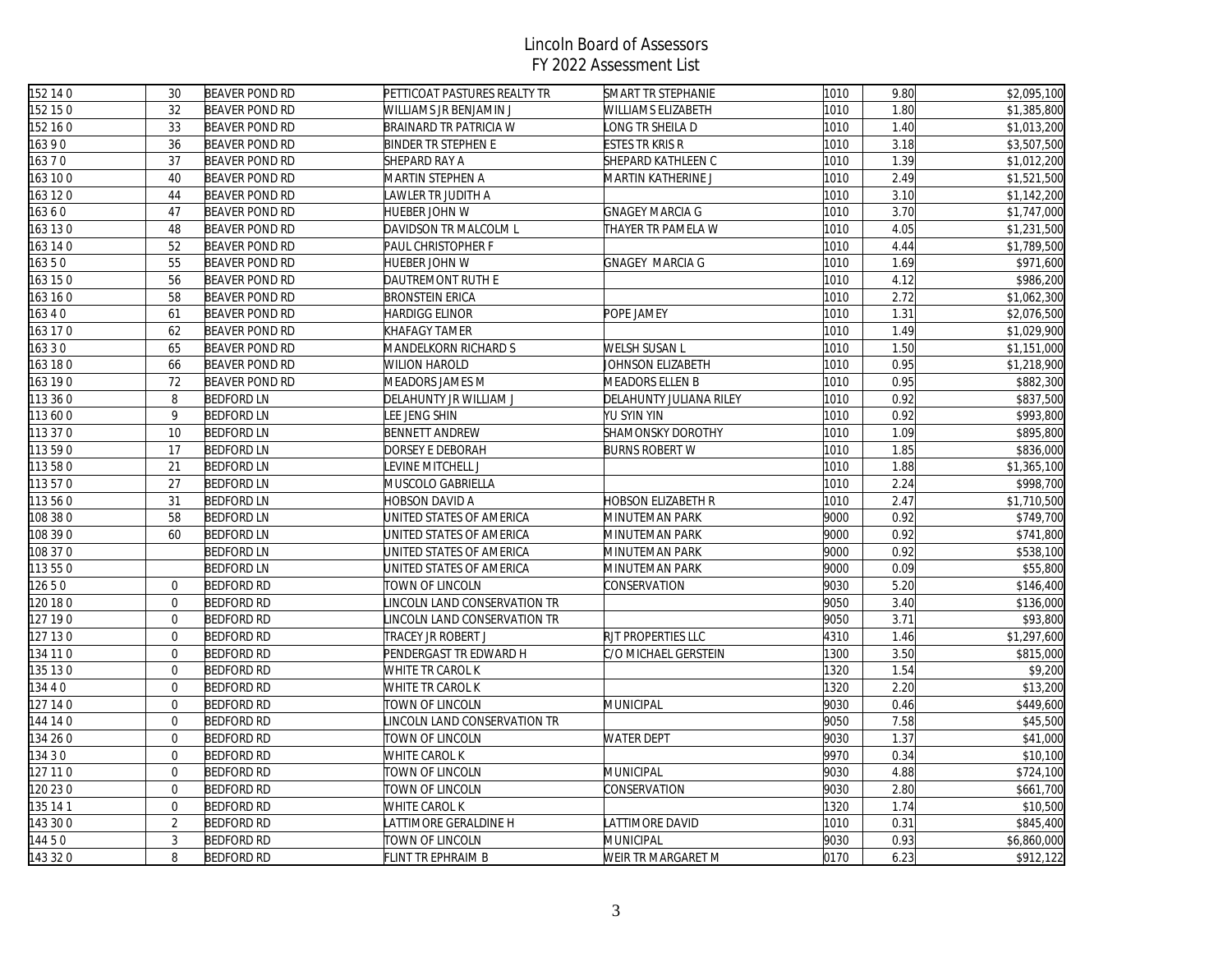| 152 14 0 | 30             | <b>BEAVER POND RD</b> | PETTICOAT PASTURES REALTY TR  | SMART TR STEPHANIE        | 1010 | 9.80 | \$2,095,100 |
|----------|----------------|-----------------------|-------------------------------|---------------------------|------|------|-------------|
| 152 150  | 32             | <b>BEAVER POND RD</b> | WILLIAMS JR BENJAMIN J        | WILLIAMS ELIZABETH        | 1010 | 1.80 | \$1,385,800 |
| 152 160  | 33             | <b>BEAVER POND RD</b> | <b>BRAINARD TR PATRICIA W</b> | LONG TR SHEILA D          | 1010 | 1.40 | \$1,013,200 |
| 16390    | 36             | <b>BEAVER POND RD</b> | <b>BINDER TR STEPHEN E</b>    | ESTES TR KRIS R           | 1010 | 3.18 | \$3,507,500 |
| 16370    | 37             | BEAVER POND RD        | SHEPARD RAY A                 | SHEPARD KATHLEEN C        | 1010 | 1.39 | \$1,012,200 |
| 163 100  | 40             | <b>BEAVER POND RD</b> | MARTIN STEPHEN A              | MARTIN KATHERINE J        | 1010 | 2.49 | \$1,521,500 |
| 163 120  | 44             | <b>BEAVER POND RD</b> | AWLER TR JUDITH A             |                           | 1010 | 3.10 | \$1,142,200 |
| 16360    | 47             | <b>BEAVER POND RD</b> | HUEBER JOHN W                 | <b>GNAGEY MARCIA G</b>    | 1010 | 3.70 | \$1,747,000 |
| 163 130  | 48             | <b>BEAVER POND RD</b> | DAVIDSON TR MALCOLM L         | THAYER TR PAMELA W        | 1010 | 4.05 | \$1,231,500 |
| 163 14 0 | 52             | <b>BEAVER POND RD</b> | PAUL CHRISTOPHER F            |                           | 1010 | 4.44 | \$1,789,500 |
| 16350    | 55             | <b>BEAVER POND RD</b> | HUEBER JOHN W                 | <b>GNAGEY MARCIA G</b>    | 1010 | 1.69 | \$971,600   |
| 163 150  | 56             | <b>BEAVER POND RD</b> | DAUTREMONT RUTH E             |                           | 1010 | 4.12 | \$986,200   |
| 163 16 0 | 58             | <b>BEAVER POND RD</b> | <b>BRONSTEIN ERICA</b>        |                           | 1010 | 2.72 | \$1,062,300 |
| 16340    | 61             | BEAVER POND RD        | HARDIGG ELINOR                | POPE JAMEY                | 1010 | 1.31 | \$2,076,500 |
| 163 17 0 | 62             | <b>BEAVER POND RD</b> | KHAFAGY TAMER                 |                           | 1010 | 1.49 | \$1,029,900 |
| 16330    | 65             | <b>BEAVER POND RD</b> | MANDELKORN RICHARD S          | WELSH SUSAN L             | 1010 | 1.50 | \$1,151,000 |
| 163 180  | 66             | <b>BEAVER POND RD</b> | <b>WILION HAROLD</b>          | JOHNSON ELIZABETH         | 1010 | 0.95 | \$1,218,900 |
| 163 190  | 72             | BEAVER POND RD        | MEADORS JAMES M               | MEADORS ELLEN B           | 1010 | 0.95 | \$882,300   |
| 113 36 0 | 8              | <b>BEDFORD LN</b>     | DELAHUNTY JR WILLIAM J        | DELAHUNTY JULIANA RILEY   | 1010 | 0.92 | \$837,500   |
| 113 60 0 | 9              | <b>BEDFORD LN</b>     | LEE JENG SHIN                 | YU SYIN YIN               | 1010 | 0.92 | \$993,800   |
| 113 37 0 | 10             | <b>BEDFORD LN</b>     | <b>BENNETT ANDREW</b>         | SHAMONSKY DOROTHY         | 1010 | 1.09 | \$895,800   |
| 113 590  | 17             | <b>BEDFORD LN</b>     | DORSEY E DEBORAH              | <b>BURNS ROBERT W</b>     | 1010 | 1.85 | \$836,000   |
| 113580   | 21             | <b>BEDFORD LN</b>     | LEVINE MITCHELL J             |                           | 1010 | 1.88 | \$1,365,100 |
| 113570   | 27             | <b>BEDFORD LN</b>     | MUSCOLO GABRIELLA             |                           | 1010 | 2.24 | \$998,700   |
| 113 56 0 | 31             | <b>BEDFORD LN</b>     | HOBSON DAVID A                | <b>HOBSON ELIZABETH R</b> | 1010 | 2.47 | \$1,710,500 |
| 108 38 0 | 58             | <b>BEDFORD LN</b>     | UNITED STATES OF AMERICA      | MINUTEMAN PARK            | 9000 | 0.92 | \$749,700   |
| 108 39 0 | 60             | <b>BEDFORD LN</b>     | JNITED STATES OF AMERICA      | MINUTEMAN PARK            | 9000 | 0.92 | \$741,800   |
| 108 37 0 |                | <b>BEDFORD LN</b>     | UNITED STATES OF AMERICA      | MINUTEMAN PARK            | 9000 | 0.92 | \$538,100   |
| 113 550  |                | <b>BEDFORD LN</b>     | UNITED STATES OF AMERICA      | MINUTEMAN PARK            | 9000 | 0.09 | \$55,800    |
| 12650    | $\overline{0}$ | <b>BEDFORD RD</b>     | TOWN OF LINCOLN               | CONSERVATION              | 9030 | 5.20 | \$146,400   |
| 120 18 0 | $\mathbf 0$    | <b>BEDFORD RD</b>     | INCOLN LAND CONSERVATION TR   |                           | 9050 | 3.40 | \$136,000   |
| 127 19 0 | $\mathbf 0$    | <b>BEDFORD RD</b>     | INCOLN LAND CONSERVATION TR   |                           | 9050 | 3.71 | \$93,800    |
| 127 130  | $\overline{0}$ | <b>BEDFORD RD</b>     | TRACEY JR ROBERT J            | RJT PROPERTIES LLC        | 4310 | 1.46 | \$1,297,600 |
| 134 11 0 | $\mathbf{0}$   | <b>BEDFORD RD</b>     | PENDERGAST TR EDWARD H        | C/O MICHAEL GERSTEIN      | 1300 | 3.50 | \$815,000   |
| 135 130  | $\mathbf{0}$   | <b>BEDFORD RD</b>     | WHITE TR CAROL K              |                           | 1320 | 1.54 | \$9,200     |
| 34 4 0   | $\mathbf 0$    | <b>BEDFORD RD</b>     | WHITE TR CAROL K              |                           | 1320 | 2.20 | \$13,200    |
| 127 14 0 | $\mathbf 0$    | <b>BEDFORD RD</b>     | TOWN OF LINCOLN               | MUNICIPAL                 | 9030 | 0.46 | \$449,600   |
| 144 14 0 | $\mathbf{0}$   | <b>BEDFORD RD</b>     | INCOLN LAND CONSERVATION TR   |                           | 9050 | 7.58 | \$45,500    |
| 134 26 0 | $\mathbf{0}$   | <b>BEDFORD RD</b>     | TOWN OF LINCOLN               | <b>WATER DEPT</b>         | 9030 | 1.37 | \$41,000    |
| 13430    | $\mathbf 0$    | <b>BEDFORD RD</b>     | WHITE CAROL K                 |                           | 9970 | 0.34 | \$10,100    |
| 127 11 0 | $\overline{0}$ | <b>BEDFORD RD</b>     | TOWN OF LINCOLN               | MUNICIPAL                 | 9030 | 4.88 | \$724,100   |
| 120 23 0 | $\mathbf{0}$   | <b>BEDFORD RD</b>     | TOWN OF LINCOLN               | CONSERVATION              | 9030 | 2.80 | \$661,700   |
| 135 14 1 | $\mathbf{0}$   | <b>BEDFORD RD</b>     | WHITE CAROL K                 |                           | 1320 | 1.74 | \$10,500    |
| 143 30 0 | $\overline{2}$ | <b>BEDFORD RD</b>     | ATTIMORE GERALDINE H          | LATTIMORE DAVID           | 1010 | 0.31 | \$845,400   |
| 14450    | 3              | <b>BEDFORD RD</b>     | TOWN OF LINCOLN               | MUNICIPAL                 | 9030 | 0.93 | \$6,860,000 |
| 143 32 0 | 8              | <b>BEDFORD RD</b>     | FLINT TR EPHRAIM B            | WEIR TR MARGARET M        | 0170 | 6.23 | \$912,122   |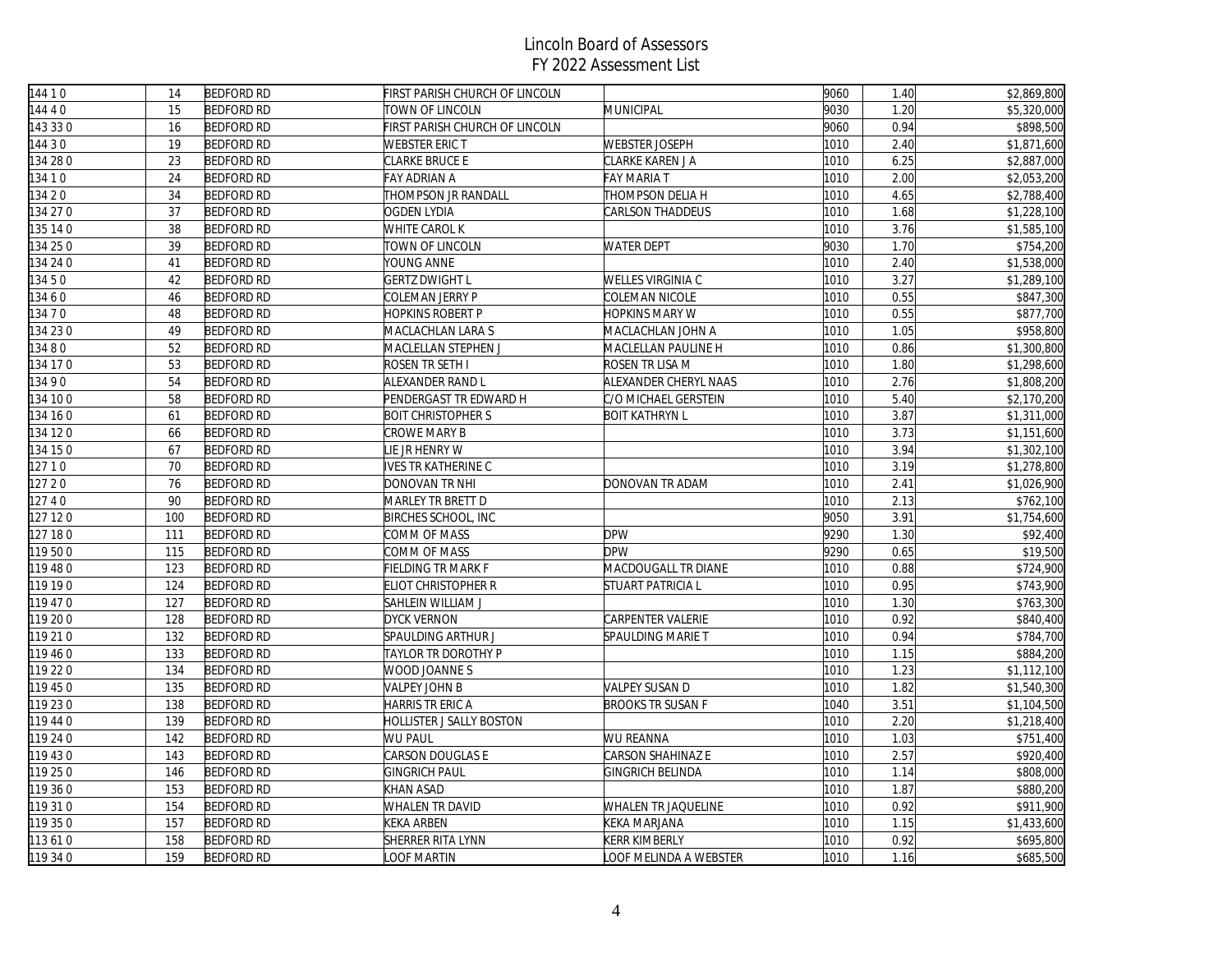| 144 10   | 14  | <b>BEDFORD RD</b> | FIRST PARISH CHURCH OF LINCOLN  |                          | 9060 | 1.40 | \$2,869,800 |
|----------|-----|-------------------|---------------------------------|--------------------------|------|------|-------------|
| 144 4 0  | 15  | <b>BEDFORD RD</b> | TOWN OF LINCOLN                 | MUNICIPAL                | 9030 | 1.20 | \$5,320,000 |
| 143 33 0 | 16  | <b>BEDFORD RD</b> | FIRST PARISH CHURCH OF LINCOLN  |                          | 9060 | 0.94 | \$898,500   |
| 14430    | 19  | <b>BEDFORD RD</b> | <b>WEBSTER ERIC T</b>           | <b>WEBSTER JOSEPH</b>    | 1010 | 2.40 | \$1,871,600 |
| 134 28 0 | 23  | <b>BEDFORD RD</b> | CLARKE BRUCE E                  | CLARKE KAREN J A         | 1010 | 6.25 | \$2,887,000 |
| 134 1 0  | 24  | <b>BEDFORD RD</b> | FAY ADRIAN A                    | <b>FAY MARIA T</b>       | 1010 | 2.00 | \$2,053,200 |
| 134 2 0  | 34  | <b>BEDFORD RD</b> | <b>THOMPSON JR RANDALL</b>      | THOMPSON DELIA H         | 1010 | 4.65 | \$2,788,400 |
| 134 27 0 | 37  | <b>BEDFORD RD</b> | <b>OGDEN LYDIA</b>              | CARLSON THADDEUS         | 1010 | 1.68 | \$1,228,100 |
| 135 14 0 | 38  | <b>BEDFORD RD</b> | <b>WHITE CAROL K</b>            |                          | 1010 | 3.76 | \$1,585,100 |
| 134 25 0 | 39  | <b>BEDFORD RD</b> | TOWN OF LINCOLN                 | <b>WATER DEPT</b>        | 9030 | 1.70 | \$754,200   |
| 134 24 0 | 41  | <b>BEDFORD RD</b> | YOUNG ANNE                      |                          | 1010 | 2.40 | \$1,538,000 |
| 13450    | 42  | <b>BEDFORD RD</b> | <b>GERTZ DWIGHT L</b>           | WELLES VIRGINIA C        | 1010 | 3.27 | \$1,289,100 |
| 13460    | 46  | <b>BEDFORD RD</b> | COLEMAN JERRY P                 | COLEMAN NICOLE           | 1010 | 0.55 | \$847,300   |
| 134 7 0  | 48  | <b>BEDFORD RD</b> | HOPKINS ROBERT P                | HOPKINS MARY W           | 1010 | 0.55 | \$877,700   |
| 134 23 0 | 49  | <b>BEDFORD RD</b> | MACLACHLAN LARA S               | MACLACHLAN JOHN A        | 1010 | 1.05 | \$958,800   |
| 13480    | 52  | <b>BEDFORD RD</b> | MACLELLAN STEPHEN J             | MACLELLAN PAULINE H      | 1010 | 0.86 | \$1,300,800 |
| 134 17 0 | 53  | <b>BEDFORD RD</b> | ROSEN TR SETH I                 | ROSEN TR LISA M          | 1010 | 1.80 | \$1,298,600 |
| 13490    | 54  | <b>BEDFORD RD</b> | ALEXANDER RAND L                | ALEXANDER CHERYL NAAS    | 1010 | 2.76 | \$1,808,200 |
| 134 10 0 | 58  | <b>BEDFORD RD</b> | PENDERGAST TR EDWARD H          | C/O MICHAEL GERSTEIN     | 1010 | 5.40 | \$2,170,200 |
| 134 16 0 | 61  | <b>BEDFORD RD</b> | <b>BOIT CHRISTOPHER S</b>       | <b>BOIT KATHRYN L</b>    | 1010 | 3.87 | \$1,311,000 |
| 134 12 0 | 66  | <b>BEDFORD RD</b> | CROWE MARY B                    |                          | 1010 | 3.73 | \$1,151,600 |
| 134 15 0 | 67  | <b>BEDFORD RD</b> | <b>IE JR HENRY W</b>            |                          | 1010 | 3.94 | \$1,302,100 |
| 127 1 0  | 70  | <b>BEDFORD RD</b> | IVES TR KATHERINE C             |                          | 1010 | 3.19 | \$1,278,800 |
| 127 20   | 76  | <b>BEDFORD RD</b> | DONOVAN TR NHI                  | DONOVAN TR ADAM          | 1010 | 2.41 | \$1,026,900 |
| 12740    | 90  | <b>BEDFORD RD</b> | MARLEY TR BRETT D               |                          | 1010 | 2.13 | \$762,100   |
| 127 120  | 100 | <b>BEDFORD RD</b> | <b>BIRCHES SCHOOL, INC</b>      |                          | 9050 | 3.91 | \$1,754,600 |
| 127 180  | 111 | <b>BEDFORD RD</b> | COMM OF MASS                    | <b>DPW</b>               | 9290 | 1.30 | \$92,400    |
| 119500   | 115 | <b>BEDFORD RD</b> | COMM OF MASS                    | <b>DPW</b>               | 9290 | 0.65 | \$19,500    |
| 119 48 0 | 123 | <b>BEDFORD RD</b> | FIELDING TR MARK F              | MACDOUGALL TR DIANE      | 1010 | 0.88 | \$724,900   |
| 119 19 0 | 124 | <b>BEDFORD RD</b> | <b>ELIOT CHRISTOPHER R</b>      | <b>STUART PATRICIA L</b> | 1010 | 0.95 | \$743,900   |
| 119 47 0 | 127 | <b>BEDFORD RD</b> | SAHLEIN WILLIAM J               |                          | 1010 | 1.30 | \$763,300   |
| 119 20 0 | 128 | <b>BEDFORD RD</b> | <b>DYCK VERNON</b>              | <b>CARPENTER VALERIE</b> | 1010 | 0.92 | \$840,400   |
| 119 21 0 | 132 | <b>BEDFORD RD</b> | <b>SPAULDING ARTHUR J</b>       | SPAULDING MARIE T        | 1010 | 0.94 | \$784,700   |
| 119 460  | 133 | <b>BEDFORD RD</b> | TAYLOR TR DOROTHY P             |                          | 1010 | 1.15 | \$884,200   |
| 119 22 0 | 134 | <b>BEDFORD RD</b> | WOOD JOANNE S                   |                          | 1010 | 1.23 | \$1,112,100 |
| 119 45 0 | 135 | <b>BEDFORD RD</b> | VALPEY JOHN B                   | VALPEY SUSAN D           | 1010 | 1.82 | \$1,540,300 |
| 119 23 0 | 138 | <b>BEDFORD RD</b> | <b>HARRIS TR ERIC A</b>         | <b>BROOKS TR SUSAN F</b> | 1040 | 3.51 | \$1,104,500 |
| 119 44 0 | 139 | <b>BEDFORD RD</b> | <b>HOLLISTER J SALLY BOSTON</b> |                          | 1010 | 2.20 | \$1,218,400 |
| 119 24 0 | 142 | <b>BEDFORD RD</b> | WU PAUL                         | WU REANNA                | 1010 | 1.03 | \$751,400   |
| 119 43 0 | 143 | <b>BEDFORD RD</b> | <b>CARSON DOUGLAS E</b>         | <b>CARSON SHAHINAZ E</b> | 1010 | 2.57 | \$920,400   |
| 119 25 0 | 146 | <b>BEDFORD RD</b> | <b>GINGRICH PAUL</b>            | <b>GINGRICH BELINDA</b>  | 1010 | 1.14 | \$808,000   |
| 119 36 0 | 153 | <b>BEDFORD RD</b> | KHAN ASAD                       |                          | 1010 | 1.87 | \$880,200   |
| 119 31 0 | 154 | <b>BEDFORD RD</b> | WHALEN TR DAVID                 | WHALEN TR JAQUELINE      | 1010 | 0.92 | \$911,900   |
| 119 35 0 | 157 | <b>BEDFORD RD</b> | <b>KEKA ARBEN</b>               | KEKA MARJANA             | 1010 | 1.15 | \$1,433,600 |
| 113610   | 158 | <b>BEDFORD RD</b> | <b>SHERRER RITA LYNN</b>        | KERR KIMBERLY            | 1010 | 0.92 | \$695,800   |
| 119 34 0 | 159 | <b>BEDFORD RD</b> | <b>OOF MARTIN</b>               | LOOF MELINDA A WEBSTER   | 1010 | 1.16 | \$685,500   |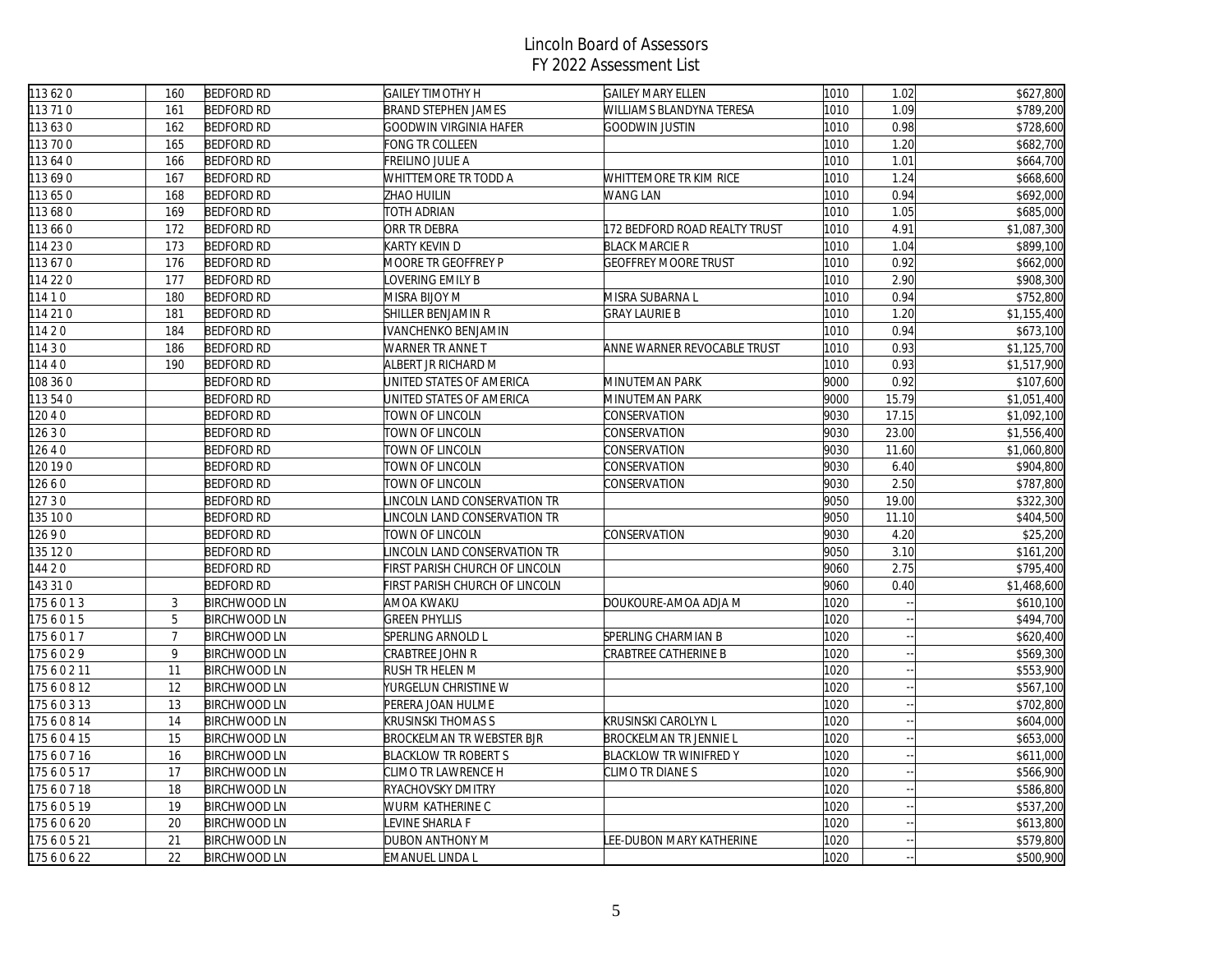| 113 62 0 | 160            | <b>BEDFORD RD</b>   | <b>GAILEY TIMOTHY H</b>          | <b>GAILEY MARY ELLEN</b>      | 1010 | 1.02                     | \$627,800   |
|----------|----------------|---------------------|----------------------------------|-------------------------------|------|--------------------------|-------------|
| 113 71 0 | 161            | <b>BEDFORD RD</b>   | <b>BRAND STEPHEN JAMES</b>       | WILLIAMS BLANDYNA TERESA      | 1010 | 1.09                     | \$789,200   |
| 113630   | 162            | <b>BEDFORD RD</b>   | GOODWIN VIRGINIA HAFER           | GOODWIN JUSTIN                | 1010 | 0.98                     | \$728,600   |
| 113700   | 165            | <b>BEDFORD RD</b>   | FONG TR COLLEEN                  |                               | 1010 | 1.20                     | \$682,700   |
| 113 64 0 | 166            | <b>BEDFORD RD</b>   | FREILINO JULIE A                 |                               | 1010 | 1.01                     | \$664,700   |
| 113690   | 167            | <b>BEDFORD RD</b>   | WHITTEMORE TR TODD A             | WHITTEMORE TR KIM RICE        | 1010 | 1.24                     | \$668,600   |
| 113 650  | 168            | <b>BEDFORD RD</b>   | ZHAO HUILIN                      | <b>WANG LAN</b>               | 1010 | 0.94                     | \$692,000   |
| 113680   | 169            | <b>BEDFORD RD</b>   | TOTH ADRIAN                      |                               | 1010 | 1.05                     | \$685,000   |
| 113 66 0 | 172            | <b>BEDFORD RD</b>   | ORR TR DEBRA                     | 172 BEDFORD ROAD REALTY TRUST | 1010 | 4.91                     | \$1,087,300 |
| 114 23 0 | 173            | <b>BEDFORD RD</b>   | KARTY KEVIN D                    | <b>BLACK MARCIE R</b>         | 1010 | 1.04                     | \$899,100   |
| 113670   | 176            | <b>BEDFORD RD</b>   | MOORE TR GEOFFREY P              | <b>GEOFFREY MOORE TRUST</b>   | 1010 | 0.92                     | \$662,000   |
| 114 22 0 | 177            | <b>BEDFORD RD</b>   | OVERING EMILY B                  |                               | 1010 | 2.90                     | \$908,300   |
| 11410    | 180            | <b>BEDFORD RD</b>   | MISRA BIJOY M                    | MISRA SUBARNA L               | 1010 | 0.94                     | \$752,800   |
| 114 21 0 | 181            | <b>BEDFORD RD</b>   | SHILLER BENJAMIN R               | <b>GRAY LAURIE B</b>          | 1010 | 1.20                     | \$1,155,400 |
| 11420    | 184            | <b>BEDFORD RD</b>   | IVANCHENKO BENJAMIN              |                               | 1010 | 0.94                     | \$673,100   |
| 11430    | 186            | <b>BEDFORD RD</b>   | WARNER TR ANNE T                 | ANNE WARNER REVOCABLE TRUST   | 1010 | 0.93                     | \$1,125,700 |
| 11440    | 190            | <b>BEDFORD RD</b>   | ALBERT JR RICHARD M              |                               | 1010 | 0.93                     | \$1,517,900 |
| 108 36 0 |                | <b>BEDFORD RD</b>   | JNITED STATES OF AMERICA         | MINUTEMAN PARK                | 9000 | 0.92                     | \$107,600   |
| 113 54 0 |                | <b>BEDFORD RD</b>   | JNITED STATES OF AMERICA         | MINUTEMAN PARK                | 9000 | 15.79                    | \$1,051,400 |
| 12040    |                | <b>BEDFORD RD</b>   | TOWN OF LINCOLN                  | CONSERVATION                  | 9030 | 17.15                    | \$1,092,100 |
| 12630    |                | <b>BEDFORD RD</b>   | TOWN OF LINCOLN                  | CONSERVATION                  | 9030 | 23.00                    | \$1,556,400 |
| 12640    |                | <b>BEDFORD RD</b>   | TOWN OF LINCOLN                  | CONSERVATION                  | 9030 | 11.60                    | \$1,060,800 |
| 120190   |                | <b>BEDFORD RD</b>   | TOWN OF LINCOLN                  | CONSERVATION                  | 9030 | 6.40                     | \$904,800   |
| 12660    |                | <b>BEDFORD RD</b>   | TOWN OF LINCOLN                  | CONSERVATION                  | 9030 | 2.50                     | \$787,800   |
| 12730    |                | <b>BEDFORD RD</b>   | INCOLN LAND CONSERVATION TR      |                               | 9050 | 19.00                    | \$322,300   |
| 135 10 0 |                | <b>BEDFORD RD</b>   | INCOLN LAND CONSERVATION TR      |                               | 9050 | 11.10                    | \$404,500   |
| 12690    |                | <b>BEDFORD RD</b>   | TOWN OF LINCOLN                  | CONSERVATION                  | 9030 | 4.20                     | \$25,200    |
| 135 120  |                | <b>BEDFORD RD</b>   | INCOLN LAND CONSERVATION TR      |                               | 9050 | 3.10                     | \$161,200   |
| 144 2 0  |                | <b>BEDFORD RD</b>   | FIRST PARISH CHURCH OF LINCOLN   |                               | 9060 | 2.75                     | \$795,400   |
| 143 31 0 |                | <b>BEDFORD RD</b>   | FIRST PARISH CHURCH OF LINCOLN   |                               | 9060 | 0.40                     | \$1,468,600 |
| 1756013  | $\mathfrak{Z}$ | <b>BIRCHWOOD LN</b> | AMOA KWAKU                       | DOUKOURE-AMOA ADJA M          | 1020 |                          | \$610,100   |
| 1756015  | 5              | <b>BIRCHWOOD LN</b> | <b>GREEN PHYLLIS</b>             |                               | 1020 |                          | \$494,700   |
| 1756017  | $\overline{7}$ | <b>BIRCHWOOD LN</b> | SPERLING ARNOLD L                | SPERLING CHARMIAN B           | 1020 |                          | \$620,400   |
| 1756029  | 9              | <b>BIRCHWOOD LN</b> | CRABTREE JOHN R                  | <b>CRABTREE CATHERINE B</b>   | 1020 |                          | \$569,300   |
| 17560211 | 11             | <b>BIRCHWOOD LN</b> | RUSH TR HELEN M                  |                               | 1020 |                          | \$553,900   |
| 17560812 | 12             | <b>BIRCHWOOD LN</b> | YURGELUN CHRISTINE W             |                               | 1020 |                          | \$567,100   |
| 17560313 | 13             | <b>BIRCHWOOD LN</b> | PERERA JOAN HULME                |                               | 1020 |                          | \$702,800   |
| 17560814 | 14             | <b>BIRCHWOOD LN</b> | KRUSINSKI THOMAS S               | KRUSINSKI CAROLYN L           | 1020 |                          | \$604,000   |
| 17560415 | 15             | <b>BIRCHWOOD LN</b> | <b>BROCKELMAN TR WEBSTER BJR</b> | BROCKELMAN TR JENNIE L        | 1020 |                          | \$653,000   |
| 17560716 | 16             | <b>BIRCHWOOD LN</b> | <b>BLACKLOW TR ROBERT S</b>      | <b>BLACKLOW TR WINIFRED Y</b> | 1020 |                          | \$611,000   |
| 17560517 | 17             | <b>BIRCHWOOD LN</b> | CLIMO TR LAWRENCE H              | CLIMO TR DIANE S              | 1020 | $\overline{\phantom{a}}$ | \$566,900   |
| 17560718 | 18             | <b>BIRCHWOOD LN</b> | RYACHOVSKY DMITRY                |                               | 1020 |                          | \$586,800   |
| 17560519 | 19             | <b>BIRCHWOOD LN</b> | WURM KATHERINE C                 |                               | 1020 |                          | \$537,200   |
| 17560620 | 20             | <b>BIRCHWOOD LN</b> | EVINE SHARLA F                   |                               | 1020 |                          | \$613,800   |
| 17560521 | 21             | <b>BIRCHWOOD LN</b> | DUBON ANTHONY M                  | LEE-DUBON MARY KATHERINE      | 1020 |                          | \$579,800   |
| 17560622 | 22             | <b>BIRCHWOOD LN</b> | <b>EMANUEL LINDA L</b>           |                               | 1020 |                          | \$500,900   |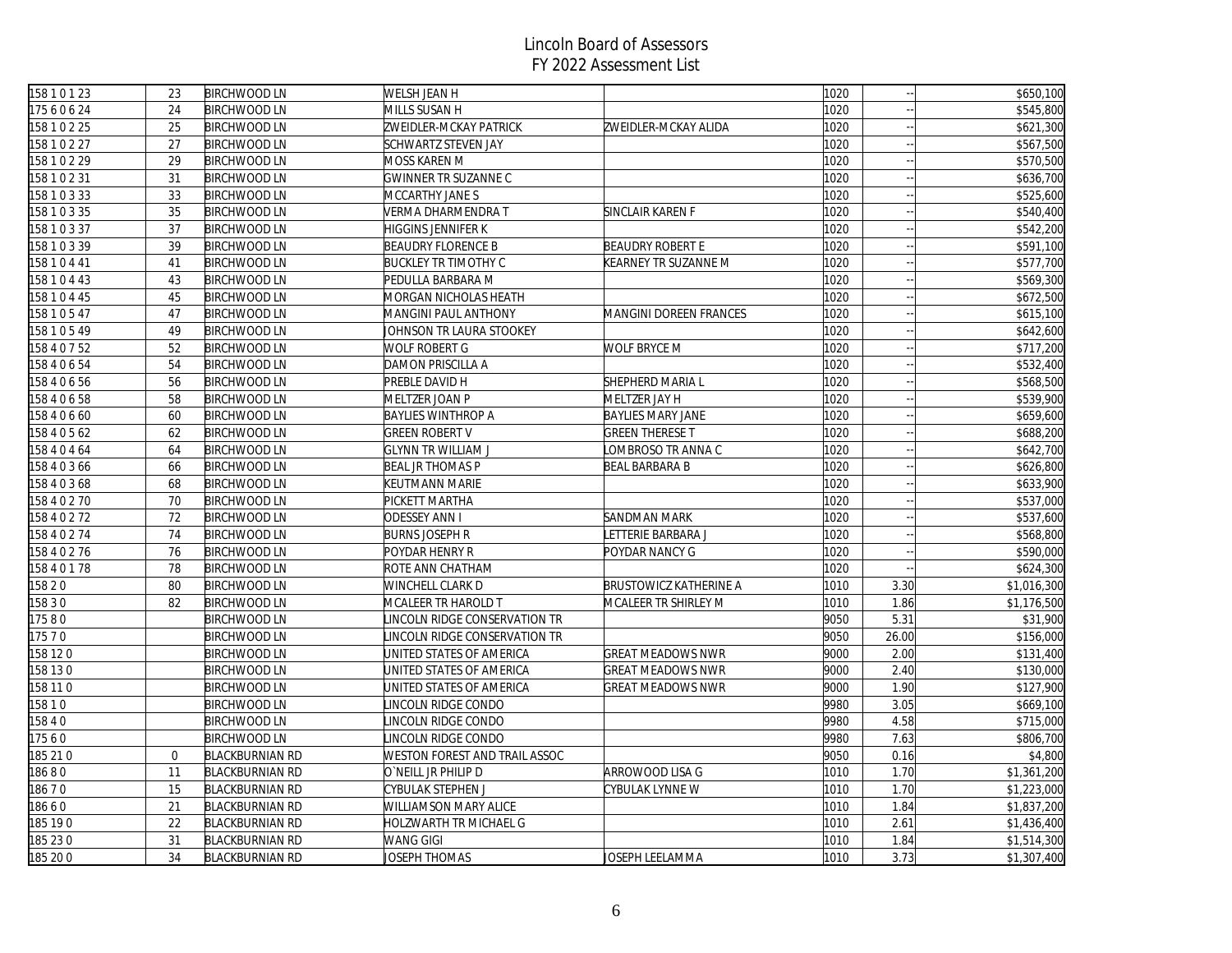| 15810123     | 23             | <b>BIRCHWOOD LN</b>    | <b>WELSH JEAN H</b>           |                          | 1020 |        | \$650,100   |
|--------------|----------------|------------------------|-------------------------------|--------------------------|------|--------|-------------|
| 17560624     | 24             | <b>BIRCHWOOD LN</b>    | MILLS SUSAN H                 |                          | 1020 |        | \$545,800   |
| 158 1 0 2 25 | 25             | <b>BIRCHWOOD LN</b>    | ZWEIDLER-MCKAY PATRICK        | ZWEIDLER-MCKAY ALIDA     | 1020 |        | \$621,300   |
| 158 1 0 2 27 | 27             | <b>BIRCHWOOD LN</b>    | SCHWARTZ STEVEN JAY           |                          | 1020 |        | \$567,500   |
| 158 1 0 2 29 | 29             | <b>BIRCHWOOD LN</b>    | MOSS KAREN M                  |                          | 1020 |        | \$570,500   |
| 158 1 0 2 31 | 31             | <b>BIRCHWOOD LN</b>    | <b>GWINNER TR SUZANNE C</b>   |                          | 1020 |        | \$636,700   |
| 158 1 0 3 33 | 33             | <b>BIRCHWOOD LN</b>    | MCCARTHY JANE S               |                          | 1020 |        | \$525,600   |
| 158 1 0 3 35 | 35             | <b>BIRCHWOOD LN</b>    | VERMA DHARMENDRA T            | SINCLAIR KAREN F         | 1020 |        | \$540,400   |
| 158 1 0 3 37 | 37             | <b>BIRCHWOOD LN</b>    | <b>HIGGINS JENNIFER K</b>     |                          | 1020 |        | \$542,200   |
| 158 1 0 3 39 | 39             | <b>BIRCHWOOD LN</b>    | <b>BEAUDRY FLORENCE B</b>     | <b>BEAUDRY ROBERT E</b>  | 1020 |        | \$591,100   |
| 158 1 0 4 41 | 41             | <b>BIRCHWOOD LN</b>    | <b>BUCKLEY TR TIMOTHY C</b>   | KEARNEY TR SUZANNE M     | 1020 |        | \$577,700   |
| 158 1 0 4 43 | 43             | <b>BIRCHWOOD LN</b>    | PEDULLA BARBARA M             |                          | 1020 |        | \$569,300   |
| 158 1 0 4 45 | 45             | <b>BIRCHWOOD LN</b>    | MORGAN NICHOLAS HEATH         |                          | 1020 |        | \$672,500   |
| 158 1 0 5 47 | 47             | <b>BIRCHWOOD LN</b>    | <b>MANGINI PAUL ANTHONY</b>   | MANGINI DOREEN FRANCES   | 1020 |        | \$615,100   |
| 158 1 0 5 49 | 49             | <b>BIRCHWOOD LN</b>    | JOHNSON TR LAURA STOOKEY      |                          | 1020 |        | \$642,600   |
| 158 4 0 7 52 | 52             | <b>BIRCHWOOD LN</b>    | WOLF ROBERT G                 | WOLF BRYCE M             | 1020 | $\sim$ | \$717,200   |
| 158 4 0 6 54 | 54             | <b>BIRCHWOOD LN</b>    | DAMON PRISCILLA A             |                          | 1020 |        | \$532,400   |
| 158 4 0 6 56 | 56             | <b>BIRCHWOOD LN</b>    | PREBLE DAVID H                | SHEPHERD MARIA L         | 1020 |        | \$568,500   |
| 158 4 0 6 58 | 58             | <b>BIRCHWOOD LN</b>    | MELTZER JOAN P                | MELTZER JAY H            | 1020 |        | \$539,900   |
| 158 4 0 6 60 | 60             | <b>BIRCHWOOD LN</b>    | <b>BAYLIES WINTHROP A</b>     | <b>BAYLIES MARY JANE</b> | 1020 | $\sim$ | \$659,600   |
| 158 4 0 5 62 | 62             | <b>BIRCHWOOD LN</b>    | <b>GREEN ROBERT V</b>         | <b>GREEN THERESE T</b>   | 1020 |        | \$688,200   |
| 158 4 0 4 64 | 64             | <b>BIRCHWOOD LN</b>    | <b>GLYNN TR WILLIAM J</b>     | OMBROSO TR ANNA C        | 1020 |        | \$642,700   |
| 158 4 0 3 66 | 66             | <b>BIRCHWOOD LN</b>    | <b>BEAL JR THOMAS P</b>       | BEAL BARBARA B           | 1020 |        | \$626,800   |
| 158 4 0 3 68 | 68             | <b>BIRCHWOOD LN</b>    | KEUTMANN MARIE                |                          | 1020 |        | \$633,900   |
| 158 4 0 2 70 | 70             | <b>BIRCHWOOD LN</b>    | PICKETT MARTHA                |                          | 1020 |        | \$537,000   |
| 158 4 0 2 72 | 72             | <b>BIRCHWOOD LN</b>    | <b>ODESSEY ANN I</b>          | <b>SANDMAN MARK</b>      | 1020 |        | \$537,600   |
| 158 4 0 2 74 | 74             | <b>BIRCHWOOD LN</b>    | <b>BURNS JOSEPH R</b>         | ETTERIE BARBARA J        | 1020 |        | \$568,800   |
| 158 4 0 2 76 | 76             | <b>BIRCHWOOD LN</b>    | POYDAR HENRY R                | POYDAR NANCY G           | 1020 |        | \$590,000   |
| 158 4 0 1 78 | 78             | <b>BIRCHWOOD LN</b>    | ROTE ANN CHATHAM              |                          | 1020 |        | \$624,300   |
| 158 2 0      | 80             | <b>BIRCHWOOD LN</b>    | WINCHELL CLARK D              | BRUSTOWICZ KATHERINE A   | 1010 | 3.30   | \$1,016,300 |
| 15830        | 82             | <b>BIRCHWOOD LN</b>    | MCALEER TR HAROLD T           | MCALEER TR SHIRLEY M     | 1010 | 1.86   | \$1,176,500 |
| 17580        |                | <b>BIRCHWOOD LN</b>    | INCOLN RIDGE CONSERVATION TR  |                          | 9050 | 5.31   | \$31,900    |
| 175 7 0      |                | <b>BIRCHWOOD LN</b>    | INCOLN RIDGE CONSERVATION TR  |                          | 9050 | 26.00  | \$156,000   |
| 158 12 0     |                | <b>BIRCHWOOD LN</b>    | UNITED STATES OF AMERICA      | <b>GREAT MEADOWS NWR</b> | 9000 | 2.00   | \$131,400   |
| 158 130      |                | <b>BIRCHWOOD LN</b>    | JNITED STATES OF AMERICA      | GREAT MEADOWS NWR        | 9000 | 2.40   | \$130,000   |
| 158 11 0     |                | <b>BIRCHWOOD LN</b>    | UNITED STATES OF AMERICA      | GREAT MEADOWS NWR        | 9000 | 1.90   | \$127,900   |
| 15810        |                | <b>BIRCHWOOD LN</b>    | INCOLN RIDGE CONDO            |                          | 9980 | 3.05   | \$669,100   |
| 5840         |                | <b>BIRCHWOOD LN</b>    | INCOLN RIDGE CONDO            |                          | 9980 | 4.58   | \$715,000   |
| 7560         |                | <b>BIRCHWOOD LN</b>    | INCOLN RIDGE CONDO            |                          | 9980 | 7.63   | \$806,700   |
| 185 21 0     | $\overline{0}$ | <b>BLACKBURNIAN RD</b> | WESTON FOREST AND TRAIL ASSOC |                          | 9050 | 0.16   | \$4,800     |
| 18680        | 11             | <b>BLACKBURNIAN RD</b> | O`NEILL JR PHILIP D           | ARROWOOD LISA G          | 1010 | 1.70   | \$1,361,200 |
| 18670        | 15             | <b>BLACKBURNIAN RD</b> | CYBULAK STEPHEN J             | CYBULAK LYNNE W          | 1010 | 1.70   | \$1,223,000 |
| 18660        | 21             | <b>BLACKBURNIAN RD</b> | WILLIAMSON MARY ALICE         |                          | 1010 | 1.84   | \$1,837,200 |
| 185 190      | 22             | <b>BLACKBURNIAN RD</b> | HOLZWARTH TR MICHAEL G        |                          | 1010 | 2.61   | \$1,436,400 |
| 185 230      | 31             | <b>BLACKBURNIAN RD</b> | WANG GIGI                     |                          | 1010 | 1.84   | \$1,514,300 |
| 185 20 0     | 34             | <b>BLACKBURNIAN RD</b> | JOSEPH THOMAS                 | JOSEPH LEELAMMA          | 1010 | 3.73   | \$1,307,400 |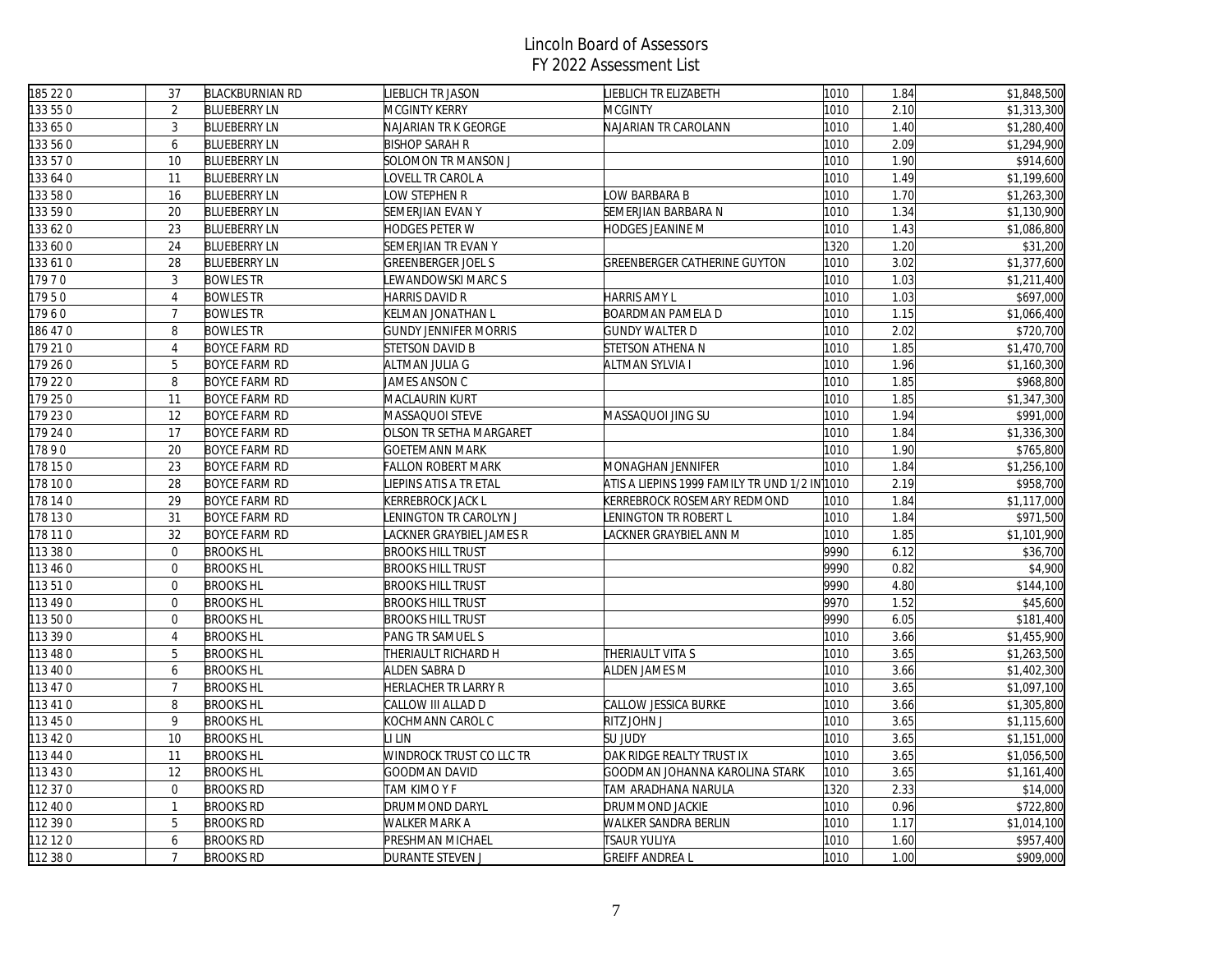| 185 22 0 | 37             | <b>BLACKBURNIAN RD</b> | <b>IEBLICH TR JASON</b>      | LIEBLICH TR ELIZABETH                         | 1010 | 1.84 | \$1,848,500 |
|----------|----------------|------------------------|------------------------------|-----------------------------------------------|------|------|-------------|
| 133 55 0 | 2              | <b>BLUEBERRY LN</b>    | MCGINTY KERRY                | <b>MCGINTY</b>                                | 1010 | 2.10 | \$1,313,300 |
| 133 65 0 | 3              | <b>BLUEBERRY LN</b>    | NAJARIAN TR K GEORGE         | NAJARIAN TR CAROLANN                          | 1010 | 1.40 | \$1,280,400 |
| 33 56 0  | 6              | <b>BLUEBERRY LN</b>    | <b>BISHOP SARAH R</b>        |                                               | 1010 | 2.09 | \$1,294,900 |
| 133 57 0 | 10             | <b>BLUEBERRY LN</b>    | SOLOMON TR MANSON J          |                                               | 1010 | 1.90 | \$914,600   |
| 133 64 0 | 11             | <b>BLUEBERRY LN</b>    | OVELL TR CAROL A             |                                               | 1010 | 1.49 | \$1,199,600 |
| 33 58 0  | 16             | <b>BLUEBERRY LN</b>    | OW STEPHEN R                 | OW BARBARA B                                  | 1010 | 1.70 | \$1,263,300 |
| 133 59 0 | 20             | <b>BLUEBERRY LN</b>    | SEMERJIAN EVAN Y             | SEMERJIAN BARBARA N                           | 1010 | 1.34 | \$1,130,900 |
| 33 62 0  | 23             | <b>BLUEBERRY LN</b>    | HODGES PETER W               | HODGES JEANINE M                              | 1010 | 1.43 | \$1,086,800 |
| 133 60 0 | 24             | <b>BLUEBERRY LN</b>    | SEMERJIAN TR EVAN Y          |                                               | 1320 | 1.20 | \$31,200    |
| 133 61 0 | 28             | <b>BLUEBERRY LN</b>    | GREENBERGER JOEL S           | GREENBERGER CATHERINE GUYTON                  | 1010 | 3.02 | \$1,377,600 |
| 17970    | 3              | <b>BOWLES TR</b>       | EWANDOWSKI MARC S            |                                               | 1010 | 1.03 | \$1,211,400 |
| 17950    | $\overline{4}$ | <b>BOWLES TR</b>       | HARRIS DAVID R               | HARRIS AMY L                                  | 1010 | 1.03 | \$697,000   |
| 17960    | $\overline{7}$ | <b>BOWLES TR</b>       | KELMAN JONATHAN L            | BOARDMAN PAMELA D                             | 1010 | 1.15 | \$1,066,400 |
| 186 470  | 8              | <b>BOWLES TR</b>       | <b>GUNDY JENNIFER MORRIS</b> | <b>GUNDY WALTER D</b>                         | 1010 | 2.02 | \$720,700   |
| 179 210  | $\overline{4}$ | <b>BOYCE FARM RD</b>   | STETSON DAVID B              | STETSON ATHENA N                              | 1010 | 1.85 | \$1,470,700 |
| 179 26 0 | 5              | <b>BOYCE FARM RD</b>   | ALTMAN JULIA G               | <b>ALTMAN SYLVIA I</b>                        | 1010 | 1.96 | \$1,160,300 |
| 179 220  | 8              | <b>BOYCE FARM RD</b>   | JAMES ANSON C                |                                               | 1010 | 1.85 | \$968,800   |
| 179 250  | 11             | <b>BOYCE FARM RD</b>   | MACLAURIN KURT               |                                               | 1010 | 1.85 | \$1,347,300 |
| 179 230  | 12             | <b>BOYCE FARM RD</b>   | MASSAQUOI STEVE              | MASSAQUOI JING SU                             | 1010 | 1.94 | \$991,000   |
| 179 24 0 | 17             | <b>BOYCE FARM RD</b>   | OLSON TR SETHA MARGARET      |                                               | 1010 | 1.84 | \$1,336,300 |
| 17890    | 20             | <b>BOYCE FARM RD</b>   | GOETEMANN MARK               |                                               | 1010 | 1.90 | \$765,800   |
| 178 150  | 23             | <b>BOYCE FARM RD</b>   | <b>FALLON ROBERT MARK</b>    | MONAGHAN JENNIFER                             | 1010 | 1.84 | \$1,256,100 |
| 178 100  | 28             | <b>BOYCE FARM RD</b>   | IEPINS ATIS A TR ETAL        | ATIS A LIEPINS 1999 FAMILY TR UND 1/2 IN 1010 |      | 2.19 | \$958,700   |
| 178 14 0 | 29             | <b>BOYCE FARM RD</b>   | KERREBROCK JACK L            | KERREBROCK ROSEMARY REDMOND                   | 1010 | 1.84 | \$1,117,000 |
| 178 130  | 31             | <b>BOYCE FARM RD</b>   | ENINGTON TR CAROLYN J        | LENINGTON TR ROBERT L                         | 1010 | 1.84 | \$971,500   |
| 178 11 0 | 32             | <b>BOYCE FARM RD</b>   | ACKNER GRAYBIEL JAMES R      | LACKNER GRAYBIEL ANN M                        | 1010 | 1.85 | \$1,101,900 |
| 113 38 0 | $\overline{0}$ | <b>BROOKS HL</b>       | <b>BROOKS HILL TRUST</b>     |                                               | 9990 | 6.12 | \$36,700    |
| 113 46 0 | $\overline{0}$ | <b>BROOKS HL</b>       | <b>BROOKS HILL TRUST</b>     |                                               | 9990 | 0.82 | \$4,900     |
| 113510   | $\mathbf 0$    | <b>BROOKS HL</b>       | <b>BROOKS HILL TRUST</b>     |                                               | 9990 | 4.80 | \$144,100   |
| 113 49 0 | $\overline{0}$ | <b>BROOKS HL</b>       | <b>BROOKS HILL TRUST</b>     |                                               | 9970 | 1.52 | \$45,600    |
| 113500   | $\overline{0}$ | <b>BROOKS HL</b>       | <b>BROOKS HILL TRUST</b>     |                                               | 9990 | 6.05 | \$181,400   |
| 113 39 0 | $\overline{4}$ | <b>BROOKS HL</b>       | PANG TR SAMUEL S             |                                               | 1010 | 3.66 | \$1,455,900 |
| 113 48 0 | 5              | <b>BROOKS HL</b>       | THERIAULT RICHARD H          | THERIAULT VITA S                              | 1010 | 3.65 | \$1,263,500 |
| 113 40 0 | 6              | <b>BROOKS HL</b>       | ALDEN SABRA D                | ALDEN JAMES M                                 | 1010 | 3.66 | \$1,402,300 |
| 113 47 0 | $\overline{7}$ | <b>BROOKS HL</b>       | HERLACHER TR LARRY R         |                                               | 1010 | 3.65 | \$1,097,100 |
| 113 41 0 | 8              | <b>BROOKS HL</b>       | CALLOW III ALLAD D           | CALLOW JESSICA BURKE                          | 1010 | 3.66 | \$1,305,800 |
| 113 45 0 | 9              | <b>BROOKS HL</b>       | KOCHMANN CAROL C             | RITZ JOHN J                                   | 1010 | 3.65 | \$1,115,600 |
| 113 42 0 | 10             | <b>BROOKS HL</b>       | I LIN                        | <b>SU JUDY</b>                                | 1010 | 3.65 | \$1,151,000 |
| 113 44 0 | 11             | <b>BROOKS HL</b>       | WINDROCK TRUST CO LLC TR     | OAK RIDGE REALTY TRUST IX                     | 1010 | 3.65 | \$1,056,500 |
| 113 43 0 | 12             | <b>BROOKS HL</b>       | GOODMAN DAVID                | GOODMAN JOHANNA KAROLINA STARK                | 1010 | 3.65 | \$1,161,400 |
| 112 37 0 | $\overline{0}$ | <b>BROOKS RD</b>       | TAM KIMO Y F                 | TAM ARADHANA NARULA                           | 1320 | 2.33 | \$14,000    |
| 112 40 0 | $\mathbf{1}$   | <b>BROOKS RD</b>       | DRUMMOND DARYL               | DRUMMOND JACKIE                               | 1010 | 0.96 | \$722,800   |
| 112 39 0 | 5              | <b>BROOKS RD</b>       | WALKER MARK A                | WALKER SANDRA BERLIN                          | 1010 | 1.17 | \$1,014,100 |
| 112 12 0 | 6              | <b>BROOKS RD</b>       | PRESHMAN MICHAEL             | TSAUR YULIYA                                  | 1010 | 1.60 | \$957,400   |
| 112 38 0 | $\overline{7}$ | <b>BROOKS RD</b>       | DURANTE STEVEN J             | <b>GREIFF ANDREA L</b>                        | 1010 | 1.00 | \$909,000   |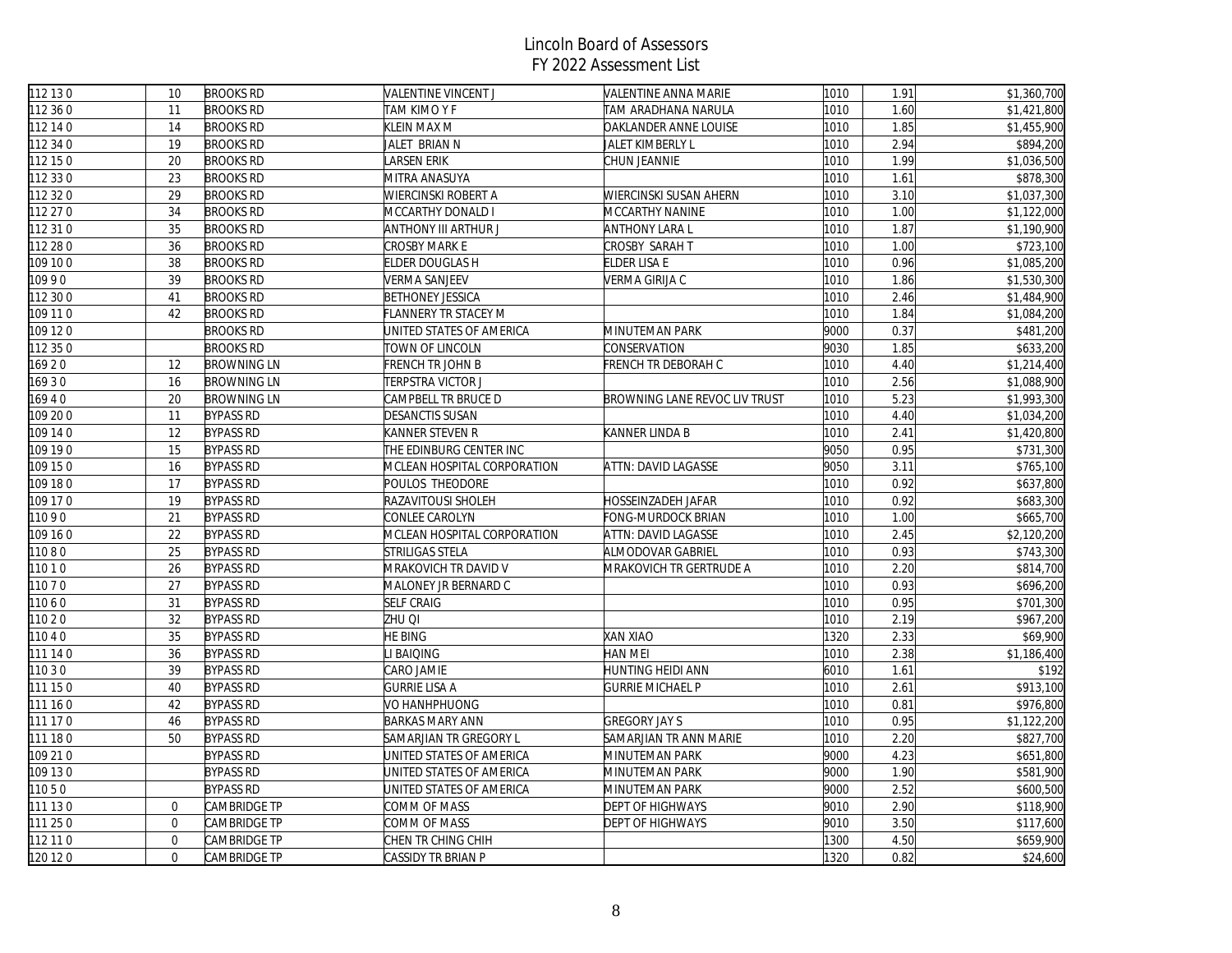| 112 13 0 | 10             | <b>BROOKS RD</b>   | VALENTINE VINCENT J         | VALENTINE ANNA MARIE          | 1010 | 1.91 | \$1,360,700 |
|----------|----------------|--------------------|-----------------------------|-------------------------------|------|------|-------------|
| 112 36 0 | 11             | <b>BROOKS RD</b>   | TAM KIMO Y F                | TAM ARADHANA NARULA           | 1010 | 1.60 | \$1,421,800 |
| 112 14 0 | 14             | <b>BROOKS RD</b>   | KLEIN MAX M                 | OAKLANDER ANNE LOUISE         | 1010 | 1.85 | \$1,455,900 |
| 112 34 0 | 19             | <b>BROOKS RD</b>   | JALET BRIAN N               | JALET KIMBERLY L              | 1010 | 2.94 | \$894,200   |
| 112 15 0 | 20             | <b>BROOKS RD</b>   | ARSEN ERIK                  | CHUN JEANNIE                  | 1010 | 1.99 | \$1,036,500 |
| 112 33 0 | 23             | <b>BROOKS RD</b>   | MITRA ANASUYA               |                               | 1010 | 1.61 | \$878,300   |
| 112 32 0 | 29             | <b>BROOKS RD</b>   | WIERCINSKI ROBERT A         | WIERCINSKI SUSAN AHERN        | 1010 | 3.10 | \$1,037,300 |
| 112 27 0 | 34             | <b>BROOKS RD</b>   | MCCARTHY DONALD I           | MCCARTHY NANINE               | 1010 | 1.00 | \$1,122,000 |
| 112 31 0 | 35             | <b>BROOKS RD</b>   | ANTHONY III ARTHUR J        | ANTHONY LARA L                | 1010 | 1.87 | \$1,190,900 |
| 112 28 0 | 36             | <b>BROOKS RD</b>   | CROSBY MARK E               | CROSBY SARAH T                | 1010 | 1.00 | \$723,100   |
| 109 10 0 | 38             | <b>BROOKS RD</b>   | ELDER DOUGLAS H             | ELDER LISA E                  | 1010 | 0.96 | \$1,085,200 |
| 10990    | 39             | <b>BROOKS RD</b>   | VERMA SANJEEV               | VERMA GIRIJA C                | 1010 | 1.86 | \$1,530,300 |
| 112 30 0 | 41             | <b>BROOKS RD</b>   | <b>BETHONEY JESSICA</b>     |                               | 1010 | 2.46 | \$1,484,900 |
| 109 11 0 | 42             | <b>BROOKS RD</b>   | FLANNERY TR STACEY M        |                               | 1010 | 1.84 | \$1,084,200 |
| 109 12 0 |                | <b>BROOKS RD</b>   | UNITED STATES OF AMERICA    | MINUTEMAN PARK                | 9000 | 0.37 | \$481,200   |
| 112 35 0 |                | <b>BROOKS RD</b>   | TOWN OF LINCOLN             | CONSERVATION                  | 9030 | 1.85 | \$633,200   |
| 16920    | 12             | <b>BROWNING LN</b> | French tr John B            | FRENCH TR DEBORAH C           | 1010 | 4.40 | \$1,214,400 |
| 16930    | 16             | <b>BROWNING LN</b> | TERPSTRA VICTOR J           |                               | 1010 | 2.56 | \$1,088,900 |
| 16940    | 20             | <b>BROWNING LN</b> | CAMPBELL TR BRUCE D         | BROWNING LANE REVOC LIV TRUST | 1010 | 5.23 | \$1,993,300 |
| 09 20 0  | 11             | <b>BYPASS RD</b>   | <b>DESANCTIS SUSAN</b>      |                               | 1010 | 4.40 | \$1,034,200 |
| 109 14 0 | 12             | <b>BYPASS RD</b>   | KANNER STEVEN R             | KANNER LINDA B                | 1010 | 2.41 | \$1,420,800 |
| 109 19 0 | 15             | <b>BYPASS RD</b>   | THE EDINBURG CENTER INC     |                               | 9050 | 0.95 | \$731,300   |
| 109 150  | 16             | <b>BYPASS RD</b>   | MCLEAN HOSPITAL CORPORATION | ATTN: DAVID LAGASSE           | 9050 | 3.11 | \$765,100   |
| 109 18 0 | 17             | <b>BYPASS RD</b>   | POULOS THEODORE             |                               | 1010 | 0.92 | \$637,800   |
| 109 17 0 | 19             | <b>BYPASS RD</b>   | RAZAVITOUSI SHOLEH          | HOSSEINZADEH JAFAR            | 1010 | 0.92 | \$683,300   |
| 11090    | 21             | <b>BYPASS RD</b>   | CONLEE CAROLYN              | FONG-MURDOCK BRIAN            | 1010 | 1.00 | \$665,700   |
| 109 16 0 | 22             | <b>BYPASS RD</b>   | MCLEAN HOSPITAL CORPORATION | ATTN: DAVID LAGASSE           | 1010 | 2.45 | \$2,120,200 |
| 11080    | 25             | <b>BYPASS RD</b>   | STRILIGAS STELA             | ALMODOVAR GABRIEL             | 1010 | 0.93 | \$743,300   |
| 11010    | 26             | <b>BYPASS RD</b>   | MRAKOVICH TR DAVID V        | MRAKOVICH TR GERTRUDE A       | 1010 | 2.20 | \$814,700   |
| 11070    | 27             | <b>BYPASS RD</b>   | MALONEY JR BERNARD C        |                               | 1010 | 0.93 | \$696,200   |
| 1060     | 31             | <b>BYPASS RD</b>   | <b>SELF CRAIG</b>           |                               | 1010 | 0.95 | \$701,300   |
| 11020    | 32             | <b>BYPASS RD</b>   | ZHU QI                      |                               | 1010 | 2.19 | \$967,200   |
| 11040    | 35             | <b>BYPASS RD</b>   | HE BING                     | <b>XAN XIAO</b>               | 1320 | 2.33 | \$69,900    |
| 111 14 0 | 36             | <b>BYPASS RD</b>   | I BAIQING                   | HAN MEI                       | 1010 | 2.38 | \$1,186,400 |
| 110 3 0  | 39             | <b>BYPASS RD</b>   | CARO JAMIE                  | HUNTING HEIDI ANN             | 6010 | 1.61 | \$192       |
| 111 150  | 40             | <b>BYPASS RD</b>   | <b>GURRIE LISA A</b>        | <b>GURRIE MICHAEL P</b>       | 1010 | 2.61 | \$913,100   |
| 111 160  | 42             | <b>BYPASS RD</b>   | VO HANHPHUONG               |                               | 1010 | 0.81 | \$976,800   |
| 111 17 0 | 46             | <b>BYPASS RD</b>   | <b>BARKAS MARY ANN</b>      | <b>GREGORY JAY S</b>          | 1010 | 0.95 | \$1,122,200 |
| 111 18 0 | 50             | <b>BYPASS RD</b>   | SAMARJIAN TR GREGORY L      | SAMARJIAN TR ANN MARIE        | 1010 | 2.20 | \$827,700   |
| 109 21 0 |                | <b>BYPASS RD</b>   | JNITED STATES OF AMERICA    | MINUTEMAN PARK                | 9000 | 4.23 | \$651,800   |
| 109 130  |                | <b>BYPASS RD</b>   | UNITED STATES OF AMERICA    | MINUTEMAN PARK                | 9000 | 1.90 | \$581,900   |
| 11050    |                | <b>BYPASS RD</b>   | JNITED STATES OF AMERICA    | MINUTEMAN PARK                | 9000 | 2.52 | \$600,500   |
| 111 130  | $\overline{0}$ | CAMBRIDGE TP       | COMM OF MASS                | DEPT OF HIGHWAYS              | 9010 | 2.90 | \$118,900   |
| 111 25 0 | $\mathbf 0$    | CAMBRIDGE TP       | COMM OF MASS                | DEPT OF HIGHWAYS              | 9010 | 3.50 | \$117,600   |
| 112 11 0 | $\overline{0}$ | CAMBRIDGE TP       | CHEN TR CHING CHIH          |                               | 1300 | 4.50 | \$659,900   |
| 120 12 0 | $\overline{0}$ | CAMBRIDGE TP       | CASSIDY TR BRIAN P          |                               | 1320 | 0.82 | \$24,600    |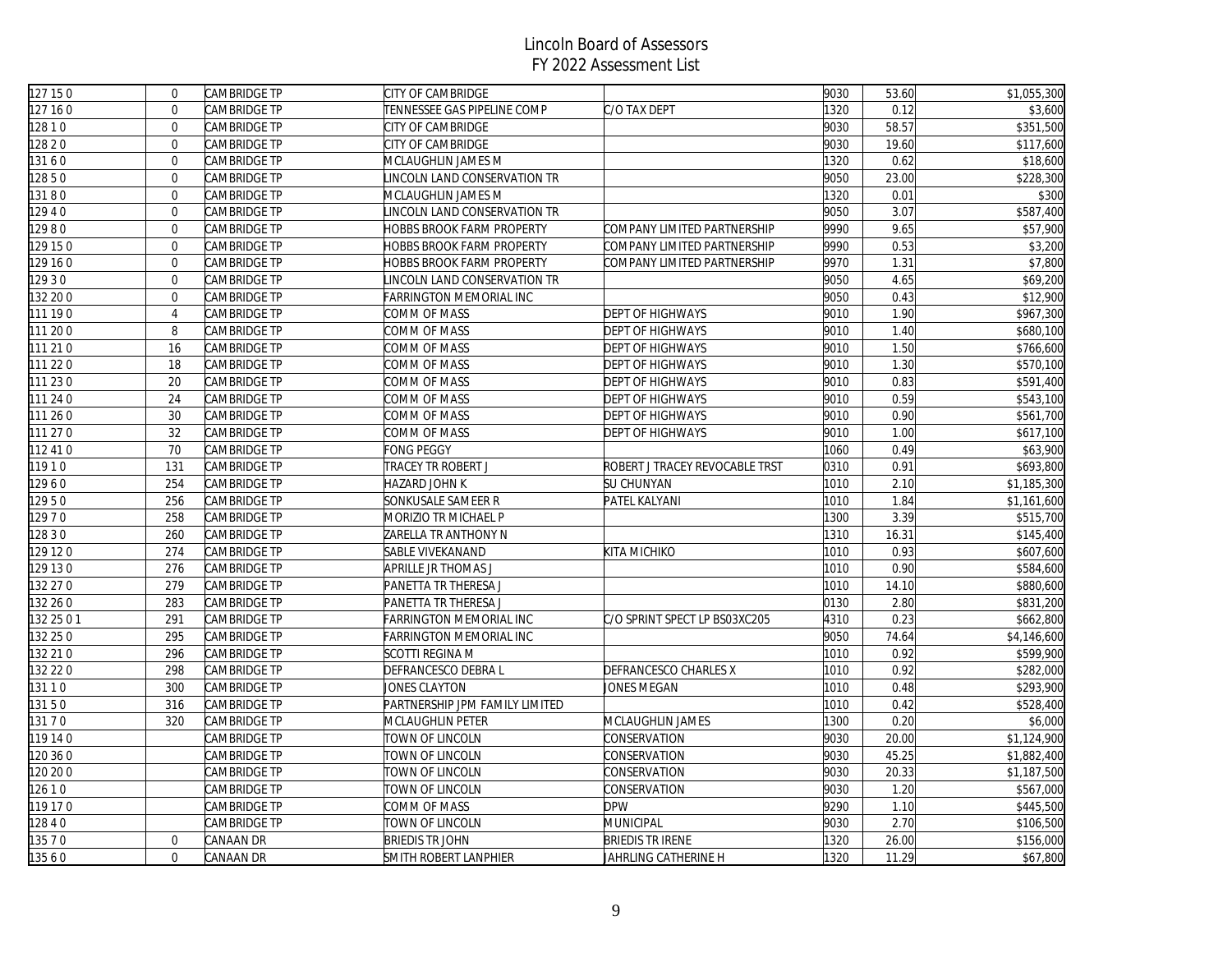| 127 150    | $\mathbf 0$    | CAMBRIDGE TP | <b>CITY OF CAMBRIDGE</b>         |                                | 9030 | 53.60 | \$1,055,300 |
|------------|----------------|--------------|----------------------------------|--------------------------------|------|-------|-------------|
| 127 160    | $\Omega$       | CAMBRIDGE TP | TENNESSEE GAS PIPELINE COMP      | C/O TAX DEPT                   | 1320 | 0.12  | \$3,600     |
| 128 1 0    | $\Omega$       | CAMBRIDGE TP | CITY OF CAMBRIDGE                |                                | 9030 | 58.57 | \$351,500   |
| 12820      | $\Omega$       | CAMBRIDGE TP | <b>CITY OF CAMBRIDGE</b>         |                                | 9030 | 19.60 | \$117,600   |
| 13160      | $\mathbf{0}$   | CAMBRIDGE TP | MCLAUGHLIN JAMES M               |                                | 1320 | 0.62  | \$18,600    |
| 12850      | $\mathbf 0$    | CAMBRIDGE TP | INCOLN LAND CONSERVATION TR      |                                | 9050 | 23.00 | \$228,300   |
| 13180      | $\mathbf{0}$   | CAMBRIDGE TP | MCLAUGHLIN JAMES M               |                                | 1320 | 0.01  | \$300       |
| 12940      | $\mathbf{0}$   | CAMBRIDGE TP | INCOLN LAND CONSERVATION TR      |                                | 9050 | 3.07  | \$587,400   |
| 12980      | $\mathbf{0}$   | CAMBRIDGE TP | <b>HOBBS BROOK FARM PROPERTY</b> | COMPANY LIMITED PARTNERSHIP    | 9990 | 9.65  | \$57,900    |
| 129 15 0   | $\overline{0}$ | CAMBRIDGE TP | HOBBS BROOK FARM PROPERTY        | COMPANY LIMITED PARTNERSHIP    | 9990 | 0.53  | \$3,200     |
| 129 16 0   | $\mathbf 0$    | CAMBRIDGE TP | HOBBS BROOK FARM PROPERTY        | COMPANY LIMITED PARTNERSHIP    | 9970 | 1.31  | \$7,800     |
| 12930      | $\mathbf{0}$   | CAMBRIDGE TP | INCOLN LAND CONSERVATION TR      |                                | 9050 | 4.65  | \$69,200    |
| 132 20 0   | $\mathbf 0$    | CAMBRIDGE TP | FARRINGTON MEMORIAL INC          |                                | 9050 | 0.43  | \$12,900    |
| 111 190    | $\overline{4}$ | CAMBRIDGE TP | COMM OF MASS                     | <b>DEPT OF HIGHWAYS</b>        | 9010 | 1.90  | \$967,300   |
| 111 200    | 8              | CAMBRIDGE TP | COMM OF MASS                     | <b>DEPT OF HIGHWAYS</b>        | 9010 | 1.40  | \$680,100   |
| 111 21 0   | 16             | CAMBRIDGE TP | COMM OF MASS                     | <b>DEPT OF HIGHWAYS</b>        | 9010 | 1.50  | \$766,600   |
| 111 22 0   | 18             | CAMBRIDGE TP | COMM OF MASS                     | <b>DEPT OF HIGHWAYS</b>        | 9010 | 1.30  | \$570,100   |
| 111 23 0   | 20             | CAMBRIDGE TP | COMM OF MASS                     | <b>DEPT OF HIGHWAYS</b>        | 9010 | 0.83  | \$591,400   |
| 111 24 0   | 24             | CAMBRIDGE TP | COMM OF MASS                     | <b>DEPT OF HIGHWAYS</b>        | 9010 | 0.59  | \$543,100   |
| 111 260    | 30             | CAMBRIDGE TP | COMM OF MASS                     | <b>DEPT OF HIGHWAYS</b>        | 9010 | 0.90  | \$561,700   |
| 111 27 0   | 32             | CAMBRIDGE TP | COMM OF MASS                     | <b>DEPT OF HIGHWAYS</b>        | 9010 | 1.00  | \$617,100   |
| 112 41 0   | 70             | CAMBRIDGE TP | FONG PEGGY                       |                                | 1060 | 0.49  | \$63,900    |
| 1910       | 131            | CAMBRIDGE TP | TRACEY TR ROBERT J               | ROBERT J TRACEY REVOCABLE TRST | 0310 | 0.91  | \$693,800   |
| 12960      | 254            | CAMBRIDGE TP | HAZARD JOHN K                    | SU CHUNYAN                     | 1010 | 2.10  | \$1,185,300 |
| 12950      | 256            | CAMBRIDGE TP | SONKUSALE SAMEER R               | PATEL KALYANI                  | 1010 | 1.84  | \$1,161,600 |
| 12970      | 258            | CAMBRIDGE TP | MORIZIO TR MICHAEL P             |                                | 1300 | 3.39  | \$515,700   |
| 12830      | 260            | CAMBRIDGE TP | ZARELLA TR ANTHONY N             |                                | 1310 | 16.31 | \$145,400   |
| 129 12 0   | 274            | CAMBRIDGE TP | SABLE VIVEKANAND                 | KITA MICHIKO                   | 1010 | 0.93  | \$607,600   |
| 129 13 0   | 276            | CAMBRIDGE TP | APRILLE JR THOMAS J              |                                | 1010 | 0.90  | \$584,600   |
| 32 27 0    | 279            | CAMBRIDGE TP | PANETTA TR THERESA J             |                                | 1010 | 14.10 | \$880,600   |
| 32 26 0    | 283            | CAMBRIDGE TP | PANETTA TR THERESA J             |                                | 0130 | 2.80  | \$831,200   |
| 132 25 0 1 | 291            | CAMBRIDGE TP | FARRINGTON MEMORIAL INC          | C/O SPRINT SPECT LP BS03XC205  | 4310 | 0.23  | \$662,800   |
| 132 25 0   | 295            | CAMBRIDGE TP | FARRINGTON MEMORIAL INC          |                                | 9050 | 74.64 | \$4,146,600 |
| 132 21 0   | 296            | CAMBRIDGE TP | SCOTTI REGINA M                  |                                | 1010 | 0.92  | \$599,900   |
| 132 22 0   | 298            | CAMBRIDGE TP | DEFRANCESCO DEBRA L              | DEFRANCESCO CHARLES X          | 1010 | 0.92  | \$282,000   |
| 13110      | 300            | CAMBRIDGE TP | JONES CLAYTON                    | JONES MEGAN                    | 1010 | 0.48  | \$293,900   |
| 13150      | 316            | CAMBRIDGE TP | PARTNERSHIP JPM FAMILY LIMITED   |                                | 1010 | 0.42  | \$528,400   |
| 13170      | 320            | CAMBRIDGE TP | MCLAUGHLIN PETER                 | MCLAUGHLIN JAMES               | 1300 | 0.20  | \$6,000     |
| 119 14 0   |                | CAMBRIDGE TP | TOWN OF LINCOLN                  | CONSERVATION                   | 9030 | 20.00 | \$1,124,900 |
| 120 36 0   |                | CAMBRIDGE TP | TOWN OF LINCOLN                  | CONSERVATION                   | 9030 | 45.25 | \$1,882,400 |
| 120 20 0   |                | CAMBRIDGE TP | TOWN OF LINCOLN                  | CONSERVATION                   | 9030 | 20.33 | \$1,187,500 |
| 12610      |                | CAMBRIDGE TP | TOWN OF LINCOLN                  | CONSERVATION                   | 9030 | 1.20  | \$567,000   |
| 119 17 0   |                | CAMBRIDGE TP | COMM OF MASS                     | <b>DPW</b>                     | 9290 | 1.10  | \$445,500   |
| 12840      |                | CAMBRIDGE TP | TOWN OF LINCOLN                  | MUNICIPAL                      | 9030 | 2.70  | \$106,500   |
| 13570      | $\mathbf{0}$   | CANAAN DR    | <b>BRIEDIS TR JOHN</b>           | <b>BRIEDIS TR IRENE</b>        | 1320 | 26.00 | \$156,000   |
| 13560      | $\mathbf{0}$   | CANAAN DR    | SMITH ROBERT LANPHIER            | JAHRLING CATHERINE H           | 1320 | 11.29 | \$67,800    |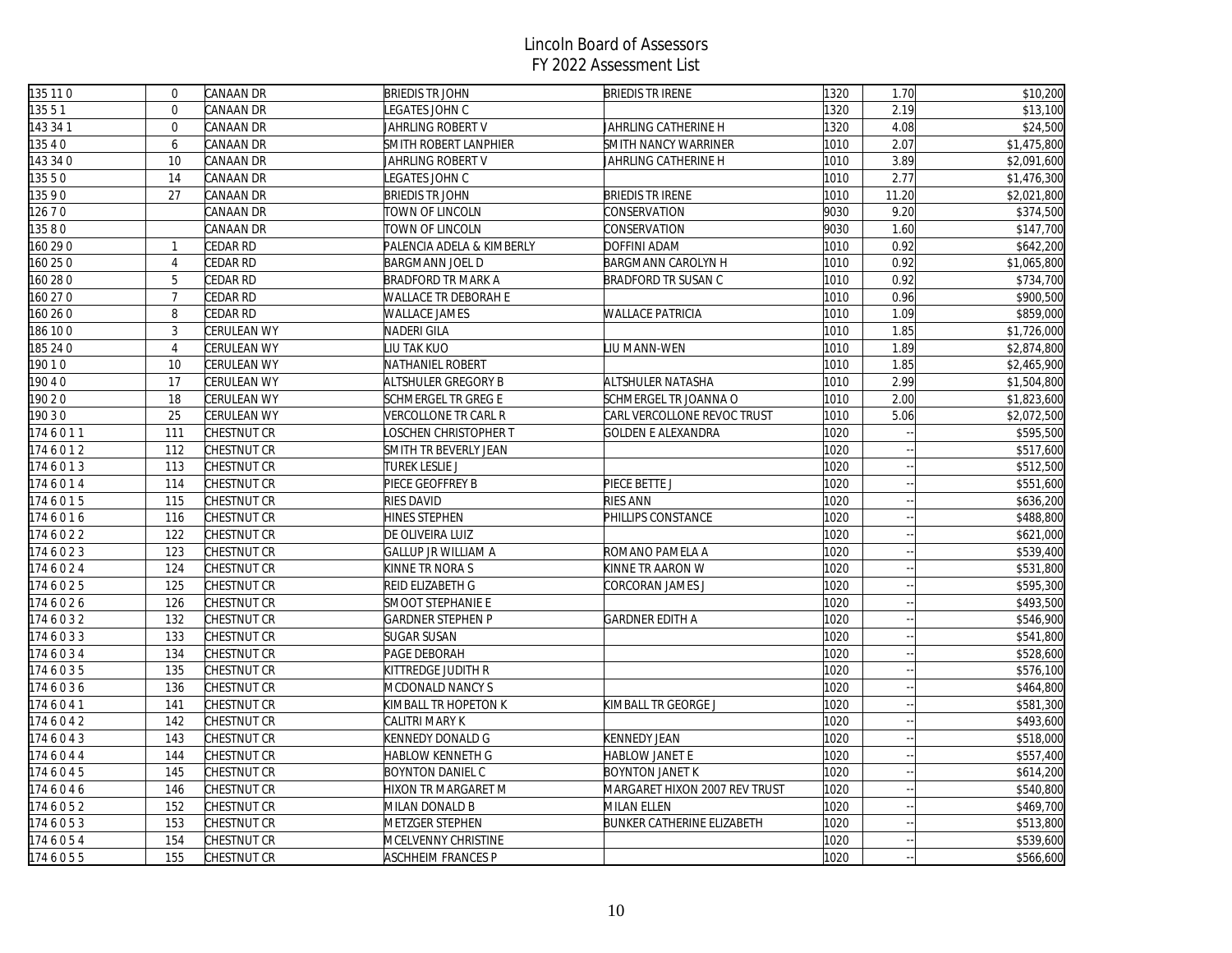| 135 11 0 | $\mathbf 0$    | CANAAN DR          | <b>BRIEDIS TR JOHN</b>     | <b>BRIEDIS TR IRENE</b>       | 1320 | 1.70  | \$10,200    |
|----------|----------------|--------------------|----------------------------|-------------------------------|------|-------|-------------|
| 13551    | $\mathbf{0}$   | CANAAN DR          | EGATES JOHN C              |                               | 1320 | 2.19  | \$13,100    |
| 143 34 1 | $\mathbf{0}$   | CANAAN DR          | JAHRLING ROBERT V          | JAHRLING CATHERINE H          | 1320 | 4.08  | \$24,500    |
| 3540     | 6              | CANAAN DR          | SMITH ROBERT LANPHIER      | SMITH NANCY WARRINER          | 1010 | 2.07  | \$1,475,800 |
| 143 34 0 | 10             | CANAAN DR          | JAHRLING ROBERT V          | JAHRLING CATHERINE H          | 1010 | 3.89  | \$2,091,600 |
| 13550    | 14             | CANAAN DR          | EGATES JOHN C              |                               | 1010 | 2.77  | \$1,476,300 |
| 13590    | 27             | CANAAN DR          | <b>BRIEDIS TR JOHN</b>     | <b>BRIEDIS TR IRENE</b>       | 1010 | 11.20 | \$2,021,800 |
| 12670    |                | CANAAN DR          | TOWN OF LINCOLN            | CONSERVATION                  | 9030 | 9.20  | \$374,500   |
| 13580    |                | CANAAN DR          | TOWN OF LINCOLN            | CONSERVATION                  | 9030 | 1.60  | \$147,700   |
| 160 29 0 | $\mathbf{1}$   | CEDAR RD           | PALENCIA ADELA & KIMBERLY  | DOFFINI ADAM                  | 1010 | 0.92  | \$642,200   |
| 160 25 0 | $\overline{4}$ | CEDAR RD           | <b>BARGMANN JOEL D</b>     | BARGMANN CAROLYN H            | 1010 | 0.92  | \$1,065,800 |
| 160 28 0 | 5              | CEDAR RD           | <b>BRADFORD TR MARK A</b>  | <b>BRADFORD TR SUSAN C</b>    | 1010 | 0.92  | \$734,700   |
| 160 27 0 | $\overline{7}$ | CEDAR RD           | WALLACE TR DEBORAH E       |                               | 1010 | 0.96  | \$900,500   |
| 160 26 0 | 8              | CEDAR RD           | WALLACE JAMES              | <b>WALLACE PATRICIA</b>       | 1010 | 1.09  | \$859,000   |
| 186 10 0 | 3              | CERULEAN WY        | NADERI GILA                |                               | 1010 | 1.85  | \$1,726,000 |
| 185 24 0 | $\overline{4}$ | <b>CERULEAN WY</b> | LIU TAK KUO                | LIU MANN-WEN                  | 1010 | 1.89  | \$2,874,800 |
| 19010    | 10             | CERULEAN WY        | NATHANIEL ROBERT           |                               | 1010 | 1.85  | \$2,465,900 |
| 9040     | 17             | CERULEAN WY        | ALTSHULER GREGORY B        | ALTSHULER NATASHA             | 1010 | 2.99  | \$1,504,800 |
| 190 2 0  | 18             | CERULEAN WY        | SCHMERGEL TR GREG E        | SCHMERGEL TR JOANNA O         | 1010 | 2.00  | \$1,823,600 |
| 19030    | 25             | <b>CERULEAN WY</b> | VERCOLLONE TR CARL R       | CARL VERCOLLONE REVOC TRUST   | 1010 | 5.06  | \$2,072,500 |
| 1746011  | 111            | CHESTNUT CR        | OSCHEN CHRISTOPHER T       | <b>GOLDEN E ALEXANDRA</b>     | 1020 |       | \$595,500   |
| 1746012  | 112            | CHESTNUT CR        | SMITH TR BEVERLY JEAN      |                               | 1020 |       | \$517,600   |
| 1746013  | 113            | CHESTNUT CR        | <b>TUREK LESLIE J</b>      |                               | 1020 |       | \$512,500   |
| 1746014  | 114            | CHESTNUT CR        | PIECE GEOFFREY B           | PIECE BETTE J                 | 1020 |       | \$551,600   |
| 1746015  | 115            | CHESTNUT CR        | RIES DAVID                 | <b>RIES ANN</b>               | 1020 |       | \$636,200   |
| 1746016  | 116            | CHESTNUT CR        | HINES STEPHEN              | PHILLIPS CONSTANCE            | 1020 |       | \$488,800   |
| 1746022  | 122            | CHESTNUT CR        | DE OLIVEIRA LUIZ           |                               | 1020 |       | \$621,000   |
| 1746023  | 123            | CHESTNUT CR        | <b>GALLUP JR WILLIAM A</b> | ROMANO PAMELA A               | 1020 |       | \$539,400   |
| 1746024  | 124            | CHESTNUT CR        | KINNE TR NORA S            | KINNE TR AARON W              | 1020 |       | \$531,800   |
| 1746025  | 125            | CHESTNUT CR        | REID ELIZABETH G           | CORCORAN JAMES J              | 1020 |       | \$595,300   |
| 1746026  | 126            | CHESTNUT CR        | SMOOT STEPHANIE E          |                               | 1020 |       | \$493,500   |
| 1746032  | 132            | CHESTNUT CR        | <b>GARDNER STEPHEN P</b>   | <b>GARDNER EDITH A</b>        | 1020 |       | \$546,900   |
| 1746033  | 133            | CHESTNUT CR        | <b>SUGAR SUSAN</b>         |                               | 1020 |       | \$541,800   |
| 1746034  | 134            | CHESTNUT CR        | PAGE DEBORAH               |                               | 1020 |       | \$528,600   |
| 1746035  | 135            | CHESTNUT CR        | KITTREDGE JUDITH R         |                               | 1020 |       | \$576,100   |
| 1746036  | 136            | CHESTNUT CR        | MCDONALD NANCY S           |                               | 1020 |       | \$464,800   |
| 1746041  | 141            | CHESTNUT CR        | KIMBALL TR HOPETON K       | KIMBALL TR GEORGE J           | 1020 |       | \$581,300   |
| 1746042  | 142            | CHESTNUT CR        | CALITRI MARY K             |                               | 1020 |       | \$493,600   |
| 1746043  | 143            | CHESTNUT CR        | KENNEDY DONALD G           | <b>KENNEDY JEAN</b>           | 1020 |       | \$518,000   |
| 1746044  | 144            | CHESTNUT CR        | HABLOW KENNETH G           | HABLOW JANET E                | 1020 |       | \$557,400   |
| 1746045  | 145            | CHESTNUT CR        | <b>BOYNTON DANIEL C</b>    | <b>BOYNTON JANET K</b>        | 1020 |       | \$614,200   |
| 1746046  | 146            | CHESTNUT CR        | HIXON TR MARGARET M        | MARGARET HIXON 2007 REV TRUST | 1020 |       | \$540,800   |
| 1746052  | 152            | CHESTNUT CR        | MILAN DONALD B             | MILAN ELLEN                   | 1020 |       | \$469,700   |
| 1746053  | 153            | CHESTNUT CR        | METZGER STEPHEN            | BUNKER CATHERINE ELIZABETH    | 1020 |       | \$513,800   |
| 1746054  | 154            | CHESTNUT CR        | MCELVENNY CHRISTINE        |                               | 1020 |       | \$539,600   |
| 1746055  | 155            | CHESTNUT CR        | ASCHHEIM FRANCES P         |                               | 1020 |       | \$566,600   |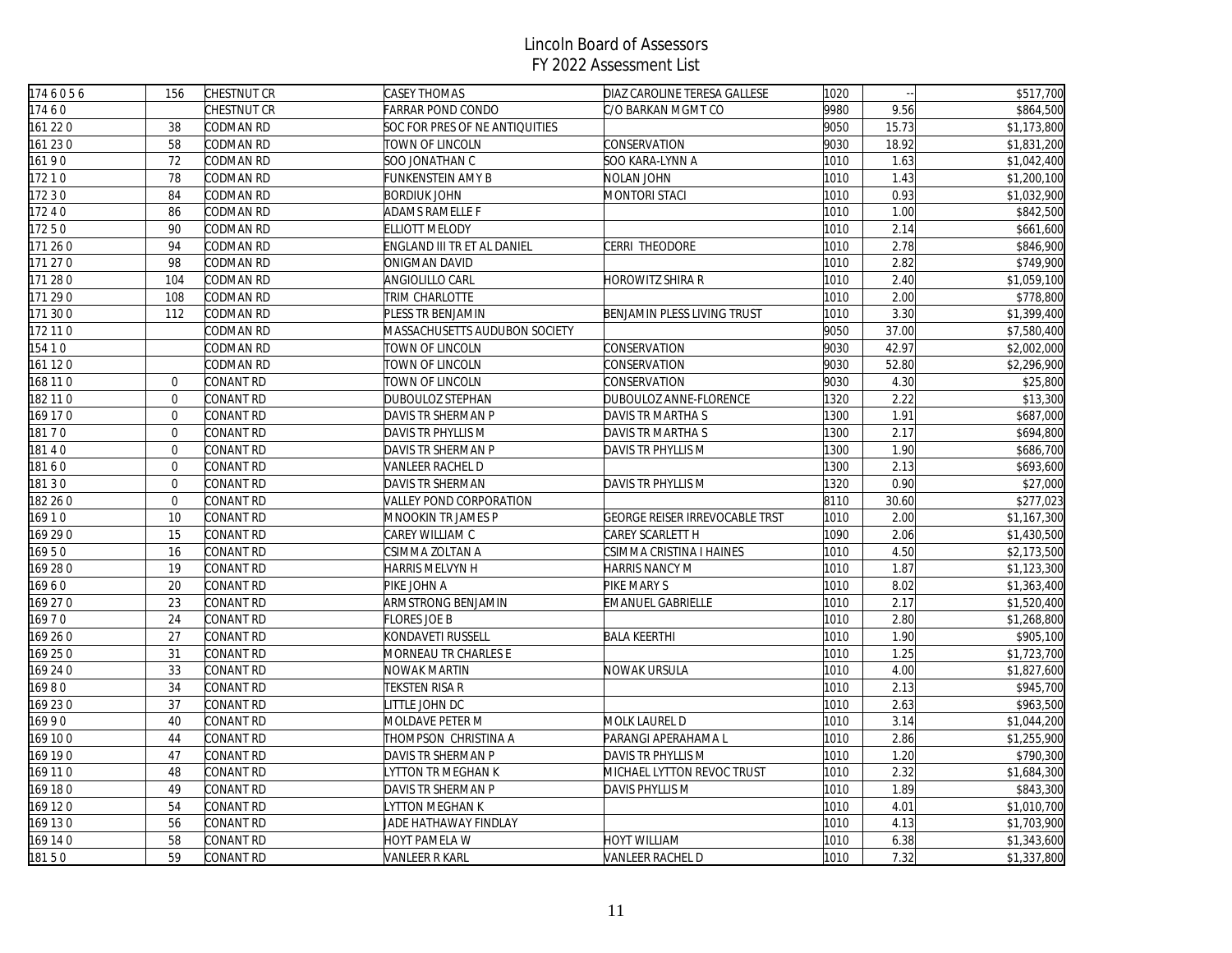| 1746056  | 156              | CHESTNUT CR      | <b>CASEY THOMAS</b>            | DIAZ CAROLINE TERESA GALLESE   | 1020 | $\sim$ | \$517,700   |
|----------|------------------|------------------|--------------------------------|--------------------------------|------|--------|-------------|
| 17460    |                  | CHESTNUT CR      | FARRAR POND CONDO              | C/O BARKAN MGMT CO             | 9980 | 9.56   | \$864,500   |
| 161 220  | 38               | CODMAN RD        | SOC FOR PRES OF NE ANTIQUITIES |                                | 9050 | 15.73  | \$1,173,800 |
| 161 230  | 58               | CODMAN RD        | TOWN OF LINCOLN                | CONSERVATION                   | 9030 | 18.92  | \$1,831,200 |
| 16190    | 72               | CODMAN RD        | SOO JONATHAN C                 | SOO KARA-LYNN A                | 1010 | 1.63   | \$1,042,400 |
| 17210    | 78               | CODMAN RD        | FUNKENSTEIN AMY B              | NOLAN JOHN                     | 1010 | 1.43   | \$1,200,100 |
| 17230    | 84               | CODMAN RD        | <b>BORDIUK JOHN</b>            | <b>MONTORI STACI</b>           | 1010 | 0.93   | \$1,032,900 |
| 17240    | 86               | CODMAN RD        | ADAMS RAMELLE F                |                                | 1010 | 1.00   | \$842,500   |
| 17250    | 90               | CODMAN RD        | <b>ELLIOTT MELODY</b>          |                                | 1010 | 2.14   | \$661,600   |
| 171 260  | 94               | CODMAN RD        | ENGLAND III TR ET AL DANIEL    | CERRI THEODORE                 | 1010 | 2.78   | \$846,900   |
| 171 270  | 98               | CODMAN RD        | ONIGMAN DAVID                  |                                | 1010 | 2.82   | \$749,900   |
| 171 280  | 104              | CODMAN RD        | <b>ANGIOLILLO CARL</b>         | HOROWITZ SHIRA R               | 1010 | 2.40   | \$1,059,100 |
| 171 290  | 108              | CODMAN RD        | TRIM CHARLOTTE                 |                                | 1010 | 2.00   | \$778,800   |
| 171 300  | 112              | CODMAN RD        | PLESS TR BENJAMIN              | BENJAMIN PLESS LIVING TRUST    | 1010 | 3.30   | \$1,399,400 |
| 172 11 0 |                  | CODMAN RD        | MASSACHUSETTS AUDUBON SOCIETY  |                                | 9050 | 37.00  | \$7,580,400 |
| 154 1 0  |                  | CODMAN RD        | TOWN OF LINCOLN                | CONSERVATION                   | 9030 | 42.97  | \$2,002,000 |
| 161 120  |                  | CODMAN RD        | TOWN OF LINCOLN                | CONSERVATION                   | 9030 | 52.80  | \$2,296,900 |
| 168 11 0 | $\overline{0}$   | CONANT RD        | TOWN OF LINCOLN                | CONSERVATION                   | 9030 | 4.30   | \$25,800    |
| 182 11 0 | $\mathbf 0$      | CONANT RD        | DUBOULOZ STEPHAN               | DUBOULOZ ANNE-FLORENCE         | 1320 | 2.22   | \$13,300    |
| 169 170  | $\overline{0}$   | CONANT RD        | DAVIS TR SHERMAN P             | DAVIS TR MARTHA S              | 1300 | 1.91   | \$687,000   |
| 18170    | $\overline{0}$   | CONANT RD        | DAVIS TR PHYLLIS M             | DAVIS TR MARTHA S              | 1300 | 2.17   | \$694,800   |
| 18140    | $\overline{0}$   | CONANT RD        | DAVIS TR SHERMAN P             | DAVIS TR PHYLLIS M             | 1300 | 1.90   | \$686,700   |
| 18160    | $\overline{0}$   | CONANT RD        | VANLEER RACHEL D               |                                | 1300 | 2.13   | \$693,600   |
| 18130    | $\Omega$         | CONANT RD        | DAVIS TR SHERMAN               | DAVIS TR PHYLLIS M             | 1320 | 0.90   | \$27,000    |
| 182 26 0 | $\boldsymbol{0}$ | CONANT RD        | VALLEY POND CORPORATION        |                                | 8110 | 30.60  | \$277,023   |
| 16910    | 10               | CONANT RD        | MNOOKIN TR JAMES P             | GEORGE REISER IRREVOCABLE TRST | 1010 | 2.00   | \$1,167,300 |
| 169 29 0 | 15               | CONANT RD        | CAREY WILLIAM C                | CAREY SCARLETT H               | 1090 | 2.06   | \$1,430,500 |
| 16950    | 16               | <b>CONANT RD</b> | CSIMMA ZOLTAN A                | CSIMMA CRISTINA I HAINES       | 1010 | 4.50   | \$2,173,500 |
| 169 280  | 19               | CONANT RD        | HARRIS MELVYN H                | HARRIS NANCY M                 | 1010 | 1.87   | \$1,123,300 |
| 16960    | 20               | CONANT RD        | PIKE JOHN A                    | PIKE MARY S                    | 1010 | 8.02   | \$1,363,400 |
| 169 27 0 | 23               | CONANT RD        | ARMSTRONG BENJAMIN             | EMANUEL GABRIELLE              | 1010 | 2.17   | \$1,520,400 |
| 16970    | 24               | CONANT RD        | FLORES JOE B                   |                                | 1010 | 2.80   | \$1,268,800 |
| 169 26 0 | 27               | CONANT RD        | KONDAVETI RUSSELL              | <b>BALA KEERTHI</b>            | 1010 | 1.90   | \$905,100   |
| 169 25 0 | 31               | CONANT RD        | MORNEAU TR CHARLES E           |                                | 1010 | 1.25   | \$1,723,700 |
| 169 24 0 | 33               | CONANT RD        | NOWAK MARTIN                   | NOWAK URSULA                   | 1010 | 4.00   | \$1,827,600 |
| 16980    | 34               | CONANT RD        | TEKSTEN RISA R                 |                                | 1010 | 2.13   | \$945,700   |
| 169 230  | 37               | CONANT RD        | ITTLE JOHN DC                  |                                | 1010 | 2.63   | \$963,500   |
| 16990    | 40               | CONANT RD        | MOLDAVE PETER M                | MOLK LAUREL D                  | 1010 | 3.14   | \$1,044,200 |
| 169 100  | 44               | CONANT RD        | THOMPSON CHRISTINA A           | PARANGI APERAHAMA L            | 1010 | 2.86   | \$1,255,900 |
| 169 190  | 47               | CONANT RD        | DAVIS TR SHERMAN P             | DAVIS TR PHYLLIS M             | 1010 | 1.20   | \$790,300   |
| 169 110  | 48               | CONANT RD        | YTTON TR MEGHAN K              | MICHAEL LYTTON REVOC TRUST     | 1010 | 2.32   | \$1,684,300 |
| 169 180  | 49               | CONANT RD        | DAVIS TR SHERMAN P             | DAVIS PHYLLIS M                | 1010 | 1.89   | \$843,300   |
| 169 120  | 54               | CONANT RD        | YTTON MEGHAN K                 |                                | 1010 | 4.01   | \$1,010,700 |
| 169 130  | 56               | CONANT RD        | JADE HATHAWAY FINDLAY          |                                | 1010 | 4.13   | \$1,703,900 |
| 169 14 0 | 58               | CONANT RD        | HOYT PAMELA W                  | <b>HOYT WILLIAM</b>            | 1010 | 6.38   | \$1,343,600 |
| 18150    | 59               | CONANT RD        | VANLEER R KARL                 | VANLEER RACHEL D               | 1010 | 7.32   | \$1,337,800 |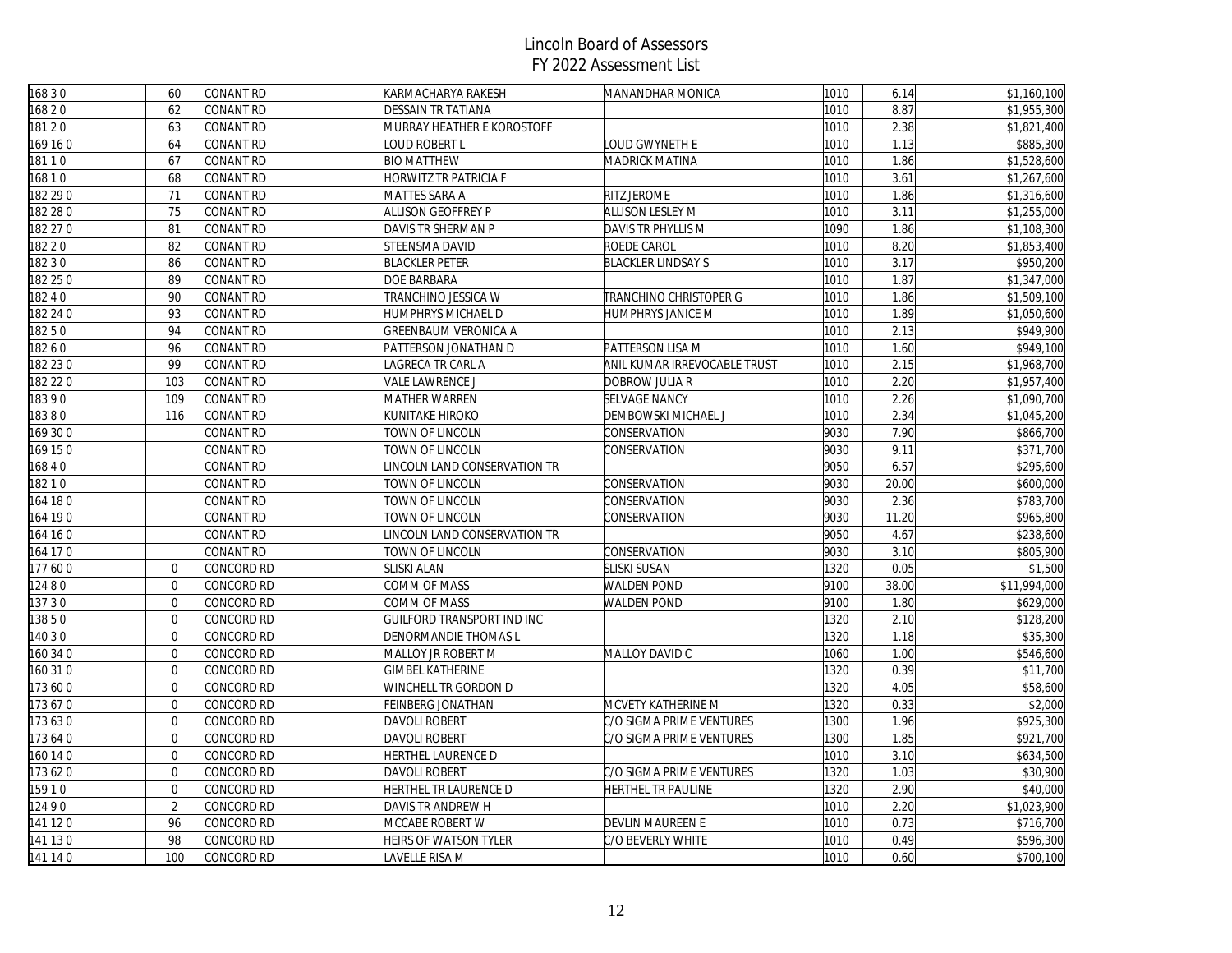| 16830    | 60               | CONANT RD  | KARMACHARYA RAKESH          | MANANDHAR MONICA             | 1010 | 6.14  | \$1,160,100           |
|----------|------------------|------------|-----------------------------|------------------------------|------|-------|-----------------------|
| 16820    | 62               | CONANT RD  | DESSAIN TR TATIANA          |                              | 1010 | 8.87  | \$1,955,300           |
| 18120    | 63               | CONANT RD  | MURRAY HEATHER E KOROSTOFF  |                              | 1010 | 2.38  | \$1,821,400           |
| 169 160  | 64               | CONANT RD  | LOUD ROBERT L               | OUD GWYNETH E                | 1010 | 1.13  | $\overline{$885,300}$ |
| 18110    | 67               | CONANT RD  | <b>BIO MATTHEW</b>          | MADRICK MATINA               | 1010 | 1.86  | \$1,528,600           |
| 16810    | 68               | CONANT RD  | HORWITZ TR PATRICIA F       |                              | 1010 | 3.61  | \$1,267,600           |
| 182 29 0 | 71               | CONANT RD  | MATTES SARA A               | RITZ JEROME                  | 1010 | 1.86  | \$1,316,600           |
| 182 28 0 | 75               | CONANT RD  | <b>ALLISON GEOFFREY P</b>   | <b>ALLISON LESLEY M</b>      | 1010 | 3.11  | \$1,255,000           |
| 182 27 0 | 81               | CONANT RD  | DAVIS TR SHERMAN P          | DAVIS TR PHYLLIS M           | 1090 | 1.86  | \$1,108,300           |
| 182 2 0  | 82               | CONANT RD  | <b>STEENSMA DAVID</b>       | ROEDE CAROL                  | 1010 | 8.20  | \$1,853,400           |
| 182 3 0  | 86               | CONANT RD  | <b>BLACKLER PETER</b>       | <b>BLACKLER LINDSAY S</b>    | 1010 | 3.17  | \$950,200             |
| 182 25 0 | 89               | CONANT RD  | DOE BARBARA                 |                              | 1010 | 1.87  | \$1,347,000           |
| 18240    | 90               | CONANT RD  | TRANCHINO JESSICA W         | TRANCHINO CHRISTOPER G       | 1010 | 1.86  | \$1,509,100           |
| 182 24 0 | 93               | CONANT RD  | HUMPHRYS MICHAEL D          | HUMPHRYS JANICE M            | 1010 | 1.89  | \$1,050,600           |
| 18250    | 94               | CONANT RD  | <b>GREENBAUM VERONICA A</b> |                              | 1010 | 2.13  | $\overline{$949,900}$ |
| 18260    | 96               | CONANT RD  | PATTERSON JONATHAN D        | PATTERSON LISA M             | 1010 | 1.60  | \$949,100             |
| 182 230  | 99               | CONANT RD  | LAGRECA TR CARL A           | ANIL KUMAR IRREVOCABLE TRUST | 1010 | 2.15  | \$1,968,700           |
| 182 22 0 | 103              | CONANT RD  | VALE LAWRENCE J             | DOBROW JULIA R               | 1010 | 2.20  | \$1,957,400           |
| 18390    | 109              | CONANT RD  | <b>MATHER WARREN</b>        | SELVAGE NANCY                | 1010 | 2.26  | \$1,090,700           |
| 18380    | 116              | CONANT RD  | KUNITAKE HIROKO             | DEMBOWSKI MICHAEL J          | 1010 | 2.34  | \$1,045,200           |
| 169 30 0 |                  | CONANT RD  | TOWN OF LINCOLN             | CONSERVATION                 | 9030 | 7.90  | \$866,700             |
| 169 150  |                  | CONANT RD  | TOWN OF LINCOLN             | <b>CONSERVATION</b>          | 9030 | 9.11  | \$371,700             |
| 16840    |                  | CONANT RD  | INCOLN LAND CONSERVATION TR |                              | 9050 | 6.57  | \$295,600             |
| 18210    |                  | CONANT RD  | TOWN OF LINCOLN             | CONSERVATION                 | 9030 | 20.00 | \$600,000             |
| 164 180  |                  | CONANT RD  | TOWN OF LINCOLN             | CONSERVATION                 | 9030 | 2.36  | \$783,700             |
| 164 190  |                  | CONANT RD  | TOWN OF LINCOLN             | CONSERVATION                 | 9030 | 11.20 | \$965,800             |
| 164 16 0 |                  | CONANT RD  | INCOLN LAND CONSERVATION TR |                              | 9050 | 4.67  | \$238,600             |
| 164 17 0 |                  | CONANT RD  | TOWN OF LINCOLN             | CONSERVATION                 | 9030 | 3.10  | \$805,900             |
| 177600   | $\overline{0}$   | CONCORD RD | <b>SLISKI ALAN</b>          | SLISKI SUSAN                 | 1320 | 0.05  | \$1,500               |
| 12480    | $\overline{0}$   | CONCORD RD | COMM OF MASS                | <b>WALDEN POND</b>           | 9100 | 38.00 | \$11,994,000          |
| 13730    | $\boldsymbol{0}$ | CONCORD RD | COMM OF MASS                | <b>WALDEN POND</b>           | 9100 | 1.80  | \$629,000             |
| 13850    | $\overline{0}$   | CONCORD RD | GUILFORD TRANSPORT IND INC  |                              | 1320 | 2.10  | \$128,200             |
| 140 3 0  | $\overline{0}$   | CONCORD RD | <b>DENORMANDIE THOMAS L</b> |                              | 1320 | 1.18  | \$35,300              |
| 160 34 0 | $\mathbf{0}$     | CONCORD RD | MALLOY JR ROBERT M          | MALLOY DAVID C               | 1060 | 1.00  | \$546,600             |
| 160 310  | $\overline{0}$   | CONCORD RD | GIMBEL KATHERINE            |                              | 1320 | 0.39  | \$11,700              |
| 173 600  | $\mathbf 0$      | CONCORD RD | WINCHELL TR GORDON D        |                              | 1320 | 4.05  | \$58,600              |
| 173670   | $\overline{0}$   | CONCORD RD | FEINBERG JONATHAN           | MCVETY KATHERINE M           | 1320 | 0.33  | \$2,000               |
| 173 630  | $\mathbf{0}$     | CONCORD RD | DAVOLI ROBERT               | C/O SIGMA PRIME VENTURES     | 1300 | 1.96  | \$925,300             |
| 173 64 0 | $\overline{0}$   | CONCORD RD | DAVOLI ROBERT               | C/O SIGMA PRIME VENTURES     | 1300 | 1.85  | \$921,700             |
| 160 14 0 | $\mathbf 0$      | CONCORD RD | HERTHEL LAURENCE D          |                              | 1010 | 3.10  | \$634,500             |
| 173 620  | $\mathbf 0$      | CONCORD RD | DAVOLI ROBERT               | C/O SIGMA PRIME VENTURES     | 1320 | 1.03  | \$30,900              |
| 15910    | $\overline{0}$   | CONCORD RD | HERTHEL TR LAURENCE D       | HERTHEL TR PAULINE           | 1320 | 2.90  | \$40,000              |
| 12490    | $\overline{2}$   | CONCORD RD | DAVIS TR ANDREW H           |                              | 1010 | 2.20  | \$1,023,900           |
| 141 120  | 96               | CONCORD RD | MCCABE ROBERT W             | DEVLIN MAUREEN E             | 1010 | 0.73  | \$716,700             |
| 141 130  | 98               | CONCORD RD | HEIRS OF WATSON TYLER       | C/O BEVERLY WHITE            | 1010 | 0.49  | \$596,300             |
| 141 14 0 | 100              | CONCORD RD | LAVELLE RISA M              |                              | 1010 | 0.60  | \$700,100             |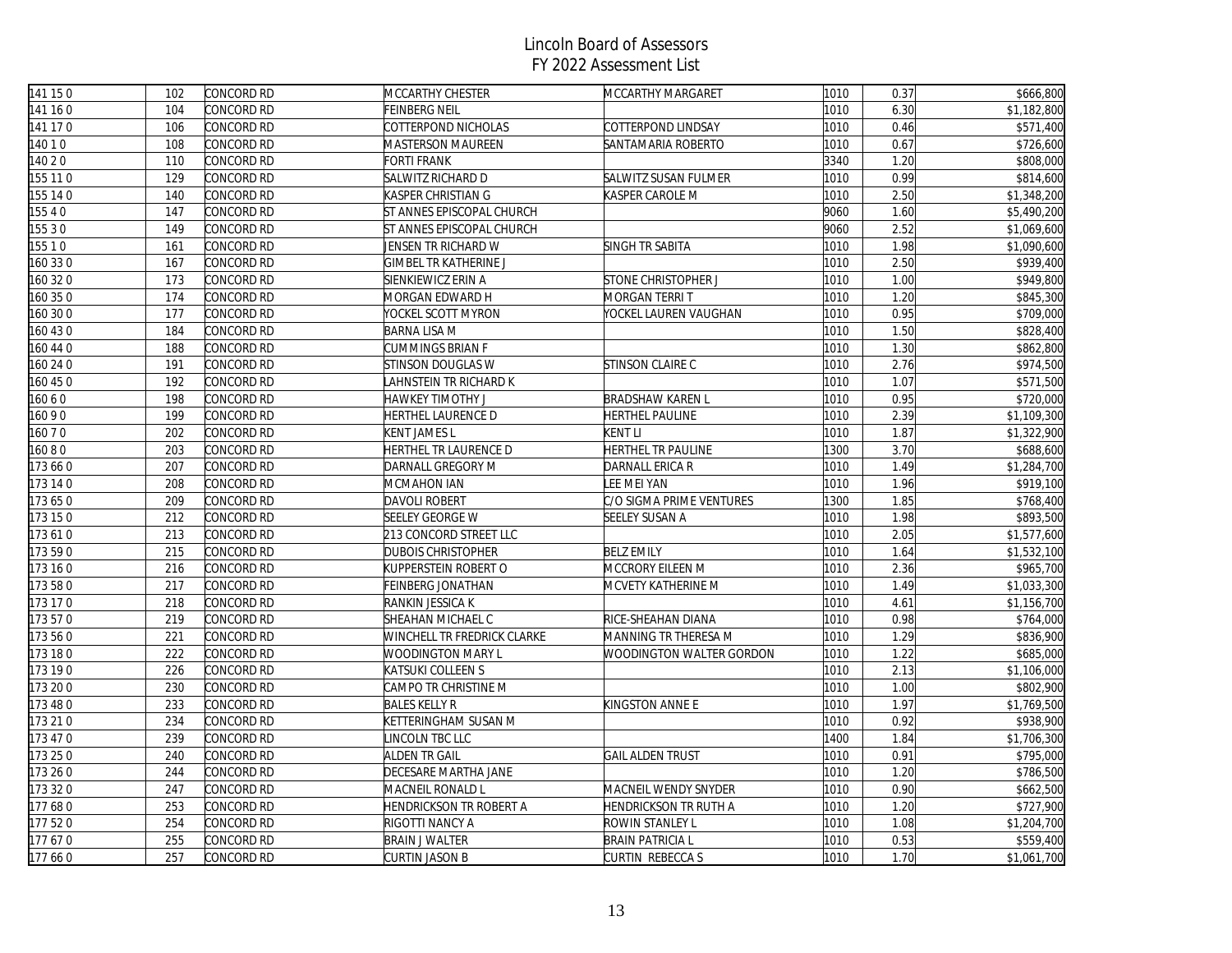| 141 150  | 102 | CONCORD RD | MCCARTHY CHESTER             | MCCARTHY MARGARET            | 1010 | 0.37 | \$666,800   |
|----------|-----|------------|------------------------------|------------------------------|------|------|-------------|
| 141 160  | 104 | CONCORD RD | FEINBERG NEIL                |                              | 1010 | 6.30 | \$1,182,800 |
| 141 170  | 106 | CONCORD RD | COTTERPOND NICHOLAS          | COTTERPOND LINDSAY           | 1010 | 0.46 | \$571,400   |
| 14010    | 108 | CONCORD RD | MASTERSON MAUREEN            | SANTAMARIA ROBERTO           | 1010 | 0.67 | \$726,600   |
| 140 2 0  | 110 | CONCORD RD | FORTI FRANK                  |                              | 3340 | 1.20 | \$808,000   |
| 155 11 0 | 129 | CONCORD RD | SALWITZ RICHARD D            | SALWITZ SUSAN FULMER         | 1010 | 0.99 | \$814,600   |
| 155 14 0 | 140 | CONCORD RD | KASPER CHRISTIAN G           | KASPER CAROLE M              | 1010 | 2.50 | \$1,348,200 |
| 155 4 0  | 147 | CONCORD RD | ST ANNES EPISCOPAL CHURCH    |                              | 9060 | 1.60 | \$5,490,200 |
| 155 3 0  | 149 | CONCORD RD | ST ANNES EPISCOPAL CHURCH    |                              | 9060 | 2.52 | \$1,069,600 |
| 155 1 0  | 161 | CONCORD RD | JENSEN TR RICHARD W          | SINGH TR SABITA              | 1010 | 1.98 | \$1,090,600 |
| 160 330  | 167 | CONCORD RD | <b>GIMBEL TR KATHERINE J</b> |                              | 1010 | 2.50 | \$939,400   |
| 160 32 0 | 173 | CONCORD RD | SIENKIEWICZ ERIN A           | STONE CHRISTOPHER J          | 1010 | 1.00 | \$949,800   |
| 160 35 0 | 174 | CONCORD RD | MORGAN EDWARD H              | MORGAN TERRI T               | 1010 | 1.20 | \$845,300   |
| 160 30 0 | 177 | CONCORD RD | YOCKEL SCOTT MYRON           | YOCKEL LAUREN VAUGHAN        | 1010 | 0.95 | \$709,000   |
| 160 43 0 | 184 | CONCORD RD | <b>BARNA LISA M</b>          |                              | 1010 | 1.50 | \$828,400   |
| 160 44 0 | 188 | CONCORD RD | CUMMINGS BRIAN F             |                              | 1010 | 1.30 | \$862,800   |
| 160 24 0 | 191 | CONCORD RD | STINSON DOUGLAS W            | STINSON CLAIRE C             | 1010 | 2.76 | \$974,500   |
| 60 45 0  | 192 | CONCORD RD | AHNSTEIN TR RICHARD K        |                              | 1010 | 1.07 | \$571,500   |
| 16060    | 198 | CONCORD RD | HAWKEY TIMOTHY J             | <b>BRADSHAW KAREN L</b>      | 1010 | 0.95 | \$720,000   |
| 16090    | 199 | CONCORD RD | HERTHEL LAURENCE D           | HERTHEL PAULINE              | 1010 | 2.39 | \$1,109,300 |
| 16070    | 202 | CONCORD RD | KENT JAMES L                 | KENT LI                      | 1010 | 1.87 | \$1,322,900 |
| 16080    | 203 | CONCORD RD | HERTHEL TR LAURENCE D        | HERTHEL TR PAULINE           | 1300 | 3.70 | \$688,600   |
| 173 660  | 207 | CONCORD RD | DARNALL GREGORY M            | DARNALL ERICA R              | 1010 | 1.49 | \$1,284,700 |
| 173 14 0 | 208 | CONCORD RD | MCMAHON IAN                  | LEE MEI YAN                  | 1010 | 1.96 | \$919,100   |
| 173650   | 209 | CONCORD RD | <b>DAVOLI ROBERT</b>         | C/O SIGMA PRIME VENTURES     | 1300 | 1.85 | \$768,400   |
| 173 150  | 212 | CONCORD RD | <b>SEELEY GEORGE W</b>       | SEELEY SUSAN A               | 1010 | 1.98 | \$893,500   |
| 173610   | 213 | CONCORD RD | 213 CONCORD STREET LLC       |                              | 1010 | 2.05 | \$1,577,600 |
| 173 59 0 | 215 | CONCORD RD | <b>DUBOIS CHRISTOPHER</b>    | <b>BELZ EMILY</b>            | 1010 | 1.64 | \$1,532,100 |
| 173 16 0 | 216 | CONCORD RD | KUPPERSTEIN ROBERT O         | MCCRORY EILEEN M             | 1010 | 2.36 | \$965,700   |
| 173 580  | 217 | CONCORD RD | FEINBERG JONATHAN            | MCVETY KATHERINE M           | 1010 | 1.49 | \$1,033,300 |
| 173 170  | 218 | CONCORD RD | RANKIN JESSICA K             |                              | 1010 | 4.61 | \$1,156,700 |
| 173 570  | 219 | CONCORD RD | SHEAHAN MICHAEL C            | RICE-SHEAHAN DIANA           | 1010 | 0.98 | \$764,000   |
| 173 560  | 221 | CONCORD RD | WINCHELL TR FREDRICK CLARKE  | MANNING TR THERESA M         | 1010 | 1.29 | \$836,900   |
| 173 180  | 222 | CONCORD RD | WOODINGTON MARY L            | WOODINGTON WALTER GORDON     | 1010 | 1.22 | \$685,000   |
| 173 190  | 226 | CONCORD RD | KATSUKI COLLEEN S            |                              | 1010 | 2.13 | \$1,106,000 |
| 173 20 0 | 230 | CONCORD RD | CAMPO TR CHRISTINE M         |                              | 1010 | 1.00 | \$802,900   |
| 173 48 0 | 233 | CONCORD RD | <b>BALES KELLY R</b>         | KINGSTON ANNE E              | 1010 | 1.97 | \$1,769,500 |
| 173 21 0 | 234 | CONCORD RD | KETTERINGHAM SUSAN M         |                              | 1010 | 0.92 | \$938,900   |
| 173 47 0 | 239 | CONCORD RD | INCOLN TBC LLC               |                              | 1400 | 1.84 | \$1,706,300 |
| 173 25 0 | 240 | CONCORD RD | ALDEN TR GAIL                | <b>GAIL ALDEN TRUST</b>      | 1010 | 0.91 | \$795,000   |
| 173 26 0 | 244 | CONCORD RD | DECESARE MARTHA JANE         |                              | 1010 | 1.20 | \$786,500   |
| 173 320  | 247 | CONCORD RD | MACNEIL RONALD L             | MACNEIL WENDY SNYDER         | 1010 | 0.90 | \$662,500   |
| 177 680  | 253 | CONCORD RD | HENDRICKSON TR ROBERT A      | <b>HENDRICKSON TR RUTH A</b> | 1010 | 1.20 | \$727,900   |
| 177 520  | 254 | CONCORD RD | RIGOTTI NANCY A              | ROWIN STANLEY L              | 1010 | 1.08 | \$1,204,700 |
| 177670   | 255 | CONCORD RD | <b>BRAIN J WALTER</b>        | <b>BRAIN PATRICIA L</b>      | 1010 | 0.53 | \$559,400   |
| 177660   | 257 | CONCORD RD | <b>CURTIN JASON B</b>        | CURTIN REBECCAS              | 1010 | 1.70 | \$1,061,700 |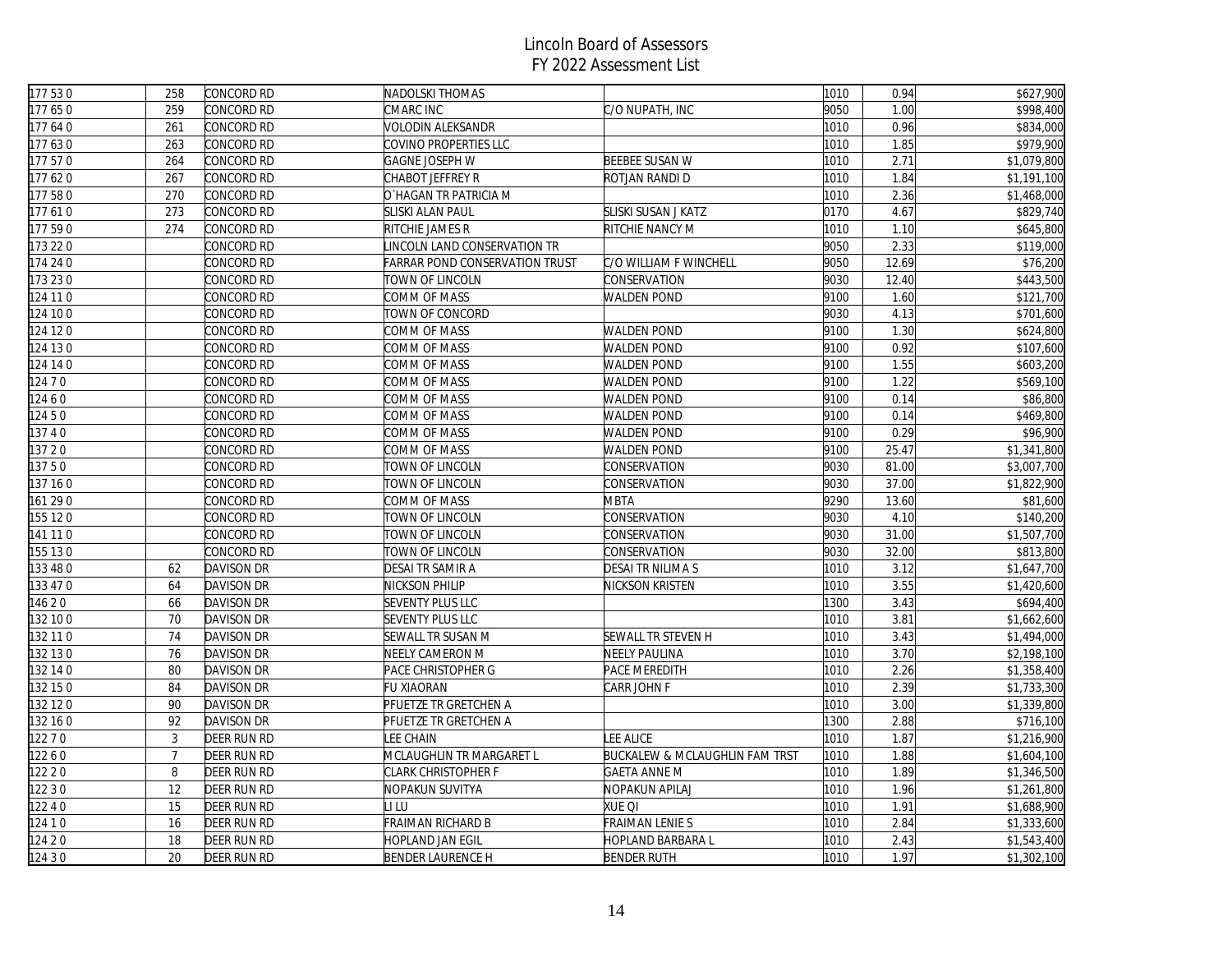| 177 530  | 258            | CONCORD RD        | NADOLSKI THOMAS                       |                                           | 1010 | 0.94  | \$627,900   |
|----------|----------------|-------------------|---------------------------------------|-------------------------------------------|------|-------|-------------|
| 177650   | 259            | CONCORD RD        | CMARC INC                             | C/O NUPATH, INC                           | 9050 | 1.00  | \$998,400   |
| 177640   | 261            | CONCORD RD        | VOLODIN ALEKSANDR                     |                                           | 1010 | 0.96  | \$834,000   |
| 177630   | 263            | CONCORD RD        | COVINO PROPERTIES LLC                 |                                           | 1010 | 1.85  | \$979,900   |
| 177 570  | 264            | CONCORD RD        | <b>GAGNE JOSEPH W</b>                 | <b>BEEBEE SUSAN W</b>                     | 1010 | 2.71  | \$1,079,800 |
| 177620   | 267            | CONCORD RD        | CHABOT JEFFREY R                      | ROTJAN RANDI D                            | 1010 | 1.84  | \$1,191,100 |
| 177 580  | 270            | CONCORD RD        | O`HAGAN TR PATRICIA M                 |                                           | 1010 | 2.36  | \$1,468,000 |
| 177610   | 273            | CONCORD RD        | <b>SLISKI ALAN PAUL</b>               | SLISKI SUSAN J KATZ                       | 0170 | 4.67  | \$829,740   |
| 177 590  | 274            | CONCORD RD        | RITCHIE JAMES R                       | RITCHIE NANCY M                           | 1010 | 1.10  | \$645,800   |
| 173 22 0 |                | CONCORD RD        | LINCOLN LAND CONSERVATION TR          |                                           | 9050 | 2.33  | \$119,000   |
| 174 24 0 |                | CONCORD RD        | <b>FARRAR POND CONSERVATION TRUST</b> | C/O WILLIAM F WINCHELL                    | 9050 | 12.69 | \$76,200    |
| 173 230  |                | CONCORD RD        | TOWN OF LINCOLN                       | CONSERVATION                              | 9030 | 12.40 | \$443,500   |
| 124 11 0 |                | CONCORD RD        | COMM OF MASS                          | <b>WALDEN POND</b>                        | 9100 | 1.60  | \$121,700   |
| 124 10 0 |                | CONCORD RD        | TOWN OF CONCORD                       |                                           | 9030 | 4.13  | \$701,600   |
| 124 12 0 |                | CONCORD RD        | COMM OF MASS                          | <b>WALDEN POND</b>                        | 9100 | 1.30  | \$624,800   |
| 124 13 0 |                | CONCORD RD        | COMM OF MASS                          | <b>WALDEN POND</b>                        | 9100 | 0.92  | \$107,600   |
| 124 14 0 |                | Concord RD        | COMM OF MASS                          | <b>WALDEN POND</b>                        | 9100 | 1.55  | \$603,200   |
| 124 7 0  |                | Concord RD        | COMM OF MASS                          | <b>WALDEN POND</b>                        | 9100 | 1.22  | \$569,100   |
| 12460    |                | CONCORD RD        | COMM OF MASS                          | <b>WALDEN POND</b>                        | 9100 | 0.14  | \$86,800    |
| 12450    |                | CONCORD RD        | COMM OF MASS                          | <b>WALDEN POND</b>                        | 9100 | 0.14  | \$469,800   |
| 13740    |                | CONCORD RD        | COMM OF MASS                          | <b>WALDEN POND</b>                        | 9100 | 0.29  | \$96,900    |
| 137 20   |                | CONCORD RD        | COMM OF MASS                          | <b>WALDEN POND</b>                        | 9100 | 25.47 | \$1,341,800 |
| 13750    |                | CONCORD RD        | TOWN OF LINCOLN                       | CONSERVATION                              | 9030 | 81.00 | \$3,007,700 |
| 137 160  |                | CONCORD RD        | TOWN OF LINCOLN                       | CONSERVATION                              | 9030 | 37.00 | \$1,822,900 |
| 161 290  |                | CONCORD RD        | COMM OF MASS                          | <b>MBTA</b>                               | 9290 | 13.60 | \$81,600    |
| 155 120  |                | CONCORD RD        | TOWN OF LINCOLN                       | CONSERVATION                              | 9030 | 4.10  | \$140,200   |
| 141 11 0 |                | CONCORD RD        | TOWN OF LINCOLN                       | CONSERVATION                              | 9030 | 31.00 | \$1,507,700 |
| 155 130  |                | CONCORD RD        | TOWN OF LINCOLN                       | CONSERVATION                              | 9030 | 32.00 | \$813,800   |
| 133 48 0 | 62             | DAVISON DR        | DESAI TR SAMIR A                      | DESAI TR NILIMA S                         | 1010 | 3.12  | \$1,647,700 |
| 133 47 0 | 64             | DAVISON DR        | NICKSON PHILIP                        | NICKSON KRISTEN                           | 1010 | 3.55  | \$1,420,600 |
| 14620    | 66             | DAVISON DR        | <b>SEVENTY PLUS LLC</b>               |                                           | 1300 | 3.43  | \$694,400   |
| 132 10 0 | 70             | DAVISON DR        | <b>SEVENTY PLUS LLC</b>               |                                           | 1010 | 3.81  | \$1,662,600 |
| 132 11 0 | 74             | <b>DAVISON DR</b> | <b>SEWALL TR SUSAN M</b>              | SEWALL TR STEVEN H                        | 1010 | 3.43  | \$1,494,000 |
| 132 130  | 76             | DAVISON DR        | NEELY CAMERON M                       | <b>NEELY PAULINA</b>                      | 1010 | 3.70  | \$2,198,100 |
| 132 14 0 | 80             | DAVISON DR        | PACE CHRISTOPHER G                    | PACE MEREDITH                             | 1010 | 2.26  | \$1,358,400 |
| 132 15 0 | 84             | <b>DAVISON DR</b> | <b>FU XIAORAN</b>                     | CARR JOHN F                               | 1010 | 2.39  | \$1,733,300 |
| 132 12 0 | 90             | <b>DAVISON DR</b> | PFUETZE TR GRETCHEN A                 |                                           | 1010 | 3.00  | \$1,339,800 |
| 132 16 0 | 92             | <b>DAVISON DR</b> | PFUETZE TR GRETCHEN A                 |                                           | 1300 | 2.88  | \$716,100   |
| 122 7 0  | $\mathfrak{Z}$ | DEER RUN RD       | <b>LEE CHAIN</b>                      | LEE ALICE                                 | 1010 | 1.87  | \$1,216,900 |
| 12260    | $\overline{7}$ | DEER RUN RD       | MCLAUGHLIN TR MARGARET L              | <b>BUCKALEW &amp; MCLAUGHLIN FAM TRST</b> | 1010 | 1.88  | \$1,604,100 |
| 122 2 0  | 8              | DEER RUN RD       | CLARK CHRISTOPHER F                   | <b>GAETA ANNE M</b>                       | 1010 | 1.89  | \$1,346,500 |
| 122 3 0  | 12             | DEER RUN RD       | NOPAKUN SUVITYA                       | NOPAKUN APILAJ                            | 1010 | 1.96  | \$1,261,800 |
| 12240    | 15             | DEER RUN RD       | li lu                                 | XUE QI                                    | 1010 | 1.91  | \$1,688,900 |
| 124 1 0  | 16             | DEER RUN RD       | FRAIMAN RICHARD B                     | FRAIMAN LENIE S                           | 1010 | 2.84  | \$1,333,600 |
| 124 20   | 18             | DEER RUN RD       | <b>HOPLAND JAN EGIL</b>               | HOPLAND BARBARA L                         | 1010 | 2.43  | \$1,543,400 |
| 124 3 0  | 20             | DEER RUN RD       | <b>BENDER LAURENCE H</b>              | <b>BENDER RUTH</b>                        | 1010 | 1.97  | \$1,302,100 |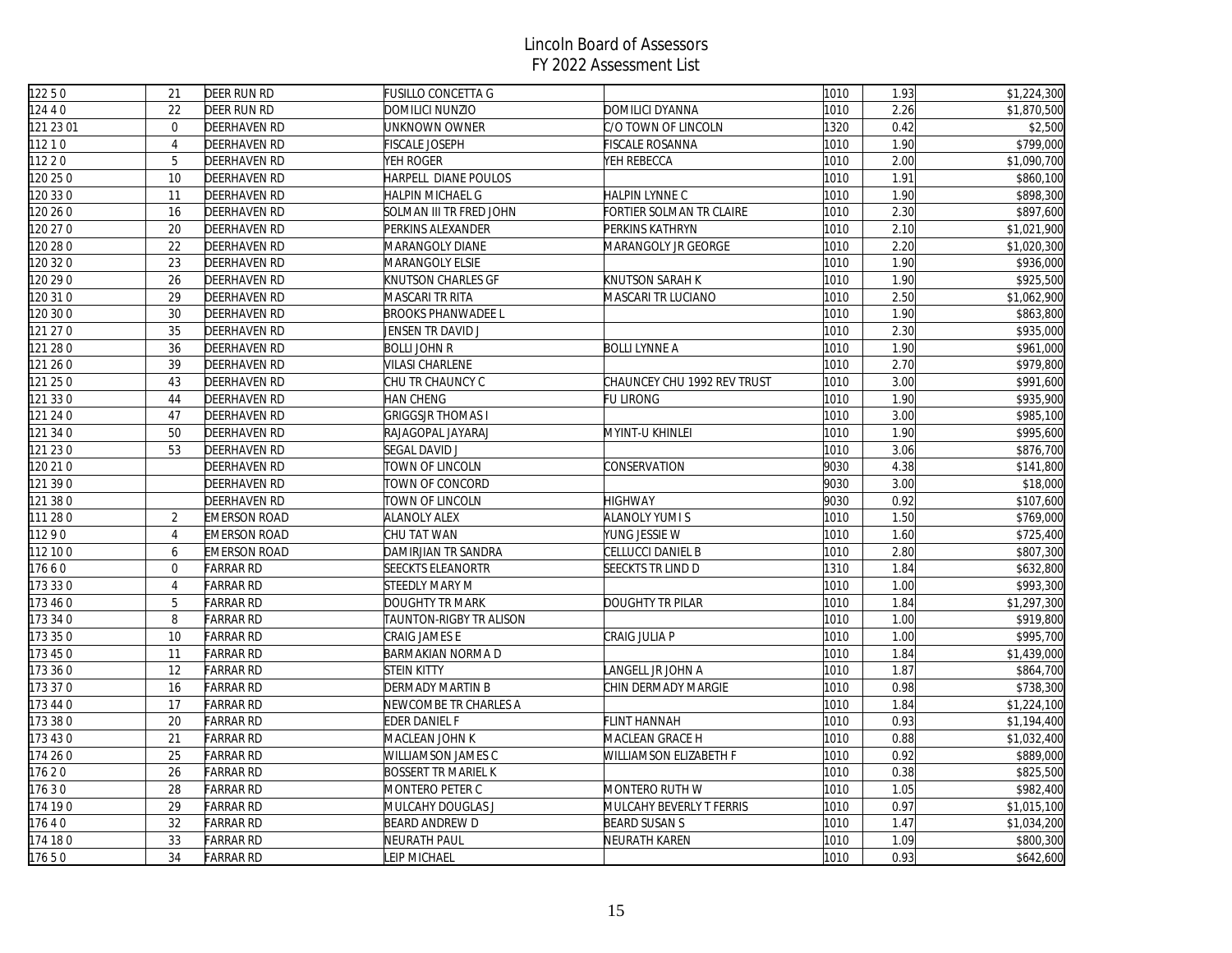| 12250     | 21             | <b>DEER RUN RD</b>  | <b>FUSILLO CONCETTA G</b>  |                             | 1010 | 1.93 | \$1,224,300 |
|-----------|----------------|---------------------|----------------------------|-----------------------------|------|------|-------------|
| 124 4 0   | 22             | DEER RUN RD         | DOMILICI NUNZIO            | DOMILICI DYANNA             | 1010 | 2.26 | \$1,870,500 |
| 121 23 01 | $\mathbf{0}$   | <b>DEERHAVEN RD</b> | UNKNOWN OWNER              | C/O TOWN OF LINCOLN         | 1320 | 0.42 | \$2,500     |
| 11210     | $\overline{4}$ | <b>DEERHAVEN RD</b> | <b>FISCALE JOSEPH</b>      | <b>FISCALE ROSANNA</b>      | 1010 | 1.90 | \$799,000   |
| 11220     | 5              | <b>DEERHAVEN RD</b> | YEH ROGER                  | YEH REBECCA                 | 1010 | 2.00 | \$1,090,700 |
| 120 25 0  | 10             | <b>DEERHAVEN RD</b> | HARPELL DIANE POULOS       |                             | 1010 | 1.91 | \$860,100   |
| 120 33 0  | 11             | <b>DEERHAVEN RD</b> | HALPIN MICHAEL G           | HALPIN LYNNE C              | 1010 | 1.90 | \$898,300   |
| 120 26 0  | 16             | DEERHAVEN RD        | SOLMAN III TR FRED JOHN    | FORTIER SOLMAN TR CLAIRE    | 1010 | 2.30 | \$897,600   |
| 120 27 0  | 20             | <b>DEERHAVEN RD</b> | PERKINS ALEXANDER          | PERKINS KATHRYN             | 1010 | 2.10 | \$1,021,900 |
| 120 28 0  | 22             | <b>DEERHAVEN RD</b> | MARANGOLY DIANE            | MARANGOLY JR GEORGE         | 1010 | 2.20 | \$1,020,300 |
| 120 32 0  | 23             | <b>DEERHAVEN RD</b> | MARANGOLY ELSIE            |                             | 1010 | 1.90 | \$936,000   |
| 120 29 0  | 26             | <b>DEERHAVEN RD</b> | KNUTSON CHARLES GF         | <b>KNUTSON SARAH K</b>      | 1010 | 1.90 | \$925,500   |
| 120 31 0  | 29             | <b>DEERHAVEN RD</b> | MASCARI TR RITA            | MASCARI TR LUCIANO          | 1010 | 2.50 | \$1,062,900 |
| 120 30 0  | 30             | <b>DEERHAVEN RD</b> | <b>BROOKS PHANWADEE L</b>  |                             | 1010 | 1.90 | \$863,800   |
| 121 27 0  | 35             | <b>DEERHAVEN RD</b> | JENSEN TR DAVID J          |                             | 1010 | 2.30 | \$935,000   |
| 121 28 0  | 36             | <b>DEERHAVEN RD</b> | <b>BOLLI JOHN R</b>        | <b>BOLLI LYNNE A</b>        | 1010 | 1.90 | \$961,000   |
| 121 26 0  | 39             | <b>DEERHAVEN RD</b> | VILASI CHARLENE            |                             | 1010 | 2.70 | \$979,800   |
| 121 25 0  | 43             | DEERHAVEN RD        | CHU TR CHAUNCY C           | CHAUNCEY CHU 1992 REV TRUST | 1010 | 3.00 | \$991,600   |
| 121 33 0  | 44             | <b>DEERHAVEN RD</b> | HAN CHENG                  | <b>FU LIRONG</b>            | 1010 | 1.90 | \$935,900   |
| 121 24 0  | 47             | <b>DEERHAVEN RD</b> | <b>GRIGGSJR THOMAS I</b>   |                             | 1010 | 3.00 | \$985,100   |
| 121 34 0  | 50             | <b>DEERHAVEN RD</b> | RAJAGOPAL JAYARAJ          | MYINT-U KHINLEI             | 1010 | 1.90 | \$995,600   |
| 121 23 0  | 53             | <b>DEERHAVEN RD</b> | <b>SEGAL DAVID J</b>       |                             | 1010 | 3.06 | \$876,700   |
| 120 21 0  |                | DEERHAVEN RD        | TOWN OF LINCOLN            | CONSERVATION                | 9030 | 4.38 | \$141,800   |
| 121 39 0  |                | DEERHAVEN RD        | TOWN OF CONCORD            |                             | 9030 | 3.00 | \$18,000    |
| 121 38 0  |                | <b>DEERHAVEN RD</b> | TOWN OF LINCOLN            | <b>HIGHWAY</b>              | 9030 | 0.92 | \$107,600   |
| 111 28 0  | $\overline{2}$ | <b>EMERSON ROAD</b> | <b>ALANOLY ALEX</b>        | <b>ALANOLY YUMI S</b>       | 1010 | 1.50 | \$769,000   |
| 11290     | $\overline{4}$ | <b>EMERSON ROAD</b> | CHU TAT WAN                | YUNG JESSIE W               | 1010 | 1.60 | \$725,400   |
| 112 10 0  | 6              | <b>EMERSON ROAD</b> | DAMIRJIAN TR SANDRA        | CELLUCCI DANIEL B           | 1010 | 2.80 | \$807,300   |
| 17660     | $\overline{0}$ | <b>FARRAR RD</b>    | <b>SEECKTS ELEANORTR</b>   | SEECKTS TR LIND D           | 1310 | 1.84 | \$632,800   |
| 173 330   | $\overline{4}$ | <b>FARRAR RD</b>    | <b>STEEDLY MARY M</b>      |                             | 1010 | 1.00 | \$993,300   |
| 173 46 0  | 5              | <b>FARRAR RD</b>    | DOUGHTY TR MARK            | <b>DOUGHTY TR PILAR</b>     | 1010 | 1.84 | \$1,297,300 |
| 173 34 0  | 8              | <b>FARRAR RD</b>    | TAUNTON-RIGBY TR ALISON    |                             | 1010 | 1.00 | \$919,800   |
| 173 35 0  | 10             | <b>FARRAR RD</b>    | CRAIG JAMES E              | CRAIG JULIA P               | 1010 | 1.00 | \$995,700   |
| 173 45 0  | 11             | <b>FARRAR RD</b>    | <b>BARMAKIAN NORMA D</b>   |                             | 1010 | 1.84 | \$1,439,000 |
| 173 36 0  | 12             | <b>FARRAR RD</b>    | <b>STEIN KITTY</b>         | LANGELL JR JOHN A           | 1010 | 1.87 | \$864,700   |
| 173 370   | 16             | <b>FARRAR RD</b>    | <b>DERMADY MARTIN B</b>    | CHIN DERMADY MARGIE         | 1010 | 0.98 | \$738,300   |
| 173 44 0  | 17             | <b>FARRAR RD</b>    | NEWCOMBE TR CHARLES A      |                             | 1010 | 1.84 | \$1,224,100 |
| 173 38 0  | 20             | <b>FARRAR RD</b>    | EDER DANIEL F              | <b>FLINT HANNAH</b>         | 1010 | 0.93 | \$1,194,400 |
| 173 430   | 21             | <b>FARRAR RD</b>    | MACLEAN JOHN K             | MACLEAN GRACE H             | 1010 | 0.88 | \$1,032,400 |
| 174 26 0  | 25             | <b>FARRAR RD</b>    | WILLIAMSON JAMES C         | WILLIAMSON ELIZABETH F      | 1010 | 0.92 | \$889,000   |
| 17620     | 26             | <b>FARRAR RD</b>    | <b>BOSSERT TR MARIEL K</b> |                             | 1010 | 0.38 | \$825,500   |
| 17630     | 28             | <b>FARRAR RD</b>    | MONTERO PETER C            | MONTERO RUTH W              | 1010 | 1.05 | \$982,400   |
| 174 190   | 29             | <b>FARRAR RD</b>    | MULCAHY DOUGLAS J          | MULCAHY BEVERLY T FERRIS    | 1010 | 0.97 | \$1,015,100 |
| 17640     | 32             | <b>FARRAR RD</b>    | <b>BEARD ANDREW D</b>      | <b>BEARD SUSAN S</b>        | 1010 | 1.47 | \$1,034,200 |
| 174 180   | 33             | <b>FARRAR RD</b>    | NEURATH PAUL               | NEURATH KAREN               | 1010 | 1.09 | \$800,300   |
| 17650     | 34             | <b>FARRAR RD</b>    | <b>EIP MICHAEL</b>         |                             | 1010 | 0.93 | \$642,600   |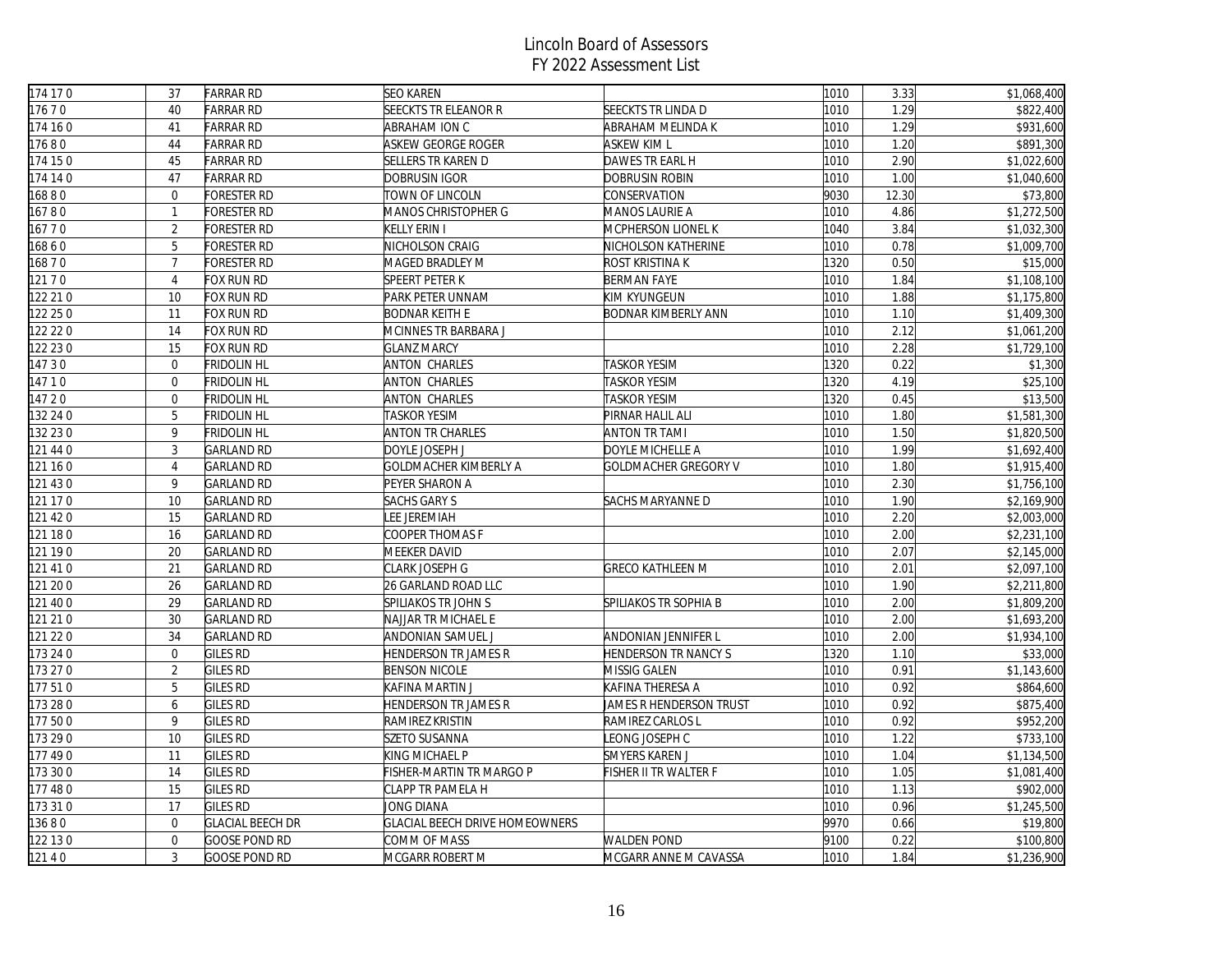| 174 17 0 | 37             | <b>FARRAR RD</b>        | <b>SEO KAREN</b>                      |                             | 1010 | 3.33  | \$1,068,400 |
|----------|----------------|-------------------------|---------------------------------------|-----------------------------|------|-------|-------------|
| 17670    | 40             | <b>FARRAR RD</b>        | <b>SEECKTS TR ELEANOR R</b>           | SEECKTS TR LINDA D          | 1010 | 1.29  | \$822,400   |
| 174 160  | 41             | <b>FARRAR RD</b>        | ABRAHAM ION C                         | ABRAHAM MELINDA K           | 1010 | 1.29  | \$931,600   |
| 17680    | 44             | <b>FARRAR RD</b>        | ASKEW GEORGE ROGER                    | <b>ASKEW KIM L</b>          | 1010 | 1.20  | \$891,300   |
| 174 150  | 45             | <b>FARRAR RD</b>        | <b>SELLERS TR KAREN D</b>             | DAWES TR EARL H             | 1010 | 2.90  | \$1,022,600 |
| 174 14 0 | 47             | <b>FARRAR RD</b>        | Dobrusin Igor                         | DOBRUSIN ROBIN              | 1010 | 1.00  | \$1,040,600 |
| 16880    | $\overline{0}$ | FORESTER RD             | TOWN OF LINCOLN                       | CONSERVATION                | 9030 | 12.30 | \$73,800    |
| 16780    | $\mathbf{1}$   | <b>FORESTER RD</b>      | MANOS CHRISTOPHER G                   | <b>MANOS LAURIE A</b>       | 1010 | 4.86  | \$1,272,500 |
| 16770    | $\overline{2}$ | FORESTER RD             | KELLY ERIN I                          | MCPHERSON LIONEL K          | 1040 | 3.84  | \$1,032,300 |
| 16860    | 5              | FORESTER RD             | NICHOLSON CRAIG                       | NICHOLSON KATHERINE         | 1010 | 0.78  | \$1,009,700 |
| 16870    | $\overline{7}$ | <b>FORESTER RD</b>      | MAGED BRADLEY M                       | ROST KRISTINA K             | 1320 | 0.50  | \$15,000    |
| 121 7 0  | $\overline{4}$ | FOX RUN RD              | <b>SPEERT PETER K</b>                 | <b>BERMAN FAYE</b>          | 1010 | 1.84  | \$1,108,100 |
| 122 21 0 | 10             | FOX RUN RD              | PARK PETER UNNAM                      | KIM KYUNGEUN                | 1010 | 1.88  | \$1,175,800 |
| 122 25 0 | 11             | FOX RUN RD              | <b>BODNAR KEITH E</b>                 | BODNAR KIMBERLY ANN         | 1010 | 1.10  | \$1,409,300 |
| 122 22 0 | 14             | FOX RUN RD              | MCINNES TR BARBARA J                  |                             | 1010 | 2.12  | \$1,061,200 |
| 122 23 0 | 15             | FOX RUN RD              | <b>GLANZ MARCY</b>                    |                             | 1010 | 2.28  | \$1,729,100 |
| 14730    | $\overline{0}$ | <b>FRIDOLIN HL</b>      | <b>ANTON CHARLES</b>                  | <b>TASKOR YESIM</b>         | 1320 | 0.22  | \$1,300     |
| 14710    | $\mathbf{0}$   | <b>FRIDOLIN HL</b>      | <b>ANTON CHARLES</b>                  | <b>TASKOR YESIM</b>         | 1320 | 4.19  | \$25,100    |
| 147 20   | $\Omega$       | <b>FRIDOLIN HL</b>      | <b>ANTON CHARLES</b>                  | TASKOR YESIM                | 1320 | 0.45  | \$13,500    |
| 132 24 0 | 5              | <b>FRIDOLIN HL</b>      | <b>TASKOR YESIM</b>                   | PIRNAR HALIL ALI            | 1010 | 1.80  | \$1,581,300 |
| 132 23 0 | 9              | <b>FRIDOLIN HL</b>      | <b>ANTON TR CHARLES</b>               | <b>ANTON TR TAMI</b>        | 1010 | 1.50  | \$1,820,500 |
| 121 44 0 | $\mathfrak{Z}$ | <b>GARLAND RD</b>       | DOYLE JOSEPH J                        | DOYLE MICHELLE A            | 1010 | 1.99  | \$1,692,400 |
| 121 160  | $\overline{4}$ | <b>GARLAND RD</b>       | GOLDMACHER KIMBERLY A                 | GOLDMACHER GREGORY V        | 1010 | 1.80  | \$1,915,400 |
| 121 43 0 | 9              | <b>GARLAND RD</b>       | PEYER SHARON A                        |                             | 1010 | 2.30  | \$1,756,100 |
| 121 17 0 | 10             | <b>GARLAND RD</b>       | <b>SACHS GARY S</b>                   | SACHS MARYANNE D            | 1010 | 1.90  | \$2,169,900 |
| 121 42 0 | 15             | <b>GARLAND RD</b>       | <b>LEE JEREMIAH</b>                   |                             | 1010 | 2.20  | \$2,003,000 |
| 121 180  | 16             | <b>GARLAND RD</b>       | COOPER THOMAS F                       |                             | 1010 | 2.00  | \$2,231,100 |
| 121 190  | 20             | <b>GARLAND RD</b>       | MEEKER DAVID                          |                             | 1010 | 2.07  | \$2,145,000 |
| 121 41 0 | 21             | <b>GARLAND RD</b>       | CLARK JOSEPH G                        | <b>GRECO KATHLEEN M</b>     | 1010 | 2.01  | \$2,097,100 |
| 121 20 0 | 26             | <b>GARLAND RD</b>       | 26 GARLAND ROAD LLC                   |                             | 1010 | 1.90  | \$2,211,800 |
| 121 40 0 | 29             | <b>GARLAND RD</b>       | SPILIAKOS TR JOHN S                   | SPILIAKOS TR SOPHIA B       | 1010 | 2.00  | \$1,809,200 |
| 121 21 0 | 30             | <b>GARLAND RD</b>       | NAJJAR TR MICHAEL E                   |                             | 1010 | 2.00  | \$1,693,200 |
| 121 22 0 | 34             | <b>GARLAND RD</b>       | ANDONIAN SAMUEL J                     | ANDONIAN JENNIFER L         | 1010 | 2.00  | \$1,934,100 |
| 173 24 0 | $\overline{0}$ | <b>GILES RD</b>         | HENDERSON TR JAMES R                  | <b>HENDERSON TR NANCY S</b> | 1320 | 1.10  | \$33,000    |
| 173 27 0 | $\overline{2}$ | <b>GILES RD</b>         | <b>BENSON NICOLE</b>                  | MISSIG GALEN                | 1010 | 0.91  | \$1,143,600 |
| 177510   | 5              | <b>GILES RD</b>         | KAFINA MARTIN J                       | KAFINA THERESA A            | 1010 | 0.92  | \$864,600   |
| 173 28 0 | 6              | <b>GILES RD</b>         | <b>HENDERSON TR JAMES R</b>           | JAMES R HENDERSON TRUST     | 1010 | 0.92  | \$875,400   |
| 177 500  | 9              | <b>GILES RD</b>         | RAMIREZ KRISTIN                       | RAMIREZ CARLOS L            | 1010 | 0.92  | \$952,200   |
| 173 290  | 10             | <b>GILES RD</b>         | SZETO SUSANNA                         | LEONG JOSEPH C              | 1010 | 1.22  | \$733,100   |
| 177 490  | 11             | <b>GILES RD</b>         | KING MICHAEL P                        | SMYERS KAREN J              | 1010 | 1.04  | \$1,134,500 |
| 173 300  | 14             | <b>GILES RD</b>         | FISHER-MARTIN TR MARGO P              | FISHER II TR WALTER F       | 1010 | 1.05  | \$1,081,400 |
| 177 480  | 15             | <b>GILES RD</b>         | CLAPP TR PAMELA H                     |                             | 1010 | 1.13  | \$902,000   |
| 173 31 0 | 17             | <b>GILES RD</b>         | JONG DIANA                            |                             | 1010 | 0.96  | \$1,245,500 |
| 13680    | $\overline{0}$ | <b>GLACIAL BEECH DR</b> | <b>GLACIAL BEECH DRIVE HOMEOWNERS</b> |                             | 9970 | 0.66  | \$19,800    |
| 122 13 0 | $\overline{0}$ | <b>GOOSE POND RD</b>    | COMM OF MASS                          | <b>WALDEN POND</b>          | 9100 | 0.22  | \$100,800   |
| 12140    | $\overline{3}$ | <b>GOOSE POND RD</b>    | MCGARR ROBERT M                       | MCGARR ANNE M CAVASSA       | 1010 | 1.84  | \$1,236,900 |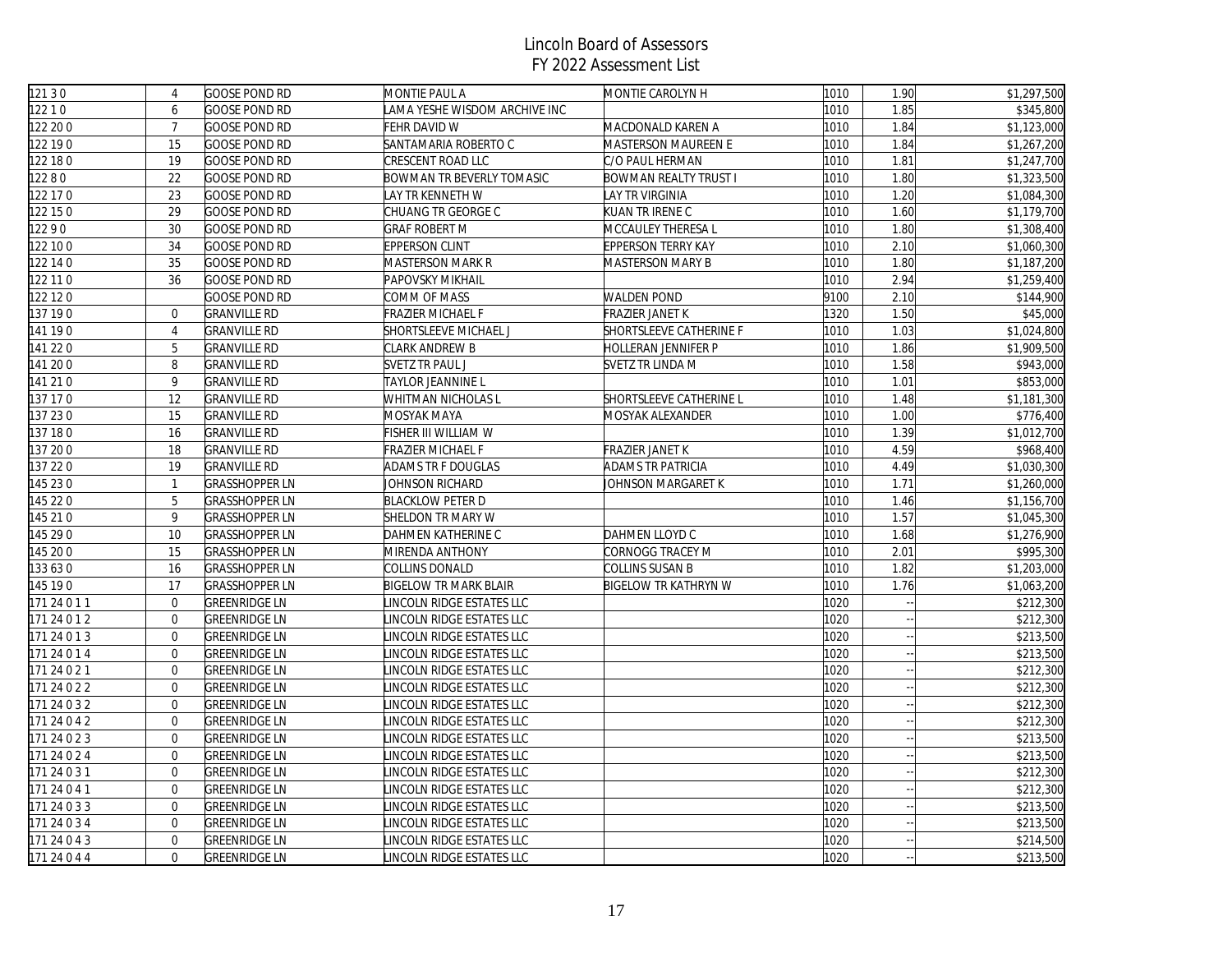| 121 3 0      | $\overline{4}$   | <b>GOOSE POND RD</b>  | MONTIE PAUL A                | MONTIE CAROLYN H           | 1010 | 1.90 | \$1,297,500 |
|--------------|------------------|-----------------------|------------------------------|----------------------------|------|------|-------------|
| 12210        | 6                | <b>GOOSE POND RD</b>  | AMA YESHE WISDOM ARCHIVE INC |                            | 1010 | 1.85 | \$345,800   |
| 122 20 0     | $\overline{7}$   | <b>GOOSE POND RD</b>  | FEHR DAVID W                 | MACDONALD KAREN A          | 1010 | 1.84 | \$1,123,000 |
| 122 190      | 15               | <b>GOOSE POND RD</b>  | SANTAMARIA ROBERTO C         | <b>MASTERSON MAUREEN E</b> | 1010 | 1.84 | \$1,267,200 |
| 122 18 0     | 19               | <b>GOOSE POND RD</b>  | CRESCENT ROAD LLC            | C/O PAUL HERMAN            | 1010 | 1.81 | \$1,247,700 |
| 12280        | 22               | <b>GOOSE POND RD</b>  | BOWMAN TR BEVERLY TOMASIC    | BOWMAN REALTY TRUST I      | 1010 | 1.80 | \$1,323,500 |
| 122 17 0     | 23               | GOOSE POND RD         | AY TR KENNETH W              | LAY TR VIRGINIA            | 1010 | 1.20 | \$1,084,300 |
| 122 15 0     | 29               | <b>GOOSE POND RD</b>  | CHUANG TR GEORGE C           | KUAN TR IRENE C            | 1010 | 1.60 | \$1,179,700 |
| 12290        | 30               | <b>GOOSE POND RD</b>  | GRAF ROBERT M                | MCCAULEY THERESA L         | 1010 | 1.80 | \$1,308,400 |
| 122 10 0     | 34               | <b>GOOSE POND RD</b>  | <b>EPPERSON CLINT</b>        | EPPERSON TERRY KAY         | 1010 | 2.10 | \$1,060,300 |
| 122 14 0     | 35               | <b>GOOSE POND RD</b>  | MASTERSON MARK R             | MASTERSON MARY B           | 1010 | 1.80 | \$1,187,200 |
| 122 11 0     | 36               | <b>GOOSE POND RD</b>  | <b>PAPOVSKY MIKHAIL</b>      |                            | 1010 | 2.94 | \$1,259,400 |
| 122 12 0     |                  | GOOSE POND RD         | COMM OF MASS                 | <b>WALDEN POND</b>         | 9100 | 2.10 | \$144,900   |
| 137 190      | $\overline{0}$   | <b>GRANVILLE RD</b>   | FRAZIER MICHAEL F            | FRAZIER JANET K            | 1320 | 1.50 | \$45,000    |
| 141 190      | $\overline{4}$   | <b>GRANVILLE RD</b>   | SHORTSLEEVE MICHAEL J        | SHORTSLEEVE CATHERINE F    | 1010 | 1.03 | \$1,024,800 |
| 141 220      | 5                | <b>GRANVILLE RD</b>   | CLARK ANDREW B               | HOLLERAN JENNIFER P        | 1010 | 1.86 | \$1,909,500 |
| 141 200      | 8                | <b>GRANVILLE RD</b>   | SVETZ TR PAUL J              | SVETZ TR LINDA M           | 1010 | 1.58 | \$943,000   |
| 141 21 0     | 9                | <b>GRANVILLE RD</b>   | TAYLOR JEANNINE L            |                            | 1010 | 1.01 | \$853,000   |
| 137 17 0     | 12               | <b>GRANVILLE RD</b>   | WHITMAN NICHOLAS L           | SHORTSLEEVE CATHERINE L    | 1010 | 1.48 | \$1,181,300 |
| 137 230      | 15               | <b>GRANVILLE RD</b>   | MOSYAK MAYA                  | MOSYAK ALEXANDER           | 1010 | 1.00 | \$776,400   |
| 137 180      | 16               | <b>GRANVILLE RD</b>   | FISHER III WILLIAM W         |                            | 1010 | 1.39 | \$1,012,700 |
| 137 20 0     | 18               | <b>GRANVILLE RD</b>   | RAZIER MICHAEL F             | FRAZIER JANET K            | 1010 | 4.59 | \$968,400   |
| 37 22 0      | 19               | <b>GRANVILLE RD</b>   | ADAMS TR F DOUGLAS           | ADAMS TR PATRICIA          | 1010 | 4.49 | \$1,030,300 |
| 145 23 0     | $\mathbf{1}$     | <b>GRASSHOPPER LN</b> | JOHNSON RICHARD              | JOHNSON MARGARET K         | 1010 | 1.71 | \$1,260,000 |
| 145 22 0     | 5                | <b>GRASSHOPPER LN</b> | <b>BLACKLOW PETER D</b>      |                            | 1010 | 1.46 | \$1,156,700 |
| 145 210      | 9                | GRASSHOPPER LN        | SHELDON TR MARY W            |                            | 1010 | 1.57 | \$1,045,300 |
| 145 29 0     | 10               | <b>GRASSHOPPER LN</b> | DAHMEN KATHERINE C           | DAHMEN LLOYD C             | 1010 | 1.68 | \$1,276,900 |
| 145 20 0     | 15               | <b>GRASSHOPPER LN</b> | MIRENDA ANTHONY              | CORNOGG TRACEY M           | 1010 | 2.01 | \$995,300   |
| 133 63 0     | 16               | <b>GRASSHOPPER LN</b> | COLLINS DONALD               | COLLINS SUSAN B            | 1010 | 1.82 | \$1,203,000 |
| 145 190      | 17               | <b>GRASSHOPPER LN</b> | <b>BIGELOW TR MARK BLAIR</b> | BIGELOW TR KATHRYN W       | 1010 | 1.76 | \$1,063,200 |
| 171 24 0 1 1 | $\overline{0}$   | <b>GREENRIDGE LN</b>  | INCOLN RIDGE ESTATES LLC     |                            | 1020 |      | \$212,300   |
| 171 24 0 1 2 | $\mathbf 0$      | <b>GREENRIDGE LN</b>  | INCOLN RIDGE ESTATES LLC     |                            | 1020 |      | \$212,300   |
| 171 24 0 1 3 | $\overline{0}$   | <b>GREENRIDGE LN</b>  | INCOLN RIDGE ESTATES LLC     |                            | 1020 |      | \$213,500   |
| 171 24 0 1 4 | $\overline{0}$   | <b>GREENRIDGE LN</b>  | INCOLN RIDGE ESTATES LLC     |                            | 1020 |      | \$213,500   |
| 171 24 0 2 1 | $\overline{0}$   | <b>GREENRIDGE LN</b>  | INCOLN RIDGE ESTATES LLC     |                            | 1020 |      | \$212,300   |
| 171 24 0 2 2 | $\overline{0}$   | <b>GREENRIDGE LN</b>  | INCOLN RIDGE ESTATES LLC     |                            | 1020 |      | \$212,300   |
| 171 24 0 3 2 | $\boldsymbol{0}$ | <b>GREENRIDGE LN</b>  | INCOLN RIDGE ESTATES LLC     |                            | 1020 |      | \$212,300   |
| 171 24 0 4 2 | $\mathbf 0$      | <b>GREENRIDGE LN</b>  | INCOLN RIDGE ESTATES LLC     |                            | 1020 |      | \$212,300   |
| 171 24 0 2 3 | $\overline{0}$   | <b>GREENRIDGE LN</b>  | INCOLN RIDGE ESTATES LLC     |                            | 1020 |      | \$213,500   |
| 171 24 0 2 4 | $\overline{0}$   | <b>GREENRIDGE LN</b>  | INCOLN RIDGE ESTATES LLC     |                            | 1020 |      | \$213,500   |
| 171 24 0 3 1 | $\mathbf{0}$     | <b>GREENRIDGE LN</b>  | INCOLN RIDGE ESTATES LLC     |                            | 1020 |      | \$212,300   |
| 171 24 0 4 1 | $\overline{0}$   | <b>GREENRIDGE LN</b>  | INCOLN RIDGE ESTATES LLC     |                            | 1020 |      | \$212,300   |
| 171 24 0 3 3 | $\boldsymbol{0}$ | <b>GREENRIDGE LN</b>  | INCOLN RIDGE ESTATES LLC     |                            | 1020 |      | \$213,500   |
| 171 24 0 3 4 | $\overline{0}$   | <b>GREENRIDGE LN</b>  | INCOLN RIDGE ESTATES LLC     |                            | 1020 |      | \$213,500   |
| 171 24 0 4 3 | $\overline{0}$   | GREENRIDGE LN         | INCOLN RIDGE ESTATES LLC     |                            | 1020 |      | \$214,500   |
| 171 24 0 4 4 | $\overline{0}$   | <b>GREENRIDGE LN</b>  | INCOLN RIDGE ESTATES LLC     |                            | 1020 |      | \$213,500   |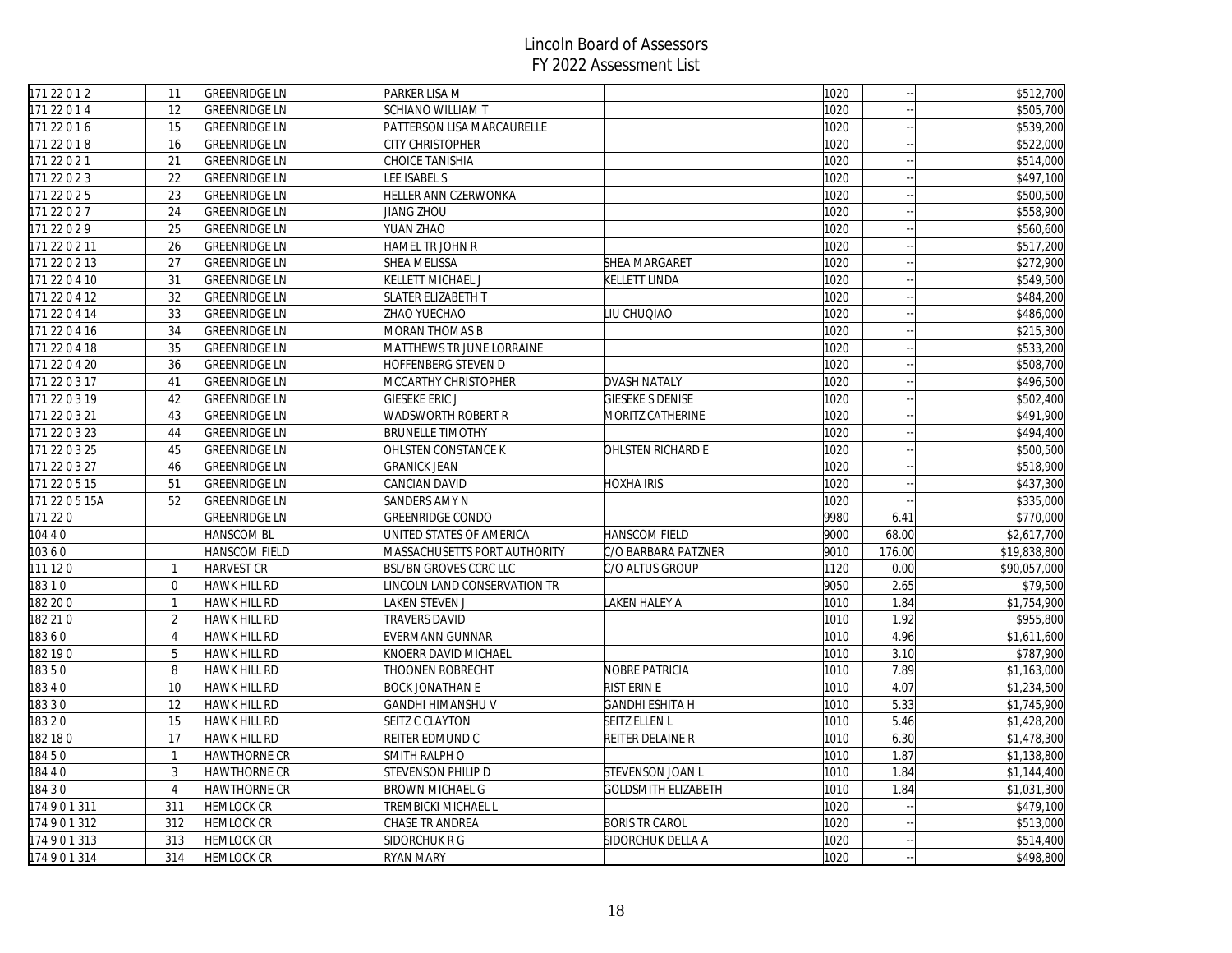| 171 22 0 1 2   | 11             | <b>GREENRIDGE LN</b> | PARKER LISA M                 |                          | 1020 |        | \$512,700    |
|----------------|----------------|----------------------|-------------------------------|--------------------------|------|--------|--------------|
| 171 22 0 1 4   | 12             | <b>GREENRIDGE LN</b> | <b>SCHIANO WILLIAM T</b>      |                          | 1020 |        | \$505,700    |
| 171 22 0 1 6   | 15             | <b>GREENRIDGE LN</b> | PATTERSON LISA MARCAURELLE    |                          | 1020 |        | \$539,200    |
| 171 22 0 1 8   | 16             | <b>GREENRIDGE LN</b> | CITY CHRISTOPHER              |                          | 1020 | $\sim$ | \$522,000    |
| 171 22 0 2 1   | 21             | <b>GREENRIDGE LN</b> | CHOICE TANISHIA               |                          | 1020 |        | \$514,000    |
| 171 22 0 2 3   | 22             | <b>GREENRIDGE LN</b> | LEE ISABEL S                  |                          | 1020 |        | \$497,100    |
| 171 22 0 2 5   | 23             | <b>GREENRIDGE LN</b> | HELLER ANN CZERWONKA          |                          | 1020 | $\sim$ | \$500,500    |
| 171 22 0 2 7   | 24             | <b>GREENRIDGE LN</b> | JIANG ZHOU                    |                          | 1020 |        | \$558,900    |
| 171 22 0 2 9   | 25             | <b>GREENRIDGE LN</b> | YUAN ZHAO                     |                          | 1020 | $\sim$ | \$560,600    |
| 171 22 0 2 11  | 26             | <b>GREENRIDGE LN</b> | HAMEL TR JOHN R               |                          | 1020 |        | \$517,200    |
| 171 22 0 2 13  | 27             | <b>GREENRIDGE LN</b> | <b>SHEA MELISSA</b>           | SHEA MARGARET            | 1020 |        | \$272,900    |
| 171 22 0 4 10  | 31             | <b>GREENRIDGE LN</b> | KELLETT MICHAEL J             | <b>KELLETT LINDA</b>     | 1020 | $\sim$ | \$549,500    |
| 171 22 0 4 12  | 32             | <b>GREENRIDGE LN</b> | <b>SLATER ELIZABETH T</b>     |                          | 1020 |        | \$484,200    |
| 171 22 0 4 14  | 33             | <b>GREENRIDGE LN</b> | ZHAO YUECHAO                  | LIU CHUQIAO              | 1020 |        | \$486,000    |
| 171 22 0 4 16  | 34             | <b>GREENRIDGE LN</b> | <b>MORAN THOMAS B</b>         |                          | 1020 | $\sim$ | \$215,300    |
| 171 22 0 4 18  | 35             | <b>GREENRIDGE LN</b> | MATTHEWS TR JUNE LORRAINE     |                          | 1020 | $\sim$ | \$533,200    |
| 171 22 0 4 20  | 36             | <b>GREENRIDGE LN</b> | HOFFENBERG STEVEN D           |                          | 1020 | $\sim$ | \$508,700    |
| 171 22 0 3 17  | 41             | <b>GREENRIDGE LN</b> | MCCARTHY CHRISTOPHER          | <b>DVASH NATALY</b>      | 1020 |        | \$496,500    |
| 171 22 0 3 19  | 42             | <b>GREENRIDGE LN</b> | GIESEKE ERIC J                | GIESEKE S DENISE         | 1020 |        | \$502,400    |
| 171 22 0 3 21  | 43             | <b>GREENRIDGE LN</b> | <b>WADSWORTH ROBERT R</b>     | MORITZ CATHERINE         | 1020 | $\sim$ | \$491,900    |
| 171 22 0 3 23  | 44             | <b>GREENRIDGE LN</b> | <b>BRUNELLE TIMOTHY</b>       |                          | 1020 | $\sim$ | \$494,400    |
| 171 22 0 3 25  | 45             | <b>GREENRIDGE LN</b> | OHLSTEN CONSTANCE K           | <b>OHLSTEN RICHARD E</b> | 1020 |        | \$500,500    |
| 171 22 0 3 27  | 46             | <b>GREENRIDGE LN</b> | <b>GRANICK JEAN</b>           |                          | 1020 |        | \$518,900    |
| 171 22 0 5 15  | 51             | <b>GREENRIDGE LN</b> | CANCIAN DAVID                 | HOXHA IRIS               | 1020 |        | \$437,300    |
| 171 22 0 5 15A | 52             | <b>GREENRIDGE LN</b> | <b>SANDERS AMY N</b>          |                          | 1020 |        | \$335,000    |
| 171 220        |                | <b>GREENRIDGE LN</b> | <b>GREENRIDGE CONDO</b>       |                          | 9980 | 6.41   | \$770,000    |
| 10440          |                | <b>HANSCOM BL</b>    | UNITED STATES OF AMERICA      | <b>HANSCOM FIELD</b>     | 9000 | 68.00  | \$2,617,700  |
| 10360          |                | HANSCOM FIELD        | MASSACHUSETTS PORT AUTHORITY  | C/O BARBARA PATZNER      | 9010 | 176.00 | \$19,838,800 |
| 111 120        | $\mathbf{1}$   | <b>HARVEST CR</b>    | <b>BSL/BN GROVES CCRC LLC</b> | C/O ALTUS GROUP          | 1120 | 0.00   | \$90,057,000 |
| 18310          | $\mathbf 0$    | <b>HAWK HILL RD</b>  | INCOLN LAND CONSERVATION TR   |                          | 9050 | 2.65   | \$79,500     |
| 182 20 0       | $\mathbf{1}$   | <b>HAWK HILL RD</b>  | AKEN STEVEN J                 | LAKEN HALEY A            | 1010 | 1.84   | \$1,754,900  |
| 182 21 0       | $\overline{2}$ | HAWK HILL RD         | TRAVERS DAVID                 |                          | 1010 | 1.92   | \$955,800    |
| 18360          | $\overline{4}$ | <b>HAWK HILL RD</b>  | EVERMANN GUNNAR               |                          | 1010 | 4.96   | \$1,611,600  |
| 182 190        | 5              | HAWK HILL RD         | KNOERR DAVID MICHAEL          |                          | 1010 | 3.10   | \$787,900    |
| 18350          | 8              | <b>HAWK HILL RD</b>  | THOONEN ROBRECHT              | <b>NOBRE PATRICIA</b>    | 1010 | 7.89   | \$1,163,000  |
| 18340          | 10             | <b>HAWK HILL RD</b>  | <b>BOCK JONATHAN E</b>        | <b>RIST ERIN E</b>       | 1010 | 4.07   | \$1,234,500  |
| 18330          | 12             | <b>HAWK HILL RD</b>  | GANDHI HIMANSHU V             | <b>GANDHI ESHITA H</b>   | 1010 | 5.33   | \$1,745,900  |
| 18320          | 15             | <b>HAWK HILL RD</b>  | SEITZ C CLAYTON               | <b>SEITZ ELLEN L</b>     | 1010 | 5.46   | \$1,428,200  |
| 182 18 0       | 17             | <b>HAWK HILL RD</b>  | REITER EDMUND C               | REITER DELAINE R         | 1010 | 6.30   | \$1,478,300  |
| 18450          | $\mathbf{1}$   | HAWTHORNE CR         | SMITH RALPH O                 |                          | 1010 | 1.87   | \$1,138,800  |
| 18440          | $\overline{3}$ | HAWTHORNE CR         | STEVENSON PHILIP D            | <b>STEVENSON JOAN L</b>  | 1010 | 1.84   | \$1,144,400  |
| 18430          | $\overline{4}$ | HAWTHORNE CR         | <b>BROWN MICHAEL G</b>        | GOLDSMITH ELIZABETH      | 1010 | 1.84   | \$1,031,300  |
| 174901311      | 311            | <b>HEMLOCK CR</b>    | TREMBICKI MICHAEL L           |                          | 1020 |        | \$479,100    |
| 174901312      | 312            | <b>HEMLOCK CR</b>    | CHASE TR ANDREA               | <b>BORIS TR CAROL</b>    | 1020 |        | \$513,000    |
| 174901313      | 313            | <b>HEMLOCK CR</b>    | SIDORCHUK R G                 | SIDORCHUK DELLA A        | 1020 | $\sim$ | \$514,400    |
| 174901314      | 314            | <b>HEMLOCK CR</b>    | <b>RYAN MARY</b>              |                          | 1020 |        | \$498,800    |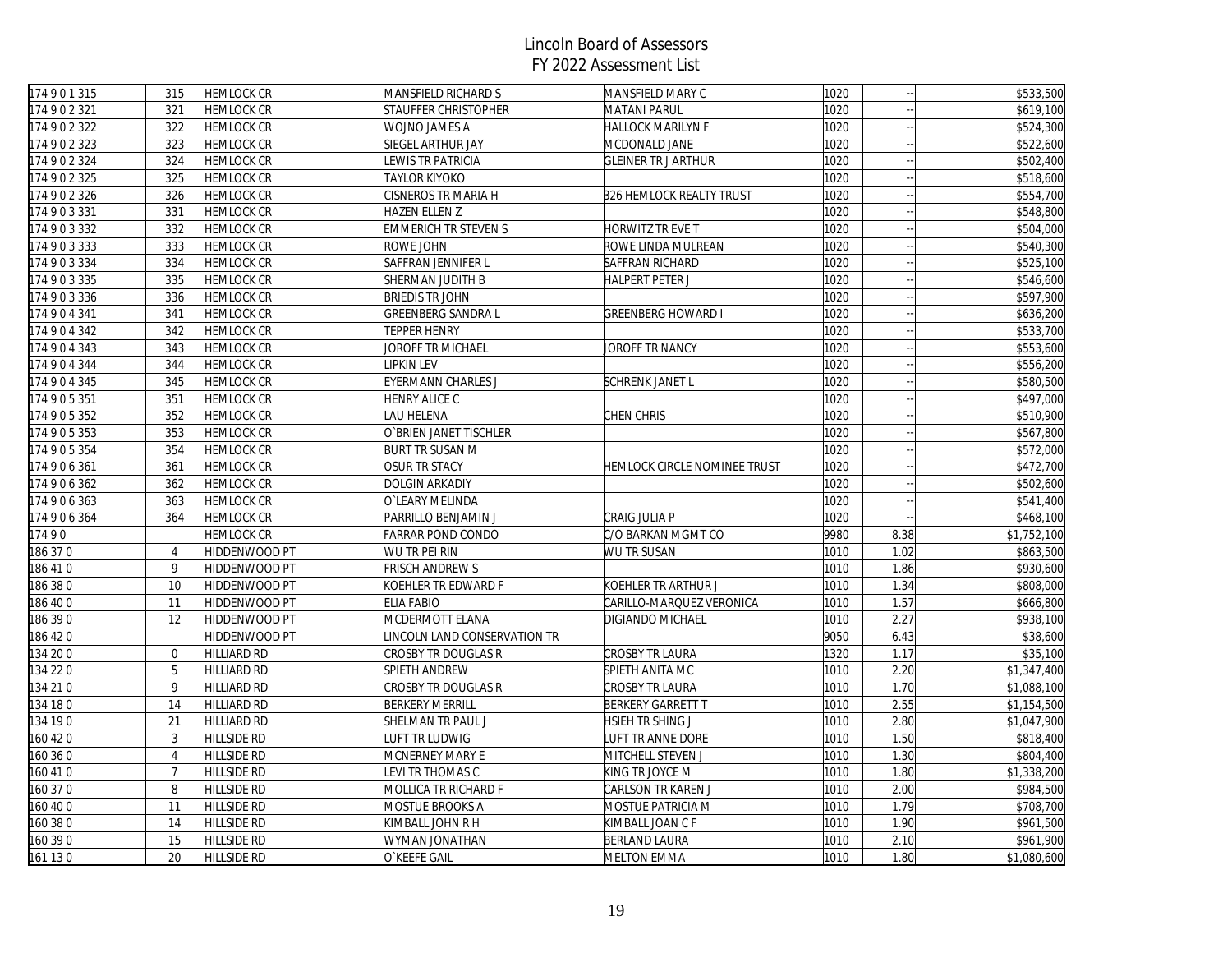| 174901315 | 315            | <b>HEMLOCK CR</b>  | MANSFIELD RICHARD S          | MANSFIELD MARY C             | 1020 |      | \$533,500   |
|-----------|----------------|--------------------|------------------------------|------------------------------|------|------|-------------|
| 174902321 | 321            | HEMLOCK CR         | <b>STAUFFER CHRISTOPHER</b>  | MATANI PARUL                 | 1020 |      | \$619,100   |
| 174902322 | 322            | <b>HEMLOCK CR</b>  | WOJNO JAMES A                | <b>HALLOCK MARILYN F</b>     | 1020 |      | \$524,300   |
| 174902323 | 323            | <b>HEMLOCK CR</b>  | <b>SIEGEL ARTHUR JAY</b>     | MCDONALD JANE                | 1020 |      | \$522,600   |
| 174902324 | 324            | <b>HEMLOCK CR</b>  | LEWIS TR PATRICIA            | <b>GLEINER TR J ARTHUR</b>   | 1020 |      | \$502,400   |
| 174902325 | 325            | <b>HEMLOCK CR</b>  | <b>TAYLOR KIYOKO</b>         |                              | 1020 |      | \$518,600   |
| 174902326 | 326            | <b>HEMLOCK CR</b>  | CISNEROS TR MARIA H          | 326 HEMLOCK REALTY TRUST     | 1020 |      | \$554,700   |
| 174903331 | 331            | <b>HEMLOCK CR</b>  | HAZEN ELLEN Z                |                              | 1020 |      | \$548,800   |
| 174903332 | 332            | <b>HEMLOCK CR</b>  | <b>EMMERICH TR STEVEN S</b>  | HORWITZ TR EVE T             | 1020 |      | \$504,000   |
| 174903333 | 333            | <b>HEMLOCK CR</b>  | ROWE JOHN                    | ROWE LINDA MULREAN           | 1020 |      | \$540,300   |
| 174903334 | 334            | <b>HEMLOCK CR</b>  | SAFFRAN JENNIFER L           | SAFFRAN RICHARD              | 1020 |      | \$525,100   |
| 174903335 | 335            | <b>HEMLOCK CR</b>  | SHERMAN JUDITH B             | <b>HALPERT PETER J</b>       | 1020 |      | \$546,600   |
| 174903336 | 336            | <b>HEMLOCK CR</b>  | <b>BRIEDIS TR JOHN</b>       |                              | 1020 |      | \$597,900   |
| 174904341 | 341            | <b>HEMLOCK CR</b>  | GREENBERG SANDRA L           | <b>GREENBERG HOWARD I</b>    | 1020 |      | \$636,200   |
| 174904342 | 342            | <b>HEMLOCK CR</b>  | <b>TEPPER HENRY</b>          |                              | 1020 |      | \$533,700   |
| 174904343 | 343            | <b>HEMLOCK CR</b>  | JOROFF TR MICHAEL            | JOROFF TR NANCY              | 1020 |      | \$553,600   |
| 174904344 | 344            | <b>HEMLOCK CR</b>  | LIPKIN LEV                   |                              | 1020 |      | \$556,200   |
| 174904345 | 345            | HEMLOCK CR         | EYERMANN CHARLES J           | <b>SCHRENK JANET L</b>       | 1020 |      | \$580,500   |
| 174905351 | 351            | <b>HEMLOCK CR</b>  | HENRY ALICE C                |                              | 1020 |      | \$497,000   |
| 174905352 | 352            | <b>HEMLOCK CR</b>  | LAU HELENA                   | CHEN CHRIS                   | 1020 |      | \$510,900   |
| 174905353 | 353            | <b>HEMLOCK CR</b>  | O'BRIEN JANET TISCHLER       |                              | 1020 |      | \$567,800   |
| 174905354 | 354            | <b>HEMLOCK CR</b>  | <b>BURT TR SUSAN M</b>       |                              | 1020 |      | \$572,000   |
| 174906361 | 361            | <b>HEMLOCK CR</b>  | <b>OSUR TR STACY</b>         | HEMLOCK CIRCLE NOMINEE TRUST | 1020 |      | \$472,700   |
| 174906362 | 362            | <b>HEMLOCK CR</b>  | <b>DOLGIN ARKADIY</b>        |                              | 1020 |      | \$502,600   |
| 174906363 | 363            | <b>HEMLOCK CR</b>  | O`LEARY MELINDA              |                              | 1020 |      | \$541,400   |
| 174906364 | 364            | <b>HEMLOCK CR</b>  | PARRILLO BENJAMIN J          | CRAIG JULIA P                | 1020 |      | \$468,100   |
| 17490     |                | <b>HEMLOCK CR</b>  | <b>FARRAR POND CONDO</b>     | C/O BARKAN MGMT CO           | 9980 | 8.38 | \$1,752,100 |
| 186 370   | $\overline{4}$ | HIDDENWOOD PT      | WU TR PEI RIN                | WU TR SUSAN                  | 1010 | 1.02 | \$863,500   |
| 186 410   | 9              | HIDDENWOOD PT      | <b>FRISCH ANDREW S</b>       |                              | 1010 | 1.86 | \$930,600   |
| 186 38 0  | 10             | HIDDENWOOD PT      | KOEHLER TR EDWARD F          | KOEHLER TR ARTHUR J          | 1010 | 1.34 | \$808,000   |
| 186 400   | 11             | HIDDENWOOD PT      | <b>ELIA FABIO</b>            | CARILLO-MARQUEZ VERONICA     | 1010 | 1.57 | \$666,800   |
| 186 39 0  | 12             | HIDDENWOOD PT      | MCDERMOTT ELANA              | DIGIANDO MICHAEL             | 1010 | 2.27 | \$938,100   |
| 186 420   |                | HIDDENWOOD PT      | LINCOLN LAND CONSERVATION TR |                              | 9050 | 6.43 | \$38,600    |
| 134 200   | $\overline{0}$ | <b>HILLIARD RD</b> | CROSBY TR DOUGLAS R          | <b>CROSBY TR LAURA</b>       | 1320 | 1.17 | \$35,100    |
| 134 22 0  | 5              | HILLIARD RD        | <b>SPIETH ANDREW</b>         | SPIETH ANITA MC              | 1010 | 2.20 | \$1,347,400 |
| 134 21 0  | 9              | <b>HILLIARD RD</b> | CROSBY TR DOUGLAS R          | CROSBY TR LAURA              | 1010 | 1.70 | \$1,088,100 |
| 134 18 0  | 14             | <b>HILLIARD RD</b> | <b>BERKERY MERRILL</b>       | <b>BERKERY GARRETT T</b>     | 1010 | 2.55 | \$1,154,500 |
| 134 190   | 21             | <b>HILLIARD RD</b> | SHELMAN TR PAUL J            | HSIEH TR SHING J             | 1010 | 2.80 | \$1,047,900 |
| 160 42 0  | 3              | <b>HILLSIDE RD</b> | UFT TR LUDWIG                | LUFT TR ANNE DORE            | 1010 | 1.50 | \$818,400   |
| 160 36 0  | $\overline{4}$ | <b>HILLSIDE RD</b> | MCNERNEY MARY E              | MITCHELL STEVEN J            | 1010 | 1.30 | \$804,400   |
| 160 41 0  | $\overline{7}$ | <b>HILLSIDE RD</b> | <b>EVI TR THOMAS C</b>       | KING TR JOYCE M              | 1010 | 1.80 | \$1,338,200 |
| 160 370   | 8              | <b>HILLSIDE RD</b> | MOLLICA TR RICHARD F         | CARLSON TR KAREN J           | 1010 | 2.00 | \$984,500   |
| 160 40 0  | 11             | <b>HILLSIDE RD</b> | MOSTUE BROOKS A              | MOSTUE PATRICIA M            | 1010 | 1.79 | \$708,700   |
| 160 38 0  | 14             | <b>HILLSIDE RD</b> | KIMBALL JOHN R H             | KIMBALL JOAN C F             | 1010 | 1.90 | \$961,500   |
| 160 390   | 15             | <b>HILLSIDE RD</b> | WYMAN JONATHAN               | <b>BERLAND LAURA</b>         | 1010 | 2.10 | \$961,900   |
| 161 130   | 20             | HILLSIDE RD        | O`KEEFE GAIL                 | <b>MELTON EMMA</b>           | 1010 | 1.80 | \$1,080,600 |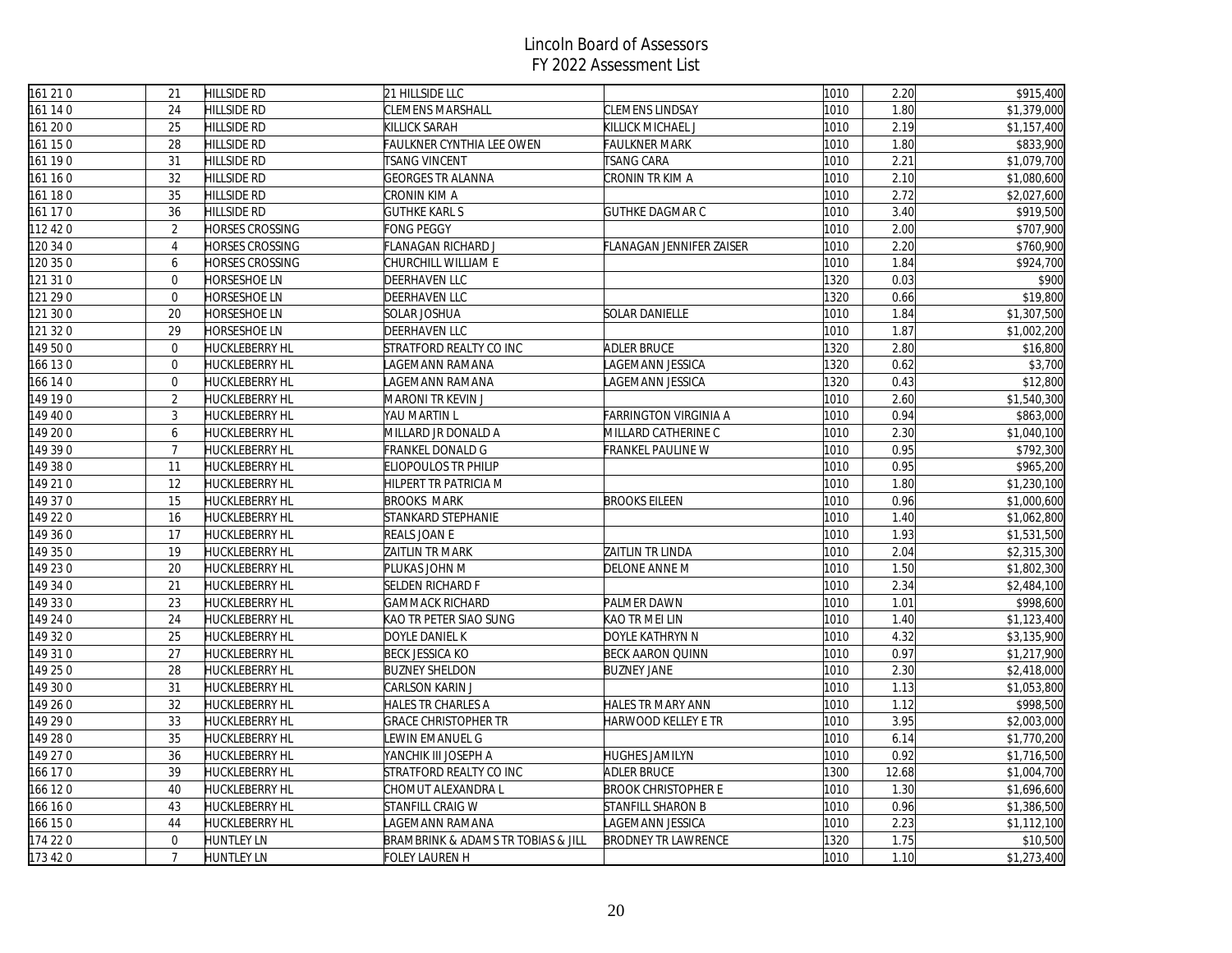| 161 210  | 21               | <b>HILLSIDE RD</b>     | 21 HILLSIDE LLC                    |                            | 1010 | 2.20  | \$915,400   |
|----------|------------------|------------------------|------------------------------------|----------------------------|------|-------|-------------|
| 161 140  | 24               | HILLSIDE RD            | <b>CLEMENS MARSHALL</b>            | <b>CLEMENS LINDSAY</b>     | 1010 | 1.80  | \$1,379,000 |
| 161 200  | 25               | <b>HILLSIDE RD</b>     | KILLICK SARAH                      | KILLICK MICHAEL J          | 1010 | 2.19  | \$1,157,400 |
| 161 150  | 28               | <b>HILLSIDE RD</b>     | <b>FAULKNER CYNTHIA LEE OWEN</b>   | <b>FAULKNER MARK</b>       | 1010 | 1.80  | \$833,900   |
| 161 190  | 31               | <b>HILLSIDE RD</b>     | <b>TSANG VINCENT</b>               | <b>TSANG CARA</b>          | 1010 | 2.21  | \$1,079,700 |
| 161 160  | 32               | <b>HILLSIDE RD</b>     | <b>GEORGES TR ALANNA</b>           | CRONIN TR KIM A            | 1010 | 2.10  | \$1,080,600 |
| 161 180  | 35               | <b>HILLSIDE RD</b>     | CRONIN KIM A                       |                            | 1010 | 2.72  | \$2,027,600 |
| 161 170  | 36               | <b>HILLSIDE RD</b>     | <b>GUTHKE KARL S</b>               | <b>GUTHKE DAGMAR C</b>     | 1010 | 3.40  | \$919,500   |
| 112 42 0 | 2                | <b>HORSES CROSSING</b> | FONG PEGGY                         |                            | 1010 | 2.00  | \$707,900   |
| 120 34 0 | $\overline{4}$   | <b>HORSES CROSSING</b> | FLANAGAN RICHARD J                 | FLANAGAN JENNIFER ZAISER   | 1010 | 2.20  | \$760,900   |
| 120 35 0 | 6                | <b>HORSES CROSSING</b> | CHURCHILL WILLIAM E                |                            | 1010 | 1.84  | \$924,700   |
| 121 31 0 | $\mathbf 0$      | <b>HORSESHOE LN</b>    | <b>DEERHAVEN LLC</b>               |                            | 1320 | 0.03  | \$900       |
| 121 29 0 | $\mathbf 0$      | HORSESHOE LN           | DEERHAVEN LLC                      |                            | 1320 | 0.66  | \$19,800    |
| 121 30 0 | 20               | <b>HORSESHOE LN</b>    | <b>SOLAR JOSHUA</b>                | <b>SOLAR DANIELLE</b>      | 1010 | 1.84  | \$1,307,500 |
| 121 320  | 29               | HORSESHOE LN           | DEERHAVEN LLC                      |                            | 1010 | 1.87  | \$1,002,200 |
| 149 50 0 | $\Omega$         | <b>HUCKLEBERRY HL</b>  | STRATFORD REALTY CO INC            | <b>ADLER BRUCE</b>         | 1320 | 2.80  | \$16,800    |
| 166 130  | $\boldsymbol{0}$ | <b>HUCKLEBERRY HL</b>  | LAGEMANN RAMANA                    | LAGEMANN JESSICA           | 1320 | 0.62  | \$3,700     |
| 166 14 0 | $\overline{0}$   | <b>HUCKLEBERRY HL</b>  | LAGEMANN RAMANA                    | AGEMANN JESSICA            | 1320 | 0.43  | \$12,800    |
| 149 190  | $\overline{2}$   | <b>HUCKLEBERRY HL</b>  | MARONI TR KEVIN J                  |                            | 1010 | 2.60  | \$1,540,300 |
| 149 40 0 | $\mathbf{3}$     | <b>HUCKLEBERRY HL</b>  | YAU MARTIN L                       | FARRINGTON VIRGINIA A      | 1010 | 0.94  | \$863,000   |
| 149 20 0 | 6                | <b>HUCKLEBERRY HL</b>  | MILLARD JR DONALD A                | MILLARD CATHERINE C        | 1010 | 2.30  | \$1,040,100 |
| 149 39 0 | $\overline{7}$   | <b>HUCKLEBERRY HL</b>  | FRANKEL DONALD G                   | FRANKEL PAULINE W          | 1010 | 0.95  | \$792,300   |
| 149 38 0 | 11               | <b>HUCKLEBERRY HL</b>  | <b>ELIOPOULOS TR PHILIP</b>        |                            | 1010 | 0.95  | \$965,200   |
| 149 21 0 | 12               | HUCKLEBERRY HL         | HILPERT TR PATRICIA M              |                            | 1010 | 1.80  | \$1,230,100 |
| 149 37 0 | 15               | <b>HUCKLEBERRY HL</b>  | <b>BROOKS MARK</b>                 | <b>BROOKS EILEEN</b>       | 1010 | 0.96  | \$1,000,600 |
| 149 22 0 | 16               | <b>HUCKLEBERRY HL</b>  | STANKARD STEPHANIE                 |                            | 1010 | 1.40  | \$1,062,800 |
| 149 36 0 | 17               | <b>HUCKLEBERRY HL</b>  | REALS JOAN E                       |                            | 1010 | 1.93  | \$1,531,500 |
| 149 350  | 19               | <b>HUCKLEBERRY HL</b>  | ZAITLIN TR MARK                    | ZAITLIN TR LINDA           | 1010 | 2.04  | \$2,315,300 |
| 149 230  | 20               | <b>HUCKLEBERRY HL</b>  | PLUKAS JOHN M                      | DELONE ANNE M              | 1010 | 1.50  | \$1,802,300 |
| 149 34 0 | 21               | <b>HUCKLEBERRY HL</b>  | <b>SELDEN RICHARD F</b>            |                            | 1010 | 2.34  | \$2,484,100 |
| 149 330  | 23               | <b>HUCKLEBERRY HL</b>  | <b>GAMMACK RICHARD</b>             | PALMER DAWN                | 1010 | 1.01  | \$998,600   |
| 149 24 0 | 24               | <b>HUCKLEBERRY HL</b>  | KAO TR PETER SIAO SUNG             | KAO TR MEI LIN             | 1010 | 1.40  | \$1,123,400 |
| 149 320  | 25               | <b>HUCKLEBERRY HL</b>  | DOYLE DANIEL K                     | DOYLE KATHRYN N            | 1010 | 4.32  | \$3,135,900 |
| 149 310  | 27               | <b>HUCKLEBERRY HL</b>  | <b>BECK JESSICA KO</b>             | <b>BECK AARON QUINN</b>    | 1010 | 0.97  | \$1,217,900 |
| 149 25 0 | 28               | <b>HUCKLEBERRY HL</b>  | <b>BUZNEY SHELDON</b>              | <b>BUZNEY JANE</b>         | 1010 | 2.30  | \$2,418,000 |
| 149 30 0 | 31               | <b>HUCKLEBERRY HL</b>  | CARLSON KARIN J                    |                            | 1010 | 1.13  | \$1,053,800 |
| 149 26 0 | 32               | <b>HUCKLEBERRY HL</b>  | HALES TR CHARLES A                 | HALES TR MARY ANN          | 1010 | 1.12  | \$998,500   |
| 149 29 0 | 33               | <b>HUCKLEBERRY HL</b>  | <b>GRACE CHRISTOPHER TR</b>        | HARWOOD KELLEY E TR        | 1010 | 3.95  | \$2,003,000 |
| 149 28 0 | 35               | <b>HUCKLEBERRY HL</b>  | EWIN EMANUEL G                     |                            | 1010 | 6.14  | \$1,770,200 |
| 149 27 0 | 36               | HUCKLEBERRY HL         | YANCHIK III JOSEPH A               | <b>HUGHES JAMILYN</b>      | 1010 | 0.92  | \$1,716,500 |
| 166 170  | 39               | <b>HUCKLEBERRY HL</b>  | STRATFORD REALTY CO INC            | <b>ADLER BRUCE</b>         | 1300 | 12.68 | \$1,004,700 |
| 166 120  | 40               | <b>HUCKLEBERRY HL</b>  | CHOMUT ALEXANDRA L                 | <b>BROOK CHRISTOPHER E</b> | 1010 | 1.30  | \$1,696,600 |
| 166 16 0 | 43               | <b>HUCKLEBERRY HL</b>  | <b>STANFILL CRAIG W</b>            | STANFILL SHARON B          | 1010 | 0.96  | \$1,386,500 |
| 166 150  | 44               | HUCKLEBERRY HL         | AGEMANN RAMANA                     | LAGEMANN JESSICA           | 1010 | 2.23  | \$1,112,100 |
| 174 220  | $\overline{0}$   | <b>HUNTLEY LN</b>      | BRAMBRINK & ADAMS TR TOBIAS & JILL | <b>BRODNEY TR LAWRENCE</b> | 1320 | 1.75  | \$10,500    |
| 173 420  | $\overline{7}$   | <b>HUNTLEY LN</b>      | FOLEY LAUREN H                     |                            | 1010 | 1.10  | \$1,273,400 |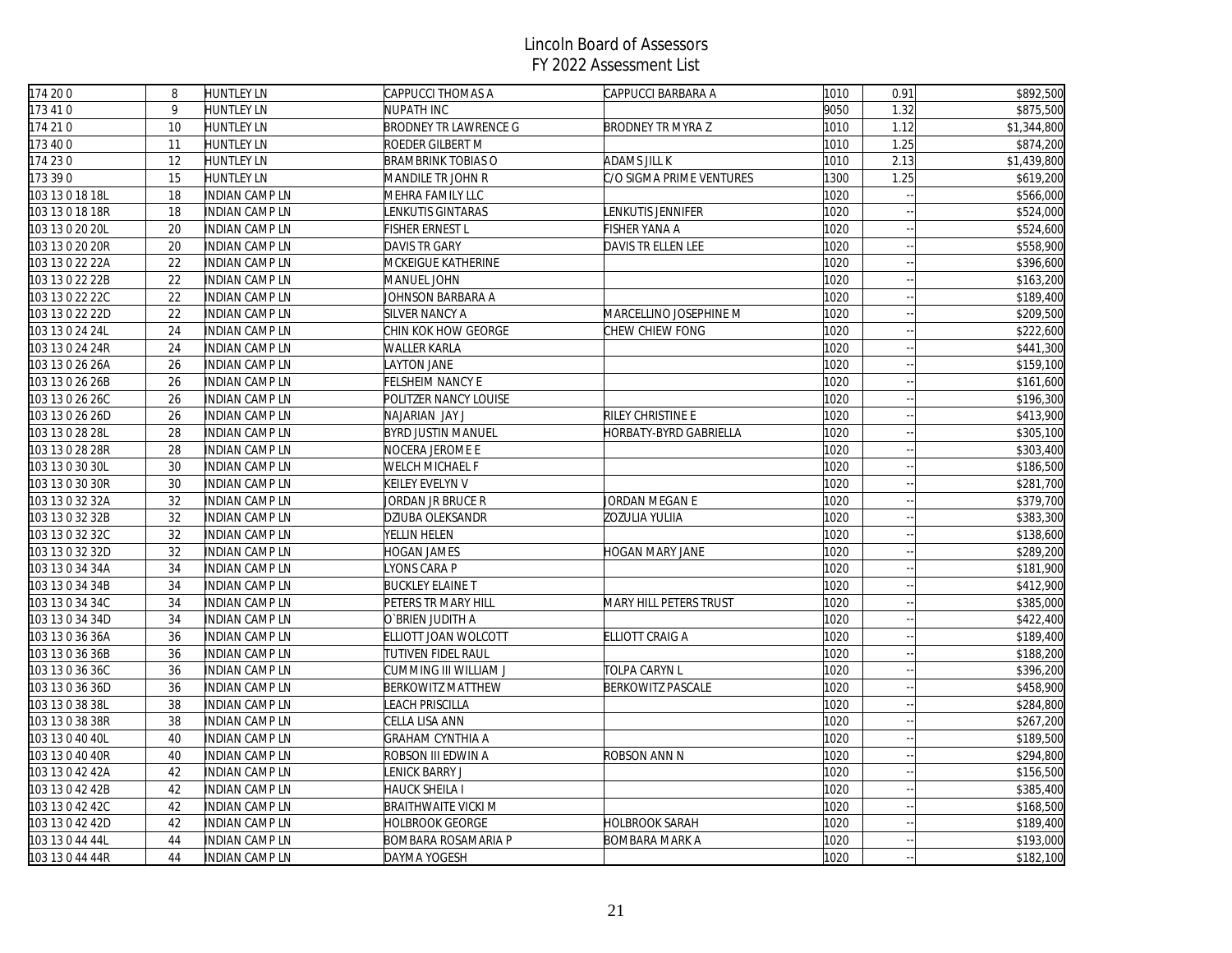| 174 200                      | 8  | <b>HUNTLEY LN</b>     | CAPPUCCI THOMAS A            | CAPPUCCI BARBARA A       | 1010 | 0.91 | \$892,500   |
|------------------------------|----|-----------------------|------------------------------|--------------------------|------|------|-------------|
| 173 41 0                     | 9  | <b>HUNTLEY LN</b>     | NUPATH INC                   |                          | 9050 | 1.32 | \$875,500   |
| 174 210                      | 10 | <b>HUNTLEY LN</b>     | <b>BRODNEY TR LAWRENCE G</b> | <b>BRODNEY TR MYRA Z</b> | 1010 | 1.12 | \$1,344,800 |
| 173 400                      | 11 | <b>HUNTLEY LN</b>     | ROEDER GILBERT M             |                          | 1010 | 1.25 | \$874,200   |
| 174 230                      | 12 | <b>HUNTLEY LN</b>     | BRAMBRINK TOBIAS O           | ADAMS JILL K             | 1010 | 2.13 | \$1,439,800 |
| 173 39 0                     | 15 | HUNTLEY LN            | MANDILE TR JOHN R            | C/O SIGMA PRIME VENTURES | 1300 | 1.25 | \$619,200   |
| 103 13 0 18 18L              | 18 | <b>INDIAN CAMP LN</b> | MEHRA FAMILY LLC             |                          | 1020 |      | \$566,000   |
| 103 13 0 18 18R              | 18 | <b>INDIAN CAMP LN</b> | <b>ENKUTIS GINTARAS</b>      | LENKUTIS JENNIFER        | 1020 |      | \$524,000   |
| 103 13 0 20 20L              | 20 | INDIAN CAMP LN        | FISHER ERNEST L              | FISHER YANA A            | 1020 |      | \$524,600   |
| 103 13 0 20 20R              | 20 | INDIAN CAMP LN        | <b>DAVIS TR GARY</b>         | DAVIS TR ELLEN LEE       | 1020 |      | \$558,900   |
| 103 13 0 22 22A              | 22 | INDIAN CAMP LN        | MCKEIGUE KATHERINE           |                          | 1020 |      | \$396,600   |
| 103 13 0 22 22B              | 22 | <b>INDIAN CAMP LN</b> | <b>MANUEL JOHN</b>           |                          | 1020 |      | \$163,200   |
| 103 13 0 22 22C              | 22 | INDIAN CAMP LN        | JOHNSON BARBARA A            |                          | 1020 |      | \$189,400   |
| 103 13 0 22 22D              | 22 | INDIAN CAMP LN        | <b>SILVER NANCY A</b>        | MARCELLINO JOSEPHINE M   | 1020 |      | \$209,500   |
| $\overline{103}$ 13 0 24 24L | 24 | INDIAN CAMP LN        | CHIN KOK HOW GEORGE          | CHEW CHIEW FONG          | 1020 |      | \$222,600   |
| 103 13 0 24 24R              | 24 | INDIAN CAMP LN        | WALLER KARLA                 |                          | 1020 |      | \$441,300   |
| 103 13 0 26 26A              | 26 | INDIAN CAMP LN        | AYTON JANE                   |                          | 1020 |      | \$159,100   |
| 103 13 0 26 26B              | 26 | INDIAN CAMP LN        | FELSHEIM NANCY E             |                          | 1020 |      | \$161,600   |
| 103 13 0 26 26C              | 26 | INDIAN CAMP LN        | POLITZER NANCY LOUISE        |                          | 1020 |      | \$196,300   |
| 103 13 0 26 26D              | 26 | <b>INDIAN CAMP LN</b> | NAJARIAN JAY J               | RILEY CHRISTINE E        | 1020 |      | \$413,900   |
| 103 13 0 28 28L              | 28 | <b>INDIAN CAMP LN</b> | <b>BYRD JUSTIN MANUEL</b>    | HORBATY-BYRD GABRIELLA   | 1020 |      | \$305,100   |
| 103 13 0 28 28R              | 28 | INDIAN CAMP LN        | NOCERA JEROME E              |                          | 1020 |      | \$303,400   |
| 103 13 0 30 30L              | 30 | INDIAN CAMP LN        | WELCH MICHAEL F              |                          | 1020 |      | \$186,500   |
| 103 13 0 30 30R              | 30 | INDIAN CAMP LN        | KEILEY EVELYN V              |                          | 1020 |      | \$281,700   |
| 103 13 0 32 32A              | 32 | <b>INDIAN CAMP LN</b> | Jordan jr Bruce R            | JORDAN MEGAN E           | 1020 |      | \$379,700   |
| 103 13 0 32 32B              | 32 | INDIAN CAMP LN        | DZIUBA OLEKSANDR             | ZOZULIA YULIIA           | 1020 |      | \$383,300   |
| 103 13 0 32 32C              | 32 | INDIAN CAMP LN        | YELLIN HELEN                 |                          | 1020 |      | \$138,600   |
| 103 13 0 32 32D              | 32 | INDIAN CAMP LN        | <b>HOGAN JAMES</b>           | HOGAN MARY JANE          | 1020 |      | \$289,200   |
| 103 13 0 34 34A              | 34 | INDIAN CAMP LN        | YONS CARA P                  |                          | 1020 |      | \$181,900   |
| 103 13 0 34 34B              | 34 | INDIAN CAMP LN        | <b>BUCKLEY ELAINE T</b>      |                          | 1020 |      | \$412,900   |
| 103 13 0 34 34C              | 34 | INDIAN CAMP LN        | PETERS TR MARY HILL          | MARY HILL PETERS TRUST   | 1020 |      | \$385,000   |
| 103 13 0 34 34D              | 34 | INDIAN CAMP LN        | O`BRIEN JUDITH A             |                          | 1020 |      | \$422,400   |
| 103 13 0 36 36A              | 36 | <b>INDIAN CAMP LN</b> | ELLIOTT JOAN WOLCOTT         | ELLIOTT CRAIG A          | 1020 |      | \$189,400   |
| 103 13 0 36 36B              | 36 | <b>INDIAN CAMP LN</b> | TUTIVEN FIDEL RAUL           |                          | 1020 |      | \$188,200   |
| 103 13 0 36 36C              | 36 | INDIAN CAMP LN        | CUMMING III WILLIAM J        | TOLPA CARYN L            | 1020 |      | \$396,200   |
| 103 13 0 36 36D              | 36 | INDIAN CAMP LN        | <b>BERKOWITZ MATTHEW</b>     | <b>BERKOWITZ PASCALE</b> | 1020 |      | \$458,900   |
| 103 13 0 38 38L              | 38 | INDIAN CAMP LN        | <b>EACH PRISCILLA</b>        |                          | 1020 |      | \$284,800   |
| 103 13 0 38 38R              | 38 | <b>INDIAN CAMP LN</b> | CELLA LISA ANN               |                          | 1020 |      | \$267,200   |
| 103 13 0 40 40L              | 40 | INDIAN CAMP LN        | GRAHAM CYNTHIA A             |                          | 1020 |      | \$189,500   |
| 103 13 0 40 40R              | 40 | INDIAN CAMP LN        | ROBSON III EDWIN A           | ROBSON ANN N             | 1020 |      | \$294,800   |
| 103 13 0 42 42A              | 42 | <b>INDIAN CAMP LN</b> | <b>ENICK BARRY J</b>         |                          | 1020 |      | \$156,500   |
| 103 13 0 42 42B              | 42 | <b>INDIAN CAMP LN</b> | HAUCK SHEILA I               |                          | 1020 |      | \$385,400   |
| 103 13 0 42 42C              | 42 | INDIAN CAMP LN        | <b>BRAITHWAITE VICKI M</b>   |                          | 1020 |      | \$168,500   |
| 103 13 0 42 42D              | 42 | INDIAN CAMP LN        | HOLBROOK GEORGE              | HOLBROOK SARAH           | 1020 |      | \$189,400   |
| 103 13 0 44 44L              | 44 | INDIAN CAMP LN        | BOMBARA ROSAMARIA P          | BOMBARA MARK A           | 1020 |      | \$193,000   |
| 103 13 0 44 44R              | 44 | INDIAN CAMP LN        | DAYMA YOGESH                 |                          | 1020 |      | \$182,100   |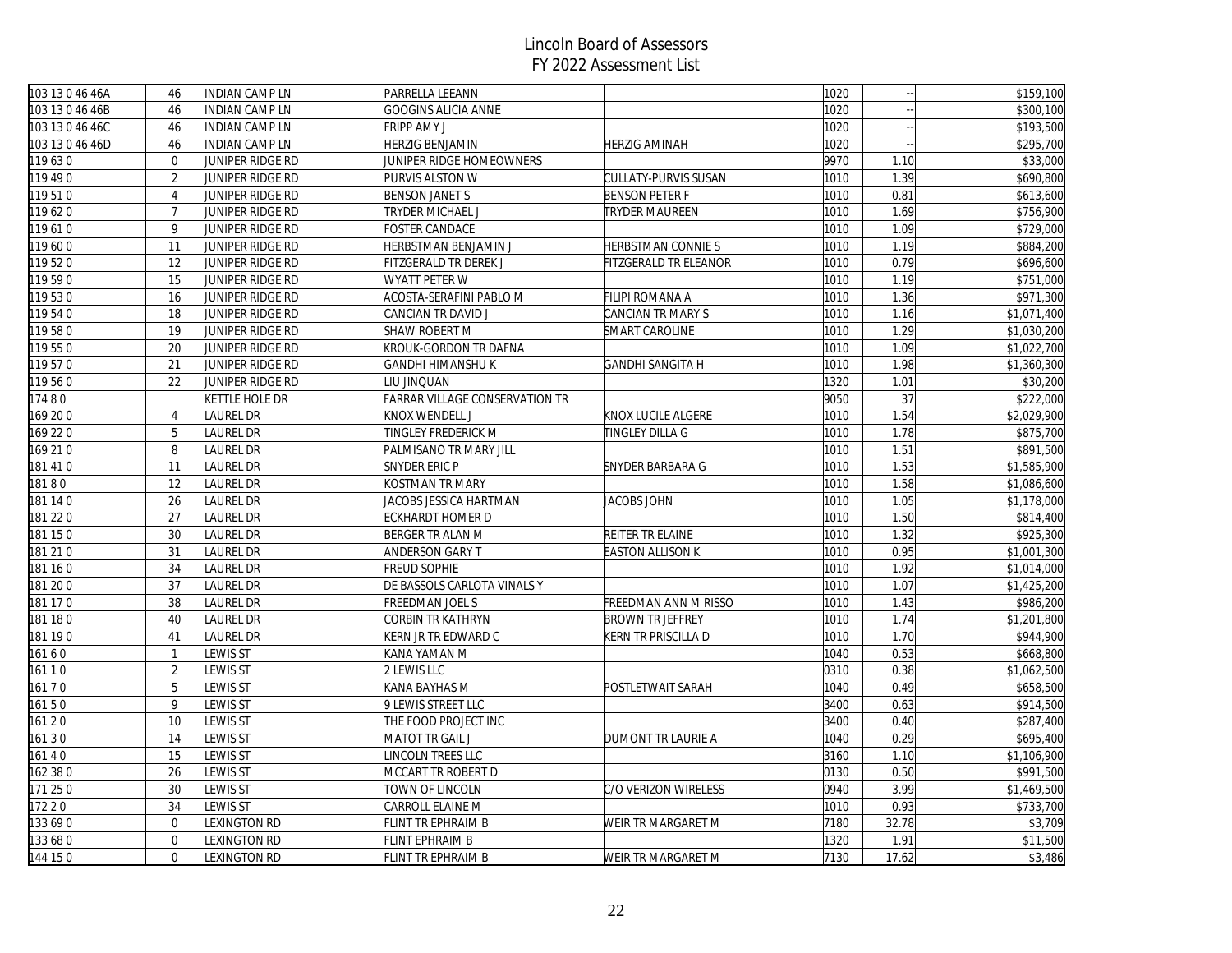| 103 13 0 46 46A | 46             | <b>INDIAN CAMP LN</b> | PARRELLA LEEANN                       |                         | 1020 |       | \$159,100   |
|-----------------|----------------|-----------------------|---------------------------------------|-------------------------|------|-------|-------------|
| 103 13 0 46 46B | 46             | INDIAN CAMP LN        | GOOGINS ALICIA ANNE                   |                         | 1020 |       | \$300,100   |
| 103 13 0 46 46C | 46             | <b>INDIAN CAMP LN</b> | FRIPP AMY J                           |                         | 1020 |       | \$193,500   |
| 103 13 0 46 46D | 46             | INDIAN CAMP LN        | HERZIG BENJAMIN                       | <b>HERZIG AMINAH</b>    | 1020 |       | \$295,700   |
| 119630          | $\overline{0}$ | JUNIPER RIDGE RD      | JUNIPER RIDGE HOMEOWNERS              |                         | 9970 | 1.10  | \$33,000    |
| 119 49 0        | $\overline{2}$ | JUNIPER RIDGE RD      | PURVIS ALSTON W                       | CULLATY-PURVIS SUSAN    | 1010 | 1.39  | \$690,800   |
| 119510          | $\overline{4}$ | JUNIPER RIDGE RD      | <b>BENSON JANET S</b>                 | <b>BENSON PETER F</b>   | 1010 | 0.81  | \$613,600   |
| 119620          | $\overline{7}$ | JUNIPER RIDGE RD      | TRYDER MICHAEL J                      | <b>TRYDER MAUREEN</b>   | 1010 | 1.69  | \$756,900   |
| 119610          | 9              | JUNIPER RIDGE RD      | <b>FOSTER CANDACE</b>                 |                         | 1010 | 1.09  | \$729,000   |
| 119600          | 11             | JUNIPER RIDGE RD      | HERBSTMAN BENJAMIN J                  | HERBSTMAN CONNIE S      | 1010 | 1.19  | \$884,200   |
| 119520          | 12             | JUNIPER RIDGE RD      | FITZGERALD TR DEREK J                 | FITZGERALD TR ELEANOR   | 1010 | 0.79  | \$696,600   |
| 119590          | 15             | JUNIPER RIDGE RD      | WYATT PETER W                         |                         | 1010 | 1.19  | \$751,000   |
| 119530          | 16             | JUNIPER RIDGE RD      | ACOSTA-SERAFINI PABLO M               | FILIPI ROMANA A         | 1010 | 1.36  | \$971,300   |
| 119540          | 18             | JUNIPER RIDGE RD      | CANCIAN TR DAVID J                    | CANCIAN TR MARY S       | 1010 | 1.16  | \$1,071,400 |
| 119580          | 19             | JUNIPER RIDGE RD      | SHAW ROBERT M                         | SMART CAROLINE          | 1010 | 1.29  | \$1,030,200 |
| 119550          | 20             | JUNIPER RIDGE RD      | KROUK-GORDON TR DAFNA                 |                         | 1010 | 1.09  | \$1,022,700 |
| 119570          | 21             | JUNIPER RIDGE RD      | GANDHI HIMANSHU K                     | <b>GANDHI SANGITA H</b> | 1010 | 1.98  | \$1,360,300 |
| 119560          | 22             | JUNIPER RIDGE RD      | LIU JINQUAN                           |                         | 1320 | 1.01  | \$30,200    |
| 17480           |                | <b>KETTLE HOLE DR</b> | <b>FARRAR VILLAGE CONSERVATION TR</b> |                         | 9050 | 37    | \$222,000   |
| 169 200         | $\overline{4}$ | LAUREL DR             | KNOX WENDELL J                        | KNOX LUCILE ALGERE      | 1010 | 1.54  | \$2,029,900 |
| 169 220         | 5              | LAUREL DR             | TINGLEY FREDERICK M                   | TINGLEY DILLA G         | 1010 | 1.78  | \$875,700   |
| 169 21 0        | 8              | LAUREL DR             | PALMISANO TR MARY JILL                |                         | 1010 | 1.51  | \$891,500   |
| 181 41 0        | 11             | LAUREL DR             | SNYDER ERIC P                         | SNYDER BARBARA G        | 1010 | 1.53  | \$1,585,900 |
| 18180           | 12             | LAUREL DR             | KOSTMAN TR MARY                       |                         | 1010 | 1.58  | \$1,086,600 |
| 181 14 0        | 26             | LAUREL DR             | JACOBS JESSICA HARTMAN                | <b>JACOBS JOHN</b>      | 1010 | 1.05  | \$1,178,000 |
| 181 22 0        | 27             | <b>LAUREL DR</b>      | ECKHARDT HOMER D                      |                         | 1010 | 1.50  | \$814,400   |
| 181 150         | 30             | LAUREL DR             | BERGER TR ALAN M                      | REITER TR ELAINE        | 1010 | 1.32  | \$925,300   |
| 181 21 0        | 31             | LAUREL DR             | ANDERSON GARY T                       | <b>EASTON ALLISON K</b> | 1010 | 0.95  | \$1,001,300 |
| 181 160         | 34             | LAUREL DR             | <b>FREUD SOPHIE</b>                   |                         | 1010 | 1.92  | \$1,014,000 |
| 181 200         | 37             | LAUREL DR             | DE BASSOLS CARLOTA VINALS Y           |                         | 1010 | 1.07  | \$1,425,200 |
| 181 17 0        | 38             | <b>LAUREL DR</b>      | FREEDMAN JOEL S                       | FREEDMAN ANN M RISSO    | 1010 | 1.43  | \$986,200   |
| 181 180         | 40             | LAUREL DR             | CORBIN TR KATHRYN                     | <b>BROWN TR JEFFREY</b> | 1010 | 1.74  | \$1,201,800 |
| 181 190         | 41             | <b>LAUREL DR</b>      | KERN JR TR EDWARD C                   | KERN TR PRISCILLA D     | 1010 | 1.70  | \$944,900   |
| 16160           | $\mathbf{1}$   | <b>LEWIS ST</b>       | KANA YAMAN M                          |                         | 1040 | 0.53  | \$668,800   |
| 161 1 0         | $\sqrt{2}$     | LEWIS ST              | 2 LEWIS LLC                           |                         | 0310 | 0.38  | \$1,062,500 |
| 16170           | 5              | <b>LEWIS ST</b>       | KANA BAYHAS M                         | POSTLETWAIT SARAH       | 1040 | 0.49  | \$658,500   |
| 16150           | 9              | <b>LEWIS ST</b>       | 9 LEWIS STREET LLC                    |                         | 3400 | 0.63  | \$914,500   |
| 161 20          | 10             | <b>LEWIS ST</b>       | THE FOOD PROJECT INC                  |                         | 3400 | 0.40  | \$287,400   |
| 16130           | 14             | LEWIS ST              | MATOT TR GAIL J                       | DUMONT TR LAURIE A      | 1040 | 0.29  | \$695,400   |
| 16140           | 15             | LEWIS ST              | INCOLN TREES LLC                      |                         | 3160 | 1.10  | \$1,106,900 |
| 162 38 0        | 26             | LEWIS ST              | MCCART TR ROBERT D                    |                         | 0130 | 0.50  | \$991,500   |
| 171 25 0        | 30             | <b>LEWIS ST</b>       | TOWN OF LINCOLN                       | C/O VERIZON WIRELESS    | 0940 | 3.99  | \$1,469,500 |
| 17220           | 34             | LEWIS ST              | CARROLL ELAINE M                      |                         | 1010 | 0.93  | \$733,700   |
| 133690          | $\overline{0}$ | LEXINGTON RD          | FLINT TR EPHRAIM B                    | WEIR TR MARGARET M      | 7180 | 32.78 | \$3,709     |
| 133 68 0        | $\overline{0}$ | LEXINGTON RD          | FLINT EPHRAIM B                       |                         | 1320 | 1.91  | \$11,500    |
| 144 15 0        | $\mathbf{0}$   | LEXINGTON RD          | <b>FLINT TR EPHRAIM B</b>             | WEIR TR MARGARET M      | 7130 | 17.62 | \$3,486     |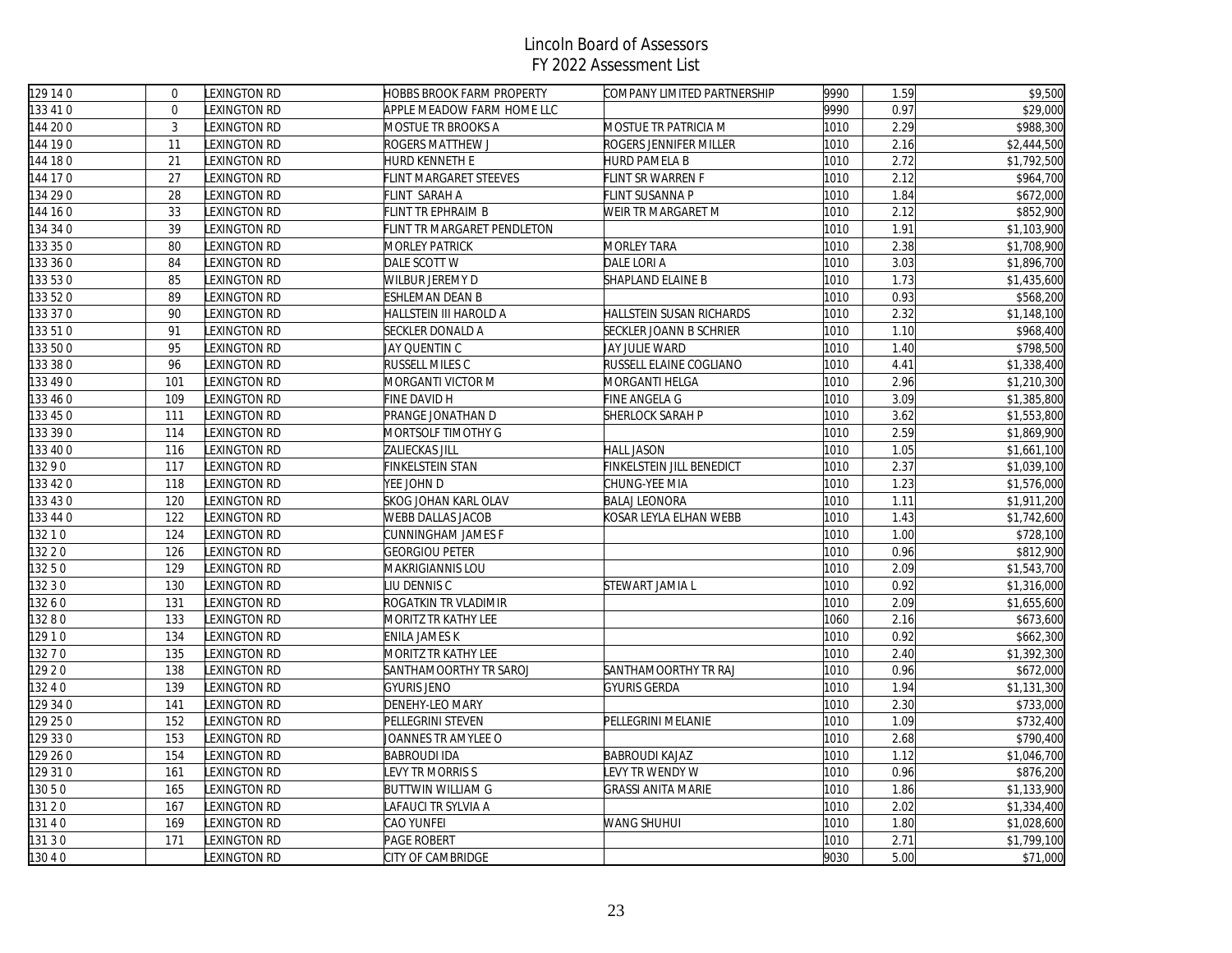| 129 14 0 | $\mathbf{0}$ | LEXINGTON RD        | <b>HOBBS BROOK FARM PROPERTY</b> | COMPANY LIMITED PARTNERSHIP | 9990 | 1.59 | \$9,500     |
|----------|--------------|---------------------|----------------------------------|-----------------------------|------|------|-------------|
| 133 41 0 | $\Omega$     | LEXINGTON RD        | APPLE MEADOW FARM HOME LLC       |                             | 9990 | 0.97 | \$29,000    |
| 144 200  | 3            | LEXINGTON RD        | MOSTUE TR BROOKS A               | MOSTUE TR PATRICIA M        | 1010 | 2.29 | \$988,300   |
| 144 190  | 11           | LEXINGTON RD        | ROGERS MATTHEW J                 | ROGERS JENNIFER MILLER      | 1010 | 2.16 | \$2,444,500 |
| 144 180  | 21           | <b>LEXINGTON RD</b> | HURD KENNETH E                   | <b>HURD PAMELA B</b>        | 1010 | 2.72 | \$1,792,500 |
| 144 170  | 27           | LEXINGTON RD        | FLINT MARGARET STEEVES           | FLINT SR WARREN F           | 1010 | 2.12 | \$964,700   |
| 134 29 0 | 28           | LEXINGTON RD        | FLINT SARAH A                    | FLINT SUSANNA P             | 1010 | 1.84 | \$672,000   |
| 144 16 0 | 33           | LEXINGTON RD        | FLINT TR EPHRAIM B               | WEIR TR MARGARET M          | 1010 | 2.12 | \$852,900   |
| 134 34 0 | 39           | LEXINGTON RD        | FLINT TR MARGARET PENDLETON      |                             | 1010 | 1.91 | \$1,103,900 |
| 133 35 0 | 80           | LEXINGTON RD        | <b>MORLEY PATRICK</b>            | <b>MORLEY TARA</b>          | 1010 | 2.38 | \$1,708,900 |
| 133 36 0 | 84           | LEXINGTON RD        | DALE SCOTT W                     | DALE LORI A                 | 1010 | 3.03 | \$1,896,700 |
| 133 53 0 | 85           | LEXINGTON RD        | WILBUR JEREMY D                  | SHAPLAND ELAINE B           | 1010 | 1.73 | \$1,435,600 |
| 133 52 0 | 89           | LEXINGTON RD        | ESHLEMAN DEAN B                  |                             | 1010 | 0.93 | \$568,200   |
| 133 37 0 | 90           | LEXINGTON RD        | HALLSTEIN III HAROLD A           | HALLSTEIN SUSAN RICHARDS    | 1010 | 2.32 | \$1,148,100 |
| 33510    | 91           | LEXINGTON RD        | <b>SECKLER DONALD A</b>          | SECKLER JOANN B SCHRIER     | 1010 | 1.10 | \$968,400   |
| 133 500  | 95           | <b>LEXINGTON RD</b> | JAY QUENTIN C                    | JAY JULIE WARD              | 1010 | 1.40 | \$798,500   |
| 33 38 0  | 96           | LEXINGTON RD        | <b>RUSSELL MILES C</b>           | RUSSELL ELAINE COGLIANO     | 1010 | 4.41 | \$1,338,400 |
| 133 49 0 | 101          | LEXINGTON RD        | MORGANTI VICTOR M                | MORGANTI HELGA              | 1010 | 2.96 | \$1,210,300 |
| 133 46 0 | 109          | LEXINGTON RD        | FINE DAVID H                     | FINE ANGELA G               | 1010 | 3.09 | \$1,385,800 |
| 133 45 0 | 111          | <b>LEXINGTON RD</b> | <b>PRANGE JONATHAN D</b>         | SHERLOCK SARAH P            | 1010 | 3.62 | \$1,553,800 |
| 133 39 0 | 114          | LEXINGTON RD        | MORTSOLF TIMOTHY G               |                             | 1010 | 2.59 | \$1,869,900 |
| 133 40 0 | 116          | <b>LEXINGTON RD</b> | ZALIECKAS JILL                   | <b>HALL JASON</b>           | 1010 | 1.05 | \$1,661,100 |
| 13290    | 117          | LEXINGTON RD        | FINKELSTEIN STAN                 | FINKELSTEIN JILL BENEDICT   | 1010 | 2.37 | \$1,039,100 |
| 133 42 0 | 118          | <b>LEXINGTON RD</b> | yee John D                       | CHUNG-YEE MIA               | 1010 | 1.23 | \$1,576,000 |
| 133 43 0 | 120          | LEXINGTON RD        | <b>SKOG JOHAN KARL OLAV</b>      | <b>BALAJ LEONORA</b>        | 1010 | 1.11 | \$1,911,200 |
| 133 44 0 | 122          | <b>LEXINGTON RD</b> | WEBB DALLAS JACOB                | KOSAR LEYLA ELHAN WEBB      | 1010 | 1.43 | \$1,742,600 |
| 13210    | 124          | <b>LEXINGTON RD</b> | CUNNINGHAM JAMES F               |                             | 1010 | 1.00 | \$728,100   |
| 132 2 0  | 126          | LEXINGTON RD        | <b>GEORGIOU PETER</b>            |                             | 1010 | 0.96 | \$812,900   |
| 13250    | 129          | LEXINGTON RD        | MAKRIGIANNIS LOU                 |                             | 1010 | 2.09 | \$1,543,700 |
| 132 3 0  | 130          | <b>LEXINGTON RD</b> | <b>IU DENNIS C</b>               | STEWART JAMIA L             | 1010 | 0.92 | \$1,316,000 |
| 13260    | 131          | LEXINGTON RD        | ROGATKIN TR VLADIMIR             |                             | 1010 | 2.09 | \$1,655,600 |
| 13280    | 133          | LEXINGTON RD        | MORITZ TR KATHY LEE              |                             | 1060 | 2.16 | \$673,600   |
| 12910    | 134          | <b>LEXINGTON RD</b> | ENILA JAMES K                    |                             | 1010 | 0.92 | \$662,300   |
| 13270    | 135          | LEXINGTON RD        | MORITZ TR KATHY LEE              |                             | 1010 | 2.40 | \$1,392,300 |
| 12920    | 138          | <b>LEXINGTON RD</b> | SANTHAMOORTHY TR SAROJ           | SANTHAMOORTHY TR RAJ        | 1010 | 0.96 | \$672,000   |
| 3240     | 139          | <b>LEXINGTON RD</b> | <b>GYURIS JENO</b>               | <b>GYURIS GERDA</b>         | 1010 | 1.94 | \$1,131,300 |
| 129 34 0 | 141          | <b>LEXINGTON RD</b> | DENEHY-LEO MARY                  |                             | 1010 | 2.30 | \$733,000   |
| 129 25 0 | 152          | LEXINGTON RD        | PELLEGRINI STEVEN                | PELLEGRINI MELANIE          | 1010 | 1.09 | \$732,400   |
| 129 33 0 | 153          | <b>LEXINGTON RD</b> | JOANNES TR AMYLEE O              |                             | 1010 | 2.68 | \$790,400   |
| 129 26 0 | 154          | LEXINGTON RD        | <b>BABROUDI IDA</b>              | <b>BABROUDI KAJAZ</b>       | 1010 | 1.12 | \$1,046,700 |
| 129 310  | 161          | <b>LEXINGTON RD</b> | <b>EVY TR MORRIS S</b>           | LEVY TR WENDY W             | 1010 | 0.96 | \$876,200   |
| 13050    | 165          | LEXINGTON RD        | <b>BUTTWIN WILLIAM G</b>         | <b>GRASSI ANITA MARIE</b>   | 1010 | 1.86 | \$1,133,900 |
| 131 2 0  | 167          | LEXINGTON RD        | AFAUCI TR SYLVIA A               |                             | 1010 | 2.02 | \$1,334,400 |
| 13140    | 169          | LEXINGTON RD        | CAO YUNFEI                       | WANG SHUHUI                 | 1010 | 1.80 | \$1,028,600 |
| 131 3 0  | 171          | <b>EXINGTON RD</b>  | <b>PAGE ROBERT</b>               |                             | 1010 | 2.71 | \$1,799,100 |
| 130 4 0  |              | <b>EXINGTON RD</b>  | CITY OF CAMBRIDGE                |                             | 9030 | 5.00 | \$71,000    |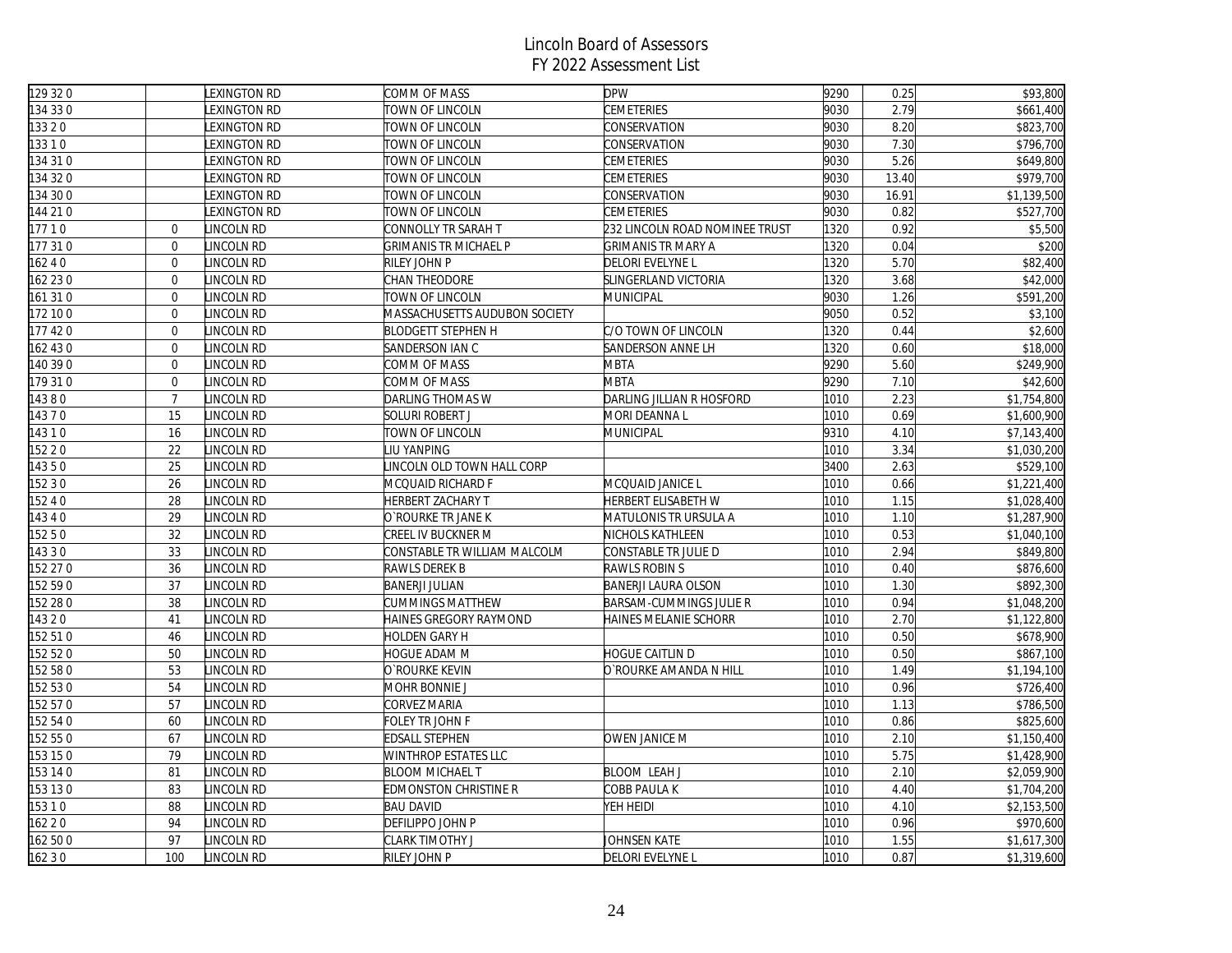| 129 32 0 |                | LEXINGTON RD        | COMM OF MASS                  | <b>DPW</b>                     | 9290 | 0.25  | \$93,800              |
|----------|----------------|---------------------|-------------------------------|--------------------------------|------|-------|-----------------------|
| 134 33 0 |                | <b>EXINGTON RD</b>  | TOWN OF LINCOLN               | <b>CEMETERIES</b>              | 9030 | 2.79  | \$661,400             |
| 133 2 0  |                | <b>EXINGTON RD</b>  | TOWN OF LINCOLN               | CONSERVATION                   | 9030 | 8.20  | \$823,700             |
| 13310    |                | <b>LEXINGTON RD</b> | TOWN OF LINCOLN               | CONSERVATION                   | 9030 | 7.30  | $\overline{$}796,700$ |
| 134 31 0 |                | LEXINGTON RD        | TOWN OF LINCOLN               | CEMETERIES                     | 9030 | 5.26  | \$649,800             |
| 134320   |                | LEXINGTON RD        | TOWN OF LINCOLN               | CEMETERIES                     | 9030 | 13.40 | \$979,700             |
| 134 30 0 |                | <b>EXINGTON RD</b>  | TOWN OF LINCOLN               | CONSERVATION                   | 9030 | 16.91 | \$1,139,500           |
| 144 21 0 |                | <b>LEXINGTON RD</b> | TOWN OF LINCOLN               | <b>CEMETERIES</b>              | 9030 | 0.82  | \$527,700             |
| 17710    | $\overline{0}$ | LINCOLN RD          | CONNOLLY TR SARAH T           | 232 LINCOLN ROAD NOMINEE TRUST | 1320 | 0.92  | \$5,500               |
| 177 31 0 | $\overline{0}$ | LINCOLN RD          | <b>GRIMANIS TR MICHAEL P</b>  | <b>GRIMANIS TR MARY A</b>      | 1320 | 0.04  | \$200                 |
| 16240    | $\overline{0}$ | LINCOLN RD          | RILEY JOHN P                  | DELORI EVELYNE L               | 1320 | 5.70  | \$82,400              |
| 162 230  | $\mathbf{0}$   | LINCOLN RD          | CHAN THEODORE                 | SLINGERLAND VICTORIA           | 1320 | 3.68  | \$42,000              |
| 161 31 0 | $\overline{0}$ | LINCOLN RD          | TOWN OF LINCOLN               | MUNICIPAL                      | 9030 | 1.26  | \$591,200             |
| 172 10 0 | $\mathbf 0$    | LINCOLN RD          | MASSACHUSETTS AUDUBON SOCIETY |                                | 9050 | 0.52  | \$3,100               |
| 177 420  | $\overline{0}$ | LINCOLN RD          | <b>BLODGETT STEPHEN H</b>     | C/O TOWN OF LINCOLN            | 1320 | 0.44  | \$2,600               |
| 162 430  | $\overline{0}$ | LINCOLN RD          | SANDERSON IAN C               | SANDERSON ANNE LH              | 1320 | 0.60  | \$18,000              |
| 140 39 0 | $\mathbf{0}$   | LINCOLN RD          | COMM OF MASS                  | <b>MBTA</b>                    | 9290 | 5.60  | \$249,900             |
| 179 310  | $\mathbf 0$    | LINCOLN RD          | COMM OF MASS                  | <b>MBTA</b>                    | 9290 | 7.10  | \$42,600              |
| 14380    | $\overline{7}$ | LINCOLN RD          | DARLING THOMAS W              | DARLING JILLIAN R HOSFORD      | 1010 | 2.23  | \$1,754,800           |
| 14370    | 15             | LINCOLN RD          | SOLURI ROBERT J               | MORI DEANNA L                  | 1010 | 0.69  | \$1,600,900           |
| 14310    | 16             | LINCOLN RD          | TOWN OF LINCOLN               | MUNICIPAL                      | 9310 | 4.10  | \$7,143,400           |
| 152 2 0  | 22             | LINCOLN RD          | <b>IU YANPING</b>             |                                | 1010 | 3.34  | \$1,030,200           |
| 14350    | 25             | LINCOLN RD          | LINCOLN OLD TOWN HALL CORP    |                                | 3400 | 2.63  | \$529,100             |
| 152 3 0  | 26             | LINCOLN RD          | MCQUAID RICHARD F             | MCQUAID JANICE L               | 1010 | 0.66  | \$1,221,400           |
| 15240    | 28             | LINCOLN RD          | <b>HERBERT ZACHARY T</b>      | HERBERT ELISABETH W            | 1010 | 1.15  | \$1,028,400           |
| 14340    | 29             | LINCOLN RD          | O`ROURKE TR JANE K            | MATULONIS TR URSULA A          | 1010 | 1.10  | \$1,287,900           |
| 15250    | 32             | LINCOLN RD          | CREEL IV BUCKNER M            | NICHOLS KATHLEEN               | 1010 | 0.53  | \$1,040,100           |
| 14330    | 33             | LINCOLN RD          | CONSTABLE TR WILLIAM MALCOLM  | CONSTABLE TR JULIE D           | 1010 | 2.94  | \$849,800             |
| 152 27 0 | 36             | LINCOLN RD          | RAWLS DEREK B                 | RAWLS ROBIN S                  | 1010 | 0.40  | \$876,600             |
| 152 590  | 37             | LINCOLN RD          | <b>BANERJI JULIAN</b>         | BANERJI LAURA OLSON            | 1010 | 1.30  | \$892,300             |
| 152 28 0 | 38             | LINCOLN RD          | CUMMINGS MATTHEW              | BARSAM-CUMMINGS JULIE R        | 1010 | 0.94  | \$1,048,200           |
| 14320    | 41             | LINCOLN RD          | HAINES GREGORY RAYMOND        | HAINES MELANIE SCHORR          | 1010 | 2.70  | \$1,122,800           |
| 152 510  | 46             | LINCOLN RD          | HOLDEN GARY H                 |                                | 1010 | 0.50  | \$678,900             |
| 152 52 0 | 50             | LINCOLN RD          | HOGUE ADAM M                  | <b>HOGUE CAITLIN D</b>         | 1010 | 0.50  | \$867,100             |
| 152 58 0 | 53             | LINCOLN RD          | O`ROURKE KEVIN                | O`ROURKE AMANDA N HILL         | 1010 | 1.49  | \$1,194,100           |
| 152 53 0 | 54             | LINCOLN RD          | MOHR BONNIE J                 |                                | 1010 | 0.96  | \$726,400             |
| 152 57 0 | 57             | LINCOLN RD          | CORVEZ MARIA                  |                                | 1010 | 1.13  | \$786,500             |
| 152 54 0 | 60             | LINCOLN RD          | FOLEY TR JOHN F               |                                | 1010 | 0.86  | $\overline{$825,600}$ |
| 152 550  | 67             | LINCOLN RD          | EDSALL STEPHEN                | <b>OWEN JANICE M</b>           | 1010 | 2.10  | \$1,150,400           |
| 153 150  | 79             | LINCOLN RD          | WINTHROP ESTATES LLC          |                                | 1010 | 5.75  | \$1,428,900           |
| 153 14 0 | 81             | LINCOLN RD          | <b>BLOOM MICHAEL T</b>        | <b>BLOOM LEAH J</b>            | 1010 | 2.10  | \$2,059,900           |
| 153 130  | 83             | LINCOLN RD          | <b>EDMONSTON CHRISTINE R</b>  | COBB PAULA K                   | 1010 | 4.40  | \$1,704,200           |
| 15310    | 88             | LINCOLN RD          | <b>BAU DAVID</b>              | YEH HEIDI                      | 1010 | 4.10  | \$2,153,500           |
| 162 2 0  | 94             | LINCOLN RD          | DEFILIPPO JOHN P              |                                | 1010 | 0.96  | \$970,600             |
| 162 500  | 97             | LINCOLN RD          | CLARK TIMOTHY J               | JOHNSEN KATE                   | 1010 | 1.55  | \$1,617,300           |
| 162 3 0  | 100            | LINCOLN RD          | RILEY JOHN P                  | DELORI EVELYNE L               | 1010 | 0.87  | \$1,319,600           |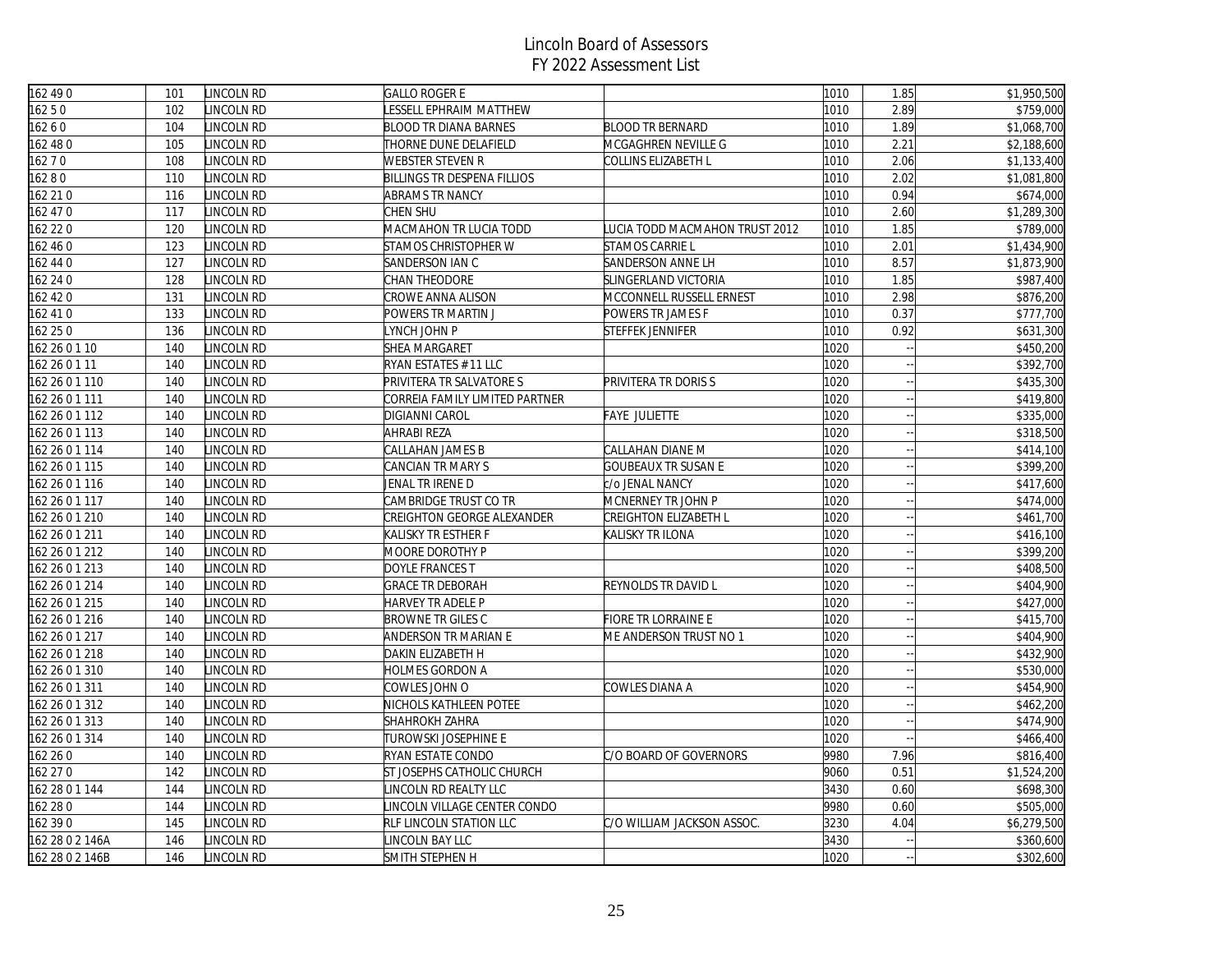| 162 490         | 101 | LINCOLN RD | <b>GALLO ROGER E</b>               |                                | 1010 | 1.85 | \$1,950,500             |
|-----------------|-----|------------|------------------------------------|--------------------------------|------|------|-------------------------|
| 16250           | 102 | LINCOLN RD | ESSELL EPHRAIM MATTHEW             |                                | 1010 | 2.89 | \$759,000               |
| 16260           | 104 | LINCOLN RD | <b>BLOOD TR DIANA BARNES</b>       | <b>BLOOD TR BERNARD</b>        | 1010 | 1.89 | \$1,068,700             |
| 162 48 0        | 105 | LINCOLN RD | THORNE DUNE DELAFIELD              | MCGAGHREN NEVILLE G            | 1010 | 2.21 | \$2,188,600             |
| 16270           | 108 | LINCOLN RD | WEBSTER STEVEN R                   | COLLINS ELIZABETH L            | 1010 | 2.06 | $\overline{$1,133,400}$ |
| 16280           | 110 | LINCOLN RD | <b>BILLINGS TR DESPENA FILLIOS</b> |                                | 1010 | 2.02 | \$1,081,800             |
| 162 21 0        | 116 | LINCOLN RD | <b>ABRAMS TR NANCY</b>             |                                | 1010 | 0.94 | \$674,000               |
| 162 47 0        | 117 | LINCOLN RD | CHEN SHU                           |                                | 1010 | 2.60 | \$1,289,300             |
| 162 22 0        | 120 | LINCOLN RD | MACMAHON TR LUCIA TODD             | LUCIA TODD MACMAHON TRUST 2012 | 1010 | 1.85 | \$789,000               |
| 162 46 0        | 123 | LINCOLN RD | STAMOS CHRISTOPHER W               | STAMOS CARRIE L                | 1010 | 2.01 | \$1,434,900             |
| 162 44 0        | 127 | LINCOLN RD | SANDERSON IAN C                    | SANDERSON ANNE LH              | 1010 | 8.57 | \$1,873,900             |
| 162 24 0        | 128 | LINCOLN RD | CHAN THEODORE                      | SLINGERLAND VICTORIA           | 1010 | 1.85 | \$987,400               |
| 162 42 0        | 131 | LINCOLN RD | CROWE ANNA ALISON                  | MCCONNELL RUSSELL ERNEST       | 1010 | 2.98 | \$876,200               |
| 162 410         | 133 | LINCOLN RD | POWERS TR MARTIN J                 | POWERS TR JAMES F              | 1010 | 0.37 | \$777,700               |
| 162 25 0        | 136 | LINCOLN RD | YNCH JOHN P                        | STEFFEK JENNIFER               | 1010 | 0.92 | \$631,300               |
| 162 26 0 1 10   | 140 | LINCOLN RD | <b>SHEA MARGARET</b>               |                                | 1020 |      | \$450,200               |
| 162 26 0 1 11   | 140 | LINCOLN RD | RYAN ESTATES # 11 LLC              |                                | 1020 |      | \$392,700               |
| 162 26 0 1 110  | 140 | INCOLN RD  | PRIVITERA TR SALVATORE S           | PRIVITERA TR DORIS S           | 1020 |      | \$435,300               |
| 162 26 0 1 111  | 140 | LINCOLN RD | CORREIA FAMILY LIMITED PARTNER     |                                | 1020 |      | \$419,800               |
| 162 26 0 1 112  | 140 | LINCOLN RD | <b>DIGIANNI CAROL</b>              | FAYE JULIETTE                  | 1020 |      | \$335,000               |
| 162 26 0 1 113  | 140 | LINCOLN RD | AHRABI REZA                        |                                | 1020 |      | \$318,500               |
| 162 26 0 1 114  | 140 | LINCOLN RD | CALLAHAN JAMES B                   | CALLAHAN DIANE M               | 1020 |      | \$414,100               |
| 162 26 0 1 115  | 140 | LINCOLN RD | CANCIAN TR MARY S                  | <b>GOUBEAUX TR SUSAN E</b>     | 1020 |      | \$399,200               |
| 162 26 0 1 116  | 140 | LINCOLN RD | JENAL TR IRENE D                   | c/o JENAL NANCY                | 1020 |      | \$417,600               |
| 162 26 0 1 117  | 140 | LINCOLN RD | CAMBRIDGE TRUST CO TR              | MCNERNEY TR JOHN P             | 1020 |      | \$474,000               |
| 162 26 0 1 210  | 140 | LINCOLN RD | CREIGHTON GEORGE ALEXANDER         | CREIGHTON ELIZABETH L          | 1020 |      | \$461,700               |
| 162 26 0 1 211  | 140 | LINCOLN RD | KALISKY TR ESTHER F                | KALISKY TR ILONA               | 1020 |      | \$416,100               |
| 162 26 0 1 212  | 140 | LINCOLN RD | MOORE DOROTHY P                    |                                | 1020 |      | \$399,200               |
| 162 26 0 1 213  | 140 | LINCOLN RD | DOYLE FRANCES T                    |                                | 1020 |      | \$408,500               |
| 162 26 0 1 214  | 140 | LINCOLN RD | <b>GRACE TR DEBORAH</b>            | REYNOLDS TR DAVID L            | 1020 |      | \$404,900               |
| 162 26 0 1 215  | 140 | LINCOLN RD | HARVEY TR ADELE P                  |                                | 1020 |      | \$427,000               |
| 162 26 0 1 216  | 140 | LINCOLN RD | <b>BROWNE TR GILES C</b>           | <b>FIORE TR LORRAINE E</b>     | 1020 |      | \$415,700               |
| 162 26 0 1 217  | 140 | LINCOLN RD | ANDERSON TR MARIAN E               | ME ANDERSON TRUST NO 1         | 1020 |      | \$404,900               |
| 162 26 0 1 218  | 140 | LINCOLN RD | DAKIN ELIZABETH H                  |                                | 1020 |      | \$432,900               |
| 162 26 0 1 310  | 140 | LINCOLN RD | HOLMES GORDON A                    |                                | 1020 |      | \$530,000               |
| 162 26 0 1 311  | 140 | LINCOLN RD | COWLES JOHN O                      | COWLES DIANA A                 | 1020 |      | \$454,900               |
| 162 26 0 1 312  | 140 | LINCOLN RD | NICHOLS KATHLEEN POTEE             |                                | 1020 |      | \$462,200               |
| 162 26 0 1 313  | 140 | LINCOLN RD | <b>SHAHROKH ZAHRA</b>              |                                | 1020 |      | \$474,900               |
| 162 26 0 1 314  | 140 | LINCOLN RD | TUROWSKI JOSEPHINE E               |                                | 1020 |      | \$466,400               |
| 162 26 0        | 140 | LINCOLN RD | RYAN ESTATE CONDO                  | C/O BOARD OF GOVERNORS         | 9980 | 7.96 | \$816,400               |
| 162 27 0        | 142 | LINCOLN RD | ST JOSEPHS CATHOLIC CHURCH         |                                | 9060 | 0.51 | \$1,524,200             |
| 162 28 0 1 144  | 144 | LINCOLN RD | INCOLN RD REALTY LLC               |                                | 3430 | 0.60 | \$698,300               |
| 162 28 0        | 144 | LINCOLN RD | INCOLN VILLAGE CENTER CONDO        |                                | 9980 | 0.60 | \$505,000               |
| 162 390         | 145 | LINCOLN RD | RLF LINCOLN STATION LLC            | C/O WILLIAM JACKSON ASSOC.     | 3230 | 4.04 | \$6,279,500             |
| 162 28 0 2 146A | 146 | LINCOLN RD | INCOLN BAY LLC                     |                                | 3430 |      | \$360,600               |
| 162 28 0 2 146B | 146 | LINCOLN RD | SMITH STEPHEN H                    |                                | 1020 |      | \$302,600               |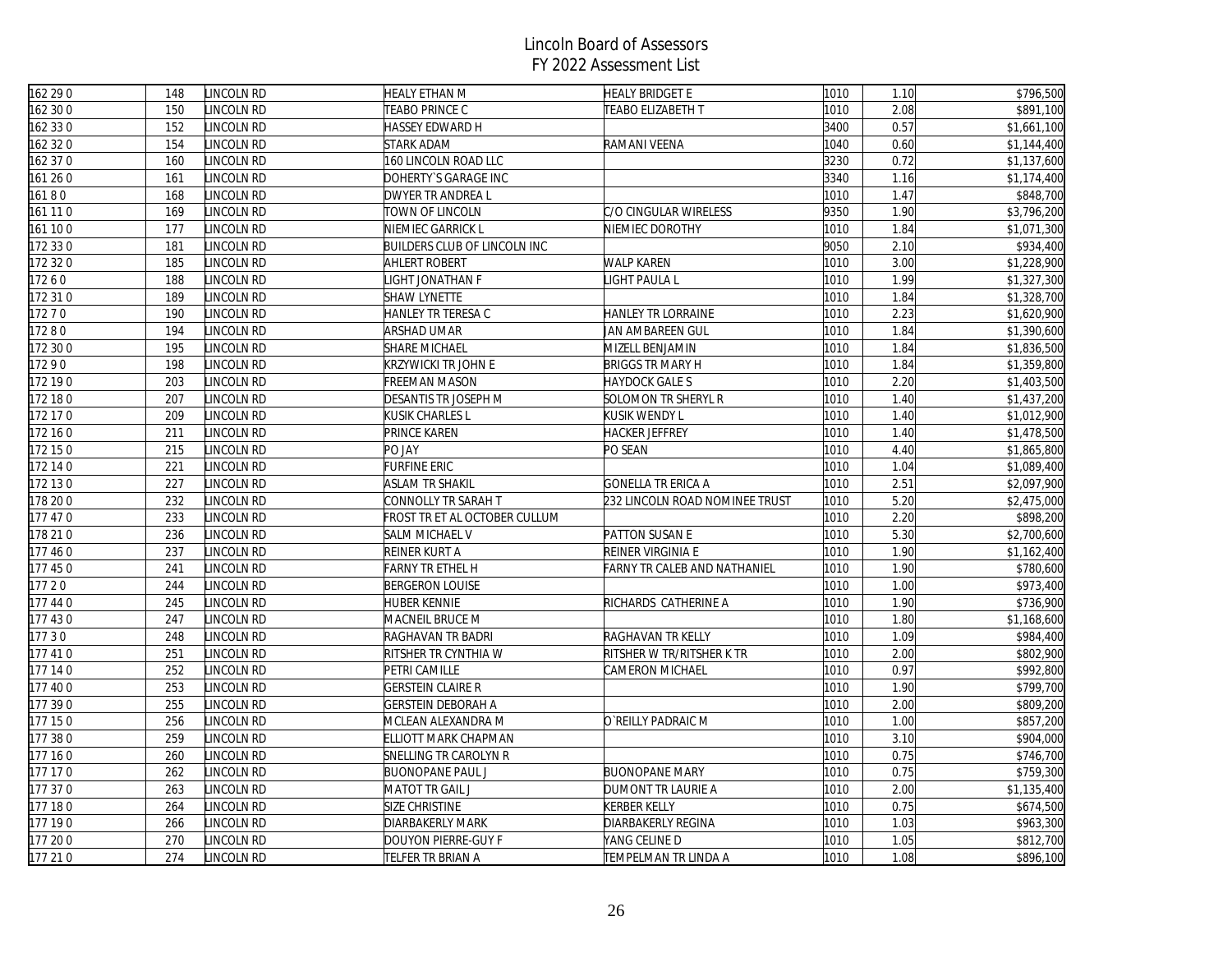| 162 29 0 | 148 | LINCOLN RD | <b>HEALY ETHAN M</b>                | <b>HEALY BRIDGET E</b>         | 1010 | 1.10 | \$796,500               |
|----------|-----|------------|-------------------------------------|--------------------------------|------|------|-------------------------|
| 162 30 0 | 150 | LINCOLN RD | TEABO PRINCE C                      | TEABO ELIZABETH T              | 1010 | 2.08 | \$891,100               |
| 162 33 0 | 152 | LINCOLN RD | HASSEY EDWARD H                     |                                | 3400 | 0.57 | \$1,661,100             |
| 162 32 0 | 154 | LINCOLN RD | <b>STARK ADAM</b>                   | RAMANI VEENA                   | 1040 | 0.60 | \$1,144,400             |
| 162 37 0 | 160 | LINCOLN RD | 160 LINCOLN ROAD LLC                |                                | 3230 | 0.72 | $\overline{$1,137,600}$ |
| 161 260  | 161 | LINCOLN RD | DOHERTY'S GARAGE INC                |                                | 3340 | 1.16 | \$1,174,400             |
| 16180    | 168 | LINCOLN RD | DWYER TR ANDREA L                   |                                | 1010 | 1.47 | \$848,700               |
| 161 11 0 | 169 | LINCOLN RD | TOWN OF LINCOLN                     | C/O CINGULAR WIRELESS          | 9350 | 1.90 | \$3,796,200             |
| 161 100  | 177 | LINCOLN RD | NIEMIEC GARRICK L                   | NIEMIEC DOROTHY                | 1010 | 1.84 | \$1,071,300             |
| 172 330  | 181 | LINCOLN RD | <b>BUILDERS CLUB OF LINCOLN INC</b> |                                | 9050 | 2.10 | \$934,400               |
| 172 32 0 | 185 | LINCOLN RD | <b>AHLERT ROBERT</b>                | <b>WALP KAREN</b>              | 1010 | 3.00 | \$1,228,900             |
| 17260    | 188 | LINCOLN RD | IGHT JONATHAN F                     | LIGHT PAULA L                  | 1010 | 1.99 | \$1,327,300             |
| 172 310  | 189 | LINCOLN RD | <b>SHAW LYNETTE</b>                 |                                | 1010 | 1.84 | \$1,328,700             |
| 17270    | 190 | LINCOLN RD | HANLEY TR TERESA C                  | HANLEY TR LORRAINE             | 1010 | 2.23 | \$1,620,900             |
| 17280    | 194 | LINCOLN RD | ARSHAD UMAR                         | JAN AMBAREEN GUL               | 1010 | 1.84 | \$1,390,600             |
| 172 30 0 | 195 | LINCOLN RD | <b>SHARE MICHAEL</b>                | MIZELL BENJAMIN                | 1010 | 1.84 | \$1,836,500             |
| 17290    | 198 | LINCOLN RD | KRZYWICKI TR JOHN E                 | <b>BRIGGS TR MARY H</b>        | 1010 | 1.84 | \$1,359,800             |
| 172 190  | 203 | LINCOLN RD | FREEMAN MASON                       | <b>HAYDOCK GALE S</b>          | 1010 | 2.20 | \$1,403,500             |
| 172 180  | 207 | LINCOLN RD | DESANTIS TR JOSEPH M                | SOLOMON TR SHERYL R            | 1010 | 1.40 | \$1,437,200             |
| 172 17 0 | 209 | LINCOLN RD | KUSIK CHARLES L                     | <b>KUSIK WENDY L</b>           | 1010 | 1.40 | \$1,012,900             |
| 172 160  | 211 | LINCOLN RD | PRINCE KAREN                        | <b>HACKER JEFFREY</b>          | 1010 | 1.40 | \$1,478,500             |
| 172 150  | 215 | LINCOLN RD | PO JAY                              | PO SEAN                        | 1010 | 4.40 | \$1,865,800             |
| 172 14 0 | 221 | LINCOLN RD | FURFINE ERIC                        |                                | 1010 | 1.04 | \$1,089,400             |
| 172 130  | 227 | LINCOLN RD | ASLAM TR SHAKIL                     | GONELLA TR ERICA A             | 1010 | 2.51 | \$2,097,900             |
| 178 200  | 232 | LINCOLN RD | CONNOLLY TR SARAH T                 | 232 LINCOLN ROAD NOMINEE TRUST | 1010 | 5.20 | \$2,475,000             |
| 177 47 0 | 233 | LINCOLN RD | FROST TR ET AL OCTOBER CULLUM       |                                | 1010 | 2.20 | \$898,200               |
| 178 210  | 236 | LINCOLN RD | SALM MICHAEL V                      | PATTON SUSAN E                 | 1010 | 5.30 | \$2,700,600             |
| 177 460  | 237 | LINCOLN RD | REINER KURT A                       | REINER VIRGINIA E              | 1010 | 1.90 | \$1,162,400             |
| 177 450  | 241 | LINCOLN RD | <b>FARNY TR ETHEL H</b>             | FARNY TR CALEB AND NATHANIEL   | 1010 | 1.90 | \$780,600               |
| 17720    | 244 | LINCOLN RD | <b>BERGERON LOUISE</b>              |                                | 1010 | 1.00 | \$973,400               |
| 177 44 0 | 245 | LINCOLN RD | <b>HUBER KENNIE</b>                 | RICHARDS CATHERINE A           | 1010 | 1.90 | \$736,900               |
| 177 430  | 247 | LINCOLN RD | MACNEIL BRUCE M                     |                                | 1010 | 1.80 | \$1,168,600             |
| 17730    | 248 | LINCOLN RD | RAGHAVAN TR BADRI                   | RAGHAVAN TR KELLY              | 1010 | 1.09 | \$984,400               |
| 177 410  | 251 | LINCOLN RD | RITSHER TR CYNTHIA W                | RITSHER W TR/RITSHER K TR      | 1010 | 2.00 | \$802,900               |
| 177 140  | 252 | LINCOLN RD | PETRI CAMILLE                       | CAMERON MICHAEL                | 1010 | 0.97 | \$992,800               |
| 177 400  | 253 | LINCOLN RD | <b>GERSTEIN CLAIRE R</b>            |                                | 1010 | 1.90 | \$799,700               |
| 177 390  | 255 | LINCOLN RD | GERSTEIN DEBORAH A                  |                                | 1010 | 2.00 | \$809,200               |
| 177 150  | 256 | LINCOLN RD | MCLEAN ALEXANDRA M                  | O`REILLY PADRAIC M             | 1010 | 1.00 | \$857,200               |
| 177 380  | 259 | LINCOLN RD | ELLIOTT MARK CHAPMAN                |                                | 1010 | 3.10 | \$904,000               |
| 177 160  | 260 | LINCOLN RD | SNELLING TR CAROLYN R               |                                | 1010 | 0.75 | \$746,700               |
| 177 170  | 262 | LINCOLN RD | <b>BUONOPANE PAUL J</b>             | <b>BUONOPANE MARY</b>          | 1010 | 0.75 | \$759,300               |
| 177 370  | 263 | LINCOLN RD | MATOT TR GAIL J                     | DUMONT TR LAURIE A             | 1010 | 2.00 | \$1,135,400             |
| 177 180  | 264 | LINCOLN RD | SIZE CHRISTINE                      | <b>KERBER KELLY</b>            | 1010 | 0.75 | \$674,500               |
| 177 190  | 266 | LINCOLN RD | DIARBAKERLY MARK                    | DIARBAKERLY REGINA             | 1010 | 1.03 | \$963,300               |
| 177 200  | 270 | LINCOLN RD | DOUYON PIERRE-GUY F                 | YANG CELINE D                  | 1010 | 1.05 | \$812,700               |
| 177 210  | 274 | LINCOLN RD | TELFER TR BRIAN A                   | <b>TEMPELMAN TR LINDA A</b>    | 1010 | 1.08 | \$896,100               |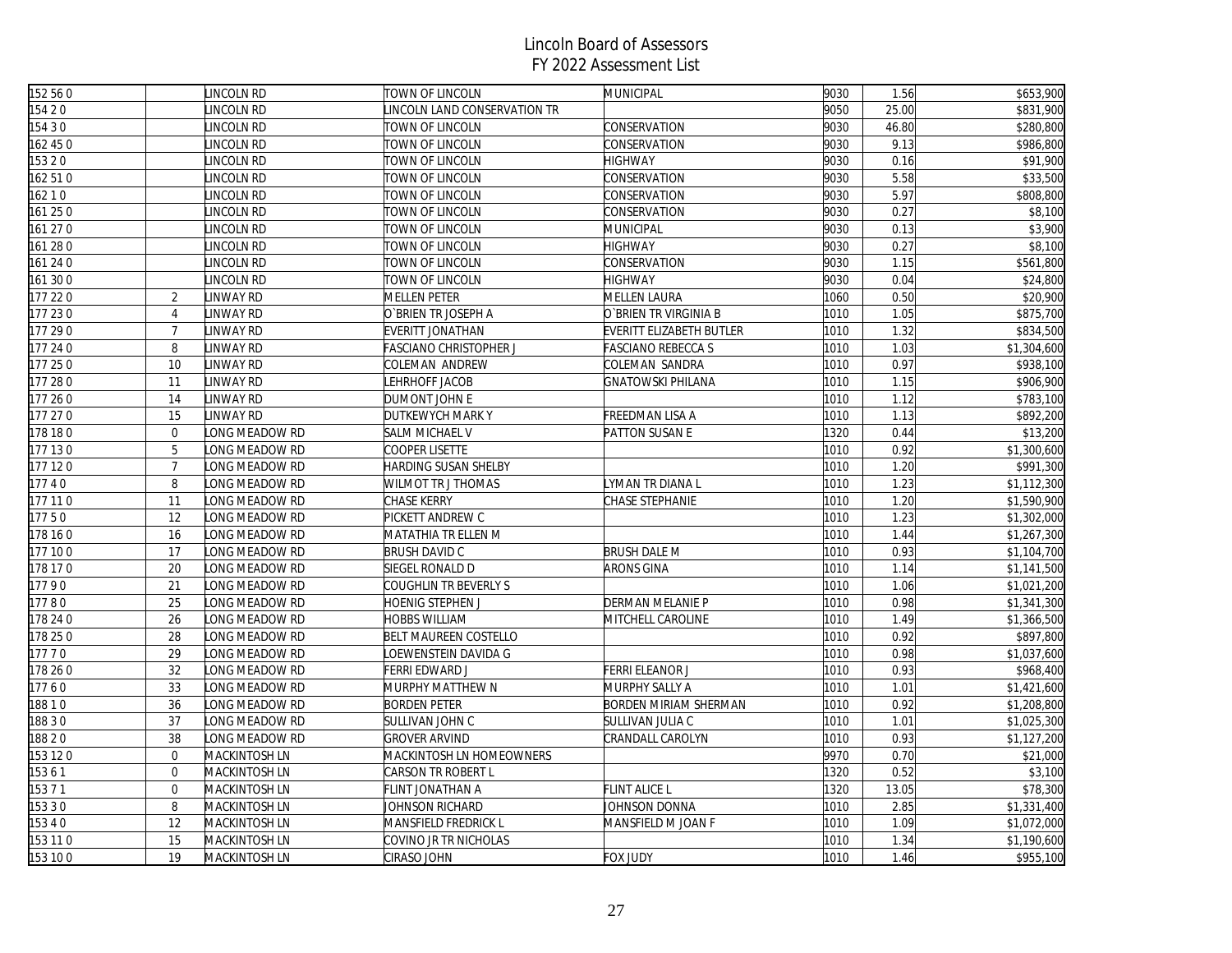| 152 56 0            |                | LINCOLN RD       | TOWN OF LINCOLN              | <b>MUNICIPAL</b>          | 9030 | 1.56  | \$653,900   |
|---------------------|----------------|------------------|------------------------------|---------------------------|------|-------|-------------|
| 154 2 0             |                | LINCOLN RD       | INCOLN LAND CONSERVATION TR  |                           | 9050 | 25.00 | \$831,900   |
| 154 3 0             |                | LINCOLN RD       | TOWN OF LINCOLN              | CONSERVATION              | 9030 | 46.80 | \$280,800   |
| 162 450             |                | LINCOLN RD       | TOWN OF LINCOLN              | CONSERVATION              | 9030 | 9.13  | \$986,800   |
| 15320               |                | LINCOLN RD       | TOWN OF LINCOLN              | <b>HIGHWAY</b>            | 9030 | 0.16  | \$91,900    |
| 162 510             |                | LINCOLN RD       | TOWN OF LINCOLN              | CONSERVATION              | 9030 | 5.58  | \$33,500    |
| 16210               |                | LINCOLN RD       | TOWN OF LINCOLN              | CONSERVATION              | 9030 | 5.97  | \$808,800   |
| 161 250             |                | LINCOLN RD       | TOWN OF LINCOLN              | CONSERVATION              | 9030 | 0.27  | \$8,100     |
| 61 27 0             |                | INCOLN RD        | TOWN OF LINCOLN              | MUNICIPAL                 | 9030 | 0.13  | \$3,900     |
| 161 28 0            |                | LINCOLN RD       | TOWN OF LINCOLN              | <b>HIGHWAY</b>            | 9030 | 0.27  | \$8,100     |
| 161 24 0            |                | LINCOLN RD       | TOWN OF LINCOLN              | CONSERVATION              | 9030 | 1.15  | \$561,800   |
| 161 30 0            |                | LINCOLN RD       | TOWN OF LINCOLN              | <b>HIGHWAY</b>            | 9030 | 0.04  | \$24,800    |
| $\frac{1}{177}$ 220 | $\overline{2}$ | LINWAY RD        | <b>MELLEN PETER</b>          | <b>MELLEN LAURA</b>       | 1060 | 0.50  | \$20,900    |
| 177 230             | $\overline{4}$ | INWAY RD         | O`BRIEN TR JOSEPH A          | O`BRIEN TR VIRGINIA B     | 1010 | 1.05  | \$875,700   |
| 177 290             | $\overline{7}$ | LINWAY RD        | EVERITT JONATHAN             | EVERITT ELIZABETH BUTLER  | 1010 | 1.32  | \$834,500   |
| 177 24 0            | 8              | <b>LINWAY RD</b> | FASCIANO CHRISTOPHER J       | <b>FASCIANO REBECCA S</b> | 1010 | 1.03  | \$1,304,600 |
| 177 250             | 10             | LINWAY RD        | COLEMAN ANDREW               | COLEMAN SANDRA            | 1010 | 0.97  | \$938,100   |
| 177 280             | 11             | LINWAY RD        | EHRHOFF JACOB                | <b>GNATOWSKI PHILANA</b>  | 1010 | 1.15  | \$906,900   |
| 177 260             | 14             | LINWAY RD        | DUMONT JOHN E                |                           | 1010 | 1.12  | \$783,100   |
| 177 27 0            | 15             | LINWAY RD        | DUTKEWYCH MARK Y             | FREEDMAN LISA A           | 1010 | 1.13  | \$892,200   |
| 178 180             | $\mathbf{0}$   | LONG MEADOW RD   | <b>SALM MICHAEL V</b>        | PATTON SUSAN E            | 1320 | 0.44  | \$13,200    |
| 177 130             | 5              | ONG MEADOW RD    | COOPER LISETTE               |                           | 1010 | 0.92  | \$1,300,600 |
| 177 120             | $\overline{7}$ | LONG MEADOW RD   | HARDING SUSAN SHELBY         |                           | 1010 | 1.20  | \$991,300   |
| 17740               | 8              | LONG MEADOW RD   | WILMOT TR J THOMAS           | LYMAN TR DIANA L          | 1010 | 1.23  | \$1,112,300 |
| 177 11 0            | 11             | LONG MEADOW RD   | CHASE KERRY                  | CHASE STEPHANIE           | 1010 | 1.20  | \$1,590,900 |
| 17750               | 12             | LONG MEADOW RD   | PICKETT ANDREW C             |                           | 1010 | 1.23  | \$1,302,000 |
| 178 16 0            | 16             | LONG MEADOW RD   | MATATHIA TR ELLEN M          |                           | 1010 | 1.44  | \$1,267,300 |
| 177 100             | 17             | LONG MEADOW RD   | <b>BRUSH DAVID C</b>         | <b>BRUSH DALE M</b>       | 1010 | 0.93  | \$1,104,700 |
| 178 17 0            | 20             | LONG MEADOW RD   | SIEGEL RONALD D              | <b>ARONS GINA</b>         | 1010 | 1.14  | \$1,141,500 |
| 17790               | 21             | LONG MEADOW RD   | COUGHLIN TR BEVERLY S        |                           | 1010 | 1.06  | \$1,021,200 |
| 17780               | 25             | LONG MEADOW RD   | HOENIG STEPHEN J             | DERMAN MELANIE P          | 1010 | 0.98  | \$1,341,300 |
| 178 24 0            | 26             | LONG MEADOW RD   | HOBBS WILLIAM                | MITCHELL CAROLINE         | 1010 | 1.49  | \$1,366,500 |
| 178 25 0            | 28             | LONG MEADOW RD   | <b>BELT MAUREEN COSTELLO</b> |                           | 1010 | 0.92  | \$897,800   |
| 17770               | 29             | LONG MEADOW RD   | OEWENSTEIN DAVIDA G          |                           | 1010 | 0.98  | \$1,037,600 |
| 178 26 0            | 32             | ONG MEADOW RD    | FERRI EDWARD J               | FERRI ELEANOR J           | 1010 | 0.93  | \$968,400   |
| 17760               | 33             | LONG MEADOW RD   | MURPHY MATTHEW N             | MURPHY SALLY A            | 1010 | 1.01  | \$1,421,600 |
| 18810               | 36             | LONG MEADOW RD   | <b>BORDEN PETER</b>          | BORDEN MIRIAM SHERMAN     | 1010 | 0.92  | \$1,208,800 |
| 18830               | 37             | LONG MEADOW RD   | SULLIVAN JOHN C              | SULLIVAN JULIA C          | 1010 | 1.01  | \$1,025,300 |
| 18820               | 38             | ONG MEADOW RD    | <b>GROVER ARVIND</b>         | CRANDALL CAROLYN          | 1010 | 0.93  | \$1,127,200 |
| 153 120             | $\mathbf{0}$   | MACKINTOSH LN    | MACKINTOSH LN HOMEOWNERS     |                           | 9970 | 0.70  | \$21,000    |
| 15361               | $\overline{0}$ | MACKINTOSH LN    | CARSON TR ROBERT L           |                           | 1320 | 0.52  | \$3,100     |
| 153 7 1             | $\mathbf 0$    | MACKINTOSH LN    | FLINT JONATHAN A             | <b>FLINT ALICE L</b>      | 1320 | 13.05 | \$78,300    |
| 15330               | 8              | MACKINTOSH LN    | JOHNSON RICHARD              | JOHNSON DONNA             | 1010 | 2.85  | \$1,331,400 |
| 15340               | 12             | MACKINTOSH LN    | MANSFIELD FREDRICK L         | MANSFIELD M JOAN F        | 1010 | 1.09  | \$1,072,000 |
| 153 11 0            | 15             | MACKINTOSH LN    | COVINO JR TR NICHOLAS        |                           | 1010 | 1.34  | \$1,190,600 |
| 153 100             | 19             | MACKINTOSH LN    | CIRASO JOHN                  | <b>FOX JUDY</b>           | 1010 | 1.46  | \$955,100   |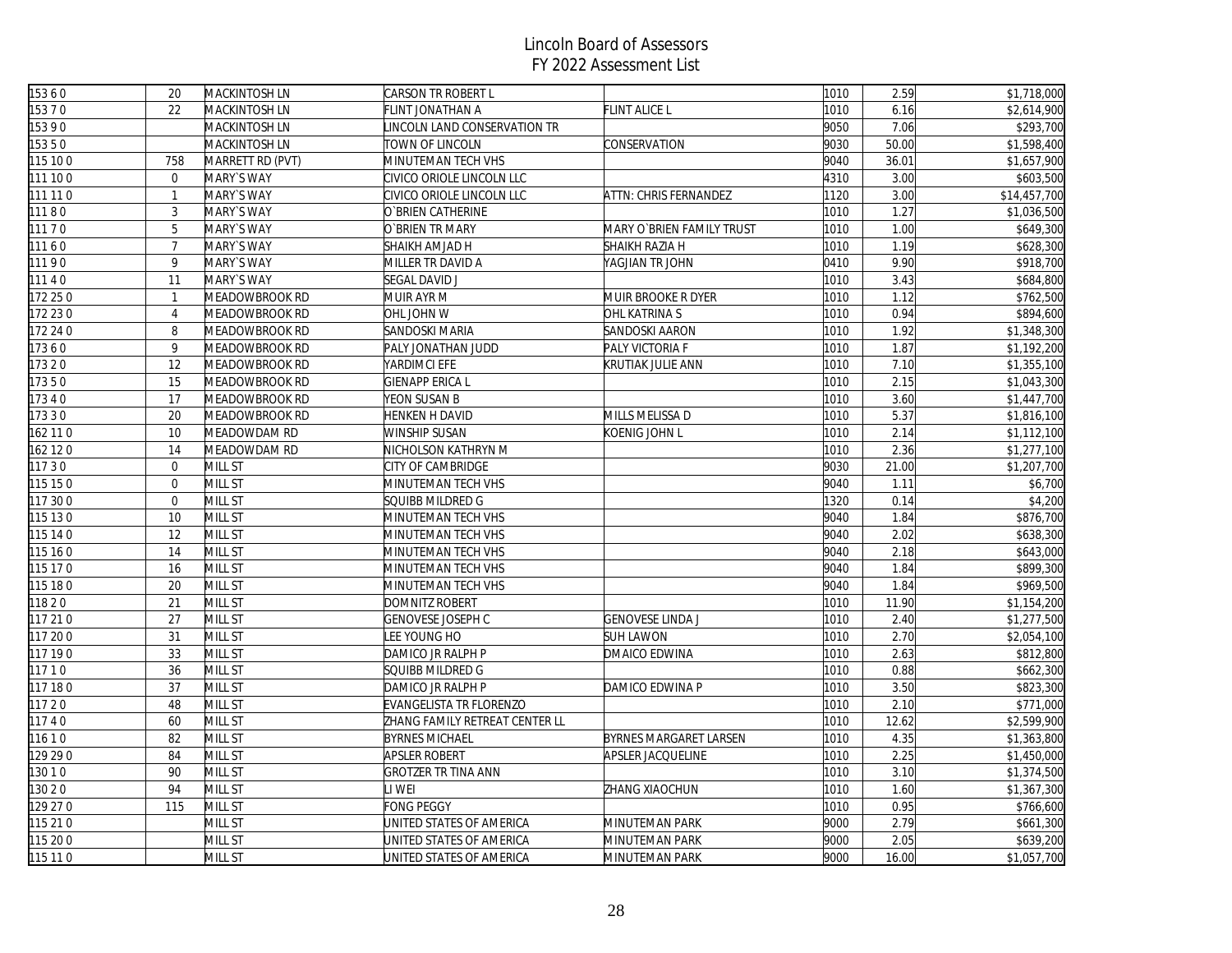| 15360    | 20               | MACKINTOSH LN    | CARSON TR ROBERT L             |                           | 1010 | 2.59  | \$1,718,000  |
|----------|------------------|------------------|--------------------------------|---------------------------|------|-------|--------------|
| 15370    | 22               | MACKINTOSH LN    | FLINT JONATHAN A               | FLINT ALICE L             | 1010 | 6.16  | \$2,614,900  |
| 15390    |                  | MACKINTOSH LN    | INCOLN LAND CONSERVATION TR    |                           | 9050 | 7.06  | \$293,700    |
| 15350    |                  | MACKINTOSH LN    | TOWN OF LINCOLN                | CONSERVATION              | 9030 | 50.00 | \$1,598,400  |
| 115 10 0 | 758              | MARRETT RD (PVT) | MINUTEMAN TECH VHS             |                           | 9040 | 36.01 | \$1,657,900  |
| 111 100  | $\overline{0}$   | MARY'S WAY       | CIVICO ORIOLE LINCOLN LLC      |                           | 4310 | 3.00  | \$603,500    |
| 111 11 0 | $\mathbf{1}$     | MARY'S WAY       | CIVICO ORIOLE LINCOLN LLC      | ATTN: CHRIS FERNANDEZ     | 1120 | 3.00  | \$14,457,700 |
| 11180    | 3                | MARY'S WAY       | O`BRIEN CATHERINE              |                           | 1010 | 1.27  | \$1,036,500  |
| 11170    | 5                | MARY'S WAY       | O`BRIEN TR MARY                | MARY O`BRIEN FAMILY TRUST | 1010 | 1.00  | \$649,300    |
| 11160    | $\overline{7}$   | MARY'S WAY       | SHAIKH AMJAD H                 | SHAIKH RAZIA H            | 1010 | 1.19  | \$628,300    |
| 11190    | 9                | MARY`S WAY       | MILLER TR DAVID A              | YAGJIAN TR JOHN           | 0410 | 9.90  | \$918,700    |
| 11140    | 11               | MARY'S WAY       | <b>SEGAL DAVID J</b>           |                           | 1010 | 3.43  | \$684,800    |
| 172 25 0 | $\mathbf{1}$     | MEADOWBROOK RD   | MUIR AYR M                     | MUIR BROOKE R DYER        | 1010 | 1.12  | \$762,500    |
| 172 23 0 | $\overline{4}$   | MEADOWBROOK RD   | OHL JOHN W                     | OHL KATRINA S             | 1010 | 0.94  | \$894,600    |
| 172 24 0 | 8                | MEADOWBROOK RD   | SANDOSKI MARIA                 | SANDOSKI AARON            | 1010 | 1.92  | \$1,348,300  |
| 17360    | 9                | MEADOWBROOK RD   | PALY JONATHAN JUDD             | PALY VICTORIA F           | 1010 | 1.87  | \$1,192,200  |
| 17320    | 12               | MEADOWBROOK RD   | YARDIMCI EFE                   | KRUTIAK JULIE ANN         | 1010 | 7.10  | \$1,355,100  |
| 17350    | 15               | MEADOWBROOK RD   | GIENAPP ERICA L                |                           | 1010 | 2.15  | \$1,043,300  |
| 17340    | 17               | MEADOWBROOK RD   | YEON SUSAN B                   |                           | 1010 | 3.60  | \$1,447,700  |
| 17330    | 20               | MEADOWBROOK RD   | HENKEN H DAVID                 | MILLS MELISSA D           | 1010 | 5.37  | \$1,816,100  |
| 162 11 0 | 10               | MEADOWDAM RD     | WINSHIP SUSAN                  | KOENIG JOHN L             | 1010 | 2.14  | \$1,112,100  |
| 162 12 0 | 14               | MEADOWDAM RD     | NICHOLSON KATHRYN M            |                           | 1010 | 2.36  | \$1,277,100  |
| 11730    | $\boldsymbol{0}$ | MILL ST          | CITY OF CAMBRIDGE              |                           | 9030 | 21.00 | \$1,207,700  |
| 115 15 0 | $\overline{0}$   | MILL ST          | MINUTEMAN TECH VHS             |                           | 9040 | 1.11  | \$6,700      |
| 117 30 0 | $\overline{0}$   | MILL ST          | SQUIBB MILDRED G               |                           | 1320 | 0.14  | \$4,200      |
| 115 130  | 10               | MILL ST          | MINUTEMAN TECH VHS             |                           | 9040 | 1.84  | \$876,700    |
| 115 14 0 | 12               | <b>MILL ST</b>   | <b>MINUTEMAN TECH VHS</b>      |                           | 9040 | 2.02  | \$638,300    |
| 115 16 0 | 14               | MILL ST          | MINUTEMAN TECH VHS             |                           | 9040 | 2.18  | \$643,000    |
| 115 17 0 | 16               | MILL ST          | MINUTEMAN TECH VHS             |                           | 9040 | 1.84  | \$899,300    |
| 115 18 0 | 20               | MILL ST          | MINUTEMAN TECH VHS             |                           | 9040 | 1.84  | \$969,500    |
| 11820    | 21               | MILL ST          | DOMNITZ ROBERT                 |                           | 1010 | 11.90 | \$1,154,200  |
| 117 21 0 | 27               | MILL ST          | <b>GENOVESE JOSEPH C</b>       | <b>GENOVESE LINDA J</b>   | 1010 | 2.40  | \$1,277,500  |
| 117 20 0 | 31               | <b>MILL ST</b>   | EE YOUNG HO                    | <b>SUH LAWON</b>          | 1010 | 2.70  | \$2,054,100  |
| 117 190  | 33               | MILL ST          | DAMICO JR RALPH P              | DMAICO EDWINA             | 1010 | 2.63  | \$812,800    |
| 11710    | 36               | MILL ST          | SQUIBB MILDRED G               |                           | 1010 | 0.88  | \$662,300    |
| 117 180  | 37               | MILL ST          | DAMICO JR RALPH P              | DAMICO EDWINA P           | 1010 | 3.50  | \$823,300    |
| 11720    | 48               | MILL ST          | EVANGELISTA TR FLORENZO        |                           | 1010 | 2.10  | \$771,000    |
| 11740    | 60               | MILL ST          | ZHANG FAMILY RETREAT CENTER LL |                           | 1010 | 12.62 | \$2,599,900  |
| 11610    | 82               | MILL ST          | <b>BYRNES MICHAEL</b>          | BYRNES MARGARET LARSEN    | 1010 | 4.35  | \$1,363,800  |
| 129 29 0 | 84               | MILL ST          | APSLER ROBERT                  | APSLER JACQUELINE         | 1010 | 2.25  | \$1,450,000  |
| 13010    | 90               | MILL ST          | GROTZER TR TINA ANN            |                           | 1010 | 3.10  | \$1,374,500  |
| 13020    | 94               | MILL ST          | I WEI                          | ZHANG XIAOCHUN            | 1010 | 1.60  | \$1,367,300  |
| 129 27 0 | 115              | MILL ST          | <b>FONG PEGGY</b>              |                           | 1010 | 0.95  | \$766,600    |
| 115 21 0 |                  | MILL ST          | JNITED STATES OF AMERICA       | MINUTEMAN PARK            | 9000 | 2.79  | \$661,300    |
| 115 20 0 |                  | MILL ST          | JNITED STATES OF AMERICA       | MINUTEMAN PARK            | 9000 | 2.05  | \$639,200    |
| 115 11 0 |                  | MILL ST          | UNITED STATES OF AMERICA       | MINUTEMAN PARK            | 9000 | 16.00 | \$1,057,700  |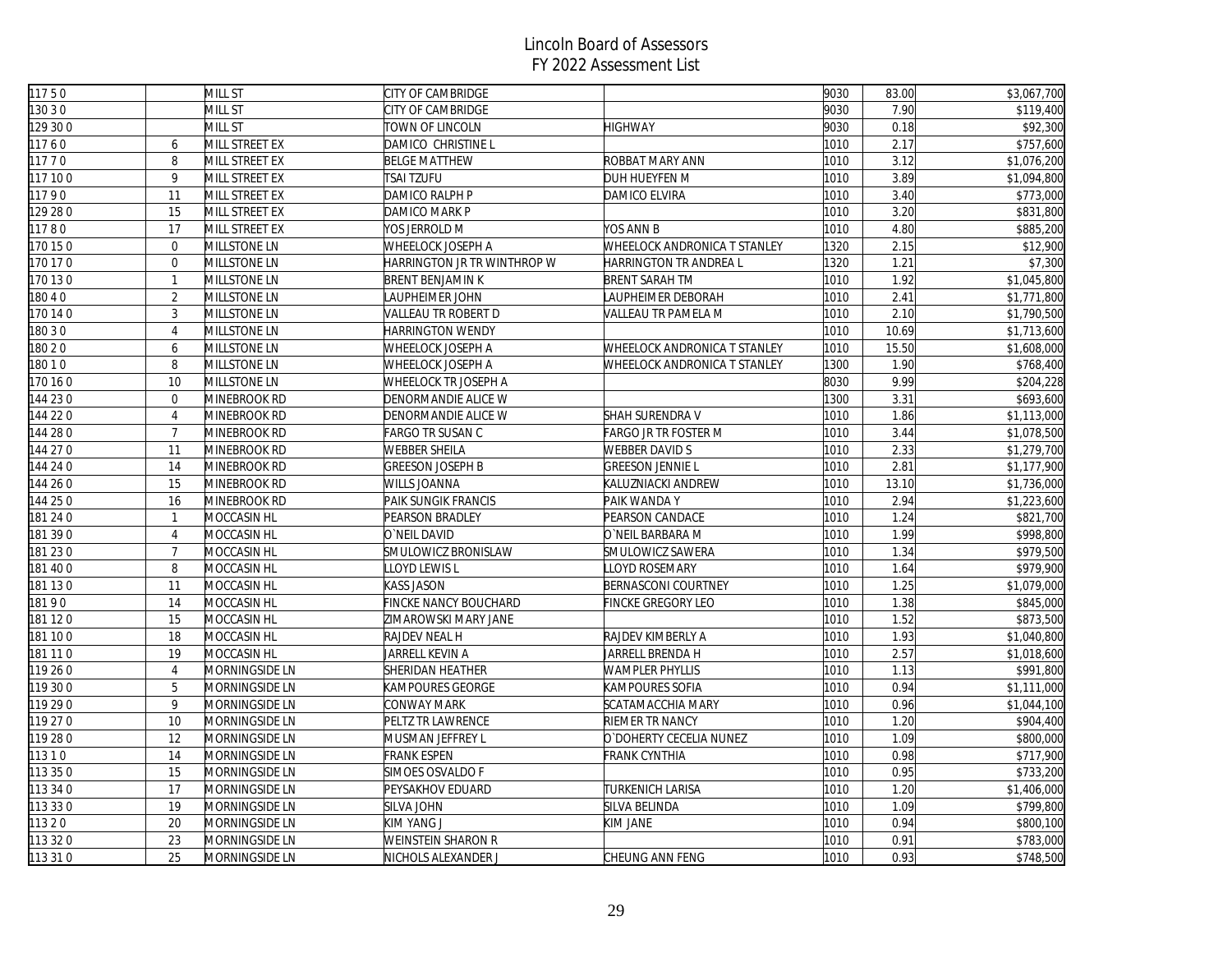| 11750    |                | MILL ST            | CITY OF CAMBRIDGE           |                                     | 9030 | 83.00 | \$3,067,700 |
|----------|----------------|--------------------|-----------------------------|-------------------------------------|------|-------|-------------|
| 130 3 0  |                | MILL ST            | CITY OF CAMBRIDGE           |                                     | 9030 | 7.90  | \$119,400   |
| 129 30 0 |                | MILL ST            | TOWN OF LINCOLN             | <b>HIGHWAY</b>                      | 9030 | 0.18  | \$92,300    |
| 11760    | 6              | MILL STREET EX     | DAMICO CHRISTINE L          |                                     | 1010 | 2.17  | \$757,600   |
| 11770    | 8              | MILL STREET EX     | <b>BELGE MATTHEW</b>        | ROBBAT MARY ANN                     | 1010 | 3.12  | \$1,076,200 |
| 117 100  | 9              | MILL STREET EX     | TSAI TZUFU                  | DUH HUEYFEN M                       | 1010 | 3.89  | \$1,094,800 |
| 11790    | 11             | MILL STREET EX     | DAMICO RALPH P              | DAMICO ELVIRA                       | 1010 | 3.40  | \$773,000   |
| 129 28 0 | 15             | MILL STREET EX     | DAMICO MARK P               |                                     | 1010 | 3.20  | \$831,800   |
| 11780    | 17             | MILL STREET EX     | YOS JERROLD M               | YOS ANN B                           | 1010 | 4.80  | \$885,200   |
| 170 15 0 | $\mathbf{0}$   | MILLSTONE LN       | WHEELOCK JOSEPH A           | <b>WHEELOCK ANDRONICA T STANLEY</b> | 1320 | 2.15  | \$12,900    |
| 170 17 0 | $\mathbf 0$    | MILLSTONE LN       | HARRINGTON JR TR WINTHROP W | HARRINGTON TR ANDREA L              | 1320 | 1.21  | \$7,300     |
| 170 130  | $\mathbf{1}$   | MILLSTONE LN       | <b>BRENT BENJAMIN K</b>     | <b>BRENT SARAH TM</b>               | 1010 | 1.92  | \$1,045,800 |
| 18040    | $\overline{2}$ | MILLSTONE LN       | LAUPHEIMER JOHN             | LAUPHEIMER DEBORAH                  | 1010 | 2.41  | \$1,771,800 |
| 170 14 0 | $\mathbf{3}$   | MILLSTONE LN       | VALLEAU TR ROBERT D         | VALLEAU TR PAMELA M                 | 1010 | 2.10  | \$1,790,500 |
| 180 3 0  | $\overline{4}$ | MILLSTONE LN       | HARRINGTON WENDY            |                                     | 1010 | 10.69 | \$1,713,600 |
| 18020    | 6              | MILLSTONE LN       | WHEELOCK JOSEPH A           | WHEELOCK ANDRONICA T STANLEY        | 1010 | 15.50 | \$1,608,000 |
| 18010    | $\, 8$         | MILLSTONE LN       | WHEELOCK JOSEPH A           | WHEELOCK ANDRONICA T STANLEY        | 1300 | 1.90  | \$768,400   |
| 170 16 0 | 10             | MILLSTONE LN       | WHEELOCK TR JOSEPH A        |                                     | 8030 | 9.99  | \$204,228   |
| 144 230  | $\mathbf{0}$   | MINEBROOK RD       | DENORMANDIE ALICE W         |                                     | 1300 | 3.31  | \$693,600   |
| 144 22 0 | $\overline{4}$ | MINEBROOK RD       | DENORMANDIE ALICE W         | SHAH SURENDRA V                     | 1010 | 1.86  | \$1,113,000 |
| 144 28 0 | $\overline{7}$ | MINEBROOK RD       | <b>FARGO TR SUSAN C</b>     | FARGO JR TR FOSTER M                | 1010 | 3.44  | \$1,078,500 |
| 144 270  | 11             | MINEBROOK RD       | WEBBER SHEILA               | <b>WEBBER DAVID S</b>               | 1010 | 2.33  | \$1,279,700 |
| 144 24 0 | 14             | MINEBROOK RD       | <b>GREESON JOSEPH B</b>     | <b>GREESON JENNIE L</b>             | 1010 | 2.81  | \$1,177,900 |
| 144 26 0 | 15             | MINEBROOK RD       | WILLS JOANNA                | KALUZNIACKI ANDREW                  | 1010 | 13.10 | \$1,736,000 |
| 144 25 0 | 16             | MINEBROOK RD       | PAIK SUNGIK FRANCIS         | PAIK WANDA Y                        | 1010 | 2.94  | \$1,223,600 |
| 181 24 0 | $\mathbf{1}$   | MOCCASIN HL        | PEARSON BRADLEY             | PEARSON CANDACE                     | 1010 | 1.24  | \$821,700   |
| 181 390  | $\overline{4}$ | MOCCASIN HL        | O`NEIL DAVID                | O`NEIL BARBARA M                    | 1010 | 1.99  | \$998,800   |
| 181 230  | $\overline{7}$ | MOCCASIN HL        | SMULOWICZ BRONISLAW         | SMULOWICZ SAWERA                    | 1010 | 1.34  | \$979,500   |
| 181 400  | 8              | MOCCASIN HL        | LLOYD LEWIS L               | LLOYD ROSEMARY                      | 1010 | 1.64  | \$979,900   |
| 181 130  | 11             | MOCCASIN HL        | KASS JASON                  | BERNASCONI COURTNEY                 | 1010 | 1.25  | \$1,079,000 |
| 18190    | 14             | MOCCASIN HL        | FINCKE NANCY BOUCHARD       | FINCKE GREGORY LEO                  | 1010 | 1.38  | \$845,000   |
| 181 120  | 15             | MOCCASIN HL        | ZIMAROWSKI MARY JANE        |                                     | 1010 | 1.52  | \$873,500   |
| 181 100  | 18             | MOCCASIN HL        | RAJDEV NEAL H               | RAJDEV KIMBERLY A                   | 1010 | 1.93  | \$1,040,800 |
| 181 11 0 | 19             | <b>MOCCASIN HL</b> | JARRELL KEVIN A             | JARRELL BRENDA H                    | 1010 | 2.57  | \$1,018,600 |
| 119 26 0 | $\overline{4}$ | MORNINGSIDE LN     | SHERIDAN HEATHER            | <b>WAMPLER PHYLLIS</b>              | 1010 | 1.13  | \$991,800   |
| 119 30 0 | 5              | MORNINGSIDE LN     | KAMPOURES GEORGE            | KAMPOURES SOFIA                     | 1010 | 0.94  | \$1,111,000 |
| 119 29 0 | 9              | MORNINGSIDE LN     | CONWAY MARK                 | SCATAMACCHIA MARY                   | 1010 | 0.96  | \$1,044,100 |
| 119 27 0 | 10             | MORNINGSIDE LN     | PELTZ TR LAWRENCE           | RIEMER TR NANCY                     | 1010 | 1.20  | \$904,400   |
| 119 28 0 | 12             | MORNINGSIDE LN     | MUSMAN JEFFREY L            | O'DOHERTY CECELIA NUNEZ             | 1010 | 1.09  | \$800,000   |
| 11310    | 14             | MORNINGSIDE LN     | <b>FRANK ESPEN</b>          | FRANK CYNTHIA                       | 1010 | 0.98  | \$717,900   |
| 113 35 0 | 15             | MORNINGSIDE LN     | SIMOES OSVALDO F            |                                     | 1010 | 0.95  | \$733,200   |
| 113 34 0 | 17             | MORNINGSIDE LN     | PEYSAKHOV EDUARD            | TURKENICH LARISA                    | 1010 | 1.20  | \$1,406,000 |
| 113 33 0 | 19             | MORNINGSIDE LN     | SILVA JOHN                  | SILVA BELINDA                       | 1010 | 1.09  | \$799,800   |
| 11320    | 20             | MORNINGSIDE LN     | KIM YANG J                  | KIM JANE                            | 1010 | 0.94  | \$800,100   |
| 113 32 0 | 23             | MORNINGSIDE LN     | WEINSTEIN SHARON R          |                                     | 1010 | 0.91  | \$783,000   |
| 113 31 0 | 25             | MORNINGSIDE LN     | NICHOLS ALEXANDER J         | CHEUNG ANN FENG                     | 1010 | 0.93  | \$748,500   |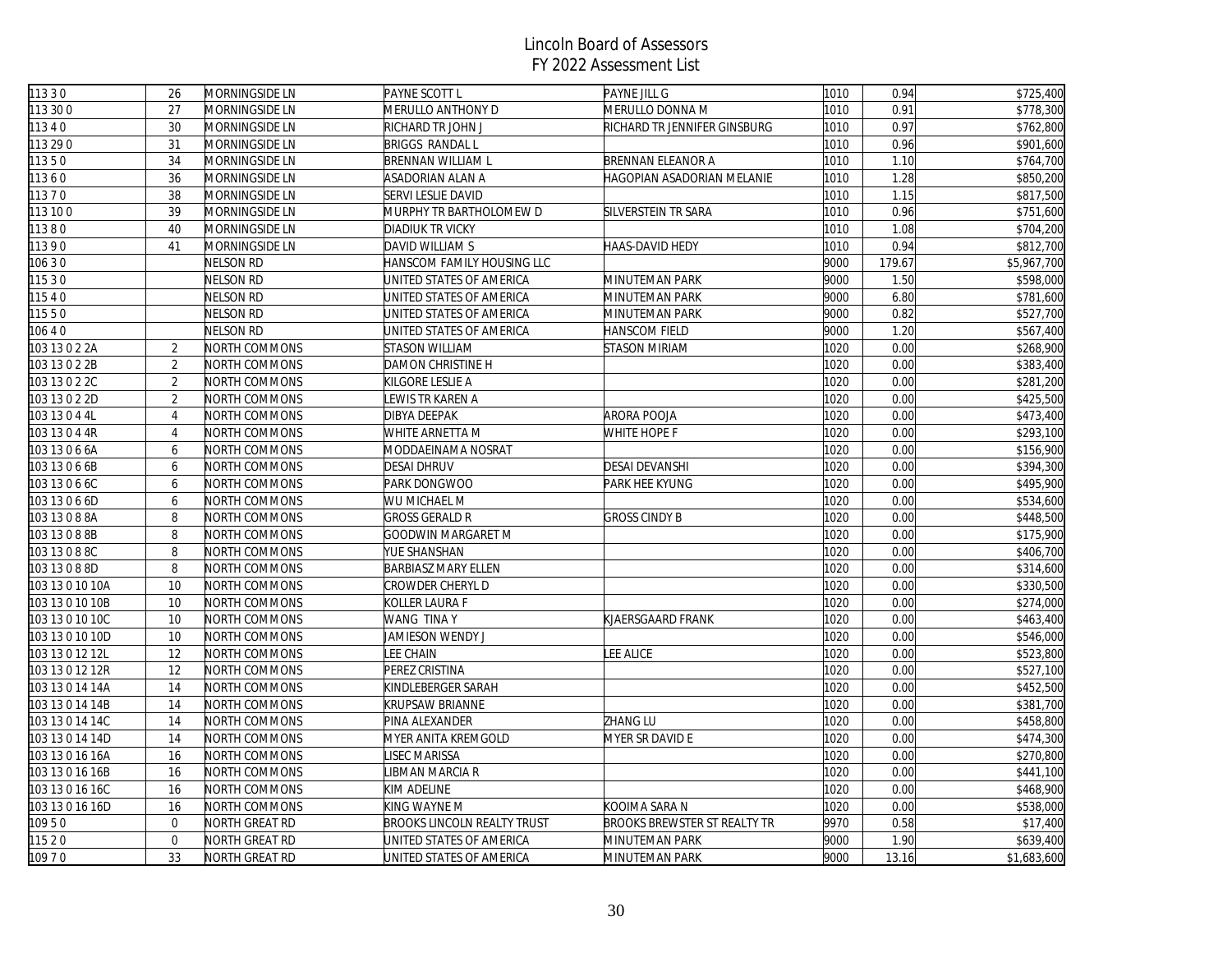| 11330           |                |                                  |                                    |                                 | 1010 |              |                        |
|-----------------|----------------|----------------------------------|------------------------------------|---------------------------------|------|--------------|------------------------|
| 113 30 0        | 26<br>27       | MORNINGSIDE LN<br>MORNINGSIDE LN | PAYNE SCOTT L<br>MERULLO ANTHONY D | PAYNE JILL G<br>MERULLO DONNA M | 1010 | 0.94<br>0.91 | \$725,400<br>\$778,300 |
| 11340           | 30             | MORNINGSIDE LN                   | RICHARD TR JOHN J                  | RICHARD TR JENNIFER GINSBURG    | 1010 | 0.97         | \$762,800              |
| 113 29 0        | 31             |                                  | <b>BRIGGS RANDAL L</b>             |                                 | 1010 | 0.96         | \$901,600              |
|                 | 34             | MORNINGSIDE LN                   |                                    |                                 |      |              |                        |
| 11350           |                | MORNINGSIDE LN                   | <b>BRENNAN WILLIAM L</b>           | BRENNAN ELEANOR A               | 1010 | 1.10         | \$764,700              |
| 11360           | 36             | MORNINGSIDE LN                   | ASADORIAN ALAN A                   | HAGOPIAN ASADORIAN MELANIE      | 1010 | 1.28         | \$850,200              |
| 11370           | 38             | MORNINGSIDE LN                   | SERVI LESLIE DAVID                 |                                 | 1010 | 1.15         | \$817,500              |
| 113 10 0        | 39             | MORNINGSIDE LN                   | MURPHY TR BARTHOLOMEW D            | SILVERSTEIN TR SARA             | 1010 | 0.96         | \$751,600              |
| 11380           | 40             | MORNINGSIDE LN                   | <b>DIADIUK TR VICKY</b>            |                                 | 1010 | 1.08         | \$704,200              |
| 11390           | 41             | MORNINGSIDE LN                   | DAVID WILLIAM S                    | HAAS-DAVID HEDY                 | 1010 | 0.94         | \$812,700              |
| 106 3 0         |                | NELSON RD                        | HANSCOM FAMILY HOUSING LLC         |                                 | 9000 | 179.67       | \$5,967,700            |
| 11530           |                | Nelson RD                        | UNITED STATES OF AMERICA           | MINUTEMAN PARK                  | 9000 | 1.50         | \$598,000              |
| 11540           |                | NELSON RD                        | UNITED STATES OF AMERICA           | MINUTEMAN PARK                  | 9000 | 6.80         | \$781,600              |
| 11550           |                | NELSON RD                        | UNITED STATES OF AMERICA           | MINUTEMAN PARK                  | 9000 | 0.82         | \$527,700              |
| 10640           |                | NELSON RD                        | UNITED STATES OF AMERICA           | HANSCOM FIELD                   | 9000 | 1.20         | \$567,400              |
| 103 13 0 2 2A   | $\overline{2}$ | NORTH COMMONS                    | <b>STASON WILLIAM</b>              | STASON MIRIAM                   | 1020 | 0.00         | \$268,900              |
| 103 13 0 2 2B   | $\overline{2}$ | NORTH COMMONS                    | <b>DAMON CHRISTINE H</b>           |                                 | 1020 | 0.00         | \$383,400              |
| 103 13 0 2 2C   | $\overline{2}$ | NORTH COMMONS                    | KILGORE LESLIE A                   |                                 | 1020 | 0.00         | \$281,200              |
| 103 13 0 2 2D   | $\overline{2}$ | NORTH COMMONS                    | LEWIS TR KAREN A                   |                                 | 1020 | 0.00         | \$425,500              |
| 103 13 0 4 4L   | $\overline{4}$ | NORTH COMMONS                    | DIBYA DEEPAK                       | ARORA POOJA                     | 1020 | 0.00         | \$473,400              |
| 103 13 0 4 4R   | $\overline{4}$ | NORTH COMMONS                    | WHITE ARNETTA M                    | WHITE HOPE F                    | 1020 | 0.00         | \$293,100              |
| 103 13 0 6 6A   | 6              | NORTH COMMONS                    | MODDAEINAMA NOSRAT                 |                                 | 1020 | 0.00         | \$156,900              |
| 103 13 0 6 6B   | 6              | NORTH COMMONS                    | <b>DESAI DHRUV</b>                 | <b>DESAI DEVANSHI</b>           | 1020 | 0.00         | \$394,300              |
| 103 13 0 6 6C   | 6              | NORTH COMMONS                    | PARK DONGWOO                       | PARK HEE KYUNG                  | 1020 | 0.00         | \$495,900              |
| 103 13 0 6 6D   | 6              | NORTH COMMONS                    | WU MICHAEL M                       |                                 | 1020 | 0.00         | $\overline{$}534,600$  |
| 103 13 0 8 8A   | 8              | NORTH COMMONS                    | <b>GROSS GERALD R</b>              | <b>GROSS CINDY B</b>            | 1020 | 0.00         | \$448,500              |
| 103 13 0 8 8B   | 8              | NORTH COMMONS                    | GOODWIN MARGARET M                 |                                 | 1020 | 0.00         | \$175,900              |
| 103 13 0 8 8C   | 8              | NORTH COMMONS                    | YUE SHANSHAN                       |                                 | 1020 | 0.00         | \$406,700              |
| 103 13 0 8 8D   | 8              | NORTH COMMONS                    | <b>BARBIASZ MARY ELLEN</b>         |                                 | 1020 | 0.00         | \$314,600              |
| 103 13 0 10 10A | 10             | NORTH COMMONS                    | CROWDER CHERYL D                   |                                 | 1020 | 0.00         | \$330,500              |
| 103 13 0 10 10B | 10             | NORTH COMMONS                    | KOLLER LAURA F                     |                                 | 1020 | 0.00         | \$274,000              |
| 103 13 0 10 10C | 10             | NORTH COMMONS                    | WANG TINA Y                        | KJAERSGAARD FRANK               | 1020 | 0.00         | \$463,400              |
| 103 13 0 10 10D | 10             | NORTH COMMONS                    | JAMIESON WENDY J                   |                                 | 1020 | 0.00         | \$546,000              |
| 103 13 0 12 12L | 12             | NORTH COMMONS                    | LEE CHAIN                          | LEE ALICE                       | 1020 | 0.00         | \$523,800              |
| 103 13 0 12 12R | 12             | NORTH COMMONS                    | PEREZ CRISTINA                     |                                 | 1020 | 0.00         | \$527,100              |
| 103 13 0 14 14A | 14             | NORTH COMMONS                    | KINDLEBERGER SARAH                 |                                 | 1020 | 0.00         | \$452,500              |
| 103 13 0 14 14B | 14             | NORTH COMMONS                    | <b>KRUPSAW BRIANNE</b>             |                                 | 1020 | 0.00         | \$381,700              |
| 103 13 0 14 14C | 14             | NORTH COMMONS                    | PINA ALEXANDER                     | <b>ZHANG LU</b>                 | 1020 | 0.00         | \$458,800              |
| 103 13 0 14 14D | 14             | NORTH COMMONS                    | MYER ANITA KREMGOLD                | MYER SR DAVID E                 | 1020 | 0.00         | \$474,300              |
| 103 13 0 16 16A | 16             | NORTH COMMONS                    | <b>ISEC MARISSA</b>                |                                 | 1020 | 0.00         | \$270,800              |
| 103 13 0 16 16B | 16             | NORTH COMMONS                    | <b>IBMAN MARCIA R</b>              |                                 | 1020 | 0.00         | \$441,100              |
| 103 13 0 16 16C | 16             | NORTH COMMONS                    | KIM ADELINE                        |                                 | 1020 | 0.00         | \$468,900              |
| 103 13 0 16 16D | 16             | NORTH COMMONS                    | KING WAYNE M                       | KOOIMA SARA N                   | 1020 | 0.00         | \$538,000              |
| 10950           | $\mathbf 0$    | NORTH GREAT RD                   | <b>BROOKS LINCOLN REALTY TRUST</b> | BROOKS BREWSTER ST REALTY TR    | 9970 | 0.58         | \$17,400               |
| 11520           | $\mathbf 0$    | NORTH GREAT RD                   | UNITED STATES OF AMERICA           | MINUTEMAN PARK                  | 9000 | 1.90         | \$639,400              |
|                 | 33             |                                  |                                    |                                 |      |              |                        |
| 10970           |                | NORTH GREAT RD                   | UNITED STATES OF AMERICA           | MINUTEMAN PARK                  | 9000 | 13.16        | \$1,683,600            |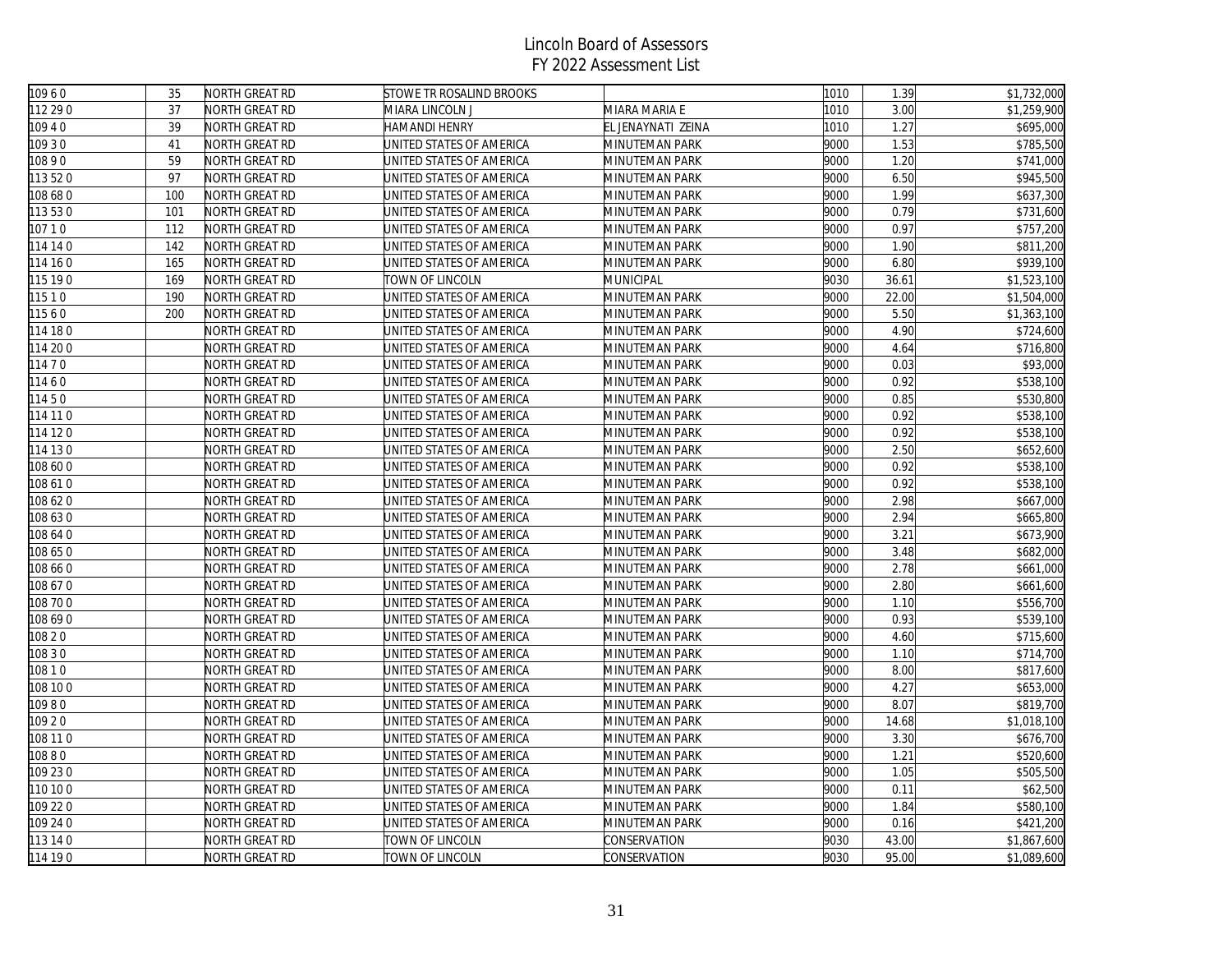| 10960    | 35  | NORTH GREAT RD | <b>STOWE TR ROSALIND BROOKS</b> |                    | 1010 | 1.39  | \$1,732,000 |
|----------|-----|----------------|---------------------------------|--------------------|------|-------|-------------|
| 112 29 0 | 37  | NORTH GREAT RD | MIARA LINCOLN J                 | MIARA MARIA E      | 1010 | 3.00  | \$1,259,900 |
| 109 4 0  | 39  | NORTH GREAT RD | HAMANDI HENRY                   | EL JENAYNATI ZEINA | 1010 | 1.27  | \$695,000   |
| 109 30   | 41  | NORTH GREAT RD | UNITED STATES OF AMERICA        | MINUTEMAN PARK     | 9000 | 1.53  | \$785,500   |
| 10890    | 59  | NORTH GREAT RD | UNITED STATES OF AMERICA        | MINUTEMAN PARK     | 9000 | 1.20  | \$741,000   |
| 113520   | 97  | NORTH GREAT RD | UNITED STATES OF AMERICA        | MINUTEMAN PARK     | 9000 | 6.50  | \$945,500   |
| 108 68 0 | 100 | NORTH GREAT RD | UNITED STATES OF AMERICA        | MINUTEMAN PARK     | 9000 | 1.99  | \$637,300   |
| 113530   | 101 | NORTH GREAT RD | UNITED STATES OF AMERICA        | MINUTEMAN PARK     | 9000 | 0.79  | \$731,600   |
| 10710    | 112 | NORTH GREAT RD | UNITED STATES OF AMERICA        | MINUTEMAN PARK     | 9000 | 0.97  | \$757,200   |
| 114 14 0 | 142 | NORTH GREAT RD | JNITED STATES OF AMERICA        | MINUTEMAN PARK     | 9000 | 1.90  | \$811,200   |
| 114 16 0 | 165 | NORTH GREAT RD | UNITED STATES OF AMERICA        | MINUTEMAN PARK     | 9000 | 6.80  | \$939,100   |
| 115 19 0 | 169 | NORTH GREAT RD | TOWN OF LINCOLN                 | MUNICIPAL          | 9030 | 36.61 | \$1,523,100 |
| 11510    | 190 | NORTH GREAT RD | UNITED STATES OF AMERICA        | MINUTEMAN PARK     | 9000 | 22.00 | \$1,504,000 |
| 11560    | 200 | NORTH GREAT RD | JNITED STATES OF AMERICA        | MINUTEMAN PARK     | 9000 | 5.50  | \$1,363,100 |
| 114 18 0 |     | NORTH GREAT RD | UNITED STATES OF AMERICA        | MINUTEMAN PARK     | 9000 | 4.90  | \$724,600   |
| 114 20 0 |     | NORTH GREAT RD | UNITED STATES OF AMERICA        | MINUTEMAN PARK     | 9000 | 4.64  | \$716,800   |
| 114 7 0  |     | NORTH GREAT RD | UNITED STATES OF AMERICA        | MINUTEMAN PARK     | 9000 | 0.03  | \$93,000    |
| 11460    |     | NORTH GREAT RD | JNITED STATES OF AMERICA        | MINUTEMAN PARK     | 9000 | 0.92  | \$538,100   |
| 11450    |     | NORTH GREAT RD | UNITED STATES OF AMERICA        | MINUTEMAN PARK     | 9000 | 0.85  | \$530,800   |
| 114 11 0 |     | NORTH GREAT RD | UNITED STATES OF AMERICA        | MINUTEMAN PARK     | 9000 | 0.92  | \$538,100   |
| 114 12 0 |     | NORTH GREAT RD | UNITED STATES OF AMERICA        | MINUTEMAN PARK     | 9000 | 0.92  | \$538,100   |
| 114 130  |     | NORTH GREAT RD | UNITED STATES OF AMERICA        | MINUTEMAN PARK     | 9000 | 2.50  | \$652,600   |
| 08 60 0  |     | NORTH GREAT RD | UNITED STATES OF AMERICA        | MINUTEMAN PARK     | 9000 | 0.92  | \$538,100   |
| 108 610  |     | NORTH GREAT RD | UNITED STATES OF AMERICA        | MINUTEMAN PARK     | 9000 | 0.92  | \$538,100   |
| 108 620  |     | NORTH GREAT RD | UNITED STATES OF AMERICA        | MINUTEMAN PARK     | 9000 | 2.98  | \$667,000   |
| 108 63 0 |     | NORTH GREAT RD | UNITED STATES OF AMERICA        | MINUTEMAN PARK     | 9000 | 2.94  | \$665,800   |
| 108 64 0 |     | NORTH GREAT RD | UNITED STATES OF AMERICA        | MINUTEMAN PARK     | 9000 | 3.21  | \$673,900   |
| 108 650  |     | NORTH GREAT RD | UNITED STATES OF AMERICA        | MINUTEMAN PARK     | 9000 | 3.48  | \$682,000   |
| 108 66 0 |     | NORTH GREAT RD | UNITED STATES OF AMERICA        | MINUTEMAN PARK     | 9000 | 2.78  | \$661,000   |
| 108 670  |     | NORTH GREAT RD | UNITED STATES OF AMERICA        | MINUTEMAN PARK     | 9000 | 2.80  | \$661,600   |
| 08 70 0  |     | NORTH GREAT RD | UNITED STATES OF AMERICA        | MINUTEMAN PARK     | 9000 | 1.10  | \$556,700   |
| 108 69 0 |     | NORTH GREAT RD | UNITED STATES OF AMERICA        | MINUTEMAN PARK     | 9000 | 0.93  | \$539,100   |
| 108 2 0  |     | NORTH GREAT RD | UNITED STATES OF AMERICA        | MINUTEMAN PARK     | 9000 | 4.60  | \$715,600   |
| 108 3 0  |     | NORTH GREAT RD | UNITED STATES OF AMERICA        | MINUTEMAN PARK     | 9000 | 1.10  | \$714,700   |
| 10810    |     | NORTH GREAT RD | JNITED STATES OF AMERICA        | MINUTEMAN PARK     | 9000 | 8.00  | \$817,600   |
| 108 10 0 |     | NORTH GREAT RD | UNITED STATES OF AMERICA        | MINUTEMAN PARK     | 9000 | 4.27  | \$653,000   |
| 10980    |     | NORTH GREAT RD | UNITED STATES OF AMERICA        | MINUTEMAN PARK     | 9000 | 8.07  | \$819,700   |
| 109 2 0  |     | NORTH GREAT RD | UNITED STATES OF AMERICA        | MINUTEMAN PARK     | 9000 | 14.68 | \$1,018,100 |
| 108 11 0 |     | NORTH GREAT RD | UNITED STATES OF AMERICA        | MINUTEMAN PARK     | 9000 | 3.30  | \$676,700   |
| 10880    |     | NORTH GREAT RD | UNITED STATES OF AMERICA        | MINUTEMAN PARK     | 9000 | 1.21  | \$520,600   |
| 109 230  |     | NORTH GREAT RD | UNITED STATES OF AMERICA        | MINUTEMAN PARK     | 9000 | 1.05  | \$505,500   |
| 110 10 0 |     | NORTH GREAT RD | UNITED STATES OF AMERICA        | MINUTEMAN PARK     | 9000 | 0.11  | \$62,500    |
| 109 22 0 |     | NORTH GREAT RD | JNITED STATES OF AMERICA        | MINUTEMAN PARK     | 9000 | 1.84  | \$580,100   |
| 109 24 0 |     | NORTH GREAT RD | UNITED STATES OF AMERICA        | MINUTEMAN PARK     | 9000 | 0.16  | \$421,200   |
| 113 14 0 |     | NORTH GREAT RD | TOWN OF LINCOLN                 | CONSERVATION       | 9030 | 43.00 | \$1,867,600 |
| 114 190  |     | NORTH GREAT RD | TOWN OF LINCOLN                 | CONSERVATION       | 9030 | 95.00 | \$1,089,600 |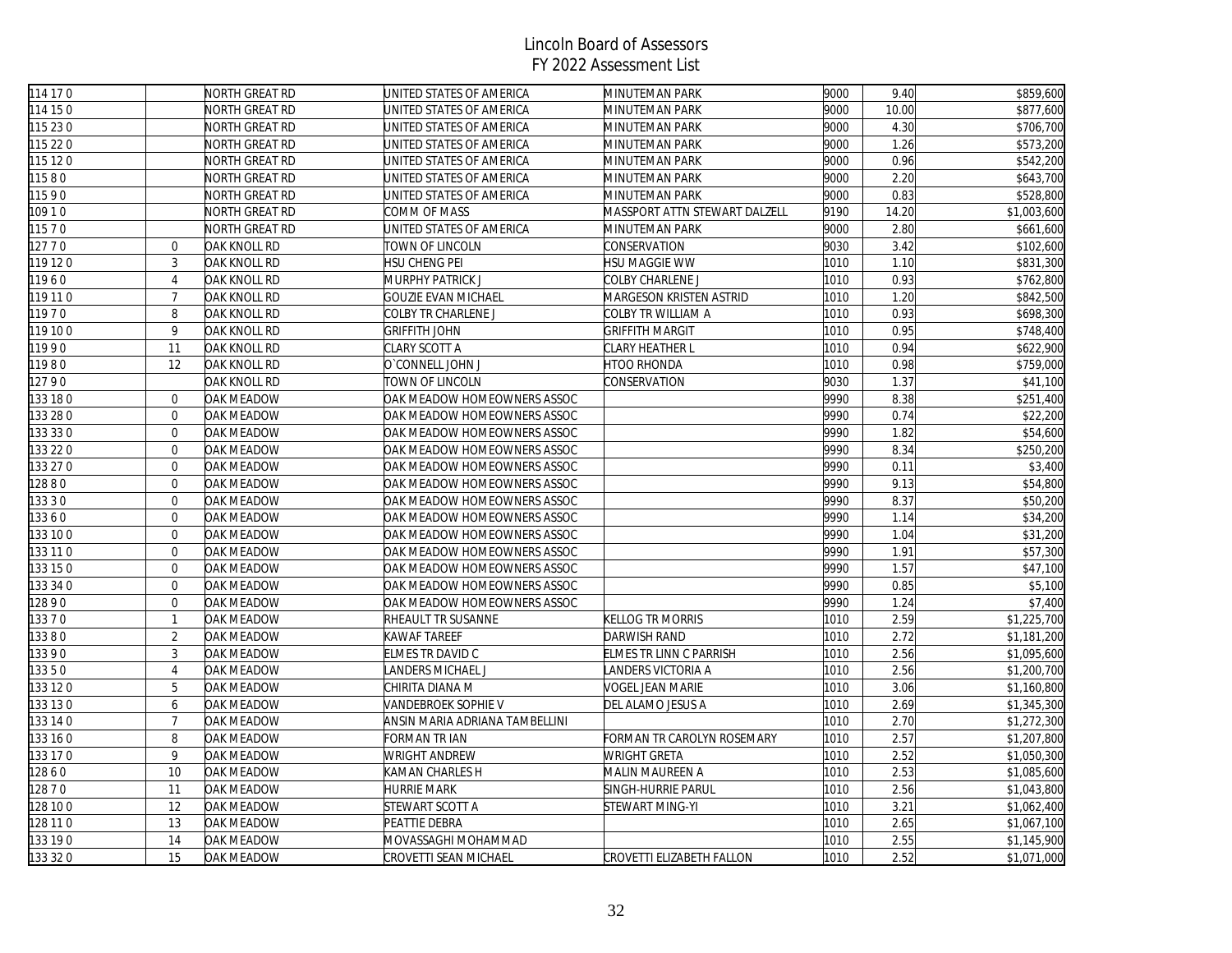| 114 17 0 |                  | NORTH GREAT RD | UNITED STATES OF AMERICA           | MINUTEMAN PARK                       | 9000 | 9.40  | \$859,600               |
|----------|------------------|----------------|------------------------------------|--------------------------------------|------|-------|-------------------------|
| 114 15 0 |                  | NORTH GREAT RD | UNITED STATES OF AMERICA           | MINUTEMAN PARK                       | 9000 | 10.00 | \$877,600               |
| 115 23 0 |                  | NORTH GREAT RD | UNITED STATES OF AMERICA           | MINUTEMAN PARK                       | 9000 | 4.30  | \$706,700               |
| 115 22 0 |                  | NORTH GREAT RD | UNITED STATES OF AMERICA           | MINUTEMAN PARK                       | 9000 | 1.26  | \$573,200               |
| 115 12 0 |                  | NORTH GREAT RD | UNITED STATES OF AMERICA           | MINUTEMAN PARK                       | 9000 | 0.96  | \$542,200               |
| 11580    |                  | NORTH GREAT RD | UNITED STATES OF AMERICA           | MINUTEMAN PARK                       | 9000 | 2.20  | \$643,700               |
| 11590    |                  | NORTH GREAT RD | UNITED STATES OF AMERICA           | MINUTEMAN PARK                       | 9000 | 0.83  | \$528,800               |
| 10910    |                  | NORTH GREAT RD | COMM OF MASS                       | <b>MASSPORT ATTN STEWART DALZELL</b> | 9190 | 14.20 | \$1,003,600             |
| 11570    |                  | NORTH GREAT RD | UNITED STATES OF AMERICA           | MINUTEMAN PARK                       | 9000 | 2.80  | \$661,600               |
| 12770    | $\mathbf{0}$     | OAK KNOLL RD   | TOWN OF LINCOLN                    | CONSERVATION                         | 9030 | 3.42  | \$102,600               |
| 119120   | $\mathbf{3}$     | OAK KNOLL RD   | HSU CHENG PEI                      | HSU MAGGIE WW                        | 1010 | 1.10  | \$831,300               |
| 11960    | $\overline{4}$   | OAK KNOLL RD   | MURPHY PATRICK J                   | COLBY CHARLENE J                     | 1010 | 0.93  | \$762,800               |
| 119 11 0 | $\overline{7}$   | OAK KNOLL RD   | GOUZIE EVAN MICHAEL                | MARGESON KRISTEN ASTRID              | 1010 | 1.20  | \$842,500               |
| 11970    | 8                | OAK KNOLL RD   | COLBY TR CHARLENE J                | COLBY TR WILLIAM A                   | 1010 | 0.93  | \$698,300               |
| 119 10 0 | 9                | OAK KNOLL RD   | <b>GRIFFITH JOHN</b>               | <b>GRIFFITH MARGIT</b>               | 1010 | 0.95  | \$748,400               |
| 11990    | 11               | OAK KNOLL RD   | CLARY SCOTT A                      | CLARY HEATHER L                      | 1010 | 0.94  | \$622,900               |
| 11980    | 12               | OAK KNOLL RD   | O'CONNELL JOHN J                   | <b>HTOO RHONDA</b>                   | 1010 | 0.98  | \$759,000               |
| 12790    |                  | OAK KNOLL RD   | TOWN OF LINCOLN                    | CONSERVATION                         | 9030 | 1.37  | \$41,100                |
| 133 180  | $\overline{0}$   | OAK MEADOW     | OAK MEADOW HOMEOWNERS ASSOC        |                                      | 9990 | 8.38  | \$251,400               |
| 133 28 0 | $\overline{0}$   | OAK MEADOW     | OAK MEADOW HOMEOWNERS ASSOC        |                                      | 9990 | 0.74  | \$22,200                |
| 133 33 0 | $\overline{0}$   | OAK MEADOW     | OAK MEADOW HOMEOWNERS ASSOC        |                                      | 9990 | 1.82  | \$54,600                |
| 133 22 0 | $\boldsymbol{0}$ | OAK MEADOW     | OAK MEADOW HOMEOWNERS ASSOC        |                                      | 9990 | 8.34  | \$250,200               |
| 133 27 0 | $\overline{0}$   | OAK MEADOW     | OAK MEADOW HOMEOWNERS ASSOC        |                                      | 9990 | 0.11  | \$3,400                 |
| 12880    | $\overline{0}$   | OAK MEADOW     | OAK MEADOW HOMEOWNERS ASSOC        |                                      | 9990 | 9.13  | \$54,800                |
| 13330    | $\overline{0}$   | OAK MEADOW     | OAK MEADOW HOMEOWNERS ASSOC        |                                      | 9990 | 8.37  | \$50,200                |
| 13360    | $\overline{0}$   | OAK MEADOW     | OAK MEADOW HOMEOWNERS ASSOC        |                                      | 9990 | 1.14  | \$34,200                |
| 133 10 0 | $\mathbf{0}$     | OAK MEADOW     | OAK MEADOW HOMEOWNERS ASSOC        |                                      | 9990 | 1.04  | \$31,200                |
| 133 11 0 | $\overline{0}$   | OAK MEADOW     | <b>OAK MEADOW HOMEOWNERS ASSOC</b> |                                      | 9990 | 1.91  | \$57,300                |
| 133 15 0 | $\overline{0}$   | OAK MEADOW     | OAK MEADOW HOMEOWNERS ASSOC        |                                      | 9990 | 1.57  | \$47,100                |
| 133 34 0 | $\overline{0}$   | OAK MEADOW     | OAK MEADOW HOMEOWNERS ASSOC        |                                      | 9990 | 0.85  | \$5,100                 |
| 12890    | $\overline{0}$   | OAK MEADOW     | OAK MEADOW HOMEOWNERS ASSOC        |                                      | 9990 | 1.24  | \$7,400                 |
| 13370    | $\mathbf{1}$     | OAK MEADOW     | RHEAULT TR SUSANNE                 | KELLOG TR MORRIS                     | 1010 | 2.59  | \$1,225,700             |
| 13380    | 2                | OAK MEADOW     | KAWAF TAREEF                       | DARWISH RAND                         | 1010 | 2.72  | \$1,181,200             |
| 13390    | 3                | OAK MEADOW     | ELMES TR DAVID C                   | ELMES TR LINN C PARRISH              | 1010 | 2.56  | \$1,095,600             |
| 13350    | $\overline{4}$   | OAK MEADOW     | ANDERS MICHAEL J                   | LANDERS VICTORIA A                   | 1010 | 2.56  | \$1,200,700             |
| 133 120  | 5                | OAK MEADOW     | CHIRITA DIANA M                    | <b>VOGEL JEAN MARIE</b>              | 1010 | 3.06  | \$1,160,800             |
| 133 130  | 6                | OAK MEADOW     | VANDEBROEK SOPHIE V                | DEL ALAMO JESUS A                    | 1010 | 2.69  | \$1,345,300             |
| 133 14 0 | $\overline{7}$   | OAK MEADOW     | ANSIN MARIA ADRIANA TAMBELLINI     |                                      | 1010 | 2.70  | $\overline{$1,272,300}$ |
| 133 16 0 | 8                | OAK MEADOW     | FORMAN TR IAN                      | FORMAN TR CAROLYN ROSEMARY           | 1010 | 2.57  | \$1,207,800             |
| 133 17 0 | 9                | OAK MEADOW     | WRIGHT ANDREW                      | <b>WRIGHT GRETA</b>                  | 1010 | 2.52  | \$1,050,300             |
| 12860    | 10               | OAK MEADOW     | KAMAN CHARLES H                    | MALIN MAUREEN A                      | 1010 | 2.53  | \$1,085,600             |
| 12870    | 11               | OAK MEADOW     | <b>HURRIE MARK</b>                 | SINGH-HURRIE PARUL                   | 1010 | 2.56  | \$1,043,800             |
| 128 10 0 | 12               | OAK MEADOW     | STEWART SCOTT A                    | STEWART MING-YI                      | 1010 | 3.21  | \$1,062,400             |
| 128 11 0 | 13               | OAK MEADOW     | PEATTIE DEBRA                      |                                      | 1010 | 2.65  | \$1,067,100             |
| 133 190  | 14               | OAK MEADOW     | MOVASSAGHI MOHAMMAD                |                                      | 1010 | 2.55  | \$1,145,900             |
| 133 32 0 | 15               | OAK MEADOW     | CROVETTI SEAN MICHAEL              | CROVETTI ELIZABETH FALLON            | 1010 | 2.52  | \$1,071,000             |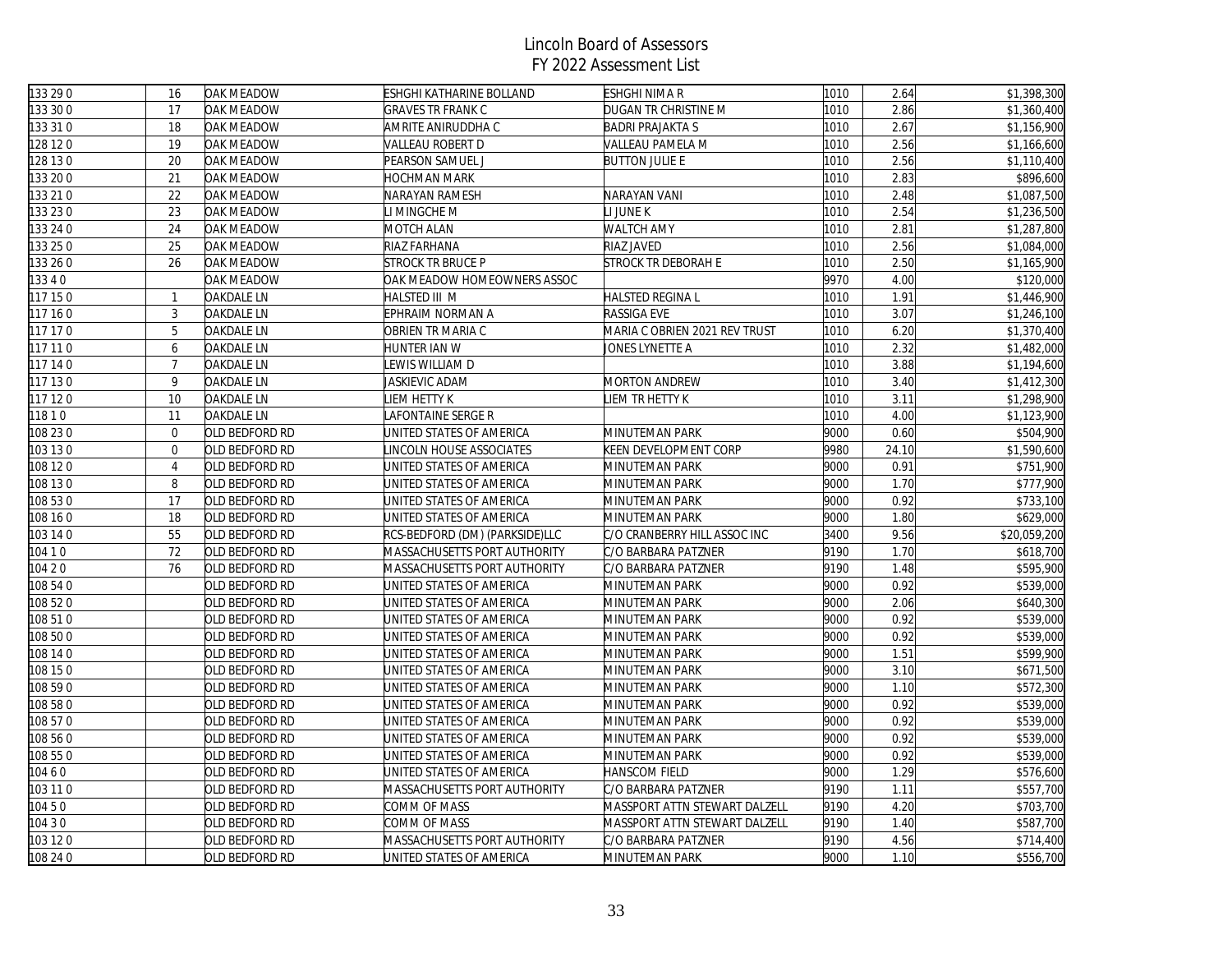| 133 29 0 | 16              | OAK MEADOW        | <b>ESHGHI KATHARINE BOLLAND</b> | ESHGHI NIMA R                 | 1010 | 2.64  | \$1,398,300  |
|----------|-----------------|-------------------|---------------------------------|-------------------------------|------|-------|--------------|
| 133 30 0 | 17              | OAK MEADOW        | <b>GRAVES TR FRANK C</b>        | DUGAN TR CHRISTINE M          | 1010 | 2.86  | \$1,360,400  |
| 133 31 0 | 18              | OAK MEADOW        | AMRITE ANIRUDDHA C              | <b>BADRI PRAJAKTA S</b>       | 1010 | 2.67  | \$1,156,900  |
| 128 12 0 | 19              | OAK MEADOW        | VALLEAU ROBERT D                | VALLEAU PAMELA M              | 1010 | 2.56  | \$1,166,600  |
| 128 13 0 | 20              | OAK MEADOW        | PEARSON SAMUEL J                | <b>BUTTON JULIE E</b>         | 1010 | 2.56  | \$1,110,400  |
| 133 20 0 | 21              | OAK MEADOW        | HOCHMAN MARK                    |                               | 1010 | 2.83  | \$896,600    |
| 133 21 0 | 22              | OAK MEADOW        | NARAYAN RAMESH                  | NARAYAN VANI                  | 1010 | 2.48  | \$1,087,500  |
| 133 23 0 | 23              | OAK MEADOW        | LI MINGCHE M                    | LI JUNE K                     | 1010 | 2.54  | \$1,236,500  |
| 133 24 0 | 24              | OAK MEADOW        | MOTCH ALAN                      | <b>WALTCH AMY</b>             | 1010 | 2.81  | \$1,287,800  |
| 133 25 0 | 25              | OAK MEADOW        | RIAZ FARHANA                    | RIAZ JAVED                    | 1010 | 2.56  | \$1,084,000  |
| 133 26 0 | 26              | OAK MEADOW        | <b>STROCK TR BRUCE P</b>        | <b>STROCK TR DEBORAH E</b>    | 1010 | 2.50  | \$1,165,900  |
| 13340    |                 | OAK MEADOW        | OAK MEADOW HOMEOWNERS ASSOC     |                               | 9970 | 4.00  | \$120,000    |
| 117 15 0 | $\mathbf{1}$    | <b>OAKDALE LN</b> | HALSTED III M                   | <b>HALSTED REGINA L</b>       | 1010 | 1.91  | \$1,446,900  |
| 117 16 0 | 3               | <b>OAKDALE LN</b> | EPHRAIM NORMAN A                | RASSIGA EVE                   | 1010 | 3.07  | \$1,246,100  |
| 117 17 0 | 5               | <b>OAKDALE LN</b> | OBRIEN TR MARIA C               | MARIA C OBRIEN 2021 REV TRUST | 1010 | 6.20  | \$1,370,400  |
| 117 11 0 | 6               | <b>OAKDALE LN</b> | HUNTER IAN W                    | JONES LYNETTE A               | 1010 | 2.32  | \$1,482,000  |
| 117 14 0 | $\overline{7}$  | <b>OAKDALE LN</b> | EWIS WILLIAM D                  |                               | 1010 | 3.88  | \$1,194,600  |
| 117 130  | 9               | <b>OAKDALE LN</b> | JASKIEVIC ADAM                  | <b>MORTON ANDREW</b>          | 1010 | 3.40  | \$1,412,300  |
| 117 120  | 10              | <b>OAKDALE LN</b> | <b>IEM HETTY K</b>              | <b>JEM TR HETTY K</b>         | 1010 | 3.11  | \$1,298,900  |
| 11810    | 11              | OAKDALE LN        | AFONTAINE SERGE R               |                               | 1010 | 4.00  | \$1,123,900  |
| 108 23 0 | $\overline{0}$  | OLD BEDFORD RD    | UNITED STATES OF AMERICA        | MINUTEMAN PARK                | 9000 | 0.60  | \$504,900    |
| 103 13 0 | $\mathbf 0$     | OLD BEDFORD RD    | INCOLN HOUSE ASSOCIATES         | KEEN DEVELOPMENT CORP         | 9980 | 24.10 | \$1,590,600  |
| 108 12 0 | $\overline{4}$  | OLD BEDFORD RD    | UNITED STATES OF AMERICA        | MINUTEMAN PARK                | 9000 | 0.91  | \$751,900    |
| 108 13 0 | 8               | OLD BEDFORD RD    | UNITED STATES OF AMERICA        | MINUTEMAN PARK                | 9000 | 1.70  | \$777,900    |
| 108 53 0 | $\overline{17}$ | OLD BEDFORD RD    | UNITED STATES OF AMERICA        | MINUTEMAN PARK                | 9000 | 0.92  | \$733,100    |
| 108 16 0 | 18              | OLD BEDFORD RD    | UNITED STATES OF AMERICA        | MINUTEMAN PARK                | 9000 | 1.80  | \$629,000    |
| 103 14 0 | 55              | OLD BEDFORD RD    | RCS-BEDFORD (DM) (PARKSIDE)LLC  | C/O CRANBERRY HILL ASSOC INC  | 3400 | 9.56  | \$20,059,200 |
| 104 1 0  | 72              | OLD BEDFORD RD    | MASSACHUSETTS PORT AUTHORITY    | C/O BARBARA PATZNER           | 9190 | 1.70  | \$618,700    |
| 104 2 0  | 76              | OLD BEDFORD RD    | MASSACHUSETTS PORT AUTHORITY    | C/O BARBARA PATZNER           | 9190 | 1.48  | \$595,900    |
| 108 54 0 |                 | OLD BEDFORD RD    | UNITED STATES OF AMERICA        | MINUTEMAN PARK                | 9000 | 0.92  | \$539,000    |
| 108 520  |                 | OLD BEDFORD RD    | UNITED STATES OF AMERICA        | MINUTEMAN PARK                | 9000 | 2.06  | \$640,300    |
| 108 51 0 |                 | OLD BEDFORD RD    | UNITED STATES OF AMERICA        | MINUTEMAN PARK                | 9000 | 0.92  | \$539,000    |
| 108 50 0 |                 | OLD BEDFORD RD    | UNITED STATES OF AMERICA        | MINUTEMAN PARK                | 9000 | 0.92  | \$539,000    |
| 108 14 0 |                 | OLD BEDFORD RD    | UNITED STATES OF AMERICA        | MINUTEMAN PARK                | 9000 | 1.51  | \$599,900    |
| 108 15 0 |                 | OLD BEDFORD RD    | UNITED STATES OF AMERICA        | MINUTEMAN PARK                | 9000 | 3.10  | \$671,500    |
| 108 590  |                 | old bedford RD    | UNITED STATES OF AMERICA        | MINUTEMAN PARK                | 9000 | 1.10  | \$572,300    |
| 108 58 0 |                 | OLD BEDFORD RD    | UNITED STATES OF AMERICA        | MINUTEMAN PARK                | 9000 | 0.92  | \$539,000    |
| 108 57 0 |                 | OLD BEDFORD RD    | UNITED STATES OF AMERICA        | MINUTEMAN PARK                | 9000 | 0.92  | \$539,000    |
| 108 56 0 |                 | OLD BEDFORD RD    | UNITED STATES OF AMERICA        | MINUTEMAN PARK                | 9000 | 0.92  | \$539,000    |
| 108 55 0 |                 | OLD BEDFORD RD    | UNITED STATES OF AMERICA        | MINUTEMAN PARK                | 9000 | 0.92  | \$539,000    |
| 10460    |                 | OLD BEDFORD RD    | UNITED STATES OF AMERICA        | HANSCOM FIELD                 | 9000 | 1.29  | \$576,600    |
| 103 11 0 |                 | OLD BEDFORD RD    | MASSACHUSETTS PORT AUTHORITY    | C/O BARBARA PATZNER           | 9190 | 1.11  | \$557,700    |
| 10450    |                 | OLD BEDFORD RD    | COMM OF MASS                    | MASSPORT ATTN STEWART DALZELL | 9190 | 4.20  | \$703,700    |
| 104 3 0  |                 | OLD BEDFORD RD    | COMM OF MASS                    | MASSPORT ATTN STEWART DALZELL | 9190 | 1.40  | \$587,700    |
| 103 12 0 |                 | OLD BEDFORD RD    | MASSACHUSETTS PORT AUTHORITY    | C/O BARBARA PATZNER           | 9190 | 4.56  | \$714,400    |
| 108 24 0 |                 | OLD BEDFORD RD    | UNITED STATES OF AMERICA        | MINUTEMAN PARK                | 9000 | 1.10  | \$556,700    |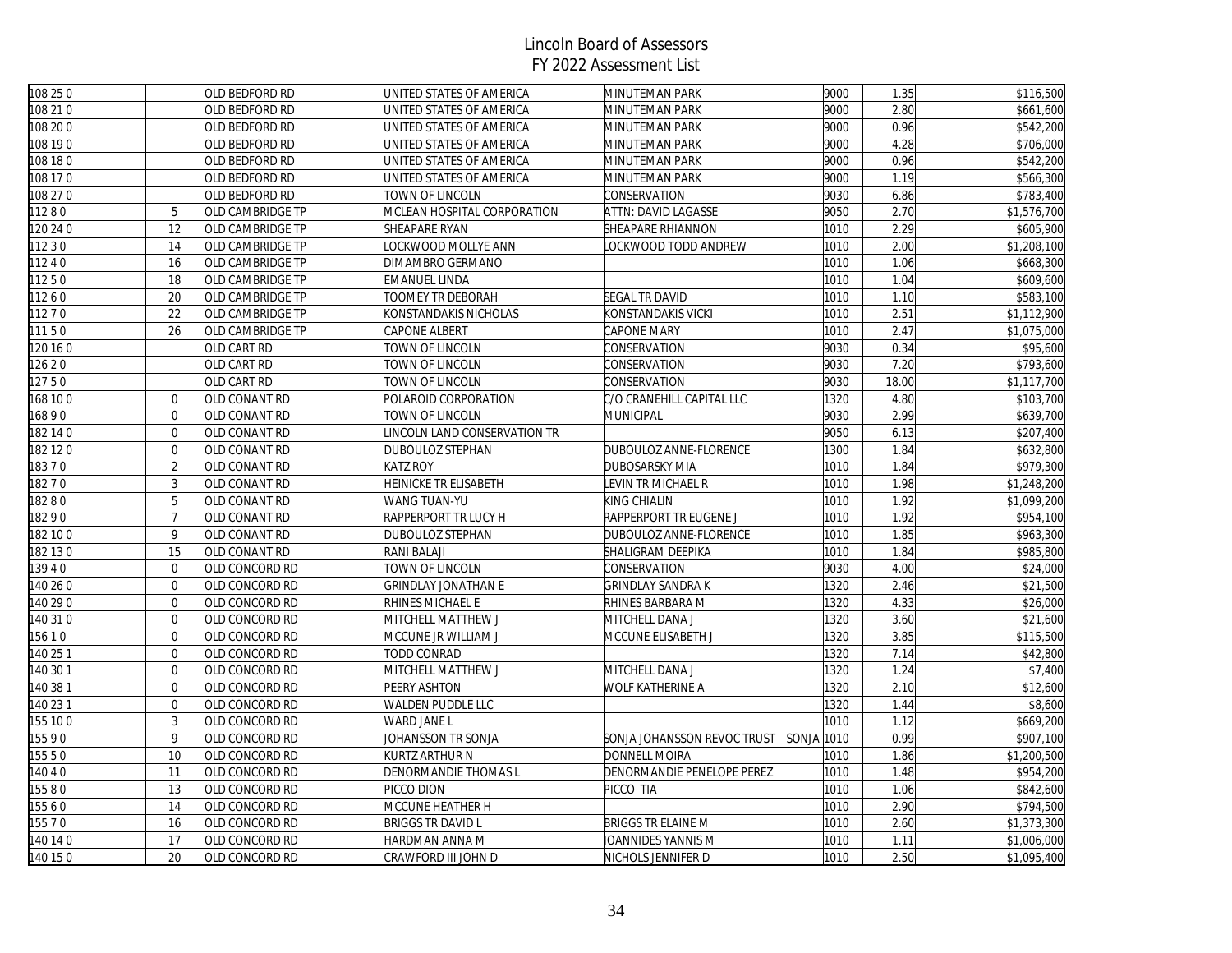| 108 25 0 |                  | OLD BEDFORD RD   | UNITED STATES OF AMERICA     | MINUTEMAN PARK                         | 9000 | 1.35  | \$116,500   |
|----------|------------------|------------------|------------------------------|----------------------------------------|------|-------|-------------|
| 108 21 0 |                  | OLD BEDFORD RD   | JNITED STATES OF AMERICA     | MINUTEMAN PARK                         | 9000 | 2.80  | \$661,600   |
| 108 20 0 |                  | OLD BEDFORD RD   | JNITED STATES OF AMERICA     | MINUTEMAN PARK                         | 9000 | 0.96  | \$542,200   |
| 108 19 0 |                  | OLD BEDFORD RD   | UNITED STATES OF AMERICA     | MINUTEMAN PARK                         | 9000 | 4.28  | \$706,000   |
| 108 18 0 |                  | OLD BEDFORD RD   | JNITED STATES OF AMERICA     | MINUTEMAN PARK                         | 9000 | 0.96  | \$542,200   |
| 108 17 0 |                  | OLD BEDFORD RD   | JNITED STATES OF AMERICA     | MINUTEMAN PARK                         | 9000 | 1.19  | \$566,300   |
| 108 27 0 |                  | OLD BEDFORD RD   | TOWN OF LINCOLN              | CONSERVATION                           | 9030 | 6.86  | \$783,400   |
| 11280    | 5                | OLD CAMBRIDGE TP | MCLEAN HOSPITAL CORPORATION  | ATTN: DAVID LAGASSE                    | 9050 | 2.70  | \$1,576,700 |
| 120 24 0 | 12               | OLD CAMBRIDGE TP | <b>SHEAPARE RYAN</b>         | SHEAPARE RHIANNON                      | 1010 | 2.29  | \$605,900   |
| 1230     | 14               | OLD CAMBRIDGE TP | OCKWOOD MOLLYE ANN           | LOCKWOOD TODD ANDREW                   | 1010 | 2.00  | \$1,208,100 |
| 11240    | 16               | OLD CAMBRIDGE TP | DIMAMBRO GERMANO             |                                        | 1010 | 1.06  | \$668,300   |
| 11250    | 18               | OLD CAMBRIDGE TP | EMANUEL LINDA                |                                        | 1010 | 1.04  | \$609,600   |
| 11260    | 20               | OLD CAMBRIDGE TP | TOOMEY TR DEBORAH            | SEGAL TR DAVID                         | 1010 | 1.10  | \$583,100   |
| 11270    | 22               | OLD CAMBRIDGE TP | <b>KONSTANDAKIS NICHOLAS</b> | KONSTANDAKIS VICKI                     | 1010 | 2.51  | \$1,112,900 |
| 11150    | 26               | OLD CAMBRIDGE TP | CAPONE ALBERT                | CAPONE MARY                            | 1010 | 2.47  | \$1,075,000 |
| 120 16 0 |                  | OLD CART RD      | TOWN OF LINCOLN              | CONSERVATION                           | 9030 | 0.34  | \$95,600    |
| 12620    |                  | OLD CART RD      | TOWN OF LINCOLN              | CONSERVATION                           | 9030 | 7.20  | \$793,600   |
| 12750    |                  | OLD CART RD      | TOWN OF LINCOLN              | CONSERVATION                           | 9030 | 18.00 | \$1,117,700 |
| 168 100  | $\overline{0}$   | OLD CONANT RD    | POLAROID CORPORATION         | C/O CRANEHILL CAPITAL LLC              | 1320 | 4.80  | \$103,700   |
| 16890    | $\overline{0}$   | OLD CONANT RD    | TOWN OF LINCOLN              | MUNICIPAL                              | 9030 | 2.99  | \$639,700   |
| 182 14 0 | $\mathbf{0}$     | OLD CONANT RD    | INCOLN LAND CONSERVATION TR  |                                        | 9050 | 6.13  | \$207,400   |
| 182 12 0 | $\overline{0}$   | OLD CONANT RD    | DUBOULOZ STEPHAN             | DUBOULOZ ANNE-FLORENCE                 | 1300 | 1.84  | \$632,800   |
| 18370    | $\sqrt{2}$       | OLD CONANT RD    | <b>KATZ ROY</b>              | DUBOSARSKY MIA                         | 1010 | 1.84  | \$979,300   |
| 18270    | 3                | OLD CONANT RD    | HEINICKE TR ELISABETH        | LEVIN TR MICHAEL R                     | 1010 | 1.98  | \$1,248,200 |
| 18280    | 5                | OLD CONANT RD    | WANG TUAN-YU                 | KING CHIALIN                           | 1010 | 1.92  | \$1,099,200 |
| 18290    | $\overline{7}$   | OLD CONANT RD    | RAPPERPORT TR LUCY H         | RAPPERPORT TR EUGENE J                 | 1010 | 1.92  | \$954,100   |
| 182 10 0 | 9                | OLD CONANT RD    | DUBOULOZ STEPHAN             | DUBOULOZ ANNE-FLORENCE                 | 1010 | 1.85  | \$963,300   |
| 182130   | 15               | OLD CONANT RD    | RANI BALAJI                  | SHALIGRAM DEEPIKA                      | 1010 | 1.84  | \$985,800   |
| 13940    | $\mathbf{0}$     | OLD CONCORD RD   | TOWN OF LINCOLN              | CONSERVATION                           | 9030 | 4.00  | \$24,000    |
| 140 26 0 | $\mathbf{0}$     | OLD CONCORD RD   | <b>GRINDLAY JONATHAN E</b>   | <b>GRINDLAY SANDRAK</b>                | 1320 | 2.46  | \$21,500    |
| 140 29 0 | $\mathbf 0$      | OLD CONCORD RD   | RHINES MICHAEL E             | RHINES BARBARA M                       | 1320 | 4.33  | \$26,000    |
| 140 31 0 | $\boldsymbol{0}$ | OLD CONCORD RD   | MITCHELL MATTHEW J           | MITCHELL DANA J                        | 1320 | 3.60  | \$21,600    |
| 15610    | $\mathbf 0$      | OLD CONCORD RD   | MCCUNE JR WILLIAM J          | MCCUNE ELISABETH J                     | 1320 | 3.85  | \$115,500   |
| 140 25 1 | $\mathbf{0}$     | OLD CONCORD RD   | TODD CONRAD                  |                                        | 1320 | 7.14  | \$42,800    |
| 140 30 1 | $\mathbf{0}$     | OLD CONCORD RD   | MITCHELL MATTHEW J           | MITCHELL DANA J                        | 1320 | 1.24  | \$7,400     |
| 140 38 1 | $\mathbf 0$      | OLD CONCORD RD   | PEERY ASHTON                 | WOLF KATHERINE A                       | 1320 | 2.10  | \$12,600    |
| 140 23 1 | $\mathbf 0$      | OLD CONCORD RD   | WALDEN PUDDLE LLC            |                                        | 1320 | 1.44  | \$8,600     |
| 155 100  | 3                | OLD CONCORD RD   | WARD JANE L                  |                                        | 1010 | 1.12  | \$669,200   |
| 15590    | 9                | OLD CONCORD RD   | JOHANSSON TR SONJA           | SONJA JOHANSSON REVOC TRUST SONJA 1010 |      | 0.99  | \$907,100   |
| 155 5 0  | 10               | OLD CONCORD RD   | KURTZ ARTHUR N               | DONNELL MOIRA                          | 1010 | 1.86  | \$1,200,500 |
| 4040     | 11               | OLD CONCORD RD   | DENORMANDIE THOMAS L         | DENORMANDIE PENELOPE PEREZ             | 1010 | 1.48  | \$954,200   |
| 15580    | 13               | OLD CONCORD RD   | PICCO DION                   | PICCO TIA                              | 1010 | 1.06  | \$842,600   |
| 15560    | 14               | OLD CONCORD RD   | MCCUNE HEATHER H             |                                        | 1010 | 2.90  | \$794,500   |
| 155 7 0  | 16               | OLD CONCORD RD   | <b>BRIGGS TR DAVID L</b>     | BRIGGS TR ELAINE M                     | 1010 | 2.60  | \$1,373,300 |
| 140 14 0 | 17               | OLD CONCORD RD   | HARDMAN ANNA M               | IOANNIDES YANNIS M                     | 1010 | 1.11  | \$1,006,000 |
| 140 15 0 | 20               | OLD CONCORD RD   | CRAWFORD III JOHN D          | NICHOLS JENNIFER D                     | 1010 | 2.50  | \$1,095,400 |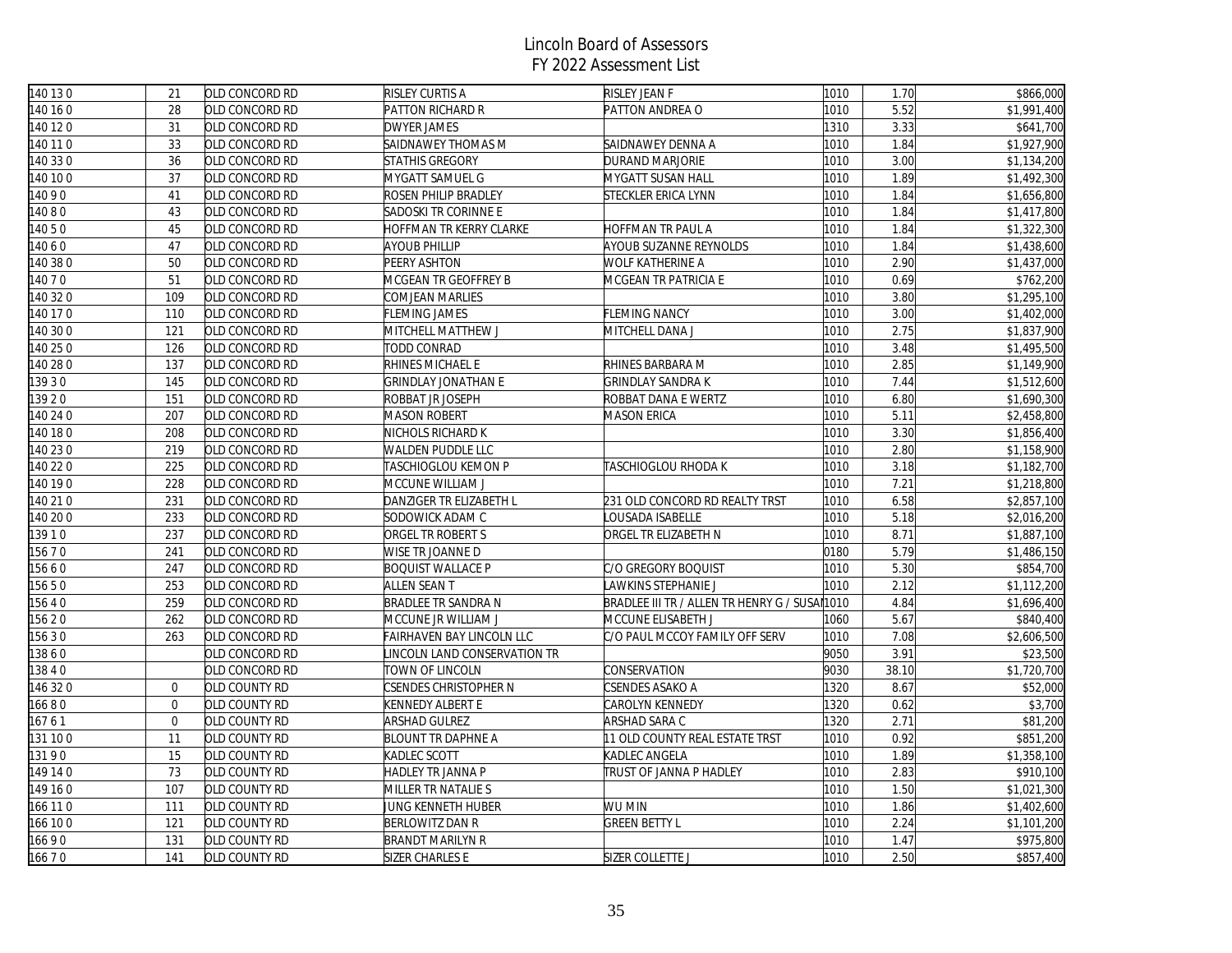| 140 13 0 | 21             | OLD CONCORD RD | <b>RISLEY CURTIS A</b>         | RISLEY JEAN F                                               | 1010 | 1.70  | \$866,000                |
|----------|----------------|----------------|--------------------------------|-------------------------------------------------------------|------|-------|--------------------------|
| 140 16 0 | 28             | OLD CONCORD RD | PATTON RICHARD R               | PATTON ANDREA O                                             | 1010 | 5.52  | $\overline{\$1,991,400}$ |
| 140 12 0 | 31             | OLD CONCORD RD | <b>DWYER JAMES</b>             |                                                             | 1310 | 3.33  | \$641,700                |
| 140 11 0 | 33             | OLD CONCORD RD | SAIDNAWEY THOMAS M             | SAIDNAWEY DENNA A                                           | 1010 | 1.84  | \$1,927,900              |
| 140 33 0 | 36             | OLD CONCORD RD | <b>STATHIS GREGORY</b>         | DURAND MARJORIE                                             | 1010 | 3.00  | \$1,134,200              |
| 140 10 0 | 37             | OLD CONCORD RD | MYGATT SAMUEL G                | MYGATT SUSAN HALL                                           | 1010 | 1.89  | \$1,492,300              |
| 14090    | 41             | OLD CONCORD RD | ROSEN PHILIP BRADLEY           | STECKLER ERICA LYNN                                         | 1010 | 1.84  | \$1,656,800              |
| 14080    | 43             | OLD CONCORD RD | SADOSKI TR CORINNE E           |                                                             | 1010 | 1.84  | \$1,417,800              |
| 14050    | 45             | OLD CONCORD RD | <b>IOFFMAN TR KERRY CLARKE</b> | HOFFMAN TR PAUL A                                           | 1010 | 1.84  | \$1,322,300              |
| 4060     | 47             | OLD CONCORD RD | AYOUB PHILLIP                  | AYOUB SUZANNE REYNOLDS                                      | 1010 | 1.84  | \$1,438,600              |
| 140 38 0 | 50             | OLD CONCORD RD | PEERY ASHTON                   | WOLF KATHERINE A                                            | 1010 | 2.90  | \$1,437,000              |
| 4070     | 51             | OLD CONCORD RD | MCGEAN TR GEOFFREY B           | MCGEAN TR PATRICIA E                                        | 1010 | 0.69  | \$762,200                |
| 140 32 0 | 109            | OLD CONCORD RD | COMJEAN MARLIES                |                                                             | 1010 | 3.80  | \$1,295,100              |
| 40 17 0  | 110            | OLD CONCORD RD | FLEMING JAMES                  | FLEMING NANCY                                               | 1010 | 3.00  | \$1,402,000              |
| 140 30 0 | 121            | OLD CONCORD RD | MITCHELL MATTHEW J             | MITCHELL DANA J                                             | 1010 | 2.75  | \$1,837,900              |
| 140 25 0 | 126            | OLD CONCORD RD | TODD CONRAD                    |                                                             | 1010 | 3.48  | \$1,495,500              |
| 140 28 0 | 137            | OLD CONCORD RD | RHINES MICHAEL E               | RHINES BARBARA M                                            | 1010 | 2.85  | \$1,149,900              |
| 3930     | 145            | OLD CONCORD RD | GRINDLAY JONATHAN E            | <b>GRINDLAY SANDRA K</b>                                    | 1010 | 7.44  | \$1,512,600              |
| 139 2 0  | 151            | OLD CONCORD RD | ROBBAT JR JOSEPH               | ROBBAT DANA E WERTZ                                         | 1010 | 6.80  | \$1,690,300              |
| 140 24 0 | 207            | OLD CONCORD RD | <b>MASON ROBERT</b>            | MASON ERICA                                                 | 1010 | 5.11  | \$2,458,800              |
| 140 18 0 | 208            | OLD CONCORD RD | NICHOLS RICHARD K              |                                                             | 1010 | 3.30  | \$1,856,400              |
| 140 23 0 | 219            | OLD CONCORD RD | WALDEN PUDDLE LLC              |                                                             | 1010 | 2.80  | \$1,158,900              |
| 40 22 0  | 225            | OLD CONCORD RD | TASCHIOGLOU KEMON P            | TASCHIOGLOU RHODA K                                         | 1010 | 3.18  | \$1,182,700              |
| 140 19 0 | 228            | OLD CONCORD RD | MCCUNE WILLIAM J               |                                                             | 1010 | 7.21  | \$1,218,800              |
| 140 210  | 231            | OLD CONCORD RD | DANZIGER TR ELIZABETH L        | 231 OLD CONCORD RD REALTY TRST                              | 1010 | 6.58  | \$2,857,100              |
| 140 20 0 | 233            | OLD CONCORD RD | SODOWICK ADAM C                | LOUSADA ISABELLE                                            | 1010 | 5.18  | \$2,016,200              |
| 13910    | 237            | OLD CONCORD RD | ORGEL TR ROBERT S              | ORGEL TR ELIZABETH N                                        | 1010 | 8.71  | \$1,887,100              |
| 15670    | 241            | OLD CONCORD RD | WISE TR JOANNE D               |                                                             | 0180 | 5.79  | \$1,486,150              |
| 15660    | 247            | OLD CONCORD RD | <b>BOQUIST WALLACE P</b>       | C/O GREGORY BOQUIST                                         | 1010 | 5.30  | \$854,700                |
| 15650    | 253            | OLD CONCORD RD | ALLEN SEAN T                   | LAWKINS STEPHANIE J                                         | 1010 | 2.12  | \$1,112,200              |
| 15640    | 259            | OLD CONCORD RD | BRADLEE TR SANDRA N            | BRADLEE III TR / ALLEN TR HENRY G / SUSAI <mark>1010</mark> |      | 4.84  | \$1,696,400              |
| 156 20   | 262            | OLD CONCORD RD | MCCUNE JR WILLIAM J            | MCCUNE ELISABETH J                                          | 1060 | 5.67  | \$840,400                |
| 15630    | 263            | OLD CONCORD RD | FAIRHAVEN BAY LINCOLN LLC      | C/O PAUL MCCOY FAMILY OFF SERV                              | 1010 | 7.08  | \$2,606,500              |
| 13860    |                | OLD CONCORD RD | INCOLN LAND CONSERVATION TR    |                                                             | 9050 | 3.91  | \$23,500                 |
| 13840    |                | OLD CONCORD RD | TOWN OF LINCOLN                | CONSERVATION                                                | 9030 | 38.10 | \$1,720,700              |
| 46 32 0  | $\overline{0}$ | OLD COUNTY RD  | CSENDES CHRISTOPHER N          | CSENDES ASAKO A                                             | 1320 | 8.67  | \$52,000                 |
| 16680    | $\overline{0}$ | OLD COUNTY RD  | KENNEDY ALBERT E               | CAROLYN KENNEDY                                             | 1320 | 0.62  | \$3,700                  |
| 16761    | $\overline{0}$ | OLD COUNTY RD  | ARSHAD GULREZ                  | ARSHAD SARA C                                               | 1320 | 2.71  | \$81,200                 |
| 131 100  | 11             | OLD COUNTY RD  | <b>BLOUNT TR DAPHNE A</b>      | 11 OLD COUNTY REAL ESTATE TRST                              | 1010 | 0.92  | \$851,200                |
| 13190    | 15             | OLD COUNTY RD  | KADLEC SCOTT                   | KADLEC ANGELA                                               | 1010 | 1.89  | \$1,358,100              |
| 149 14 0 | 73             | OLD COUNTY RD  | HADLEY TR JANNA P              | TRUST OF JANNA P HADLEY                                     | 1010 | 2.83  | \$910,100                |
| 149 16 0 | 107            | OLD COUNTY RD  | MILLER TR NATALIE S            |                                                             | 1010 | 1.50  | \$1,021,300              |
| 166 110  | 111            | OLD COUNTY RD  | JUNG KENNETH HUBER             | WU MIN                                                      | 1010 | 1.86  | \$1,402,600              |
| 66 10 0  | 121            | OLD COUNTY RD  | BERLOWITZ DAN R                | <b>GREEN BETTY L</b>                                        | 1010 | 2.24  | \$1,101,200              |
| 16690    | 131            | OLD COUNTY RD  | <b>BRANDT MARILYN R</b>        |                                                             | 1010 | 1.47  | \$975,800                |
| 16670    | 141            | OLD COUNTY RD  | SIZER CHARLES E                | SIZER COLLETTE J                                            | 1010 | 2.50  | \$857,400                |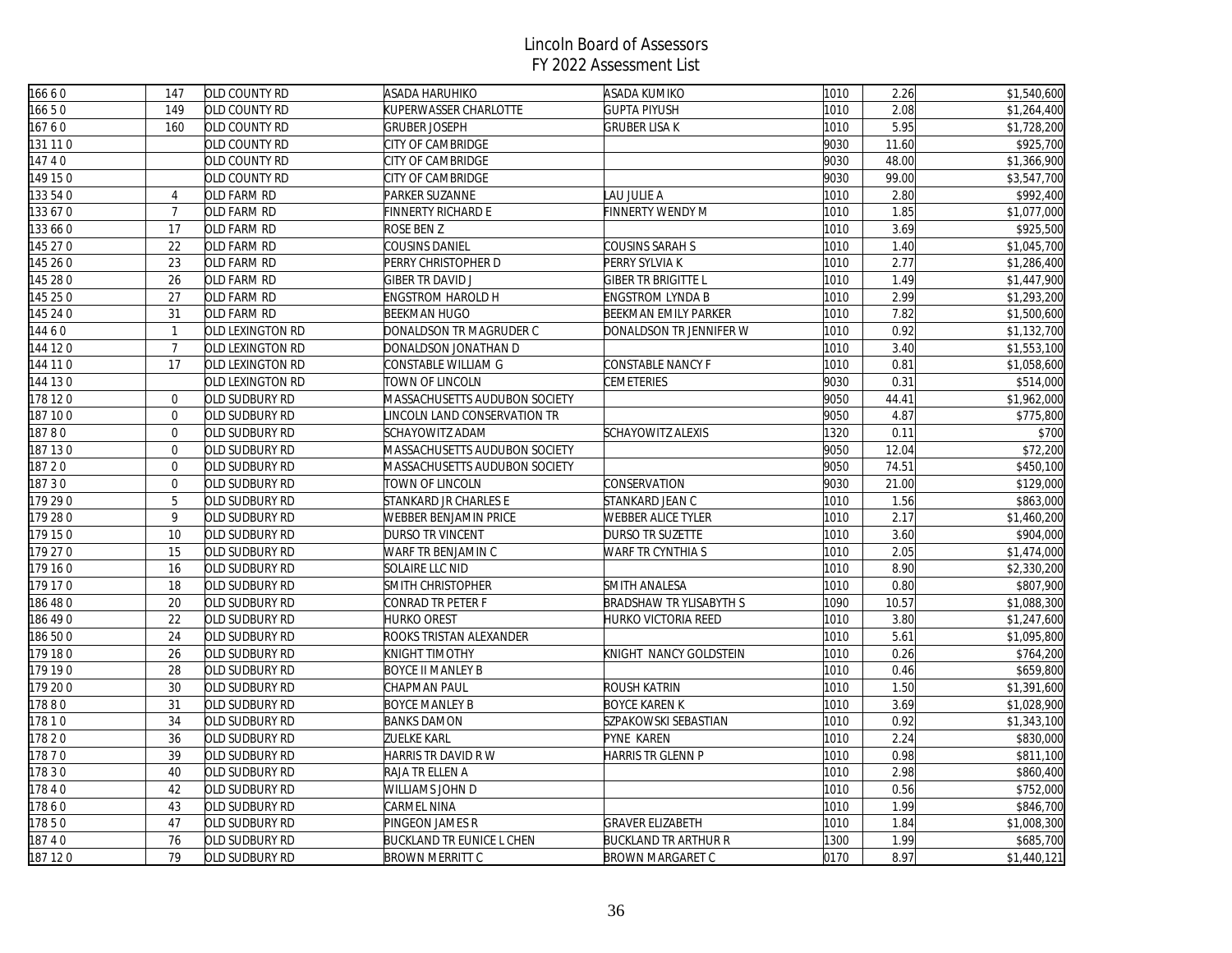| 16660    | 147              | <b>OLD COUNTY RD</b> | <b>ASADA HARUHIKO</b>            | ASADA KUMIKO                | 1010 | 2.26  | \$1,540,600 |
|----------|------------------|----------------------|----------------------------------|-----------------------------|------|-------|-------------|
| 16650    | 149              | OLD COUNTY RD        | KUPERWASSER CHARLOTTE            | <b>GUPTA PIYUSH</b>         | 1010 | 2.08  | \$1,264,400 |
| 16760    | 160              | OLD COUNTY RD        | <b>GRUBER JOSEPH</b>             | <b>GRUBER LISA K</b>        | 1010 | 5.95  | \$1,728,200 |
| 131 11 0 |                  | OLD COUNTY RD        | CITY OF CAMBRIDGE                |                             | 9030 | 11.60 | \$925,700   |
| 14740    |                  | OLD COUNTY RD        | CITY OF CAMBRIDGE                |                             | 9030 | 48.00 | \$1,366,900 |
| 149 150  |                  | OLD COUNTY RD        | CITY OF CAMBRIDGE                |                             | 9030 | 99.00 | \$3,547,700 |
| 133 54 0 | $\overline{4}$   | OLD FARM RD          | PARKER SUZANNE                   | LAU JULIE A                 | 1010 | 2.80  | \$992,400   |
| 133 67 0 | $\overline{7}$   | OLD FARM RD          | <b>FINNERTY RICHARD E</b>        | <b>FINNERTY WENDY M</b>     | 1010 | 1.85  | \$1,077,000 |
| 133 66 0 | 17               | OLD FARM RD          | ROSE BEN Z                       |                             | 1010 | 3.69  | \$925,500   |
| 145 27 0 | 22               | OLD FARM RD          | <b>COUSINS DANIEL</b>            | COUSINS SARAH S             | 1010 | 1.40  | \$1,045,700 |
| 145 26 0 | 23               | OLD FARM RD          | PERRY CHRISTOPHER D              | PERRY SYLVIA K              | 1010 | 2.77  | \$1,286,400 |
| 145 28 0 | 26               | OLD FARM RD          | <b>GIBER TR DAVID J</b>          | GIBER TR BRIGITTE L         | 1010 | 1.49  | \$1,447,900 |
| 145 25 0 | 27               | OLD FARM RD          | <b>ENGSTROM HAROLD H</b>         | <b>ENGSTROM LYNDA B</b>     | 1010 | 2.99  | \$1,293,200 |
| 145 24 0 | 31               | OLD FARM RD          | <b>BEEKMAN HUGO</b>              | BEEKMAN EMILY PARKER        | 1010 | 7.82  | \$1,500,600 |
| 144 6 0  | $\mathbf{1}$     | OLD LEXINGTON RD     | DONALDSON TR MAGRUDER C          | DONALDSON TR JENNIFER W     | 1010 | 0.92  | \$1,132,700 |
| 144 120  | $\overline{7}$   | OLD LEXINGTON RD     | DONALDSON JONATHAN D             |                             | 1010 | 3.40  | \$1,553,100 |
| 144 11 0 | 17               | OLD LEXINGTON RD     | CONSTABLE WILLIAM G              | CONSTABLE NANCY F           | 1010 | 0.81  | \$1,058,600 |
| 144 130  |                  | OLD LEXINGTON RD     | TOWN OF LINCOLN                  | CEMETERIES                  | 9030 | 0.31  | \$514,000   |
| 178 120  | $\overline{0}$   | OLD SUDBURY RD       | MASSACHUSETTS AUDUBON SOCIETY    |                             | 9050 | 44.41 | \$1,962,000 |
| 187 100  | $\overline{0}$   | OLD SUDBURY RD       | LINCOLN LAND CONSERVATION TR     |                             | 9050 | 4.87  | \$775,800   |
| 18780    | $\overline{0}$   | OLD SUDBURY RD       | <b>SCHAYOWITZ ADAM</b>           | <b>SCHAYOWITZ ALEXIS</b>    | 1320 | 0.11  | \$700       |
| 187 130  | $\boldsymbol{0}$ | OLD SUDBURY RD       | MASSACHUSETTS AUDUBON SOCIETY    |                             | 9050 | 12.04 | \$72,200    |
| 18720    | $\overline{0}$   | OLD SUDBURY RD       | MASSACHUSETTS AUDUBON SOCIETY    |                             | 9050 | 74.51 | \$450,100   |
| 18730    | $\overline{0}$   | OLD SUDBURY RD       | TOWN OF LINCOLN                  | CONSERVATION                | 9030 | 21.00 | \$129,000   |
| 179 290  | 5                | OLD SUDBURY RD       | STANKARD JR CHARLES E            | STANKARD JEAN C             | 1010 | 1.56  | \$863,000   |
| 179 28 0 | 9                | OLD SUDBURY RD       | WEBBER BENJAMIN PRICE            | <b>WEBBER ALICE TYLER</b>   | 1010 | 2.17  | \$1,460,200 |
| 179 150  | 10               | OLD SUDBURY RD       | DURSO TR VINCENT                 | DURSO TR SUZETTE            | 1010 | 3.60  | \$904,000   |
| 179 27 0 | 15               | OLD SUDBURY RD       | WARF TR BENJAMIN C               | WARF TR CYNTHIA S           | 1010 | 2.05  | \$1,474,000 |
| 179 160  | 16               | OLD SUDBURY RD       | SOLAIRE LLC NID                  |                             | 1010 | 8.90  | \$2,330,200 |
| 179 17 0 | 18               | OLD SUDBURY RD       | SMITH CHRISTOPHER                | SMITH ANALESA               | 1010 | 0.80  | \$807,900   |
| 186 48 0 | 20               | OLD SUDBURY RD       | CONRAD TR PETER F                | BRADSHAW TR YLISABYTH S     | 1090 | 10.57 | \$1,088,300 |
| 186 49 0 | 22               | OLD SUDBURY RD       | <b>HURKO OREST</b>               | HURKO VICTORIA REED         | 1010 | 3.80  | \$1,247,600 |
| 186 500  | 24               | OLD SUDBURY RD       | ROOKS TRISTAN ALEXANDER          |                             | 1010 | 5.61  | \$1,095,800 |
| 179 180  | 26               | OLD SUDBURY RD       | KNIGHT TIMOTHY                   | KNIGHT NANCY GOLDSTEIN      | 1010 | 0.26  | \$764,200   |
| 179 19 0 | 28               | OLD SUDBURY RD       | <b>BOYCE II MANLEY B</b>         |                             | 1010 | 0.46  | \$659,800   |
| 179 200  | 30               | OLD SUDBURY RD       | CHAPMAN PAUL                     | ROUSH KATRIN                | 1010 | 1.50  | \$1,391,600 |
| 17880    | 31               | OLD SUDBURY RD       | <b>BOYCE MANLEY B</b>            | <b>BOYCE KAREN K</b>        | 1010 | 3.69  | \$1,028,900 |
| 17810    | 34               | OLD SUDBURY RD       | <b>BANKS DAMON</b>               | SZPAKOWSKI SEBASTIAN        | 1010 | 0.92  | \$1,343,100 |
| 17820    | 36               | OLD SUDBURY RD       | <b>ZUELKE KARL</b>               | PYNE KAREN                  | 1010 | 2.24  | \$830,000   |
| 17870    | 39               | OLD SUDBURY RD       | HARRIS TR DAVID R W              | HARRIS TR GLENN P           | 1010 | 0.98  | \$811,100   |
| 17830    | 40               | OLD SUDBURY RD       | RAJA TR ELLEN A                  |                             | 1010 | 2.98  | \$860,400   |
| 17840    | 42               | OLD SUDBURY RD       | <b>WILLIAMS JOHN D</b>           |                             | 1010 | 0.56  | \$752,000   |
| 17860    | 43               | OLD SUDBURY RD       | CARMEL NINA                      |                             | 1010 | 1.99  | \$846,700   |
| 17850    | 47               | OLD SUDBURY RD       | PINGEON JAMES R                  | <b>GRAVER ELIZABETH</b>     | 1010 | 1.84  | \$1,008,300 |
| 18740    | 76               | OLD SUDBURY RD       | <b>BUCKLAND TR EUNICE L CHEN</b> | <b>BUCKLAND TR ARTHUR R</b> | 1300 | 1.99  | \$685,700   |
| 187 120  | 79               | OLD SUDBURY RD       | <b>BROWN MERRITT C</b>           | <b>BROWN MARGARET C</b>     | 0170 | 8.97  | \$1,440,121 |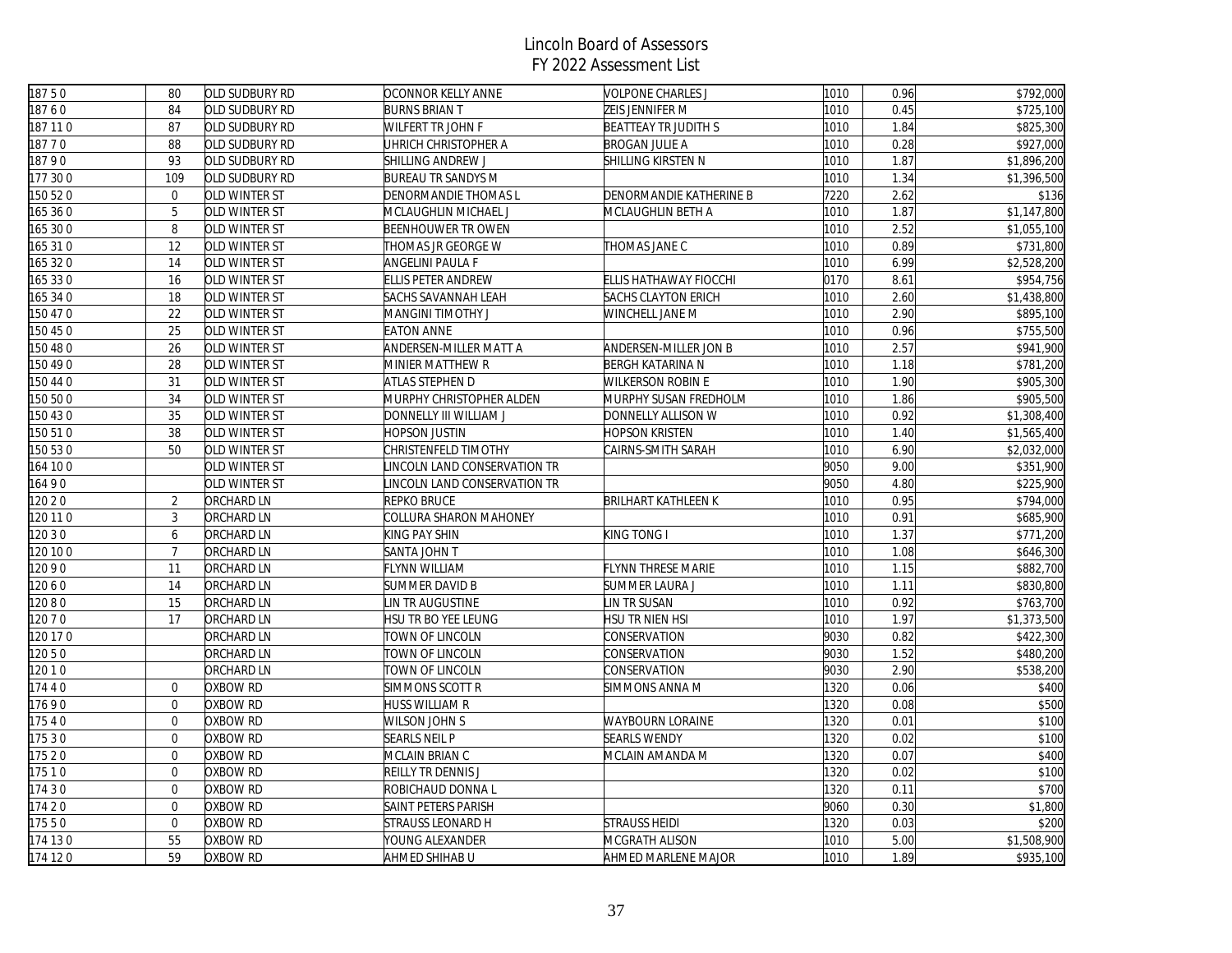| 18750    | 80             | OLD SUDBURY RD    | OCONNOR KELLY ANNE           | <b>VOLPONE CHARLES J</b>   | 1010 | 0.96 | \$792,000             |
|----------|----------------|-------------------|------------------------------|----------------------------|------|------|-----------------------|
| 18760    | 84             | OLD SUDBURY RD    | <b>BURNS BRIAN T</b>         | ZEIS JENNIFER M            | 1010 | 0.45 | \$725,100             |
| 187 110  | 87             | OLD SUDBURY RD    | <b>WILFERT TR JOHN F</b>     | BEATTEAY TR JUDITH S       | 1010 | 1.84 | \$825,300             |
| 18770    | 88             | OLD SUDBURY RD    | UHRICH CHRISTOPHER A         | <b>BROGAN JULIE A</b>      | 1010 | 0.28 | \$927,000             |
| 18790    | 93             | OLD SUDBURY RD    | SHILLING ANDREW J            | SHILLING KIRSTEN N         | 1010 | 1.87 | \$1,896,200           |
| 177 300  | 109            | OLD SUDBURY RD    | <b>BUREAU TR SANDYS M</b>    |                            | 1010 | 1.34 | \$1,396,500           |
| 150 520  | $\overline{0}$ | OLD WINTER ST     | <b>DENORMANDIE THOMAS L</b>  | DENORMANDIE KATHERINE B    | 7220 | 2.62 | \$136                 |
| 165 36 0 | 5              | OLD WINTER ST     | MCLAUGHLIN MICHAEL J         | MCLAUGHLIN BETH A          | 1010 | 1.87 | \$1,147,800           |
| 165 30 0 | 8              | OLD WINTER ST     | <b>BEENHOUWER TROWEN</b>     |                            | 1010 | 2.52 | \$1,055,100           |
| 165 310  | 12             | OLD WINTER ST     | THOMAS JR GEORGE W           | THOMAS JANE C              | 1010 | 0.89 | \$731,800             |
| 165 32 0 | 14             | OLD WINTER ST     | ANGELINI PAULA F             |                            | 1010 | 6.99 | \$2,528,200           |
| 165 330  | 16             | OLD WINTER ST     | <b>ELLIS PETER ANDREW</b>    | ELLIS HATHAWAY FIOCCHI     | 0170 | 8.61 | \$954,756             |
| 165 34 0 | 18             | OLD WINTER ST     | SACHS SAVANNAH LEAH          | SACHS CLAYTON ERICH        | 1010 | 2.60 | \$1,438,800           |
| 150 47 0 | 22             | OLD WINTER ST     | <b>MANGINI TIMOTHY J</b>     | WINCHELL JANE M            | 1010 | 2.90 | \$895,100             |
| 150 45 0 | 25             | OLD WINTER ST     | <b>EATON ANNE</b>            |                            | 1010 | 0.96 | \$755,500             |
| 150 48 0 | 26             | OLD WINTER ST     | ANDERSEN-MILLER MATT A       | ANDERSEN-MILLER JON B      | 1010 | 2.57 | \$941,900             |
| 150 49 0 | 28             | OLD WINTER ST     | MINIER MATTHEW R             | BERGH KATARINA N           | 1010 | 1.18 | \$781,200             |
| 150 44 0 | 31             | OLD WINTER ST     | ATLAS STEPHEN D              | WILKERSON ROBIN E          | 1010 | 1.90 | \$905,300             |
| 150 50 0 | 34             | OLD WINTER ST     | MURPHY CHRISTOPHER ALDEN     | MURPHY SUSAN FREDHOLM      | 1010 | 1.86 | \$905,500             |
| 150 43 0 | 35             | OLD WINTER ST     | DONNELLY III WILLIAM J       | DONNELLY ALLISON W         | 1010 | 0.92 | \$1,308,400           |
| 150 510  | 38             | OLD WINTER ST     | HOPSON JUSTIN                | <b>HOPSON KRISTEN</b>      | 1010 | 1.40 | \$1,565,400           |
| 150 530  | 50             | OLD WINTER ST     | CHRISTENFELD TIMOTHY         | CAIRNS-SMITH SARAH         | 1010 | 6.90 | \$2,032,000           |
| 164 100  |                | OLD WINTER ST     | LINCOLN LAND CONSERVATION TR |                            | 9050 | 9.00 | \$351,900             |
| 16490    |                | OLD WINTER ST     | INCOLN LAND CONSERVATION TR  |                            | 9050 | 4.80 | \$225,900             |
| 120 2 0  | 2              | <b>ORCHARD LN</b> | <b>REPKO BRUCE</b>           | <b>BRILHART KATHLEEN K</b> | 1010 | 0.95 | $\overline{$}794,000$ |
| 120 11 0 | 3              | ORCHARD LN        | COLLURA SHARON MAHONEY       |                            | 1010 | 0.91 | \$685,900             |
| 120 3 0  | 6              | <b>ORCHARD LN</b> | KING PAY SHIN                | KING TONG I                | 1010 | 1.37 | \$771,200             |
| 120 10 0 | $\overline{7}$ | <b>ORCHARD LN</b> | SANTA JOHN T                 |                            | 1010 | 1.08 | \$646,300             |
| 12090    | 11             | <b>ORCHARD LN</b> | FLYNN WILLIAM                | <b>FLYNN THRESE MARIE</b>  | 1010 | 1.15 | \$882,700             |
| 12060    | 14             | ORCHARD LN        | SUMMER DAVID B               | SUMMER LAURA J             | 1010 | 1.11 | \$830,800             |
| 12080    | 15             | ORCHARD LN        | IN TR AUGUSTINE              | IN TR SUSAN                | 1010 | 0.92 | \$763,700             |
| 120 7 0  | 17             | <b>ORCHARD LN</b> | HSU TR BO YEE LEUNG          | HSU TR NIEN HSI            | 1010 | 1.97 | \$1,373,500           |
| 120 17 0 |                | <b>ORCHARD LN</b> | TOWN OF LINCOLN              | CONSERVATION               | 9030 | 0.82 | \$422,300             |
| 12050    |                | <b>ORCHARD LN</b> | TOWN OF LINCOLN              | CONSERVATION               | 9030 | 1.52 | \$480,200             |
| 120 1 0  |                | <b>ORCHARD LN</b> | TOWN OF LINCOLN              | CONSERVATION               | 9030 | 2.90 | \$538,200             |
| 17440    | $\overline{0}$ | OXBOW RD          | <b>SIMMONS SCOTT R</b>       | SIMMONS ANNA M             | 1320 | 0.06 | \$400                 |
| 17690    | $\Omega$       | OXBOW RD          | HUSS WILLIAM R               |                            | 1320 | 0.08 | \$500                 |
| 17540    | $\mathbf 0$    | <b>OXBOW RD</b>   | <b>WILSON JOHN S</b>         | <b>WAYBOURN LORAINE</b>    | 1320 | 0.01 | \$100                 |
| 17530    | $\overline{0}$ | OXBOW RD          | <b>SEARLS NEIL P</b>         | <b>SEARLS WENDY</b>        | 1320 | 0.02 | \$100                 |
| 17520    | $\overline{0}$ | OXBOW RD          | MCLAIN BRIAN C               | MCLAIN AMANDA M            | 1320 | 0.07 | \$400                 |
| 17510    | $\overline{0}$ | OXBOW RD          | REILLY TR DENNIS J           |                            | 1320 | 0.02 | \$100                 |
| 17430    | $\overline{0}$ | OXBOW RD          | ROBICHAUD DONNA L            |                            | 1320 | 0.11 | \$700                 |
| 17420    | $\overline{0}$ | OXBOW RD          | <b>SAINT PETERS PARISH</b>   |                            | 9060 | 0.30 | \$1,800               |
| 17550    | $\overline{0}$ | OXBOW RD          | STRAUSS LEONARD H            | STRAUSS HEIDI              | 1320 | 0.03 | \$200                 |
| 174 130  | 55             | OXBOW RD          | YOUNG ALEXANDER              | MCGRATH ALISON             | 1010 | 5.00 | \$1,508,900           |
| 174 120  | 59             | OXBOW RD          | AHMED SHIHAB U               | AHMED MARLENE MAJOR        | 1010 | 1.89 | \$935,100             |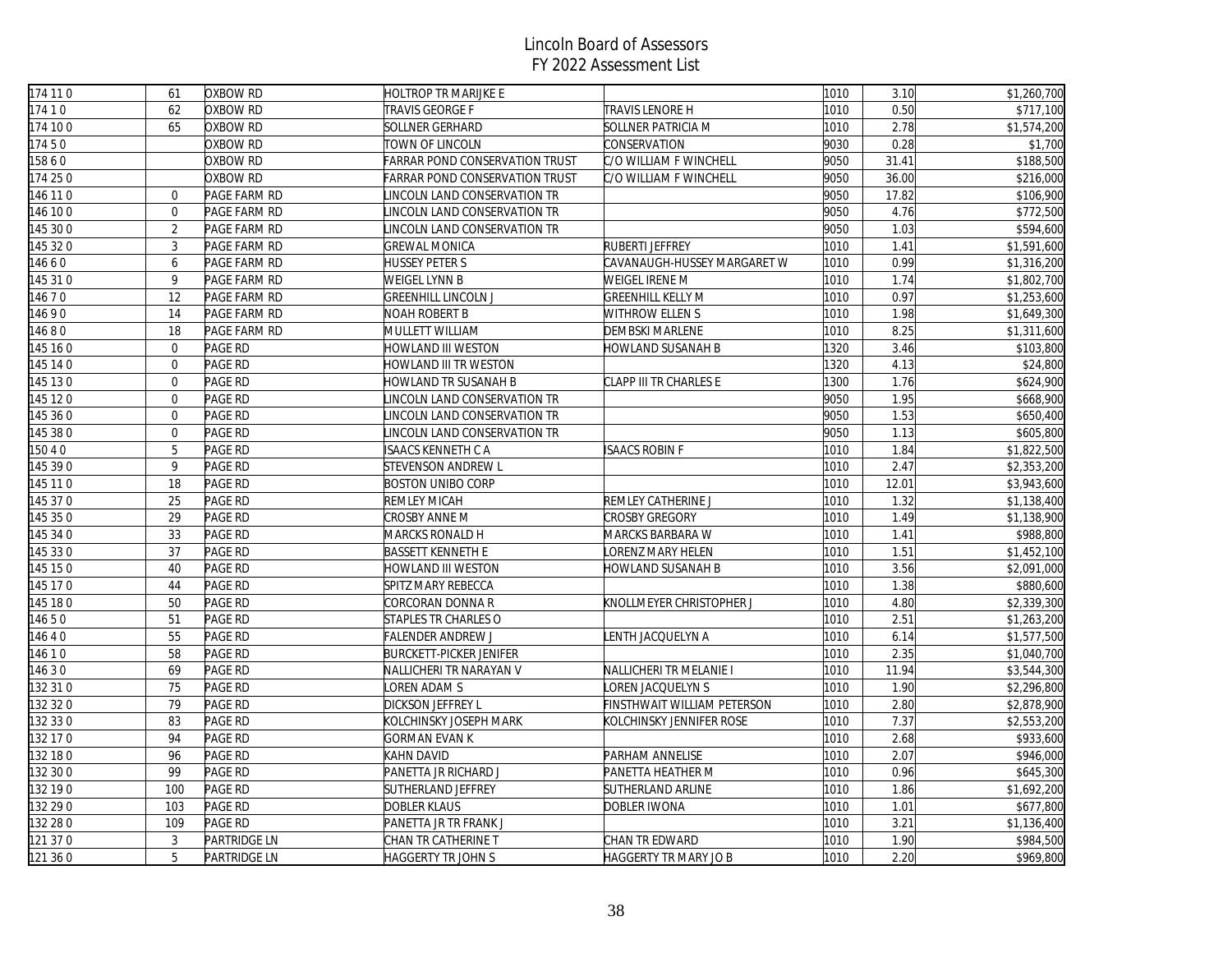| 174 11 0 | 61             | OXBOW RD            | <b>HOLTROP TR MARIJKE E</b>           |                              | 1010 | 3.10  | \$1,260,700 |
|----------|----------------|---------------------|---------------------------------------|------------------------------|------|-------|-------------|
| 17410    | 62             | OXBOW RD            | TRAVIS GEORGE F                       | TRAVIS LENORE H              | 1010 | 0.50  | \$717,100   |
| 174 100  | 65             | OXBOW RD            | <b>SOLLNER GERHARD</b>                | SOLLNER PATRICIA M           | 1010 | 2.78  | \$1,574,200 |
| 17450    |                | OXBOW RD            | TOWN OF LINCOLN                       | CONSERVATION                 | 9030 | 0.28  | \$1,700     |
| 15860    |                | OXBOW RD            | <b>FARRAR POND CONSERVATION TRUST</b> | C/O WILLIAM F WINCHELL       | 9050 | 31.41 | \$188,500   |
| 174 250  |                | OXBOW RD            | <b>FARRAR POND CONSERVATION TRUST</b> | C/O WILLIAM F WINCHELL       | 9050 | 36.00 | \$216,000   |
| 146 11 0 | $\overline{0}$ | PAGE FARM RD        | LINCOLN LAND CONSERVATION TR          |                              | 9050 | 17.82 | \$106,900   |
| 146 100  | $\overline{0}$ | PAGE FARM RD        | LINCOLN LAND CONSERVATION TR          |                              | 9050 | 4.76  | \$772,500   |
| 145 30 0 | $\overline{2}$ | PAGE FARM RD        | INCOLN LAND CONSERVATION TR           |                              | 9050 | 1.03  | \$594,600   |
| 145 320  | $\mathfrak{Z}$ | PAGE FARM RD        | <b>GREWAL MONICA</b>                  | RUBERTI JEFFREY              | 1010 | 1.41  | \$1,591,600 |
| 14660    | 6              | PAGE FARM RD        | <b>HUSSEY PETER S</b>                 | CAVANAUGH-HUSSEY MARGARET W  | 1010 | 0.99  | \$1,316,200 |
| 145 31 0 | 9              | PAGE FARM RD        | WEIGEL LYNN B                         | WEIGEL IRENE M               | 1010 | 1.74  | \$1,802,700 |
| 14670    | 12             | PAGE FARM RD        | <b>GREENHILL LINCOLN J</b>            | <b>GREENHILL KELLY M</b>     | 1010 | 0.97  | \$1,253,600 |
| 14690    | 14             | PAGE FARM RD        | NOAH ROBERT B                         | WITHROW ELLEN S              | 1010 | 1.98  | \$1,649,300 |
| 14680    | 18             | PAGE FARM RD        | MULLETT WILLIAM                       | DEMBSKI MARLENE              | 1010 | 8.25  | \$1,311,600 |
| 145 16 0 | $\overline{0}$ | PAGE RD             | HOWLAND III WESTON                    | HOWLAND SUSANAH B            | 1320 | 3.46  | \$103,800   |
| 145 14 0 | $\overline{0}$ | PAGE RD             | HOWLAND III TR WESTON                 |                              | 1320 | 4.13  | \$24,800    |
| 145 13 0 | $\overline{0}$ | PAGE RD             | HOWLAND TR SUSANAH B                  | CLAPP III TR CHARLES E       | 1300 | 1.76  | \$624,900   |
| 145 120  | $\overline{0}$ | PAGE RD             | INCOLN LAND CONSERVATION TR           |                              | 9050 | 1.95  | \$668,900   |
| 145 36 0 | $\overline{0}$ | <b>PAGE RD</b>      | LINCOLN LAND CONSERVATION TR          |                              | 9050 | 1.53  | \$650,400   |
| 145 38 0 | $\overline{0}$ | PAGE RD             | INCOLN LAND CONSERVATION TR           |                              | 9050 | 1.13  | \$605,800   |
| 150 4 0  | $\mathbf 5$    | PAGE RD             | ISAACS KENNETH C A                    | <b>ISAACS ROBIN F</b>        | 1010 | 1.84  | \$1,822,500 |
| 145 39 0 | 9              | PAGE RD             | <b>STEVENSON ANDREW L</b>             |                              | 1010 | 2.47  | \$2,353,200 |
| 145 11 0 | 18             | PAGE RD             | <b>BOSTON UNIBO CORP</b>              |                              | 1010 | 12.01 | \$3,943,600 |
| 145 37 0 | 25             | PAGE RD             | <b>REMLEY MICAH</b>                   | REMLEY CATHERINE J           | 1010 | 1.32  | \$1,138,400 |
| 145 35 0 | 29             | PAGE RD             | CROSBY ANNE M                         | <b>CROSBY GREGORY</b>        | 1010 | 1.49  | \$1,138,900 |
| 145 34 0 | 33             | PAGE RD             | MARCKS RONALD H                       | MARCKS BARBARA W             | 1010 | 1.41  | \$988,800   |
| 145 33 0 | 37             | PAGE RD             | <b>BASSETT KENNETH E</b>              | LORENZ MARY HELEN            | 1010 | 1.51  | \$1,452,100 |
| 145 15 0 | 40             | PAGE RD             | HOWLAND III WESTON                    | HOWLAND SUSANAH B            | 1010 | 3.56  | \$2,091,000 |
| 145 170  | 44             | PAGE RD             | SPITZ MARY REBECCA                    |                              | 1010 | 1.38  | \$880,600   |
| 145 180  | 50             | <b>PAGE RD</b>      | CORCORAN DONNA R                      | KNOLLMEYER CHRISTOPHER J     | 1010 | 4.80  | \$2,339,300 |
| 14650    | 51             | PAGE RD             | <b>STAPLES TR CHARLES O</b>           |                              | 1010 | 2.51  | \$1,263,200 |
| 14640    | 55             | PAGE RD             | <b>FALENDER ANDREW J</b>              | ENTH JACQUELYN A             | 1010 | 6.14  | \$1,577,500 |
| 14610    | 58             | PAGE RD             | <b>BURCKETT-PICKER JENIFER</b>        |                              | 1010 | 2.35  | \$1,040,700 |
| 14630    | 69             | PAGE RD             | NALLICHERI TR NARAYAN V               | NALLICHERI TR MELANIE I      | 1010 | 11.94 | \$3,544,300 |
| 132 31 0 | 75             | <b>PAGE RD</b>      | OREN ADAM S                           | LOREN JACQUELYN S            | 1010 | 1.90  | \$2,296,800 |
| 132 32 0 | 79             | PAGE RD             | DICKSON JEFFREY L                     | FINSTHWAIT WILLIAM PETERSON  | 1010 | 2.80  | \$2,878,900 |
| 132 33 0 | 83             | PAGE RD             | KOLCHINSKY JOSEPH MARK                | KOLCHINSKY JENNIFER ROSE     | 1010 | 7.37  | \$2,553,200 |
| 132 17 0 | 94             | PAGE RD             | <b>GORMAN EVAN K</b>                  |                              | 1010 | 2.68  | \$933,600   |
| 132 18 0 | 96             | PAGE RD             | KAHN DAVID                            | PARHAM ANNELISE              | 1010 | 2.07  | \$946,000   |
| 132 30 0 | 99             | <b>PAGE RD</b>      | PANETTA JR RICHARD J                  | PANETTA HEATHER M            | 1010 | 0.96  | \$645,300   |
| 132 190  | 100            | <b>PAGE RD</b>      | SUTHERLAND JEFFREY                    | SUTHERLAND ARLINE            | 1010 | 1.86  | \$1,692,200 |
| 132 29 0 | 103            | PAGE RD             | DOBLER KLAUS                          | DOBLER IWONA                 | 1010 | 1.01  | \$677,800   |
| 132 28 0 | 109            | PAGE RD             | PANETTA JR TR FRANK J                 |                              | 1010 | 3.21  | \$1,136,400 |
| 121 37 0 | 3              | PARTRIDGE LN        | CHAN TR CATHERINE T                   | CHAN TR EDWARD               | 1010 | 1.90  | \$984,500   |
| 121 36 0 | 5              | <b>PARTRIDGE LN</b> | <b>HAGGERTY TR JOHN S</b>             | <b>HAGGERTY TR MARY JO B</b> | 1010 | 2.20  | \$969,800   |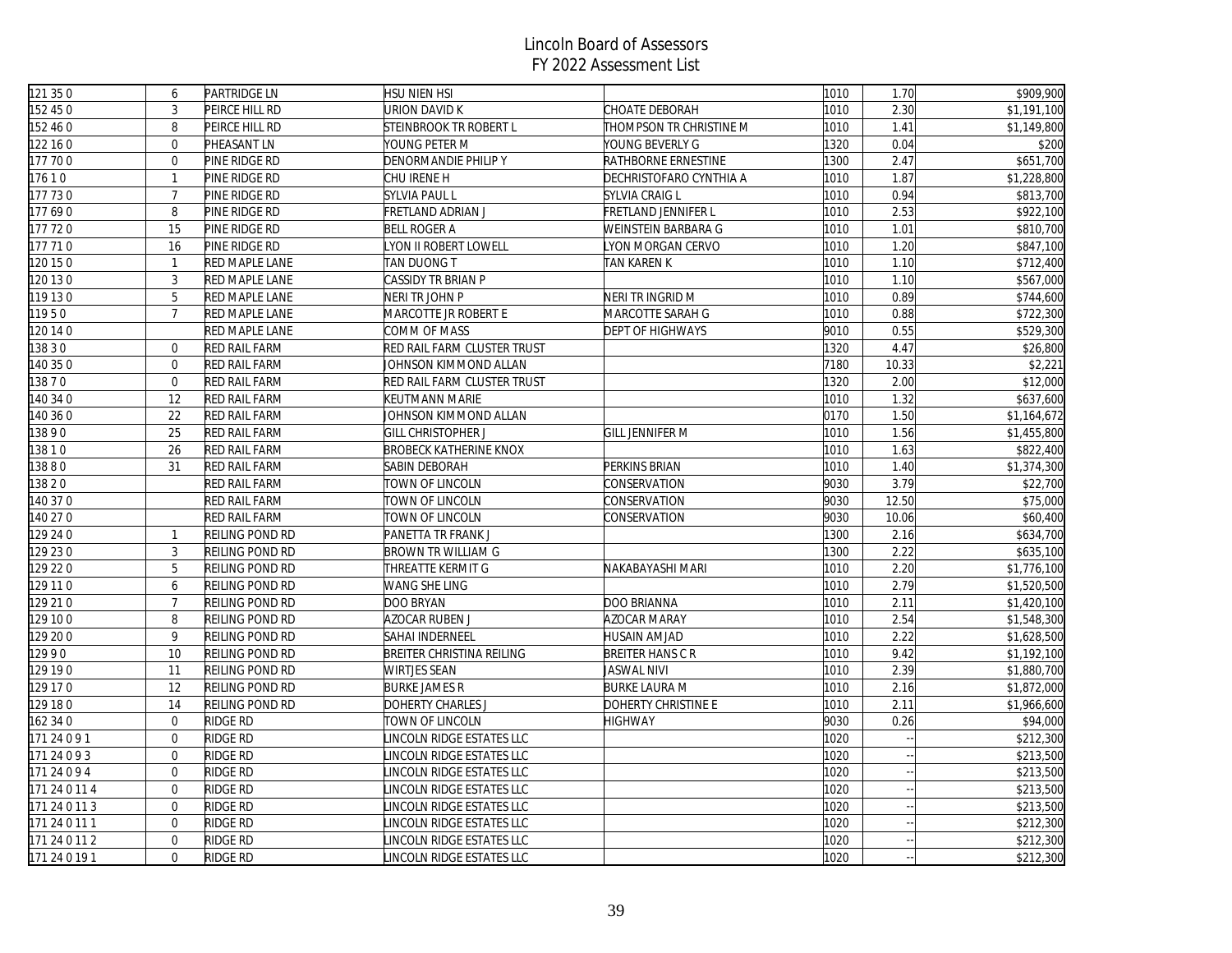| 121 350       | 6                | <b>PARTRIDGE LN</b>    | HSU NIEN HSI                  |                         | 1010 | 1.70  | \$909,900   |
|---------------|------------------|------------------------|-------------------------------|-------------------------|------|-------|-------------|
| 152 45 0      | $\mathbf{3}$     | PEIRCE HILL RD         | JRION DAVID K                 | CHOATE DEBORAH          | 1010 | 2.30  | \$1,191,100 |
| 152 46 0      | 8                | PEIRCE HILL RD         | STEINBROOK TR ROBERT L        | THOMPSON TR CHRISTINE M | 1010 | 1.41  | \$1,149,800 |
| 122 16 0      | $\overline{0}$   | PHEASANT LN            | YOUNG PETER M                 | YOUNG BEVERLY G         | 1320 | 0.04  | \$200       |
| 177 700       | $\overline{0}$   | PINE RIDGE RD          | DENORMANDIE PHILIP Y          | RATHBORNE ERNESTINE     | 1300 | 2.47  | \$651,700   |
| 17610         | $\mathbf{1}$     | PINE RIDGE RD          | CHU IRENE H                   | DECHRISTOFARO CYNTHIA A | 1010 | 1.87  | \$1,228,800 |
| 177 730       | $\overline{7}$   | PINE RIDGE RD          | <b>SYLVIA PAUL L</b>          | SYLVIA CRAIG L          | 1010 | 0.94  | \$813,700   |
| 177690        | 8                | PINE RIDGE RD          | FRETLAND ADRIAN J             | FRETLAND JENNIFER L     | 1010 | 2.53  | \$922,100   |
| 177 720       | 15               | PINE RIDGE RD          | <b>BELL ROGER A</b>           | WEINSTEIN BARBARA G     | 1010 | 1.01  | \$810,700   |
| 177 710       | 16               | PINE RIDGE RD          | YON II ROBERT LOWELL          | LYON MORGAN CERVO       | 1010 | 1.20  | \$847,100   |
| 120 15 0      | $\mathbf{1}$     | RED MAPLE LANE         | TAN DUONG T                   | TAN KAREN K             | 1010 | 1.10  | \$712,400   |
| 120 13 0      | 3                | <b>RED MAPLE LANE</b>  | CASSIDY TR BRIAN P            |                         | 1010 | 1.10  | \$567,000   |
| 119 130       | 5                | <b>RED MAPLE LANE</b>  | Neri tr John P                | NERI TR INGRID M        | 1010 | 0.89  | \$744,600   |
| 11950         | $\overline{7}$   | RED MAPLE LANE         | MARCOTTE JR ROBERT E          | MARCOTTE SARAH G        | 1010 | 0.88  | \$722,300   |
| 120140        |                  | RED MAPLE LANE         | COMM OF MASS                  | DEPT OF HIGHWAYS        | 9010 | 0.55  | \$529,300   |
| 13830         | $\overline{0}$   | <b>RED RAIL FARM</b>   | RED RAIL FARM CLUSTER TRUST   |                         | 1320 | 4.47  | \$26,800    |
| 140 35 0      | $\overline{0}$   | <b>RED RAIL FARM</b>   | IOHNSON KIMMOND ALLAN         |                         | 7180 | 10.33 | \$2,221     |
| 3870          | $\mathbf 0$      | RED RAIL FARM          | RED RAIL FARM CLUSTER TRUST   |                         | 1320 | 2.00  | \$12,000    |
| 140 34 0      | 12               | RED RAIL FARM          | KEUTMANN MARIE                |                         | 1010 | 1.32  | \$637,600   |
| 140 36 0      | 22               | <b>RED RAIL FARM</b>   | IOHNSON KIMMOND ALLAN         |                         | 0170 | 1.50  | \$1,164,672 |
| 13890         | 25               | <b>RED RAIL FARM</b>   | <b>GILL CHRISTOPHER J</b>     | <b>GILL JENNIFER M</b>  | 1010 | 1.56  | \$1,455,800 |
| 13810         | 26               | <b>RED RAIL FARM</b>   | <b>BROBECK KATHERINE KNOX</b> |                         | 1010 | 1.63  | \$822,400   |
| 3880          | 31               | <b>RED RAIL FARM</b>   | SABIN DEBORAH                 | PERKINS BRIAN           | 1010 | 1.40  | \$1,374,300 |
| 13820         |                  | RED RAIL FARM          | TOWN OF LINCOLN               | CONSERVATION            | 9030 | 3.79  | \$22,700    |
| 140 37 0      |                  | RED RAIL FARM          | TOWN OF LINCOLN               | CONSERVATION            | 9030 | 12.50 | \$75,000    |
| 140 27 0      |                  | RED RAIL FARM          | TOWN OF LINCOLN               | CONSERVATION            | 9030 | 10.06 | \$60,400    |
| 129 24 0      | $\mathbf{1}$     | REILING POND RD        | PANETTA TR FRANK J            |                         | 1300 | 2.16  | \$634,700   |
| 129 23 0      | 3                | <b>REILING POND RD</b> | <b>BROWN TR WILLIAM G</b>     |                         | 1300 | 2.22  | \$635,100   |
| 129 22 0      | 5                | REILING POND RD        | THREATTE KERMIT G             | NAKABAYASHI MARI        | 1010 | 2.20  | \$1,776,100 |
| 129 110       | 6                | REILING POND RD        | WANG SHE LING                 |                         | 1010 | 2.79  | \$1,520,500 |
| 129 21 0      | $\overline{7}$   | REILING POND RD        | DOO BRYAN                     | DOO BRIANNA             | 1010 | 2.11  | \$1,420,100 |
| 129 10 0      | 8                | REILING POND RD        | AZOCAR RUBEN J                | AZOCAR MARAY            | 1010 | 2.54  | \$1,548,300 |
| 129 20 0      | 9                | REILING POND RD        | SAHAI INDERNEEL               | HUSAIN AMJAD            | 1010 | 2.22  | \$1,628,500 |
| 12990         | 10               | REILING POND RD        | BREITER CHRISTINA REILING     | <b>BREITER HANS C R</b> | 1010 | 9.42  | \$1,192,100 |
| 129 19 0      | 11               | REILING POND RD        | WIRTJES SEAN                  | <b>JASWAL NIVI</b>      | 1010 | 2.39  | \$1,880,700 |
| 129 17 0      | 12               | REILING POND RD        | <b>BURKE JAMES R</b>          | <b>BURKE LAURA M</b>    | 1010 | 2.16  | \$1,872,000 |
| 129 180       | 14               | REILING POND RD        | DOHERTY CHARLES J             | DOHERTY CHRISTINE E     | 1010 | 2.11  | \$1,966,600 |
| 162 34 0      | $\overline{0}$   | RIDGE RD               | TOWN OF LINCOLN               | <b>HIGHWAY</b>          | 9030 | 0.26  | \$94,000    |
| 171 24 0 9 1  | $\boldsymbol{0}$ | RIDGE RD               | INCOLN RIDGE ESTATES LLC      |                         | 1020 |       | \$212,300   |
| 171 24 0 9 3  | $\overline{0}$   | RIDGE RD               | INCOLN RIDGE ESTATES LLC      |                         | 1020 |       | \$213,500   |
| 171 24 0 9 4  | $\overline{0}$   | RIDGE RD               | INCOLN RIDGE ESTATES LLC      |                         | 1020 |       | \$213,500   |
| 171 24 0 11 4 | $\overline{0}$   | RIDGE RD               | INCOLN RIDGE ESTATES LLC      |                         | 1020 |       | \$213,500   |
| 171 24 0 11 3 | $\overline{0}$   | RIDGE RD               | INCOLN RIDGE ESTATES LLC      |                         | 1020 |       | \$213,500   |
| 171 24 0 11 1 | $\overline{0}$   | RIDGE RD               | INCOLN RIDGE ESTATES LLC      |                         | 1020 |       | \$212,300   |
| 171 24 0 11 2 | $\overline{0}$   | RIDGE RD               | INCOLN RIDGE ESTATES LLC      |                         | 1020 |       | \$212,300   |
| 171 24 0 19 1 | $\Omega$         | RIDGE RD               | INCOLN RIDGE ESTATES LLC      |                         | 1020 |       | \$212,300   |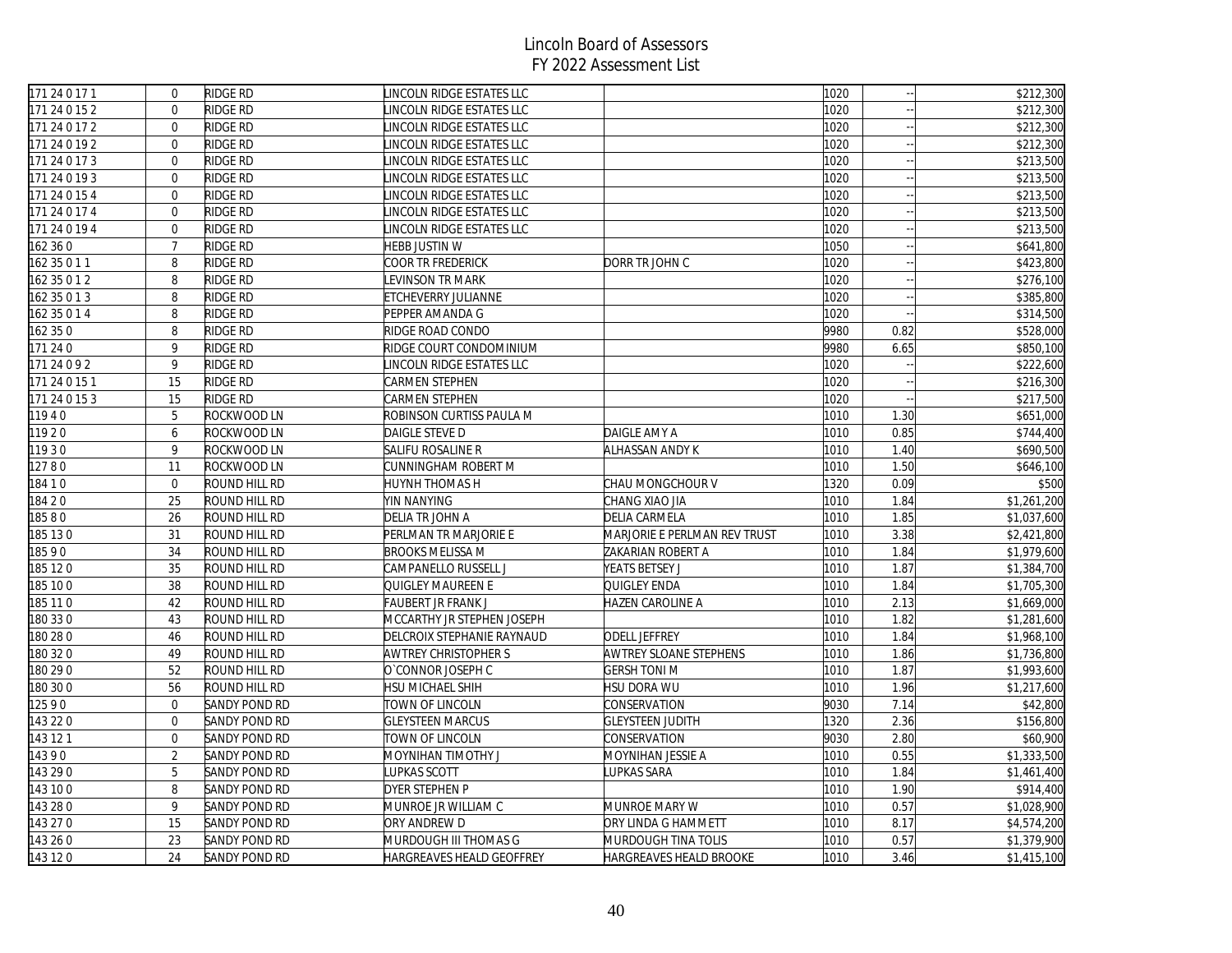| 171 24 0 17 1 | $\mathbf 0$    | RIDGE RD             | LINCOLN RIDGE ESTATES LLC  |                              | 1020 |      | \$212,300   |
|---------------|----------------|----------------------|----------------------------|------------------------------|------|------|-------------|
| 171 24 0 15 2 | $\Omega$       | <b>RIDGE RD</b>      | INCOLN RIDGE ESTATES LLC   |                              | 1020 |      | \$212,300   |
| 171 24 0 17 2 | $\mathbf 0$    | RIDGE RD             | INCOLN RIDGE ESTATES LLC   |                              | 1020 |      | \$212,300   |
| 171 24 0 19 2 | $\overline{0}$ | RIDGE RD             | INCOLN RIDGE ESTATES LLC   |                              | 1020 |      | \$212,300   |
| 171 24 0 17 3 | $\overline{0}$ | <b>RIDGE RD</b>      | LINCOLN RIDGE ESTATES LLC  |                              | 1020 |      | \$213,500   |
| 171 24 0 19 3 | $\overline{0}$ | RIDGE RD             | INCOLN RIDGE ESTATES LLC   |                              | 1020 |      | \$213,500   |
| 171 24 0 15 4 | $\overline{0}$ | RIDGE RD             | LINCOLN RIDGE ESTATES LLC  |                              | 1020 |      | \$213,500   |
| 171 24 0 17 4 | $\Omega$       | RIDGE RD             | INCOLN RIDGE ESTATES LLC   |                              | 1020 |      | \$213,500   |
| 171 24 0 19 4 | $\mathbf 0$    | RIDGE RD             | LINCOLN RIDGE ESTATES LLC  |                              | 1020 |      | \$213,500   |
| 162 360       | $\overline{7}$ | RIDGE RD             | HEBB JUSTIN W              |                              | 1050 |      | \$641,800   |
| 162 35 0 1 1  | 8              | RIDGE RD             | COOR TR FREDERICK          | DORR TR JOHN C               | 1020 |      | \$423,800   |
| 162 35 0 1 2  | 8              | RIDGE RD             | <b>EVINSON TR MARK</b>     |                              | 1020 |      | \$276,100   |
| 162 35 0 1 3  | 8              | RIDGE RD             | ETCHEVERRY JULIANNE        |                              | 1020 |      | \$385,800   |
| 162 35 0 1 4  | 8              | RIDGE RD             | PEPPER AMANDA G            |                              | 1020 |      | \$314,500   |
| 162 350       | 8              | RIDGE RD             | RIDGE ROAD CONDO           |                              | 9980 | 0.82 | \$528,000   |
| 171 24 0      | 9              | RIDGE RD             | RIDGE COURT CONDOMINIUM    |                              | 9980 | 6.65 | \$850,100   |
| 171 24 0 9 2  | 9              | RIDGE RD             | LINCOLN RIDGE ESTATES LLC  |                              | 1020 |      | \$222,600   |
| 171 24 0 15 1 | 15             | RIDGE RD             | CARMEN STEPHEN             |                              | 1020 |      | \$216,300   |
| 171 24 0 15 3 | 15             | <b>RIDGE RD</b>      | CARMEN STEPHEN             |                              | 1020 |      | \$217,500   |
| 11940         | 5              | ROCKWOOD LN          | ROBINSON CURTISS PAULA M   |                              | 1010 | 1.30 | \$651,000   |
| 11920         | 6              | ROCKWOOD LN          | DAIGLE STEVE D             | DAIGLE AMY A                 | 1010 | 0.85 | \$744,400   |
| 11930         | 9              | ROCKWOOD LN          | SALIFU ROSALINE R          | ALHASSAN ANDY K              | 1010 | 1.40 | \$690,500   |
| 12780         | 11             | ROCKWOOD LN          | CUNNINGHAM ROBERT M        |                              | 1010 | 1.50 | \$646,100   |
| 184 1 0       | $\overline{0}$ | ROUND HILL RD        | HUYNH THOMAS H             | CHAU MONGCHOUR V             | 1320 | 0.09 | \$500       |
| 18420         | 25             | ROUND HILL RD        | YIN NANYING                | CHANG XIAO JIA               | 1010 | 1.84 | \$1,261,200 |
| 18580         | 26             | ROUND HILL RD        | DELIA TR JOHN A            | DELIA CARMELA                | 1010 | 1.85 | \$1,037,600 |
| 185 130       | 31             | ROUND HILL RD        | PERLMAN TR MARJORIE E      | MARJORIE E PERLMAN REV TRUST | 1010 | 3.38 | \$2,421,800 |
| 18590         | 34             | ROUND HILL RD        | <b>BROOKS MELISSA M</b>    | ZAKARIAN ROBERT A            | 1010 | 1.84 | \$1,979,600 |
| 185 120       | 35             | ROUND HILL RD        | CAMPANELLO RUSSELL J       | YEATS BETSEY J               | 1010 | 1.87 | \$1,384,700 |
| 185 10 0      | 38             | ROUND HILL RD        | QUIGLEY MAUREEN E          | QUIGLEY ENDA                 | 1010 | 1.84 | \$1,705,300 |
| 185 110       | 42             | ROUND HILL RD        | FAUBERT JR FRANK J         | HAZEN CAROLINE A             | 1010 | 2.13 | \$1,669,000 |
| 180 33 0      | 43             | ROUND HILL RD        | MCCARTHY JR STEPHEN JOSEPH |                              | 1010 | 1.82 | \$1,281,600 |
| 180 28 0      | 46             | ROUND HILL RD        | DELCROIX STEPHANIE RAYNAUD | <b>ODELL JEFFREY</b>         | 1010 | 1.84 | \$1,968,100 |
| 180 32 0      | 49             | ROUND HILL RD        | AWTREY CHRISTOPHER S       | AWTREY SLOANE STEPHENS       | 1010 | 1.86 | \$1,736,800 |
| 180 29 0      | 52             | ROUND HILL RD        | O'CONNOR JOSEPH C          | <b>GERSH TONI M</b>          | 1010 | 1.87 | \$1,993,600 |
| 180 30 0      | 56             | ROUND HILL RD        | HSU MICHAEL SHIH           | <b>HSU DORA WU</b>           | 1010 | 1.96 | \$1,217,600 |
| 12590         | $\overline{0}$ | <b>SANDY POND RD</b> | TOWN OF LINCOLN            | CONSERVATION                 | 9030 | 7.14 | \$42,800    |
| 143 22 0      | $\mathbf 0$    | <b>SANDY POND RD</b> | <b>GLEYSTEEN MARCUS</b>    | <b>GLEYSTEEN JUDITH</b>      | 1320 | 2.36 | \$156,800   |
| 143 12 1      | $\mathbf 0$    | SANDY POND RD        | TOWN OF LINCOLN            | CONSERVATION                 | 9030 | 2.80 | \$60,900    |
| 14390         | $\overline{2}$ | SANDY POND RD        | MOYNIHAN TIMOTHY J         | MOYNIHAN JESSIE A            | 1010 | 0.55 | \$1,333,500 |
| 143 29 0      | 5              | SANDY POND RD        | <b>LUPKAS SCOTT</b>        | LUPKAS SARA                  | 1010 | 1.84 | \$1,461,400 |
| 143 10 0      | 8              | SANDY POND RD        | DYER STEPHEN P             |                              | 1010 | 1.90 | \$914,400   |
| 143 28 0      | 9              | SANDY POND RD        | MUNROE JR WILLIAM C        | MUNROE MARY W                | 1010 | 0.57 | \$1,028,900 |
| 143 27 0      | 15             | SANDY POND RD        | ORY ANDREW D               | ORY LINDA G HAMMETT          | 1010 | 8.17 | \$4,574,200 |
| 143 26 0      | 23             | SANDY POND RD        | MURDOUGH III THOMAS G      | MURDOUGH TINA TOLIS          | 1010 | 0.57 | \$1,379,900 |
| 143 120       | 24             | <b>SANDY POND RD</b> | HARGREAVES HEALD GEOFFREY  | HARGREAVES HEALD BROOKE      | 1010 | 3.46 | \$1,415,100 |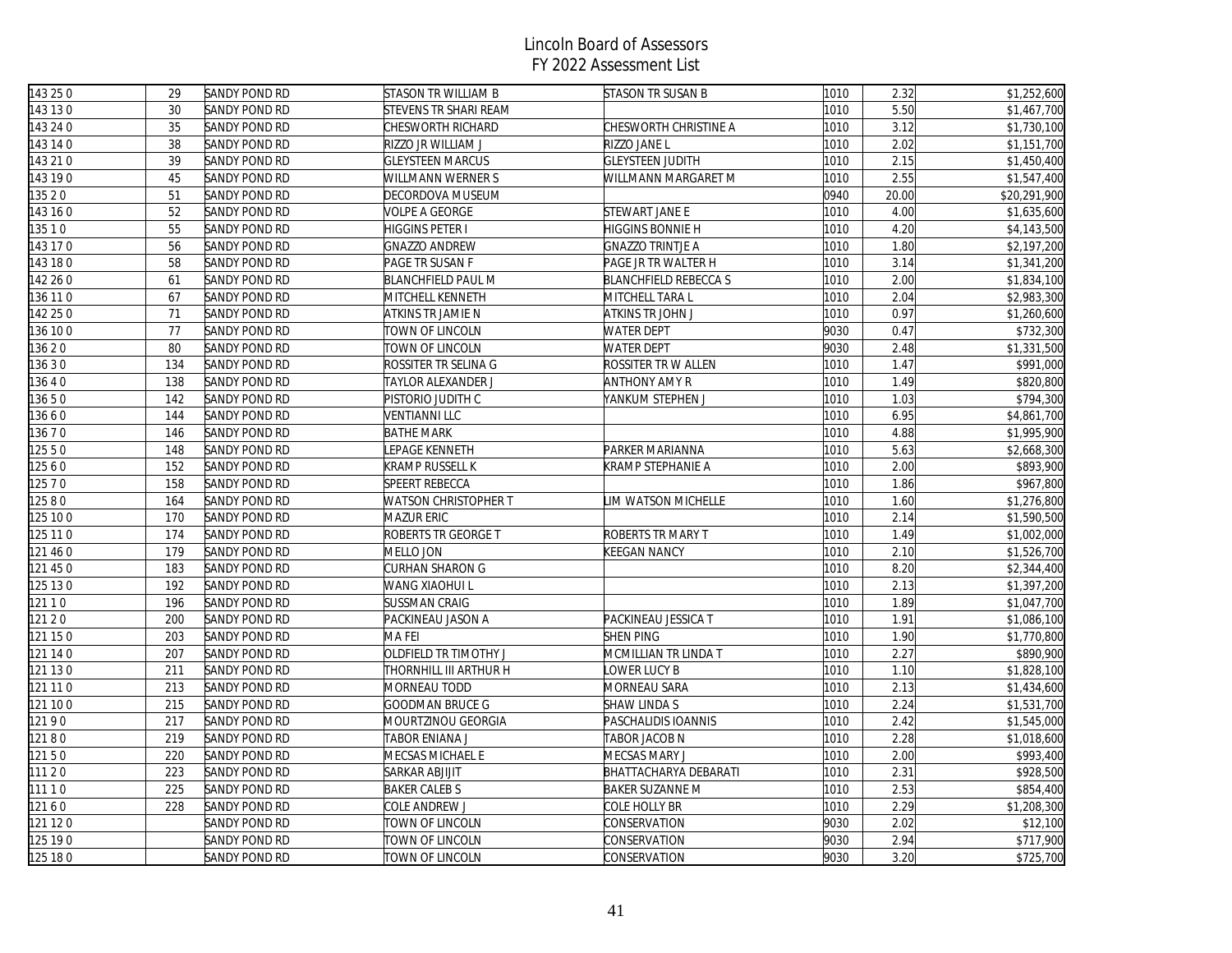| 143 25 0 | 29  | SANDY POND RD        | <b>STASON TR WILLIAM B</b> | STASON TR SUSAN B           | 1010 | 2.32  | \$1,252,600  |
|----------|-----|----------------------|----------------------------|-----------------------------|------|-------|--------------|
| 143 130  | 30  | SANDY POND RD        | STEVENS TR SHARI REAM      |                             | 1010 | 5.50  | \$1,467,700  |
| 143 24 0 | 35  | <b>SANDY POND RD</b> | CHESWORTH RICHARD          | CHESWORTH CHRISTINE A       | 1010 | 3.12  | \$1,730,100  |
| 143 14 0 | 38  | SANDY POND RD        | RIZZO JR WILLIAM J         | RIZZO JANE L                | 1010 | 2.02  | \$1,151,700  |
| 143 21 0 | 39  | <b>SANDY POND RD</b> | <b>GLEYSTEEN MARCUS</b>    | <b>GLEYSTEEN JUDITH</b>     | 1010 | 2.15  | \$1,450,400  |
| 143 19 0 | 45  | <b>SANDY POND RD</b> | WILLMANN WERNER S          | WILLMANN MARGARET M         | 1010 | 2.55  | \$1,547,400  |
| 135 2 0  | 51  | <b>SANDY POND RD</b> | DECORDOVA MUSEUM           |                             | 0940 | 20.00 | \$20,291,900 |
| 143 16 0 | 52  | SANDY POND RD        | VOLPE A GEORGE             | STEWART JANE E              | 1010 | 4.00  | \$1,635,600  |
| 135 1 0  | 55  | SANDY POND RD        | HIGGINS PETER I            | HIGGINS BONNIE H            | 1010 | 4.20  | \$4,143,500  |
| 143 17 0 | 56  | <b>SANDY POND RD</b> | <b>GNAZZO ANDREW</b>       | <b>GNAZZO TRINTJE A</b>     | 1010 | 1.80  | \$2,197,200  |
| 143 180  | 58  | SANDY POND RD        | PAGE TR SUSAN F            | PAGE JR TR WALTER H         | 1010 | 3.14  | \$1,341,200  |
| 142 26 0 | 61  | <b>SANDY POND RD</b> | <b>BLANCHFIELD PAUL M</b>  | <b>BLANCHFIELD REBECCAS</b> | 1010 | 2.00  | \$1,834,100  |
| 36 11 0  | 67  | SANDY POND RD        | MITCHELL KENNETH           | MITCHELL TARA L             | 1010 | 2.04  | \$2,983,300  |
| 142 25 0 | 71  | SANDY POND RD        | ATKINS TR JAMIE N          | ATKINS TR JOHN J            | 1010 | 0.97  | \$1,260,600  |
| 136 10 0 | 77  | SANDY POND RD        | TOWN OF LINCOLN            | <b>WATER DEPT</b>           | 9030 | 0.47  | \$732,300    |
| 13620    | 80  | SANDY POND RD        | TOWN OF LINCOLN            | <b>WATER DEPT</b>           | 9030 | 2.48  | \$1,331,500  |
| 3630     | 134 | SANDY POND RD        | ROSSITER TR SELINA G       | ROSSITER TR W ALLEN         | 1010 | 1.47  | \$991,000    |
| 3640     | 138 | <b>SANDY POND RD</b> | TAYLOR ALEXANDER J         | ANTHONY AMY R               | 1010 | 1.49  | \$820,800    |
| 13650    | 142 | SANDY POND RD        | PISTORIO JUDITH C          | YANKUM STEPHEN J            | 1010 | 1.03  | \$794,300    |
| 3660     | 144 | <b>SANDY POND RD</b> | <b>VENTIANNI LLC</b>       |                             | 1010 | 6.95  | \$4,861,700  |
| 3670     | 146 | SANDY POND RD        | <b>BATHE MARK</b>          |                             | 1010 | 4.88  | \$1,995,900  |
| 12550    | 148 | <b>SANDY POND RD</b> | <b>EPAGE KENNETH</b>       | PARKER MARIANNA             | 1010 | 5.63  | \$2,668,300  |
| 12560    | 152 | SANDY POND RD        | KRAMP RUSSELL K            | KRAMP STEPHANIE A           | 1010 | 2.00  | \$893,900    |
| 12570    | 158 | <b>SANDY POND RD</b> | <b>SPEERT REBECCA</b>      |                             | 1010 | 1.86  | \$967,800    |
| 12580    | 164 | <b>SANDY POND RD</b> | WATSON CHRISTOPHER T       | LIM WATSON MICHELLE         | 1010 | 1.60  | \$1,276,800  |
| 25 10 0  | 170 | SANDY POND RD        | MAZUR ERIC                 |                             | 1010 | 2.14  | \$1,590,500  |
| 125 11 0 | 174 | <b>SANDY POND RD</b> | ROBERTS TR GEORGE T        | ROBERTS TR MARY T           | 1010 | 1.49  | \$1,002,000  |
| 121 46 0 | 179 | <b>SANDY POND RD</b> | MELLO JON                  | KEEGAN NANCY                | 1010 | 2.10  | \$1,526,700  |
| 121 45 0 | 183 | <b>SANDY POND RD</b> | CURHAN SHARON G            |                             | 1010 | 8.20  | \$2,344,400  |
| 125 13 0 | 192 | SANDY POND RD        | WANG XIAOHUI L             |                             | 1010 | 2.13  | \$1,397,200  |
| 12110    | 196 | <b>SANDY POND RD</b> | <b>SUSSMAN CRAIG</b>       |                             | 1010 | 1.89  | \$1,047,700  |
| 121 2 0  | 200 | SANDY POND RD        | PACKINEAU JASON A          | PACKINEAU JESSICA T         | 1010 | 1.91  | \$1,086,100  |
| 121 15 0 | 203 | <b>SANDY POND RD</b> | <b>MAFEI</b>               | SHEN PING                   | 1010 | 1.90  | \$1,770,800  |
| 121 14 0 | 207 | SANDY POND RD        | OLDFIELD TR TIMOTHY J      | MCMILLIAN TR LINDA T        | 1010 | 2.27  | \$890,900    |
| 121 13 0 | 211 | <b>SANDY POND RD</b> | THORNHILL III ARTHUR H     | LOWER LUCY B                | 1010 | 1.10  | \$1,828,100  |
| 121 11 0 | 213 | SANDY POND RD        | MORNEAU TODD               | MORNEAU SARA                | 1010 | 2.13  | \$1,434,600  |
| 121 10 0 | 215 | <b>SANDY POND RD</b> | <b>GOODMAN BRUCE G</b>     | SHAW LINDA S                | 1010 | 2.24  | \$1,531,700  |
| 12190    | 217 | <b>SANDY POND RD</b> | MOURTZINOU GEORGIA         | PASCHALIDIS IOANNIS         | 1010 | 2.42  | \$1,545,000  |
| 12180    | 219 | <b>SANDY POND RD</b> | TABOR ENIANA J             | TABOR JACOB N               | 1010 | 2.28  | \$1,018,600  |
| 12150    | 220 | <b>SANDY POND RD</b> | MECSAS MICHAEL E           | MECSAS MARY J               | 1010 | 2.00  | \$993,400    |
| 111 20   | 223 | <b>SANDY POND RD</b> | <b>SARKAR ABJIJIT</b>      | BHATTACHARYA DEBARATI       | 1010 | 2.31  | \$928,500    |
| 111 1 0  | 225 | <b>SANDY POND RD</b> | <b>BAKER CALEBS</b>        | <b>BAKER SUZANNE M</b>      | 1010 | 2.53  | \$854,400    |
| 12160    | 228 | SANDY POND RD        | COLE ANDREW J              | COLE HOLLY BR               | 1010 | 2.29  | \$1,208,300  |
| 121 12 0 |     | SANDY POND RD        | TOWN OF LINCOLN            | CONSERVATION                | 9030 | 2.02  | \$12,100     |
| 125 19 0 |     | SANDY POND RD        | TOWN OF LINCOLN            | CONSERVATION                | 9030 | 2.94  | \$717,900    |
| 125 180  |     | SANDY POND RD        | TOWN OF LINCOLN            | CONSERVATION                | 9030 | 3.20  | \$725,700    |
|          |     |                      |                            |                             |      |       |              |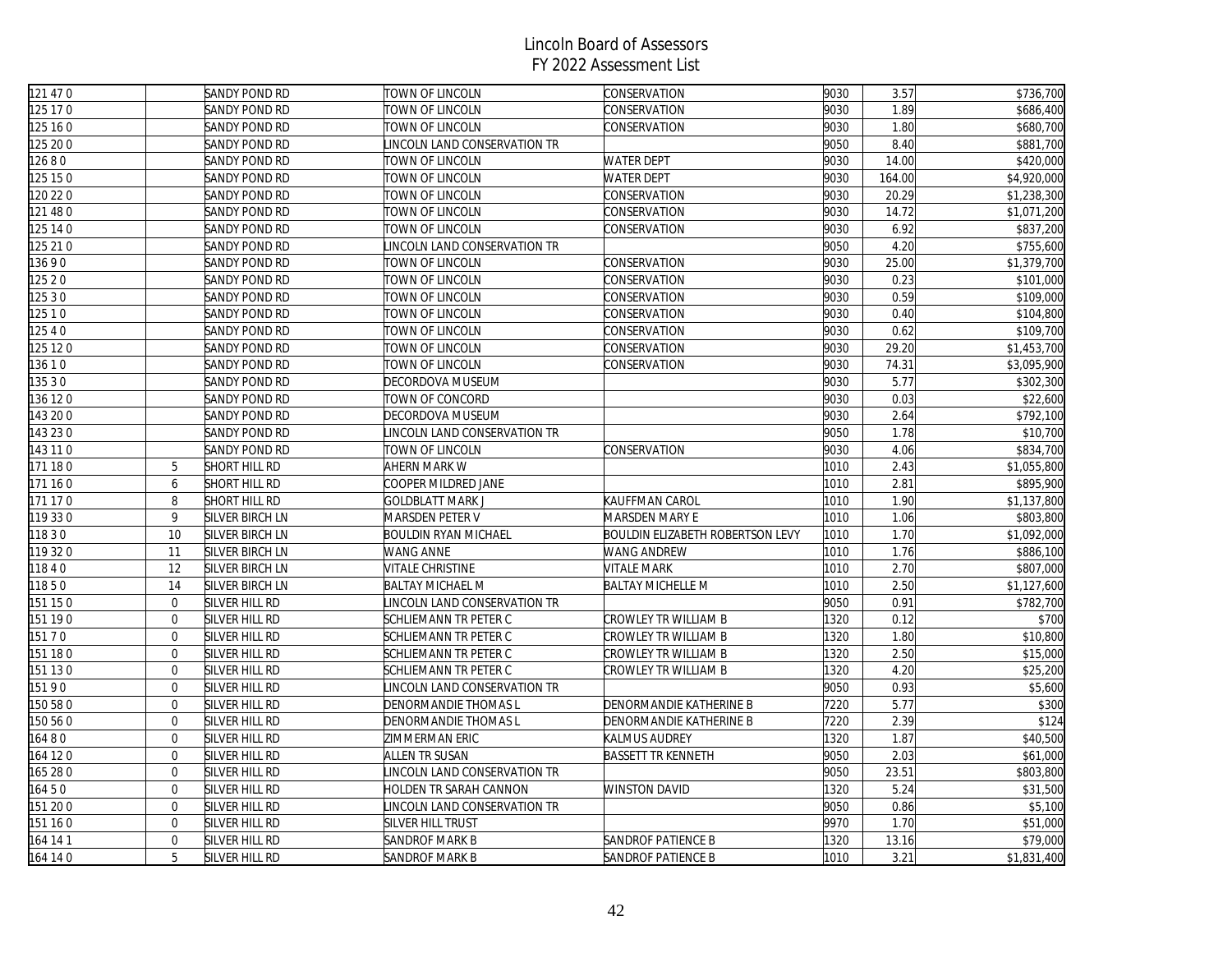| 121 47 0 |                  | SANDY POND RD                    | TOWN OF LINCOLN             | CONSERVATION                     | 9030 | 3.57   | \$736,700            |
|----------|------------------|----------------------------------|-----------------------------|----------------------------------|------|--------|----------------------|
| 125 17 0 |                  | SANDY POND RD                    | TOWN OF LINCOLN             | CONSERVATION                     | 9030 | 1.89   | \$686,400            |
| 125 16 0 |                  | SANDY POND RD                    | TOWN OF LINCOLN             | CONSERVATION                     | 9030 | 1.80   | \$680,700            |
| 125 20 0 |                  | SANDY POND RD                    | INCOLN LAND CONSERVATION TR |                                  | 9050 | 8.40   | \$881,700            |
| 12680    |                  | SANDY POND RD                    | TOWN OF LINCOLN             | <b>WATER DEPT</b>                | 9030 | 14.00  | \$420,000            |
| 125 15 0 |                  | SANDY POND RD                    | TOWN OF LINCOLN             | <b>WATER DEPT</b>                | 9030 | 164.00 | \$4,920,000          |
| 120 22 0 |                  | SANDY POND RD                    | TOWN OF LINCOLN             | CONSERVATION                     | 9030 | 20.29  | \$1,238,300          |
| 121 48 0 |                  | SANDY POND RD                    | TOWN OF LINCOLN             | CONSERVATION                     | 9030 | 14.72  | \$1,071,200          |
| 125 14 0 |                  | SANDY POND RD                    | TOWN OF LINCOLN             | CONSERVATION                     | 9030 | 6.92   | \$837,200            |
| 125 21 0 |                  | SANDY POND RD                    | INCOLN LAND CONSERVATION TR |                                  | 9050 | 4.20   | \$755,600            |
| 13690    |                  | SANDY POND RD                    | TOWN OF LINCOLN             | CONSERVATION                     | 9030 | 25.00  | \$1,379,700          |
| 125 2 0  |                  | SANDY POND RD                    | TOWN OF LINCOLN             | CONSERVATION                     | 9030 | 0.23   | \$101,000            |
| 12530    |                  | SANDY POND RD                    | <b>TOWN OF LINCOLN</b>      | CONSERVATION                     | 9030 | 0.59   | \$109,000            |
| 125 1 0  |                  | SANDY POND RD                    | TOWN OF LINCOLN             | CONSERVATION                     | 9030 | 0.40   | \$104,800            |
| 12540    |                  | SANDY POND RD                    | TOWN OF LINCOLN             | CONSERVATION                     | 9030 | 0.62   | \$109,700            |
| 125 12 0 |                  | SANDY POND RD                    | TOWN OF LINCOLN             | CONSERVATION                     | 9030 | 29.20  | \$1,453,700          |
| 13610    |                  | SANDY POND RD                    | TOWN OF LINCOLN             | CONSERVATION                     | 9030 | 74.31  | \$3,095,900          |
| 35 3 0   |                  | SANDY POND RD                    | DECORDOVA MUSEUM            |                                  | 9030 | 5.77   | \$302,300            |
| 136 12 0 |                  | SANDY POND RD                    | TOWN OF CONCORD             |                                  | 9030 | 0.03   | \$22,600             |
| 143 20 0 |                  | SANDY POND RD                    | DECORDOVA MUSEUM            |                                  | 9030 | 2.64   | \$792,100            |
| 143 23 0 |                  | SANDY POND RD                    | INCOLN LAND CONSERVATION TR |                                  | 9050 | 1.78   | \$10,700             |
| 143 11 0 |                  | SANDY POND RD                    | TOWN OF LINCOLN             | CONSERVATION                     | 9030 | 4.06   | \$834,700            |
| 171 180  | 5                | SHORT HILL RD                    | AHERN MARK W                |                                  | 1010 | 2.43   | \$1,055,800          |
| 171 160  | 6                | SHORT HILL RD                    | COOPER MILDRED JANE         |                                  | 1010 | 2.81   | \$895,900            |
| 171 170  | 8                | SHORT HILL RD                    | <b>GOLDBLATT MARK J</b>     | KAUFFMAN CAROL                   | 1010 | 1.90   | \$1,137,800          |
| 119 330  | 9                | SILVER BIRCH LN                  | MARSDEN PETER V             | MARSDEN MARY E                   | 1010 | 1.06   | \$803,800            |
| 11830    | 10               | <b>SILVER BIRCH LN</b>           | <b>BOULDIN RYAN MICHAEL</b> | BOULDIN ELIZABETH ROBERTSON LEVY | 1010 | 1.70   | \$1,092,000          |
| 119 320  | 11               | SILVER BIRCH LN                  | WANG ANNE                   | WANG ANDREW                      | 1010 | 1.76   | \$886,100            |
| 11840    | 12               | SILVER BIRCH LN                  | VITALE CHRISTINE            | VITALE MARK                      | 1010 | 2.70   | \$807,000            |
| 11850    | 14               | SILVER BIRCH LN                  | <b>BALTAY MICHAEL M</b>     | BALTAY MICHELLE M                | 1010 | 2.50   | \$1,127,600          |
| 151 150  | $\mathbf{0}$     | SILVER HILL RD                   | INCOLN LAND CONSERVATION TR |                                  | 9050 | 0.91   | \$782,700            |
| 151 190  | $\mathbf{0}$     | SILVER HILL RD                   | SCHLIEMANN TR PETER C       | CROWLEY TR WILLIAM B             | 1320 | 0.12   | \$700                |
| 15170    | $\overline{0}$   | SILVER HILL RD                   | SCHLIEMANN TR PETER C       | CROWLEY TR WILLIAM B             | 1320 | 1.80   | \$10,800             |
| 151 180  | $\mathbf 0$      | SILVER HILL RD                   | SCHLIEMANN TR PETER C       | CROWLEY TR WILLIAM B             | 1320 | 2.50   | \$15,000             |
| 151 130  | $\mathbf 0$      | SILVER HILL RD                   | SCHLIEMANN TR PETER C       | CROWLEY TR WILLIAM B             | 1320 | 4.20   | \$25,200             |
| 15190    | $\overline{0}$   | SILVER HILL RD                   | INCOLN LAND CONSERVATION TR |                                  | 9050 | 0.93   | \$5,600              |
| 150 58 0 | $\mathbf{0}$     | SILVER HILL RD                   | DENORMANDIE THOMAS L        | DENORMANDIE KATHERINE B          | 7220 | 5.77   | \$300                |
| 150 56 0 | $\mathbf{0}$     | SILVER HILL RD                   | DENORMANDIE THOMAS L        | DENORMANDIE KATHERINE B          | 7220 | 2.39   | \$124                |
| 6480     | $\mathbf{0}$     | SILVER HILL RD                   | ZIMMERMAN ERIC              | KALMUS AUDREY                    | 1320 | 1.87   | \$40,500             |
| 164 120  | $\overline{0}$   | SILVER HILL RD                   | ALLEN TR SUSAN              | BASSETT TR KENNETH               | 9050 | 2.03   | \$61,000             |
| 165 28 0 | $\overline{0}$   | SILVER HILL RD                   | INCOLN LAND CONSERVATION TR |                                  | 9050 | 23.51  | \$803,800            |
| 16450    | $\mathbf{0}$     | SILVER HILL RD                   | HOLDEN TR SARAH CANNON      | <b>WINSTON DAVID</b>             | 1320 | 5.24   | \$31,500             |
| 151 20 0 | $\boldsymbol{0}$ | SILVER HILL RD                   | INCOLN LAND CONSERVATION TR |                                  | 9050 | 0.86   | \$5,100              |
|          | $\mathbf 0$      |                                  |                             |                                  | 9970 | 1.70   |                      |
| 151 160  | $\mathbf 0$      | SILVER HILL RD<br>SILVER HILL RD | SILVER HILL TRUST           | SANDROF PATIENCE B               | 1320 | 13.16  | \$51,000<br>\$79,000 |
| 164 14 1 | 5                |                                  | SANDROF MARK B              |                                  |      | 3.21   |                      |
| 164 14 0 |                  | SILVER HILL RD                   | <b>SANDROF MARK B</b>       | SANDROF PATIENCE B               | 1010 |        | \$1,831,400          |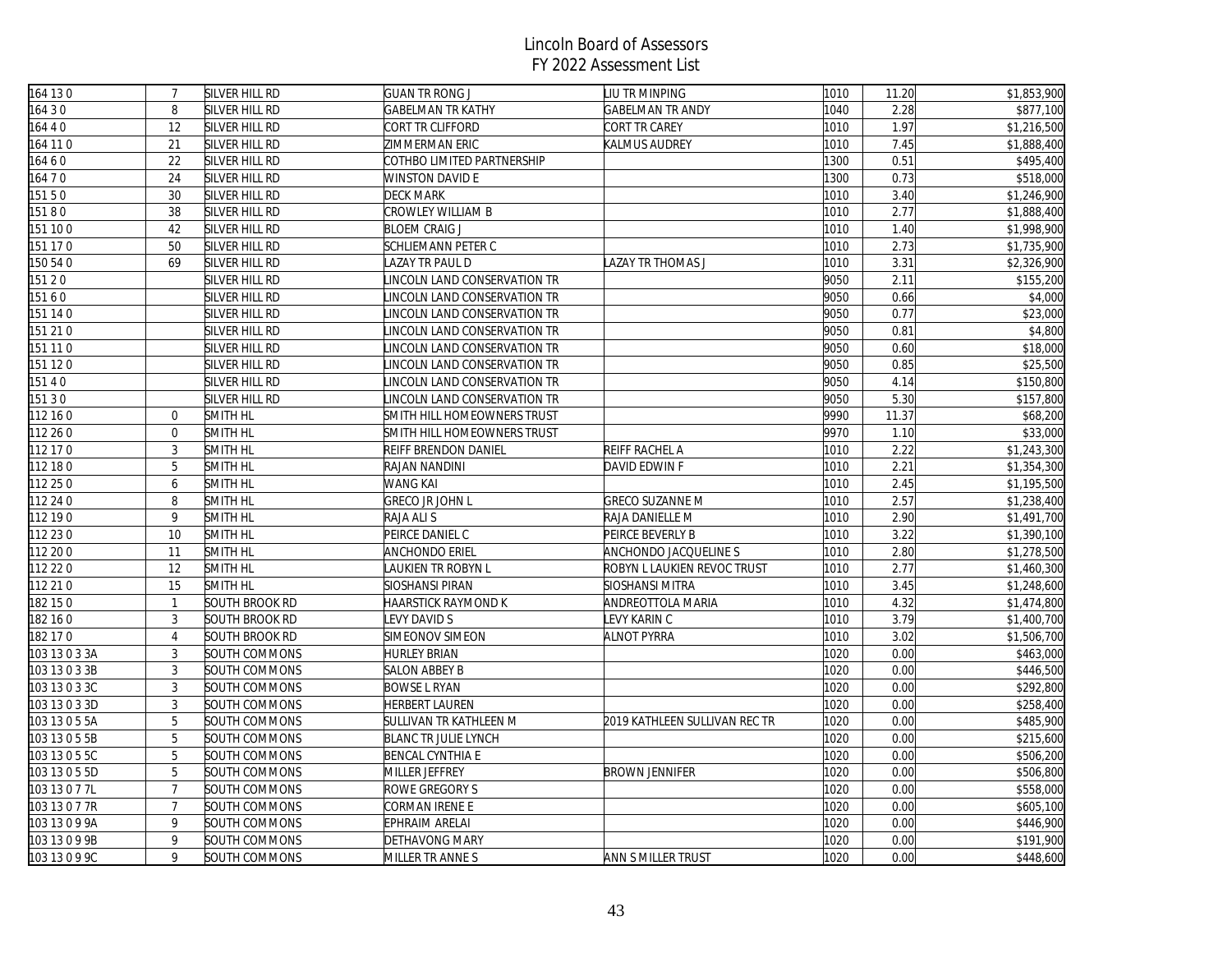| 164 130       | $\overline{7}$ | SILVER HILL RD | <b>GUAN TR RONG J</b>              | LIU TR MINPING                | 1010 | 11.20 | \$1,853,900 |
|---------------|----------------|----------------|------------------------------------|-------------------------------|------|-------|-------------|
| 16430         | $\, 8$         | SILVER HILL RD | GABELMAN TR KATHY                  | <b>GABELMAN TR ANDY</b>       | 1040 | 2.28  | \$877,100   |
| 164 4 0       | 12             | SILVER HILL RD | CORT TR CLIFFORD                   | CORT TR CAREY                 | 1010 | 1.97  | \$1,216,500 |
| 164 11 0      | 21             | SILVER HILL RD | ZIMMERMAN ERIC                     | KALMUS AUDREY                 | 1010 | 7.45  | \$1,888,400 |
| 16460         | 22             | SILVER HILL RD | COTHBO LIMITED PARTNERSHIP         |                               | 1300 | 0.51  | \$495,400   |
| 16470         | 24             | SILVER HILL RD | <b>WINSTON DAVID E</b>             |                               | 1300 | 0.73  | \$518,000   |
| 15150         | 30             | SILVER HILL RD | <b>DECK MARK</b>                   |                               | 1010 | 3.40  | \$1,246,900 |
| 15180         | 38             | SILVER HILL RD | CROWLEY WILLIAM B                  |                               | 1010 | 2.77  | \$1,888,400 |
| 151 100       | 42             | SILVER HILL RD | <b>BLOEM CRAIG J</b>               |                               | 1010 | 1.40  | \$1,998,900 |
| 151 170       | 50             | SILVER HILL RD | SCHLIEMANN PETER C                 |                               | 1010 | 2.73  | \$1,735,900 |
| 150 54 0      | 69             | SILVER HILL RD | AZAY TR PAUL D                     | LAZAY TR THOMAS J             | 1010 | 3.31  | \$2,326,900 |
| 15120         |                | SILVER HILL RD | LINCOLN LAND CONSERVATION TR       |                               | 9050 | 2.11  | \$155,200   |
| 15160         |                | SILVER HILL RD | <b>INCOLN LAND CONSERVATION TR</b> |                               | 9050 | 0.66  | \$4,000     |
| 151 140       |                | SILVER HILL RD | INCOLN LAND CONSERVATION TR        |                               | 9050 | 0.77  | \$23,000    |
| 151 210       |                | SILVER HILL RD | INCOLN LAND CONSERVATION TR        |                               | 9050 | 0.81  | \$4,800     |
| 151 11 0      |                | SILVER HILL RD | INCOLN LAND CONSERVATION TR        |                               | 9050 | 0.60  | \$18,000    |
| 151 120       |                | SILVER HILL RD | INCOLN LAND CONSERVATION TR        |                               | 9050 | 0.85  | \$25,500    |
| 15140         |                | SILVER HILL RD | INCOLN LAND CONSERVATION TR        |                               | 9050 | 4.14  | \$150,800   |
| 15130         |                | SILVER HILL RD | INCOLN LAND CONSERVATION TR        |                               | 9050 | 5.30  | \$157,800   |
| 112 16 0      | $\overline{0}$ | SMITH HL       | SMITH HILL HOMEOWNERS TRUST        |                               | 9990 | 11.37 | \$68,200    |
| 112 26 0      | $\mathbf 0$    | SMITH HL       | SMITH HILL HOMEOWNERS TRUST        |                               | 9970 | 1.10  | \$33,000    |
| 112 17 0      | $\mathbf{3}$   | SMITH HL       | REIFF BRENDON DANIEL               | REIFF RACHEL A                | 1010 | 2.22  | \$1,243,300 |
| 112 18 0      | 5              | SMITH HL       | RAJAN NANDINI                      | DAVID EDWIN F                 | 1010 | 2.21  | \$1,354,300 |
| 112 25 0      | 6              | SMITH HL       | WANG KAI                           |                               | 1010 | 2.45  | \$1,195,500 |
| 112 24 0      | $\, 8$         | SMITH HL       | <b>GRECO JR JOHN L</b>             | <b>GRECO SUZANNE M</b>        | 1010 | 2.57  | \$1,238,400 |
| 112 19 0      | 9              | SMITH HL       | RAJA ALI S                         | RAJA DANIELLE M               | 1010 | 2.90  | \$1,491,700 |
| 112 23 0      | 10             | SMITH HL       | PEIRCE DANIEL C                    | PEIRCE BEVERLY B              | 1010 | 3.22  | \$1,390,100 |
| 112 20 0      | 11             | SMITH HL       | <b>ANCHONDO ERIEL</b>              | ANCHONDO JACQUELINE S         | 1010 | 2.80  | \$1,278,500 |
| 112 22 0      | 12             | SMITH HL       | LAUKIEN TR ROBYN L                 | ROBYN L LAUKIEN REVOC TRUST   | 1010 | 2.77  | \$1,460,300 |
| 112 21 0      | 15             | SMITH HL       | SIOSHANSI PIRAN                    | SIOSHANSI MITRA               | 1010 | 3.45  | \$1,248,600 |
| 182 150       | $\mathbf{1}$   | SOUTH BROOK RD | HAARSTICK RAYMOND K                | ANDREOTTOLA MARIA             | 1010 | 4.32  | \$1,474,800 |
| 182 16 0      | 3              | SOUTH BROOK RD | EVY DAVID S                        | LEVY KARIN C                  | 1010 | 3.79  | \$1,400,700 |
| 182 17 0      | $\overline{4}$ | SOUTH BROOK RD | SIMEONOV SIMEON                    | <b>ALNOT PYRRA</b>            | 1010 | 3.02  | \$1,506,700 |
| 103 13 0 3 3A | $\mathbf{3}$   | SOUTH COMMONS  | <b>HURLEY BRIAN</b>                |                               | 1020 | 0.00  | \$463,000   |
| 103 13 0 3 3B | $\mathbf{3}$   | SOUTH COMMONS  | SALON ABBEY B                      |                               | 1020 | 0.00  | \$446,500   |
| 103 13 0 3 3C | $\overline{3}$ | SOUTH COMMONS  | <b>BOWSE L RYAN</b>                |                               | 1020 | 0.00  | \$292,800   |
| 103 13 0 3 3D | 3              | SOUTH COMMONS  | HERBERT LAUREN                     |                               | 1020 | 0.00  | \$258,400   |
| 103 13 0 5 5A | 5              | SOUTH COMMONS  | SULLIVAN TR KATHLEEN M             | 2019 KATHLEEN SULLIVAN REC TR | 1020 | 0.00  | \$485,900   |
| 103 13 0 5 5B | 5              | SOUTH COMMONS  | BLANC TR JULIE LYNCH               |                               | 1020 | 0.00  | \$215,600   |
| 103 13 0 5 5C | 5              | SOUTH COMMONS  | <b>BENCAL CYNTHIA E</b>            |                               | 1020 | 0.00  | \$506,200   |
| 103 13 0 5 5D | 5              | SOUTH COMMONS  | MILLER JEFFREY                     | <b>BROWN JENNIFER</b>         | 1020 | 0.00  | \$506,800   |
| 103 13 0 7 7L | $\overline{7}$ | SOUTH COMMONS  | ROWE GREGORY S                     |                               | 1020 | 0.00  | \$558,000   |
| 103 13 0 7 7R | $\overline{7}$ | SOUTH COMMONS  | CORMAN IRENE E                     |                               | 1020 | 0.00  | \$605,100   |
| 103 13 0 9 9A | 9              | SOUTH COMMONS  | EPHRAIM ARELAI                     |                               | 1020 | 0.00  | \$446,900   |
| 103 13 0 9 9B | 9              | SOUTH COMMONS  | DETHAVONG MARY                     |                               | 1020 | 0.00  | \$191,900   |
| 103 13 0 9 9C | 9              | SOUTH COMMONS  | MILLER TR ANNE S                   | ANN S MILLER TRUST            | 1020 | 0.00  | \$448,600   |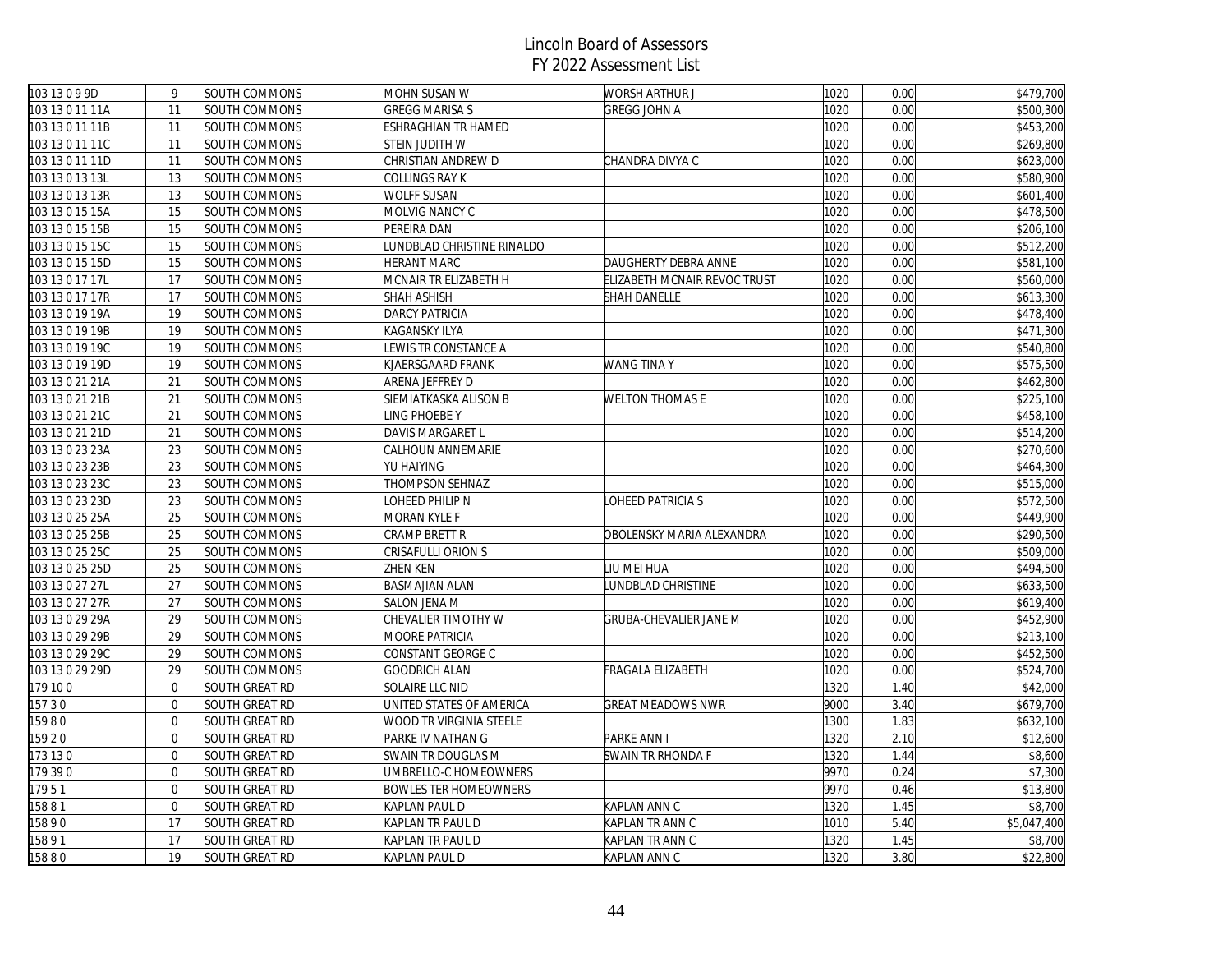| 103 13 0 9 9D   | 9              | SOUTH COMMONS  | MOHN SUSAN W                 | WORSH ARTHUR J               | 1020 | 0.00 | \$479,700   |
|-----------------|----------------|----------------|------------------------------|------------------------------|------|------|-------------|
| 103 13 0 11 11A | 11             | SOUTH COMMONS  | <b>GREGG MARISA S</b>        | <b>GREGG JOHN A</b>          | 1020 | 0.00 | \$500,300   |
| 103 13 0 11 11B | 11             | SOUTH COMMONS  | ESHRAGHIAN TR HAMED          |                              | 1020 | 0.00 | \$453,200   |
| 103 13 0 11 11C | 11             | SOUTH COMMONS  | STEIN JUDITH W               |                              | 1020 | 0.00 | \$269,800   |
| 103 13 0 11 11D | 11             | SOUTH COMMONS  | CHRISTIAN ANDREW D           | CHANDRA DIVYA C              | 1020 | 0.00 | \$623,000   |
| 103 13 0 13 13L | 13             | SOUTH COMMONS  | COLLINGS RAY K               |                              | 1020 | 0.00 | \$580,900   |
| 103 13 0 13 13R | 13             | SOUTH COMMONS  | WOLFF SUSAN                  |                              | 1020 | 0.00 | \$601,400   |
| 103 13 0 15 15A | 15             | SOUTH COMMONS  | MOLVIG NANCY C               |                              | 1020 | 0.00 | \$478,500   |
| 103 13 0 15 15B | 15             | SOUTH COMMONS  | PEREIRA DAN                  |                              | 1020 | 0.00 | \$206,100   |
| 103 13 0 15 15C | 15             | SOUTH COMMONS  | UNDBLAD CHRISTINE RINALDO    |                              | 1020 | 0.00 | \$512,200   |
| 103 13 0 15 15D | 15             | SOUTH COMMONS  | HERANT MARC                  | DAUGHERTY DEBRA ANNE         | 1020 | 0.00 | \$581,100   |
| 103 13 0 17 17L | 17             | SOUTH COMMONS  | MCNAIR TR ELIZABETH H        | ELIZABETH MCNAIR REVOC TRUST | 1020 | 0.00 | \$560,000   |
| 103 13 0 17 17R | 17             | SOUTH COMMONS  | SHAH ASHISH                  | SHAH DANELLE                 | 1020 | 0.00 | \$613,300   |
| 103 13 0 19 19A | 19             | SOUTH COMMONS  | DARCY PATRICIA               |                              | 1020 | 0.00 | \$478,400   |
| 103 13 0 19 19B | 19             | SOUTH COMMONS  | KAGANSKY ILYA                |                              | 1020 | 0.00 | \$471,300   |
| 103 13 0 19 19C | 19             | SOUTH COMMONS  | EWIS TR CONSTANCE A          |                              | 1020 | 0.00 | \$540,800   |
| 103 13 0 19 19D | 19             | SOUTH COMMONS  | KJAERSGAARD FRANK            | WANG TINA Y                  | 1020 | 0.00 | \$575,500   |
| 103 13 0 21 21A | 21             | SOUTH COMMONS  | ARENA JEFFREY D              |                              | 1020 | 0.00 | \$462,800   |
| 103 13 0 21 21B | 21             | SOUTH COMMONS  | SIEMIATKASKA ALISON B        | <b>WELTON THOMAS E</b>       | 1020 | 0.00 | \$225,100   |
| 103 13 0 21 21C | 21             | SOUTH COMMONS  | LING PHOEBE Y                |                              | 1020 | 0.00 | \$458,100   |
| 103 13 0 21 21D | 21             | SOUTH COMMONS  | DAVIS MARGARET L             |                              | 1020 | 0.00 | \$514,200   |
| 103 13 0 23 23A | 23             | SOUTH COMMONS  | CALHOUN ANNEMARIE            |                              | 1020 | 0.00 | \$270,600   |
| 103 13 0 23 23B | 23             | SOUTH COMMONS  | YU HAIYING                   |                              | 1020 | 0.00 | \$464,300   |
| 103 13 0 23 23C | 23             | SOUTH COMMONS  | THOMPSON SEHNAZ              |                              | 1020 | 0.00 | \$515,000   |
| 103 13 0 23 23D | 23             | SOUTH COMMONS  | LOHEED PHILIP N              | LOHEED PATRICIA S            | 1020 | 0.00 | \$572,500   |
| 103 13 0 25 25A | 25             | SOUTH COMMONS  | MORAN KYLE F                 |                              | 1020 | 0.00 | \$449,900   |
| 103 13 0 25 25B | 25             | SOUTH COMMONS  | CRAMP BRETT R                | OBOLENSKY MARIA ALEXANDRA    | 1020 | 0.00 | \$290,500   |
| 103 13 0 25 25C | 25             | SOUTH COMMONS  | CRISAFULLI ORION S           |                              | 1020 | 0.00 | \$509,000   |
| 103 13 0 25 25D | 25             | SOUTH COMMONS  | ZHEN KEN                     | LIU MEI HUA                  | 1020 | 0.00 | \$494,500   |
| 103 13 0 27 27L | 27             | SOUTH COMMONS  | <b>BASMAJIAN ALAN</b>        | LUNDBLAD CHRISTINE           | 1020 | 0.00 | \$633,500   |
| 103 13 0 27 27R | 27             | SOUTH COMMONS  | SALON JENA M                 |                              | 1020 | 0.00 | \$619,400   |
| 103 13 0 29 29A | 29             | SOUTH COMMONS  | CHEVALIER TIMOTHY W          | GRUBA-CHEVALIER JANE M       | 1020 | 0.00 | \$452,900   |
| 103 13 0 29 29B | 29             | SOUTH COMMONS  | MOORE PATRICIA               |                              | 1020 | 0.00 | \$213,100   |
| 103 13 0 29 29C | 29             | SOUTH COMMONS  | CONSTANT GEORGE C            |                              | 1020 | 0.00 | \$452,500   |
| 103 13 0 29 29D | 29             | SOUTH COMMONS  | GOODRICH ALAN                | FRAGALA ELIZABETH            | 1020 | 0.00 | \$524,700   |
| 179 100         | $\mathbf 0$    | SOUTH GREAT RD | SOLAIRE LLC NID              |                              | 1320 | 1.40 | \$42,000    |
| 15730           | $\mathbf{0}$   | SOUTH GREAT RD | UNITED STATES OF AMERICA     | <b>GREAT MEADOWS NWR</b>     | 9000 | 3.40 | \$679,700   |
| 15980           | $\overline{0}$ | SOUTH GREAT RD | WOOD TR VIRGINIA STEELE      |                              | 1300 | 1.83 | \$632,100   |
| 15920           | $\mathbf{0}$   | SOUTH GREAT RD | PARKE IV NATHAN G            | PARKE ANN I                  | 1320 | 2.10 | \$12,600    |
| 173 130         | $\mathbf 0$    | SOUTH GREAT RD | SWAIN TR DOUGLAS M           | SWAIN TR RHONDA F            | 1320 | 1.44 | \$8,600     |
| 179 390         | $\mathbf{0}$   | SOUTH GREAT RD | UMBRELLO-C HOMEOWNERS        |                              | 9970 | 0.24 | \$7,300     |
| 17951           | $\mathbf{0}$   | SOUTH GREAT RD | <b>BOWLES TER HOMEOWNERS</b> |                              | 9970 | 0.46 | \$13,800    |
| 15881           | $\mathbf{0}$   | SOUTH GREAT RD | KAPLAN PAUL D                | KAPLAN ANN C                 | 1320 | 1.45 | \$8,700     |
| 15890           | 17             | SOUTH GREAT RD | KAPLAN TR PAUL D             | KAPLAN TR ANN C              | 1010 | 5.40 | \$5,047,400 |
| 15891           | 17             | SOUTH GREAT RD | KAPLAN TR PAUL D             | KAPLAN TR ANN C              | 1320 | 1.45 | \$8,700     |
| 15880           | 19             | SOUTH GREAT RD | KAPLAN PAUL D                | KAPLAN ANN C                 | 1320 | 3.80 | \$22,800    |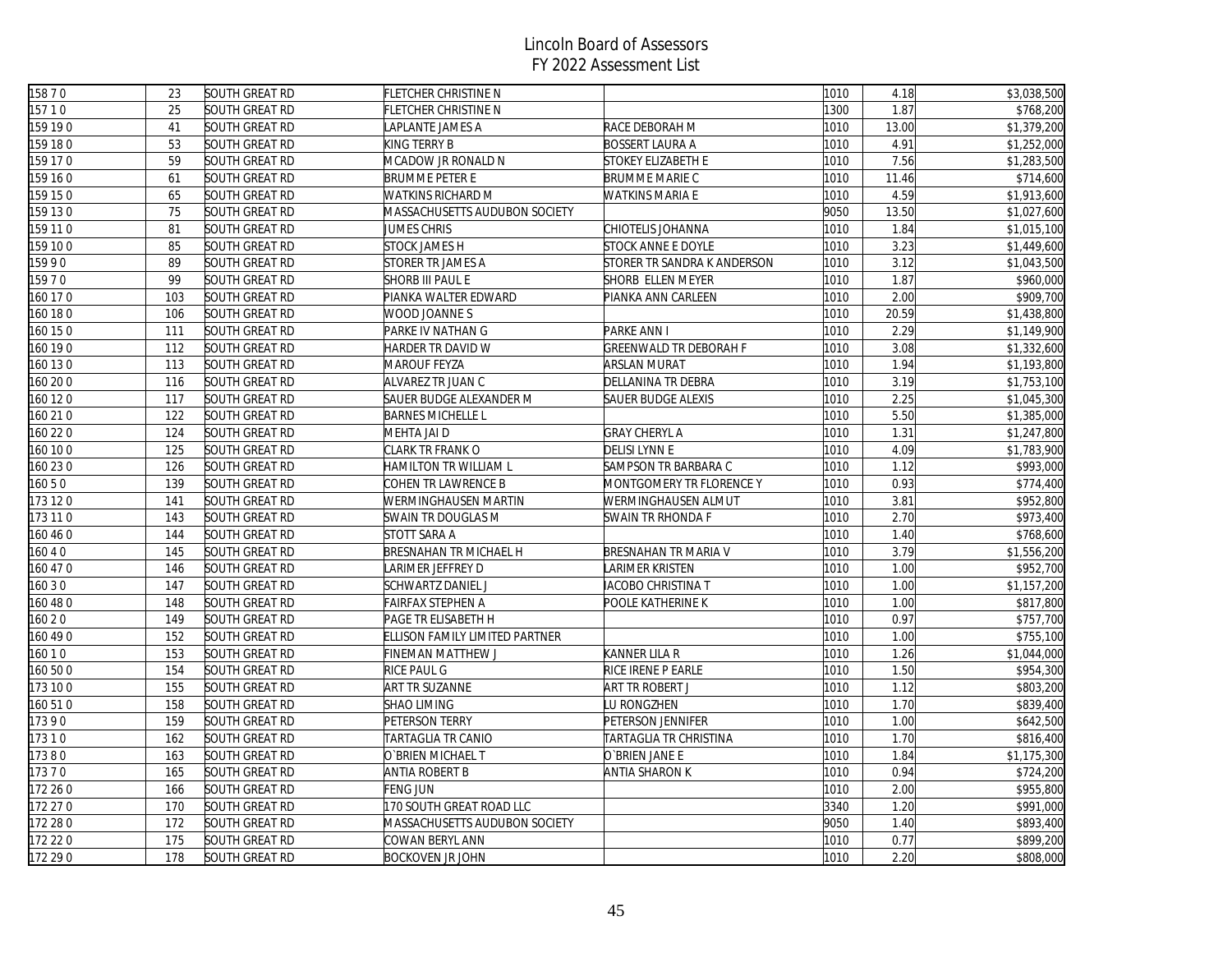| 15870    | 23  | SOUTH GREAT RD        | FLETCHER CHRISTINE N           |                               | 1010 | 4.18  | \$3,038,500 |
|----------|-----|-----------------------|--------------------------------|-------------------------------|------|-------|-------------|
| 15710    | 25  | SOUTH GREAT RD        | FLETCHER CHRISTINE N           |                               | 1300 | 1.87  | \$768,200   |
| 159 19 0 | 41  | SOUTH GREAT RD        | APLANTE JAMES A                | RACE DEBORAH M                | 1010 | 13.00 | \$1,379,200 |
| 159 18 0 | 53  | SOUTH GREAT RD        | KING TERRY B                   | <b>BOSSERT LAURA A</b>        | 1010 | 4.91  | \$1,252,000 |
| 159 17 0 | 59  | SOUTH GREAT RD        | MCADOW JR RONALD N             | STOKEY ELIZABETH E            | 1010 | 7.56  | \$1,283,500 |
| 159 160  | 61  | SOUTH GREAT RD        | <b>BRUMME PETER E</b>          | BRUMME MARIE C                | 1010 | 11.46 | \$714,600   |
| 159 150  | 65  | SOUTH GREAT RD        | WATKINS RICHARD M              | <b>WATKINS MARIA E</b>        | 1010 | 4.59  | \$1,913,600 |
| 159 130  | 75  | SOUTH GREAT RD        | MASSACHUSETTS AUDUBON SOCIETY  |                               | 9050 | 13.50 | \$1,027,600 |
| 159 11 0 | 81  | SOUTH GREAT RD        | JUMES CHRIS                    | CHIOTELIS JOHANNA             | 1010 | 1.84  | \$1,015,100 |
| 159 100  | 85  | SOUTH GREAT RD        | <b>STOCK JAMES H</b>           | STOCK ANNE E DOYLE            | 1010 | 3.23  | \$1,449,600 |
| 15990    | 89  | SOUTH GREAT RD        | STORER TR JAMES A              | STORER TR SANDRA K ANDERSON   | 1010 | 3.12  | \$1,043,500 |
| 15970    | 99  | SOUTH GREAT RD        | <b>SHORB III PAUL E</b>        | SHORB ELLEN MEYER             | 1010 | 1.87  | \$960,000   |
| 160 17 0 | 103 | SOUTH GREAT RD        | PIANKA WALTER EDWARD           | PIANKA ANN CARLEEN            | 1010 | 2.00  | \$909,700   |
| 160 180  | 106 | SOUTH GREAT RD        | WOOD JOANNE S                  |                               | 1010 | 20.59 | \$1,438,800 |
| 160 15 0 | 111 | SOUTH GREAT RD        | PARKE IV NATHAN G              | PARKE ANN I                   | 1010 | 2.29  | \$1,149,900 |
| 160 19 0 | 112 | <b>SOUTH GREAT RD</b> | HARDER TR DAVID W              | <b>GREENWALD TR DEBORAH F</b> | 1010 | 3.08  | \$1,332,600 |
| 160 13 0 | 113 | SOUTH GREAT RD        | <b>MAROUF FEYZA</b>            | ARSLAN MURAT                  | 1010 | 1.94  | \$1,193,800 |
| 160 20 0 | 116 | SOUTH GREAT RD        | ALVAREZ TR JUAN C              | DELLANINA TR DEBRA            | 1010 | 3.19  | \$1,753,100 |
| 160 12 0 | 117 | SOUTH GREAT RD        | SAUER BUDGE ALEXANDER M        | SAUER BUDGE ALEXIS            | 1010 | 2.25  | \$1,045,300 |
| 160 210  | 122 | SOUTH GREAT RD        | <b>BARNES MICHELLE L</b>       |                               | 1010 | 5.50  | \$1,385,000 |
| 160 22 0 | 124 | SOUTH GREAT RD        | MEHTA JAI D                    | <b>GRAY CHERYL A</b>          | 1010 | 1.31  | \$1,247,800 |
| 160 10 0 | 125 | SOUTH GREAT RD        | CLARK TR FRANK O               | <b>DELISI LYNN E</b>          | 1010 | 4.09  | \$1,783,900 |
| 160 23 0 | 126 | SOUTH GREAT RD        | HAMILTON TR WILLIAM L          | SAMPSON TR BARBARA C          | 1010 | 1.12  | \$993,000   |
| 16050    | 139 | SOUTH GREAT RD        | COHEN TR LAWRENCE B            | MONTGOMERY TR FLORENCE Y      | 1010 | 0.93  | \$774,400   |
| 173 120  | 141 | SOUTH GREAT RD        | WERMINGHAUSEN MARTIN           | WERMINGHAUSEN ALMUT           | 1010 | 3.81  | \$952,800   |
| 173 110  | 143 | SOUTH GREAT RD        | SWAIN TR DOUGLAS M             | SWAIN TR RHONDA F             | 1010 | 2.70  | \$973,400   |
| 160 46 0 | 144 | SOUTH GREAT RD        | STOTT SARA A                   |                               | 1010 | 1.40  | \$768,600   |
| 16040    | 145 | SOUTH GREAT RD        | <b>BRESNAHAN TR MICHAEL H</b>  | BRESNAHAN TR MARIA V          | 1010 | 3.79  | \$1,556,200 |
| 160 47 0 | 146 | SOUTH GREAT RD        | ARIMER JEFFREY D               | LARIMER KRISTEN               | 1010 | 1.00  | \$952,700   |
| 160 3 0  | 147 | SOUTH GREAT RD        | SCHWARTZ DANIEL J              | IACOBO CHRISTINA T            | 1010 | 1.00  | \$1,157,200 |
| 160 48 0 | 148 | SOUTH GREAT RD        | FAIRFAX STEPHEN A              | POOLE KATHERINE K             | 1010 | 1.00  | \$817,800   |
| 160 20   | 149 | SOUTH GREAT RD        | PAGE TR ELISABETH H            |                               | 1010 | 0.97  | \$757,700   |
| 160 49 0 | 152 | SOUTH GREAT RD        | ELLISON FAMILY LIMITED PARTNER |                               | 1010 | 1.00  | \$755,100   |
| 16010    | 153 | SOUTH GREAT RD        | FINEMAN MATTHEW J              | KANNER LILA R                 | 1010 | 1.26  | \$1,044,000 |
| 160 50 0 | 154 | SOUTH GREAT RD        | <b>RICE PAUL G</b>             | RICE IRENE P EARLE            | 1010 | 1.50  | \$954,300   |
| 173 100  | 155 | SOUTH GREAT RD        | <b>ART TR SUZANNE</b>          | ART TR ROBERT J               | 1010 | 1.12  | \$803,200   |
| 160 510  | 158 | SOUTH GREAT RD        | <b>SHAO LIMING</b>             | LU RONGZHEN                   | 1010 | 1.70  | \$839,400   |
| 17390    | 159 | SOUTH GREAT RD        | PETERSON TERRY                 | PETERSON JENNIFER             | 1010 | 1.00  | \$642,500   |
| 17310    | 162 | SOUTH GREAT RD        | TARTAGLIA TR CANIO             | TARTAGLIA TR CHRISTINA        | 1010 | 1.70  | \$816,400   |
| 17380    | 163 | SOUTH GREAT RD        | O`BRIEN MICHAEL T              | O`BRIEN JANE E                | 1010 | 1.84  | \$1,175,300 |
| 17370    | 165 | SOUTH GREAT RD        | ANTIA ROBERT B                 | ANTIA SHARON K                | 1010 | 0.94  | \$724,200   |
| 172 26 0 | 166 | SOUTH GREAT RD        | FENG JUN                       |                               | 1010 | 2.00  | \$955,800   |
| 172 27 0 | 170 | SOUTH GREAT RD        | 170 SOUTH GREAT ROAD LLC       |                               | 3340 | 1.20  | \$991,000   |
| 172 28 0 | 172 | SOUTH GREAT RD        | MASSACHUSETTS AUDUBON SOCIETY  |                               | 9050 | 1.40  | \$893,400   |
| 172 22 0 | 175 | SOUTH GREAT RD        | COWAN BERYL ANN                |                               | 1010 | 0.77  | \$899,200   |
| 172 29 0 | 178 | SOUTH GREAT RD        | <b>BOCKOVEN JR JOHN</b>        |                               | 1010 | 2.20  | \$808,000   |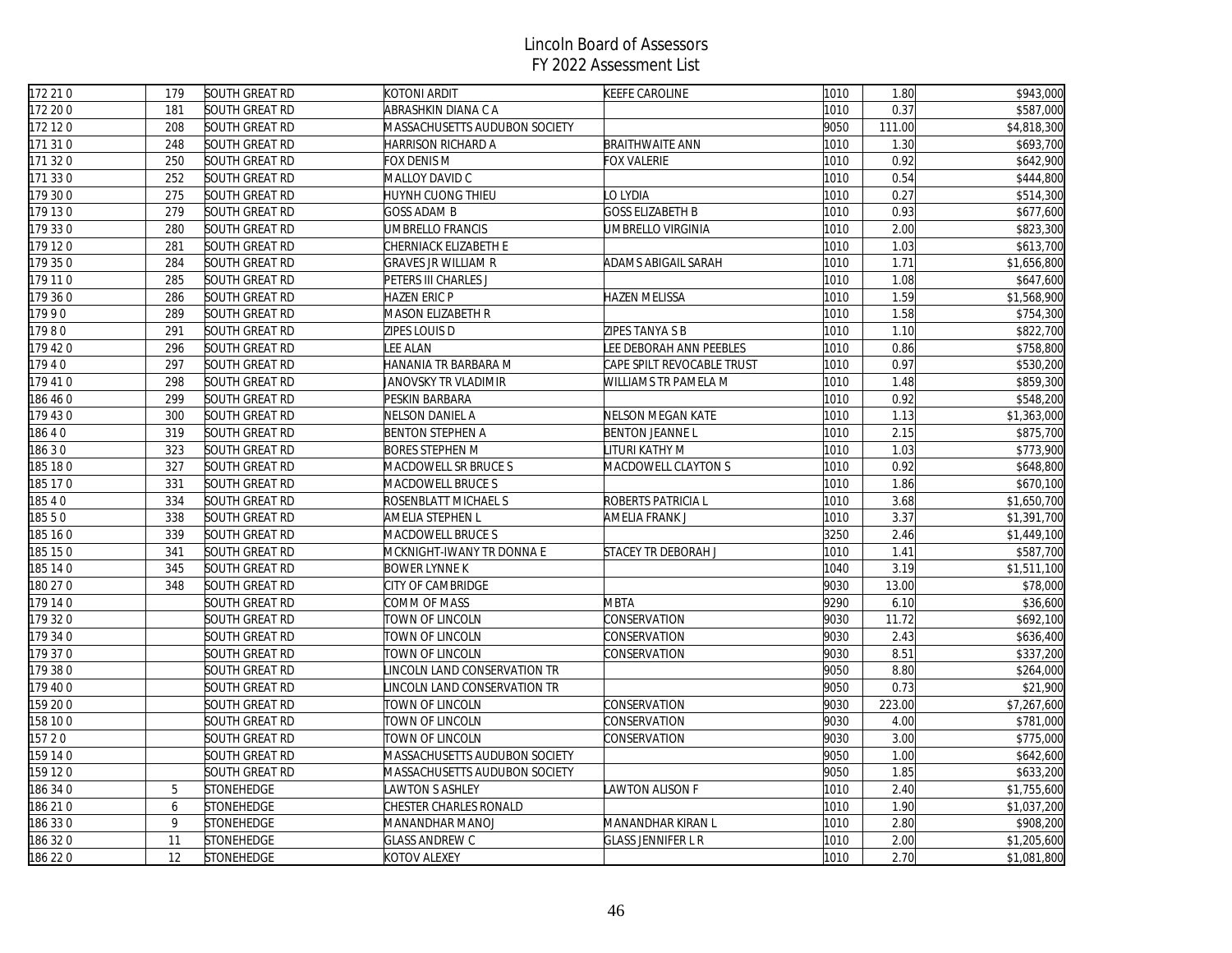| 172210   | 179 | SOUTH GREAT RD        | KOTONI ARDIT                  | KEEFE CAROLINE                 | 1010 | 1.80   | \$943,000   |
|----------|-----|-----------------------|-------------------------------|--------------------------------|------|--------|-------------|
| 172 20 0 | 181 | SOUTH GREAT RD        | ABRASHKIN DIANA C A           |                                | 1010 | 0.37   | \$587,000   |
| 172 12 0 | 208 | SOUTH GREAT RD        | MASSACHUSETTS AUDUBON SOCIETY |                                | 9050 | 111.00 | \$4,818,300 |
| 171 310  | 248 | SOUTH GREAT RD        | HARRISON RICHARD A            | <b>BRAITHWAITE ANN</b>         | 1010 | 1.30   | \$693,700   |
| 171 320  | 250 | SOUTH GREAT RD        | FOX DENIS M                   | FOX VALERIE                    | 1010 | 0.92   | \$642,900   |
| 171 330  | 252 | SOUTH GREAT RD        | MALLOY DAVID C                |                                | 1010 | 0.54   | \$444,800   |
| 179 30 0 | 275 | SOUTH GREAT RD        | HUYNH CUONG THIEU             | LO LYDIA                       | 1010 | 0.27   | \$514,300   |
| 179 130  | 279 | SOUTH GREAT RD        | <b>GOSS ADAM B</b>            | <b>GOSS ELIZABETH B</b>        | 1010 | 0.93   | \$677,600   |
| 179 330  | 280 | SOUTH GREAT RD        | UMBRELLO FRANCIS              | UMBRELLO VIRGINIA              | 1010 | 2.00   | \$823,300   |
| 179 120  | 281 | SOUTH GREAT RD        | CHERNIACK ELIZABETH E         |                                | 1010 | 1.03   | \$613,700   |
| 179 35 0 | 284 | SOUTH GREAT RD        | <b>GRAVES JR WILLIAM R</b>    | ADAMS ABIGAIL SARAH            | 1010 | 1.71   | \$1,656,800 |
| 179 110  | 285 | SOUTH GREAT RD        | PETERS III CHARLES J          |                                | 1010 | 1.08   | \$647,600   |
| 179 360  | 286 | SOUTH GREAT RD        | HAZEN ERIC P                  | <b>HAZEN MELISSA</b>           | 1010 | 1.59   | \$1,568,900 |
| 17990    | 289 | SOUTH GREAT RD        | MASON ELIZABETH R             |                                | 1010 | 1.58   | \$754,300   |
| 17980    | 291 | SOUTH GREAT RD        | ZIPES LOUIS D                 | ZIPES TANYA S B                | 1010 | 1.10   | \$822,700   |
| 179 420  | 296 | SOUTH GREAT RD        | LEE ALAN                      | <b>LEE DEBORAH ANN PEEBLES</b> | 1010 | 0.86   | \$758,800   |
| 17940    | 297 | SOUTH GREAT RD        | HANANIA TR BARBARA M          | CAPE SPILT REVOCABLE TRUST     | 1010 | 0.97   | \$530,200   |
| 179 410  | 298 | <b>SOUTH GREAT RD</b> | JANOVSKY TR VLADIMIR          | WILLIAMS TR PAMELA M           | 1010 | 1.48   | \$859,300   |
| 186 46 0 | 299 | SOUTH GREAT RD        | PESKIN BARBARA                |                                | 1010 | 0.92   | \$548,200   |
| 179 430  | 300 | SOUTH GREAT RD        | NELSON DANIEL A               | NELSON MEGAN KATE              | 1010 | 1.13   | \$1,363,000 |
| 18640    | 319 | SOUTH GREAT RD        | <b>BENTON STEPHEN A</b>       | <b>BENTON JEANNE L</b>         | 1010 | 2.15   | \$875,700   |
| 18630    | 323 | SOUTH GREAT RD        | <b>BORES STEPHEN M</b>        | LITURI KATHY M                 | 1010 | 1.03   | \$773,900   |
| 185 180  | 327 | <b>SOUTH GREAT RD</b> | MACDOWELL SR BRUCE S          | MACDOWELL CLAYTON S            | 1010 | 0.92   | \$648,800   |
| 185 17 0 | 331 | SOUTH GREAT RD        | MACDOWELL BRUCE S             |                                | 1010 | 1.86   | \$670,100   |
| 18540    | 334 | SOUTH GREAT RD        | ROSENBLATT MICHAEL S          | ROBERTS PATRICIA L             | 1010 | 3.68   | \$1,650,700 |
| 18550    | 338 | <b>SOUTH GREAT RD</b> | AMELIA STEPHEN L              | AMELIA FRANK J                 | 1010 | 3.37   | \$1,391,700 |
| 185 16 0 | 339 | SOUTH GREAT RD        | MACDOWELL BRUCE S             |                                | 3250 | 2.46   | \$1,449,100 |
| 185 15 0 | 341 | SOUTH GREAT RD        | MCKNIGHT-IWANY TR DONNA E     | STACEY TR DEBORAH J            | 1010 | 1.41   | \$587,700   |
| 185 14 0 | 345 | SOUTH GREAT RD        | <b>BOWER LYNNE K</b>          |                                | 1040 | 3.19   | \$1,511,100 |
| 180 27 0 | 348 | SOUTH GREAT RD        | CITY OF CAMBRIDGE             |                                | 9030 | 13.00  | \$78,000    |
| 179 140  |     | SOUTH GREAT RD        | COMM OF MASS                  | <b>MBTA</b>                    | 9290 | 6.10   | \$36,600    |
| 179 320  |     | SOUTH GREAT RD        | TOWN OF LINCOLN               | CONSERVATION                   | 9030 | 11.72  | \$692,100   |
| 179 34 0 |     | SOUTH GREAT RD        | TOWN OF LINCOLN               | CONSERVATION                   | 9030 | 2.43   | \$636,400   |
| 179 370  |     | <b>SOUTH GREAT RD</b> | TOWN OF LINCOLN               | CONSERVATION                   | 9030 | 8.51   | \$337,200   |
| 179 380  |     | SOUTH GREAT RD        | INCOLN LAND CONSERVATION TR   |                                | 9050 | 8.80   | \$264,000   |
| 179 400  |     | SOUTH GREAT RD        | INCOLN LAND CONSERVATION TR   |                                | 9050 | 0.73   | \$21,900    |
| 159 20 0 |     | SOUTH GREAT RD        | TOWN OF LINCOLN               | CONSERVATION                   | 9030 | 223.00 | \$7,267,600 |
| 158 10 0 |     | SOUTH GREAT RD        | TOWN OF LINCOLN               | CONSERVATION                   | 9030 | 4.00   | \$781,000   |
| 15720    |     | SOUTH GREAT RD        | TOWN OF LINCOLN               | CONSERVATION                   | 9030 | 3.00   | \$775,000   |
| 159 14 0 |     | SOUTH GREAT RD        | MASSACHUSETTS AUDUBON SOCIETY |                                | 9050 | 1.00   | \$642,600   |
| 159 120  |     | SOUTH GREAT RD        | MASSACHUSETTS AUDUBON SOCIETY |                                | 9050 | 1.85   | \$633,200   |
| 186 34 0 | 5   | STONEHEDGE            | <b>AWTON S ASHLEY</b>         | <b>LAWTON ALISON F</b>         | 1010 | 2.40   | \$1,755,600 |
| 186 210  | 6   | <b>STONEHEDGE</b>     | CHESTER CHARLES RONALD        |                                | 1010 | 1.90   | \$1,037,200 |
| 186 330  | 9   | STONEHEDGE            | MANANDHAR MANOJ               | MANANDHAR KIRAN L              | 1010 | 2.80   | \$908,200   |
| 186 32 0 | 11  | <b>STONEHEDGE</b>     | <b>GLASS ANDREW C</b>         | <b>GLASS JENNIFER L R</b>      | 1010 | 2.00   | \$1,205,600 |
| 186 220  | 12  | <b>STONEHEDGE</b>     | KOTOV ALEXEY                  |                                | 1010 | 2.70   | \$1,081,800 |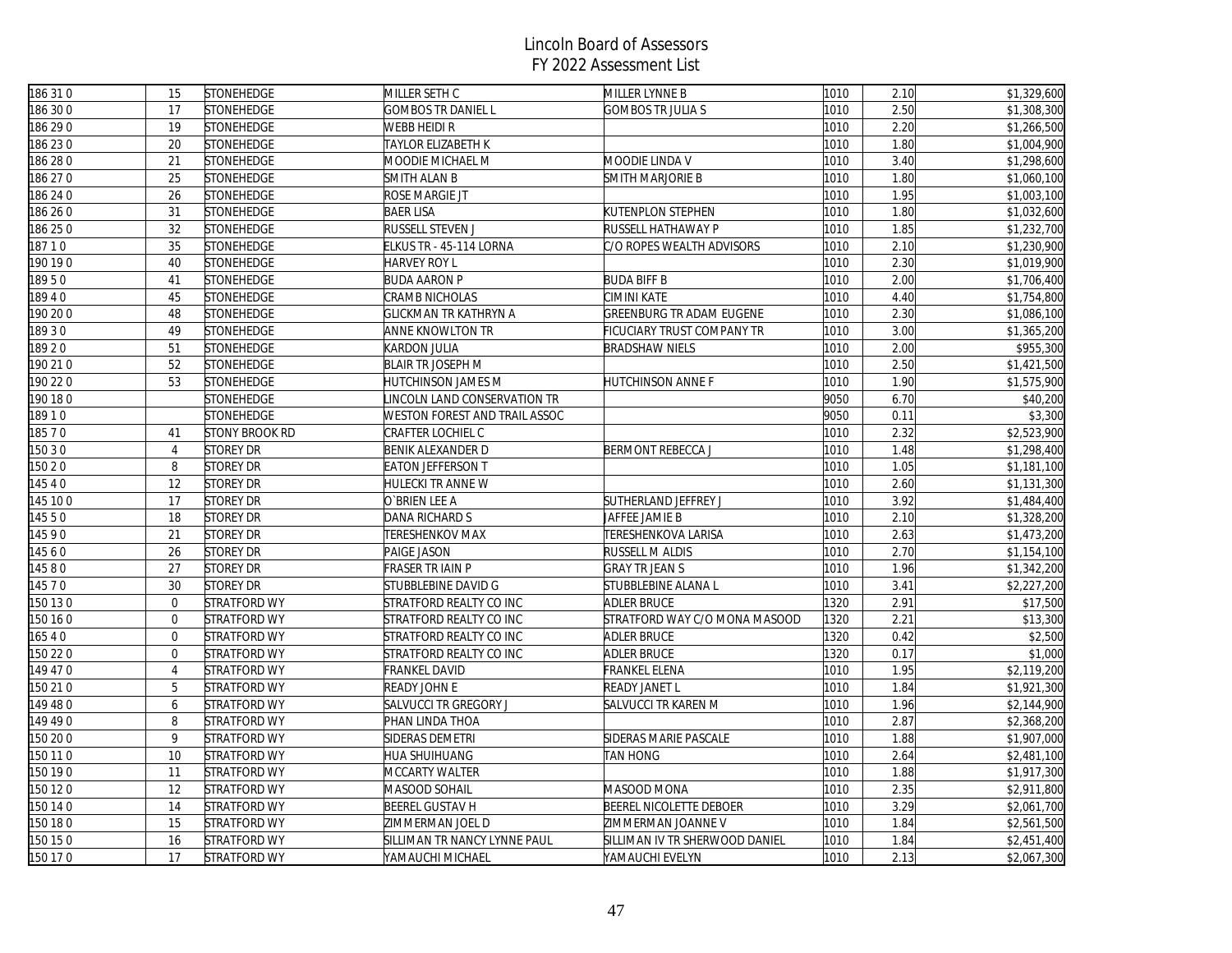| 186 310  | 15             | STONEHEDGE          | MILLER SETH C                 | MILLER LYNNE B                 | 1010 | 2.10 | \$1,329,600 |
|----------|----------------|---------------------|-------------------------------|--------------------------------|------|------|-------------|
| 186 30 0 | 17             | <b>STONEHEDGE</b>   | <b>GOMBOS TR DANIEL L</b>     | <b>GOMBOS TR JULIA S</b>       | 1010 | 2.50 | \$1,308,300 |
| 186 29 0 | 19             | STONEHEDGE          | WEBB HEIDI R                  |                                | 1010 | 2.20 | \$1,266,500 |
| 186230   | 20             | <b>STONEHEDGE</b>   | TAYLOR ELIZABETH K            |                                | 1010 | 1.80 | \$1,004,900 |
| 186 28 0 | 21             | STONEHEDGE          | MOODIE MICHAEL M              | MOODIE LINDA V                 | 1010 | 3.40 | \$1,298,600 |
| 186 27 0 | 25             | STONEHEDGE          | SMITH ALAN B                  | SMITH MARJORIE B               | 1010 | 1.80 | \$1,060,100 |
| 186 24 0 | 26             | <b>STONEHEDGE</b>   | ROSE MARGIE JT                |                                | 1010 | 1.95 | \$1,003,100 |
| 186 26 0 | 31             | <b>STONEHEDGE</b>   | <b>BAER LISA</b>              | <b>KUTENPLON STEPHEN</b>       | 1010 | 1.80 | \$1,032,600 |
| 186 25 0 | 32             | STONEHEDGE          | RUSSELL STEVEN J              | RUSSELL HATHAWAY P             | 1010 | 1.85 | \$1,232,700 |
| 18710    | 35             | <b>STONEHEDGE</b>   | ELKUS TR - 45-114 LORNA       | C/O ROPES WEALTH ADVISORS      | 1010 | 2.10 | \$1,230,900 |
| 190 19 0 | 40             | STONEHEDGE          | HARVEY ROY L                  |                                | 1010 | 2.30 | \$1,019,900 |
| 18950    | 41             | <b>STONEHEDGE</b>   | <b>BUDA AARON P</b>           | <b>BUDA BIFF B</b>             | 1010 | 2.00 | \$1,706,400 |
| 18940    | 45             | <b>STONEHEDGE</b>   | CRAMB NICHOLAS                | CIMINI KATE                    | 1010 | 4.40 | \$1,754,800 |
| 90 20 0  | 48             | STONEHEDGE          | GLICKMAN TR KATHRYN A         | GREENBURG TR ADAM EUGENE       | 1010 | 2.30 | \$1,086,100 |
| 18930    | 49             | <b>STONEHEDGE</b>   | ANNE KNOWLTON TR              | FICUCIARY TRUST COMPANY TR     | 1010 | 3.00 | \$1,365,200 |
| 18920    | 51             | <b>STONEHEDGE</b>   | KARDON JULIA                  | <b>BRADSHAW NIELS</b>          | 1010 | 2.00 | \$955,300   |
| 190 210  | 52             | <b>STONEHEDGE</b>   | <b>BLAIR TR JOSEPH M</b>      |                                | 1010 | 2.50 | \$1,421,500 |
| 190 22 0 | 53             | STONEHEDGE          | HUTCHINSON JAMES M            | HUTCHINSON ANNE F              | 1010 | 1.90 | \$1,575,900 |
| 190180   |                | STONEHEDGE          | INCOLN LAND CONSERVATION TR   |                                | 9050 | 6.70 | \$40,200    |
| 18910    |                | <b>STONEHEDGE</b>   | WESTON FOREST AND TRAIL ASSOC |                                | 9050 | 0.11 | \$3,300     |
| 18570    | 41             | STONY BROOK RD      | CRAFTER LOCHIEL C             |                                | 1010 | 2.32 | \$2,523,900 |
| 150 3 0  | $\overline{4}$ | <b>STOREY DR</b>    | BENIK ALEXANDER D             | <b>BERMONT REBECCA J</b>       | 1010 | 1.48 | \$1,298,400 |
| 150 2 0  | 8              | STOREY DR           | <b>EATON JEFFERSON T</b>      |                                | 1010 | 1.05 | \$1,181,100 |
| 14540    | 12             | STOREY DR           | HULECKI TR ANNE W             |                                | 1010 | 2.60 | \$1,131,300 |
| 145 10 0 | 17             | <b>STOREY DR</b>    | O`BRIEN LEE A                 | <b>SUTHERLAND JEFFREY J</b>    | 1010 | 3.92 | \$1,484,400 |
| 14550    | 18             | <b>STOREY DR</b>    | DANA RICHARD S                | JAFFEE JAMIE B                 | 1010 | 2.10 | \$1,328,200 |
| 14590    | 21             | <b>STOREY DR</b>    | TERESHENKOV MAX               | TERESHENKOVA LARISA            | 1010 | 2.63 | \$1,473,200 |
| 14560    | 26             | <b>STOREY DR</b>    | PAIGE JASON                   | RUSSELL M ALDIS                | 1010 | 2.70 | \$1,154,100 |
| 14580    | 27             | <b>STOREY DR</b>    | FRASER TR IAIN P              | <b>GRAY TR JEAN S</b>          | 1010 | 1.96 | \$1,342,200 |
| 14570    | 30             | <b>STOREY DR</b>    | STUBBLEBINE DAVID G           | <b>STUBBLEBINE ALANA L</b>     | 1010 | 3.41 | \$2,227,200 |
| 150 13 0 | $\mathbf 0$    | STRATFORD WY        | STRATFORD REALTY CO INC       | <b>ADLER BRUCE</b>             | 1320 | 2.91 | \$17,500    |
| 150 16 0 | $\overline{0}$ | STRATFORD WY        | STRATFORD REALTY CO INC       | STRATFORD WAY C/O MONA MASOOD  | 1320 | 2.21 | \$13,300    |
| 16540    | $\overline{0}$ | STRATFORD WY        | STRATFORD REALTY CO INC       | <b>ADLER BRUCE</b>             | 1320 | 0.42 | \$2,500     |
| 150 22 0 | $\mathbf 0$    | STRATFORD WY        | STRATFORD REALTY CO INC       | <b>ADLER BRUCE</b>             | 1320 | 0.17 | \$1,000     |
| 149 470  | $\overline{4}$ | STRATFORD WY        | FRANKEL DAVID                 | FRANKEL ELENA                  | 1010 | 1.95 | \$2,119,200 |
| 150 21 0 | 5              | STRATFORD WY        | READY JOHN E                  | READY JANET L                  | 1010 | 1.84 | \$1,921,300 |
| 149480   | 6              | STRATFORD WY        | SALVUCCI TR GREGORY J         | SALVUCCI TR KAREN M            | 1010 | 1.96 | \$2,144,900 |
| 149 49 0 | 8              | STRATFORD WY        | PHAN LINDA THOA               |                                | 1010 | 2.87 | \$2,368,200 |
| 150 20 0 | 9              | STRATFORD WY        | SIDERAS DEMETRI               | SIDERAS MARIE PASCALE          | 1010 | 1.88 | \$1,907,000 |
| 150 11 0 | 10             | STRATFORD WY        | HUA SHUIHUANG                 | TAN HONG                       | 1010 | 2.64 | \$2,481,100 |
| 150 19 0 | 11             | <b>STRATFORD WY</b> | MCCARTY WALTER                |                                | 1010 | 1.88 | \$1,917,300 |
| 150 12 0 | 12             | STRATFORD WY        | MASOOD SOHAIL                 | MASOOD MONA                    | 1010 | 2.35 | \$2,911,800 |
| 150 14 0 | 14             | <b>STRATFORD WY</b> | BEEREL GUSTAV H               | BEEREL NICOLETTE DEBOER        | 1010 | 3.29 | \$2,061,700 |
| 150 18 0 | 15             | STRATFORD WY        | ZIMMERMAN JOEL D              | ZIMMERMAN JOANNE V             | 1010 | 1.84 | \$2,561,500 |
| 150 15 0 | 16             | STRATFORD WY        | SILLIMAN TR NANCY LYNNE PAUL  | SILLIMAN IV TR SHERWOOD DANIEL | 1010 | 1.84 | \$2,451,400 |
| 150 170  | 17             | STRATFORD WY        | YAMAUCHI MICHAEL              | YAMAUCHI EVELYN                | 1010 | 2.13 | \$2,067,300 |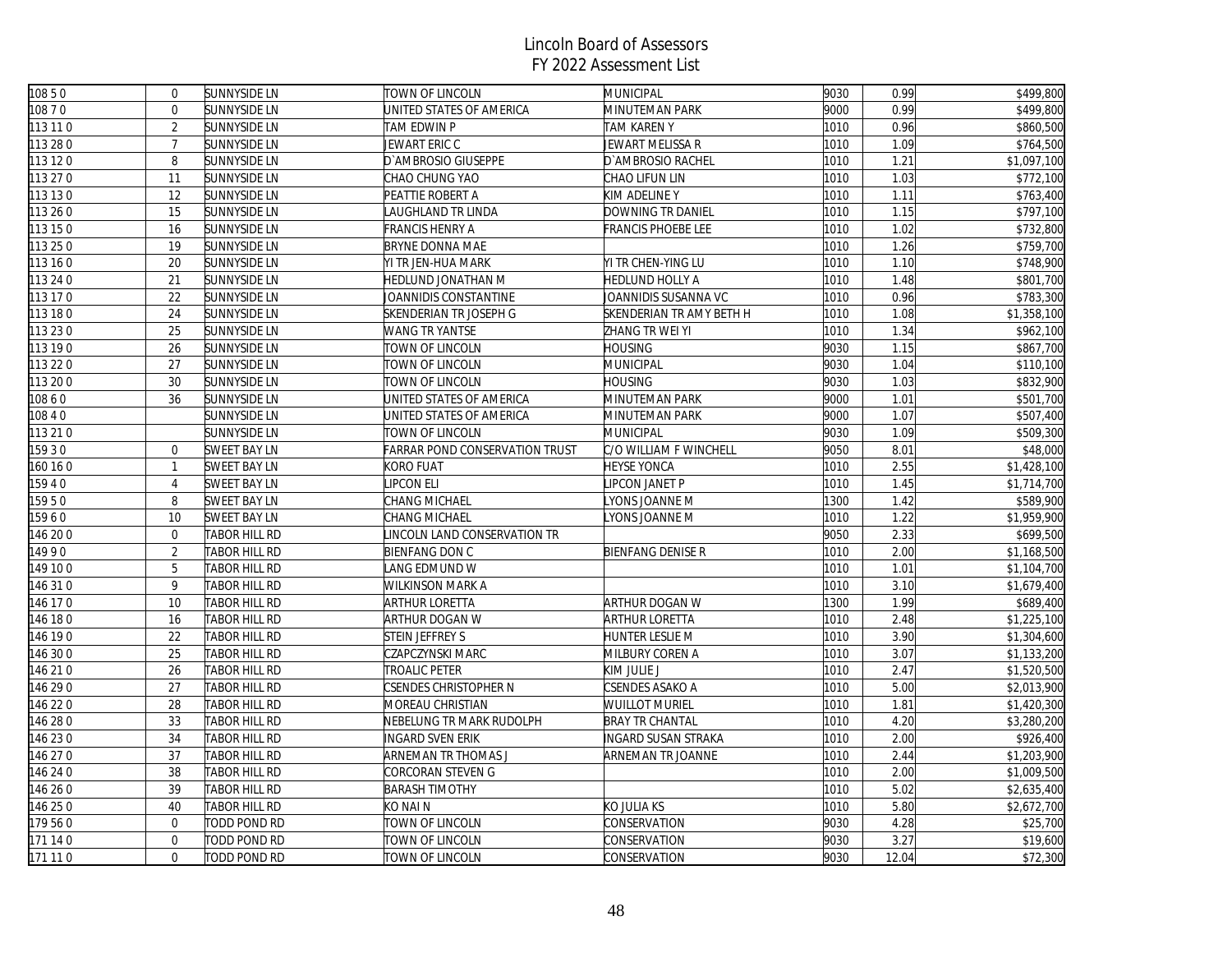| 10850    | $\mathbf 0$    | <b>SUNNYSIDE LN</b>  | TOWN OF LINCOLN                | <b>MUNICIPAL</b>           | 9030 | 0.99  | \$499,800   |
|----------|----------------|----------------------|--------------------------------|----------------------------|------|-------|-------------|
| 10870    | $\overline{0}$ | <b>SUNNYSIDE LN</b>  | JNITED STATES OF AMERICA       | MINUTEMAN PARK             | 9000 | 0.99  | \$499,800   |
| 113 11 0 | $\overline{2}$ | <b>SUNNYSIDE LN</b>  | TAM EDWIN P                    | <b>TAM KAREN Y</b>         | 1010 | 0.96  | \$860,500   |
| 113 28 0 | $\overline{7}$ | SUNNYSIDE LN         | JEWART ERIC C                  | JEWART MELISSA R           | 1010 | 1.09  | \$764,500   |
| 113 12 0 | 8              | <b>SUNNYSIDE LN</b>  | D'AMBROSIO GIUSEPPE            | D'AMBROSIO RACHEL          | 1010 | 1.21  | \$1,097,100 |
| 113 27 0 | 11             | <b>SUNNYSIDE LN</b>  | CHAO CHUNG YAO                 | CHAO LIFUN LIN             | 1010 | 1.03  | \$772,100   |
| 113 13 0 | 12             | <b>SUNNYSIDE LN</b>  | PEATTIE ROBERT A               | KIM ADELINE Y              | 1010 | 1.11  | \$763,400   |
| 113 26 0 | 15             | <b>SUNNYSIDE LN</b>  | AUGHLAND TR LINDA              | DOWNING TR DANIEL          | 1010 | 1.15  | \$797,100   |
| 113 15 0 | 16             | <b>SUNNYSIDE LN</b>  | FRANCIS HENRY A                | FRANCIS PHOEBE LEE         | 1010 | 1.02  | \$732,800   |
| 113 25 0 | 19             | <b>SUNNYSIDE LN</b>  | <b>BRYNE DONNA MAE</b>         |                            | 1010 | 1.26  | \$759,700   |
| 113 16 0 | 20             | <b>SUNNYSIDE LN</b>  | YI TR JEN-HUA MARK             | YI TR CHEN-YING LU         | 1010 | 1.10  | \$748,900   |
| 113 24 0 | 21             | <b>SUNNYSIDE LN</b>  | HEDLUND JONATHAN M             | <b>HEDLUND HOLLY A</b>     | 1010 | 1.48  | \$801,700   |
| 113 17 0 | 22             | <b>SUNNYSIDE LN</b>  | <b>JOANNIDIS CONSTANTINE</b>   | JOANNIDIS SUSANNA VC       | 1010 | 0.96  | \$783,300   |
| 113 18 0 | 24             | <b>SUNNYSIDE LN</b>  | SKENDERIAN TR JOSEPH G         | SKENDERIAN TR AMY BETH H   | 1010 | 1.08  | \$1,358,100 |
| 113 23 0 | 25             | <b>SUNNYSIDE LN</b>  | <b>WANG TR YANTSE</b>          | ZHANG TR WEI YI            | 1010 | 1.34  | \$962,100   |
| 113 19 0 | 26             | SUNNYSIDE LN         | TOWN OF LINCOLN                | <b>HOUSING</b>             | 9030 | 1.15  | \$867,700   |
| 113 22 0 | 27             | <b>SUNNYSIDE LN</b>  | TOWN OF LINCOLN                | MUNICIPAL                  | 9030 | 1.04  | \$110,100   |
| 113 20 0 | 30             | SUNNYSIDE LN         | TOWN OF LINCOLN                | <b>HOUSING</b>             | 9030 | 1.03  | \$832,900   |
| 10860    | 36             | <b>SUNNYSIDE LN</b>  | JNITED STATES OF AMERICA       | MINUTEMAN PARK             | 9000 | 1.01  | \$501,700   |
| 10840    |                | SUNNYSIDE LN         | UNITED STATES OF AMERICA       | MINUTEMAN PARK             | 9000 | 1.07  | \$507,400   |
| 113 21 0 |                | SUNNYSIDE LN         | TOWN OF LINCOLN                | MUNICIPAL                  | 9030 | 1.09  | \$509,300   |
| 159 30   | $\mathbf 0$    | SWEET BAY LN         | FARRAR POND CONSERVATION TRUST | C/O WILLIAM F WINCHELL     | 9050 | 8.01  | \$48,000    |
| 160 16 0 | $\mathbf{1}$   | SWEET BAY LN         | KORO FUAT                      | <b>HEYSE YONCA</b>         | 1010 | 2.55  | \$1,428,100 |
| 15940    | $\overline{4}$ | SWEET BAY LN         | <b>IPCON ELI</b>               | LIPCON JANET P             | 1010 | 1.45  | \$1,714,700 |
| 15950    | 8              | <b>SWEET BAY LN</b>  | CHANG MICHAEL                  | LYONS JOANNE M             | 1300 | 1.42  | \$589,900   |
| 15960    | 10             | <b>SWEET BAY LN</b>  | CHANG MICHAEL                  | YONS JOANNE M              | 1010 | 1.22  | \$1,959,900 |
| 146 20 0 | $\mathbf 0$    | TABOR HILL RD        | INCOLN LAND CONSERVATION TR    |                            | 9050 | 2.33  | \$699,500   |
| 14990    | $\overline{2}$ | <b>TABOR HILL RD</b> | <b>BIENFANG DON C</b>          | <b>BIENFANG DENISE R</b>   | 1010 | 2.00  | \$1,168,500 |
| 149 100  | 5              | TABOR HILL RD        | ANG EDMUND W                   |                            | 1010 | 1.01  | \$1,104,700 |
| 146 31 0 | 9              | TABOR HILL RD        | WILKINSON MARK A               |                            | 1010 | 3.10  | \$1,679,400 |
| 46 17 0  | 10             | TABOR HILL RD        | ARTHUR LORETTA                 | ARTHUR DOGAN W             | 1300 | 1.99  | \$689,400   |
| 146 18 0 | 16             | TABOR HILL RD        | ARTHUR DOGAN W                 | ARTHUR LORETTA             | 1010 | 2.48  | \$1,225,100 |
| 146 190  | 22             | TABOR HILL RD        | STEIN JEFFREY S                | HUNTER LESLIE M            | 1010 | 3.90  | \$1,304,600 |
| 146 30 0 | 25             | TABOR HILL RD        | CZAPCZYNSKI MARC               | MILBURY COREN A            | 1010 | 3.07  | \$1,133,200 |
| 146 210  | 26             | TABOR HILL RD        | TROALIC PETER                  | KIM JULIE J                | 1010 | 2.47  | \$1,520,500 |
| 146 29 0 | 27             | TABOR HILL RD        | CSENDES CHRISTOPHER N          | CSENDES ASAKO A            | 1010 | 5.00  | \$2,013,900 |
| 146 22 0 | 28             | TABOR HILL RD        | MOREAU CHRISTIAN               | WUILLOT MURIEL             | 1010 | 1.81  | \$1,420,300 |
| 46 28 0  | 33             | TABOR HILL RD        | NEBELUNG TR MARK RUDOLPH       | <b>BRAY TR CHANTAL</b>     | 1010 | 4.20  | \$3,280,200 |
| 146 230  | 34             | TABOR HILL RD        | INGARD SVEN ERIK               | <b>INGARD SUSAN STRAKA</b> | 1010 | 2.00  | \$926,400   |
| 146 27 0 | 37             | TABOR HILL RD        | ARNEMAN TR THOMAS J            | ARNEMAN TR JOANNE          | 1010 | 2.44  | \$1,203,900 |
| 146 24 0 | 38             | TABOR HILL RD        | CORCORAN STEVEN G              |                            | 1010 | 2.00  | \$1,009,500 |
| 146 26 0 | 39             | TABOR HILL RD        | <b>BARASH TIMOTHY</b>          |                            | 1010 | 5.02  | \$2,635,400 |
| 146 25 0 | 40             | TABOR HILL RD        | KO NAI N                       | KO JULIA KS                | 1010 | 5.80  | \$2,672,700 |
| 179560   | $\mathbf 0$    | TODD POND RD         | TOWN OF LINCOLN                | CONSERVATION               | 9030 | 4.28  | \$25,700    |
| 171 14 0 | $\mathbf{0}$   | TODD POND RD         | TOWN OF LINCOLN                | CONSERVATION               | 9030 | 3.27  | \$19,600    |
| 171 11 0 | $\overline{0}$ | TODD POND RD         | TOWN OF LINCOLN                | CONSERVATION               | 9030 | 12.04 | \$72,300    |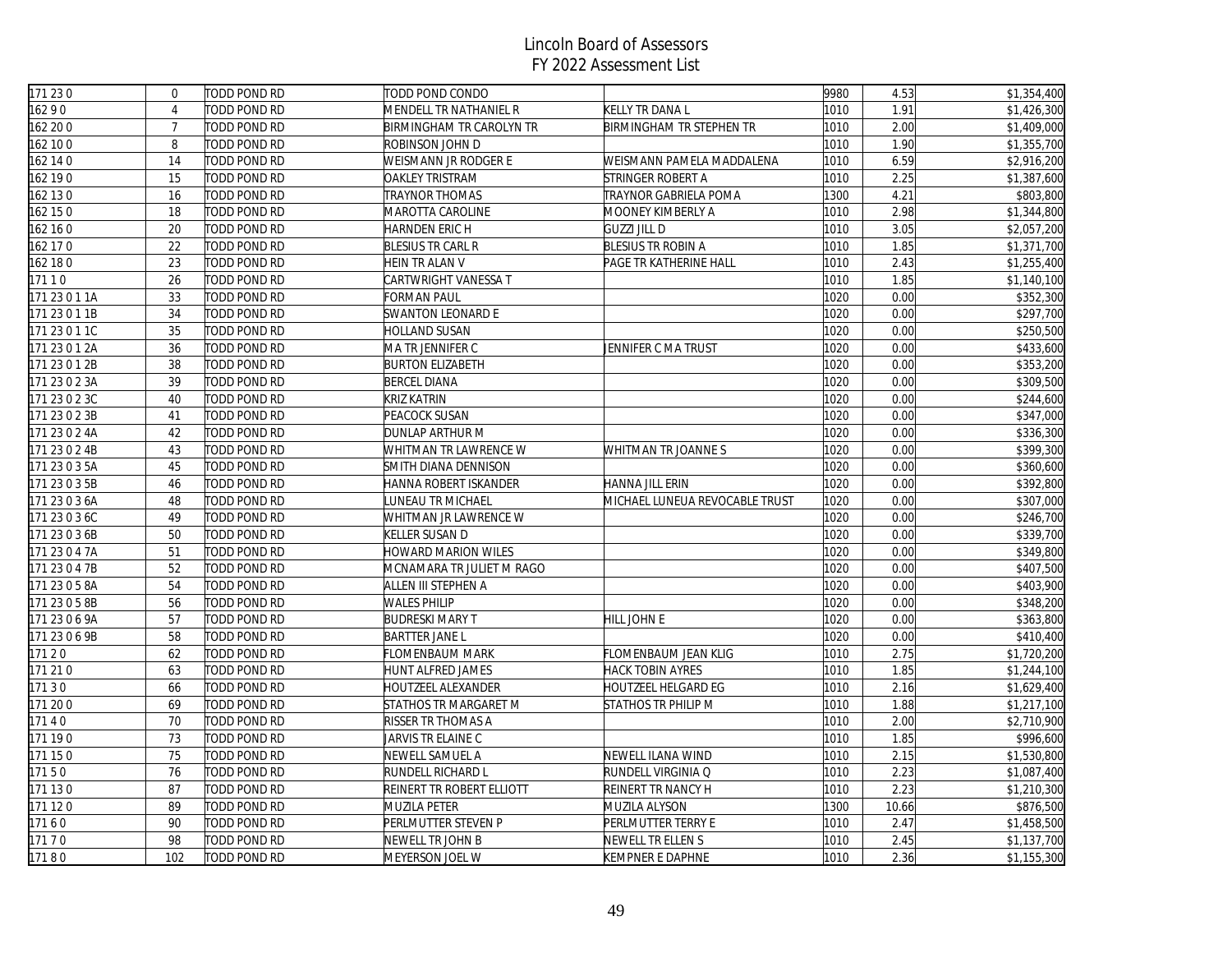| 171 230       | $\Omega$       | TODD POND RD | TODD POND CONDO            |                                | 9980 | 4.53  | \$1,354,400 |
|---------------|----------------|--------------|----------------------------|--------------------------------|------|-------|-------------|
| 16290         | $\overline{4}$ | TODD POND RD | MENDELL TR NATHANIEL R     | KELLY TR DANA L                | 1010 | 1.91  | \$1,426,300 |
| 162 20 0      | $\overline{7}$ | TODD POND RD | BIRMINGHAM TR CAROLYN TR   | BIRMINGHAM TR STEPHEN TR       | 1010 | 2.00  | \$1,409,000 |
| 162 100       | 8              | TODD POND RD | ROBINSON JOHN D            |                                | 1010 | 1.90  | \$1,355,700 |
| 162 14 0      | 14             | TODD POND RD | WEISMANN JR RODGER E       | WEISMANN PAMELA MADDALENA      | 1010 | 6.59  | \$2,916,200 |
| 162 190       | 15             | TODD POND RD | OAKLEY TRISTRAM            | STRINGER ROBERT A              | 1010 | 2.25  | \$1,387,600 |
| 162 130       | 16             | TODD POND RD | TRAYNOR THOMAS             | TRAYNOR GABRIELA POMA          | 1300 | 4.21  | \$803,800   |
| 162 150       | 18             | TODD POND RD | <b>MAROTTA CAROLINE</b>    | MOONEY KIMBERLY A              | 1010 | 2.98  | \$1,344,800 |
| 162 160       | 20             | TODD POND RD | HARNDEN ERIC H             | <b>GUZZI JILL D</b>            | 1010 | 3.05  | \$2,057,200 |
| 162 17 0      | 22             | TODD POND RD | <b>BLESIUS TR CARL R</b>   | <b>BLESIUS TR ROBIN A</b>      | 1010 | 1.85  | \$1,371,700 |
| 162 180       | 23             | TODD POND RD | HEIN TR ALAN V             | PAGE TR KATHERINE HALL         | 1010 | 2.43  | \$1,255,400 |
| 17110         | 26             | TODD POND RD | CARTWRIGHT VANESSA T       |                                | 1010 | 1.85  | \$1,140,100 |
| 171 23 0 1 1A | 33             | TODD POND RD | FORMAN PAUL                |                                | 1020 | 0.00  | \$352,300   |
| 171 23 0 1 1B | 34             | TODD POND RD | SWANTON LEONARD E          |                                | 1020 | 0.00  | \$297,700   |
| 171 23 0 1 1C | 35             | TODD POND RD | HOLLAND SUSAN              |                                | 1020 | 0.00  | \$250,500   |
| 171 23 0 1 2A | 36             | TODD POND RD | MA TR JENNIFER C           | JENNIFER C MA TRUST            | 1020 | 0.00  | \$433,600   |
| 171 23 0 1 2B | 38             | TODD POND RD | <b>BURTON ELIZABETH</b>    |                                | 1020 | 0.00  | \$353,200   |
| 171 23 0 2 3A | 39             | TODD POND RD | <b>BERCEL DIANA</b>        |                                | 1020 | 0.00  | \$309,500   |
| 171 23 0 2 3C | 40             | TODD POND RD | KRIZ KATRIN                |                                | 1020 | 0.00  | \$244,600   |
| 171 23 0 2 3B | 41             | TODD POND RD | PEACOCK SUSAN              |                                | 1020 | 0.00  | \$347,000   |
| 171 23 0 2 4A | 42             | TODD POND RD | DUNLAP ARTHUR M            |                                | 1020 | 0.00  | \$336,300   |
| 171 23 0 2 4B | 43             | TODD POND RD | WHITMAN TR LAWRENCE W      | WHITMAN TR JOANNE S            | 1020 | 0.00  | \$399,300   |
| 171 23 0 3 5A | 45             | TODD POND RD | SMITH DIANA DENNISON       |                                | 1020 | 0.00  | \$360,600   |
| 171 23 0 3 5B | 46             | TODD POND RD | HANNA ROBERT ISKANDER      | HANNA JILL ERIN                | 1020 | 0.00  | \$392,800   |
| 171 23 0 3 6A | 48             | TODD POND RD | UNEAU TR MICHAEL           | MICHAEL LUNEUA REVOCABLE TRUST | 1020 | 0.00  | \$307,000   |
| 171 23 0 3 6C | 49             | TODD POND RD | WHITMAN JR LAWRENCE W      |                                | 1020 | 0.00  | \$246,700   |
| 171 23 0 3 6B | 50             | TODD POND RD | KELLER SUSAN D             |                                | 1020 | 0.00  | \$339,700   |
| 171 23 0 4 7A | 51             | TODD POND RD | <b>HOWARD MARION WILES</b> |                                | 1020 | 0.00  | \$349,800   |
| 171 23 0 4 7B | 52             | TODD POND RD | MCNAMARA TR JULIET M RAGO  |                                | 1020 | 0.00  | \$407,500   |
| 171 23 0 5 8A | 54             | TODD POND RD | ALLEN III STEPHEN A        |                                | 1020 | 0.00  | \$403,900   |
| 171 23 0 5 8B | 56             | TODD POND RD | <b>WALES PHILIP</b>        |                                | 1020 | 0.00  | \$348,200   |
| 171 23 0 6 9A | 57             | TODD POND RD | <b>BUDRESKI MARY T</b>     | HILL JOHN E                    | 1020 | 0.00  | \$363,800   |
| 171 23 0 6 9B | 58             | TODD POND RD | <b>BARTTER JANE L</b>      |                                | 1020 | 0.00  | \$410,400   |
| 17120         | 62             | TODD POND RD | FLOMENBAUM MARK            | FLOMENBAUM JEAN KLIG           | 1010 | 2.75  | \$1,720,200 |
| 171 21 0      | 63             | TODD POND RD | HUNT ALFRED JAMES          | <b>HACK TOBIN AYRES</b>        | 1010 | 1.85  | \$1,244,100 |
| 17130         | 66             | TODD POND RD | HOUTZEEL ALEXANDER         | HOUTZEEL HELGARD EG            | 1010 | 2.16  | \$1,629,400 |
| 171 200       | 69             | TODD POND RD | STATHOS TR MARGARET M      | STATHOS TR PHILIP M            | 1010 | 1.88  | \$1,217,100 |
| 17140         | 70             | TODD POND RD | RISSER TR THOMAS A         |                                | 1010 | 2.00  | \$2,710,900 |
| 171 190       | 73             | TODD POND RD | JARVIS TR ELAINE C         |                                | 1010 | 1.85  | \$996,600   |
| 171 150       | 75             | TODD POND RD | NEWELL SAMUEL A            | NEWELL ILANA WIND              | 1010 | 2.15  | \$1,530,800 |
| 17150         | 76             | TODD POND RD | RUNDELL RICHARD L          | RUNDELL VIRGINIA Q             | 1010 | 2.23  | \$1,087,400 |
| 171 130       | 87             | TODD POND RD | REINERT TR ROBERT ELLIOTT  | REINERT TR NANCY H             | 1010 | 2.23  | \$1,210,300 |
| 171 120       | 89             | TODD POND RD | MUZILA PETER               | MUZILA ALYSON                  | 1300 | 10.66 | \$876,500   |
| 17160         | 90             | TODD POND RD | PERLMUTTER STEVEN P        | PERLMUTTER TERRY E             | 1010 | 2.47  | \$1,458,500 |
| 17170         | 98             | TODD POND RD | NEWELL TR JOHN B           | NEWELL TR ELLEN S              | 1010 | 2.45  | \$1,137,700 |
| 17180         | 102            | TODD POND RD | MEYERSON JOEL W            | KEMPNER E DAPHNE               | 1010 | 2.36  | \$1,155,300 |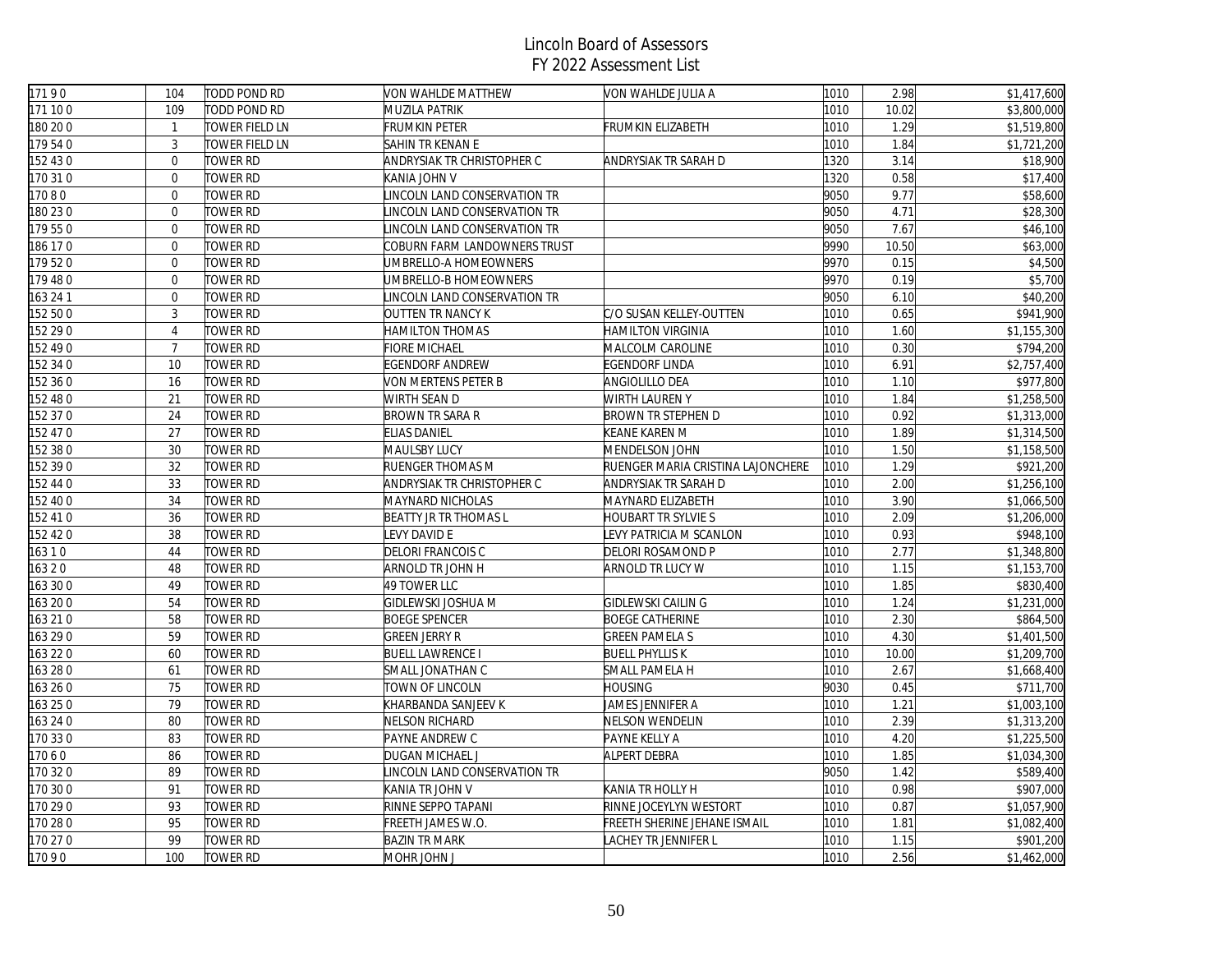| 17190    | 104             | TODD POND RD    | <b>VON WAHLDE MATTHEW</b>    | VON WAHLDE JULIA A                | 1010 | 2.98  | \$1,417,600 |
|----------|-----------------|-----------------|------------------------------|-----------------------------------|------|-------|-------------|
| 171 100  | 109             | TODD POND RD    | MUZILA PATRIK                |                                   | 1010 | 10.02 | \$3,800,000 |
| 180 20 0 | $\mathbf{1}$    | TOWER FIELD LN  | <b>FRUMKIN PETER</b>         | FRUMKIN ELIZABETH                 | 1010 | 1.29  | \$1,519,800 |
| 179540   | $\overline{3}$  | TOWER FIELD LN  | SAHIN TR KENAN E             |                                   | 1010 | 1.84  | \$1,721,200 |
| 152 43 0 | $\Omega$        | tower RD        | ANDRYSIAK TR CHRISTOPHER C   | ANDRYSIAK TR SARAH D              | 1320 | 3.14  | \$18,900    |
| 170 310  | $\overline{0}$  | <b>TOWER RD</b> | KANIA JOHN V                 |                                   | 1320 | 0.58  | \$17,400    |
| 17080    | $\mathbf{0}$    | <b>TOWER RD</b> | LINCOLN LAND CONSERVATION TR |                                   | 9050 | 9.77  | \$58,600    |
| 180 23 0 | $\overline{0}$  | <b>TOWER RD</b> | LINCOLN LAND CONSERVATION TR |                                   | 9050 | 4.71  | \$28,300    |
| 179 550  | $\mathbf 0$     | TOWER RD        | INCOLN LAND CONSERVATION TR  |                                   | 9050 | 7.67  | \$46,100    |
| 186 170  | $\overline{0}$  | <b>TOWER RD</b> | COBURN FARM LANDOWNERS TRUST |                                   | 9990 | 10.50 | \$63,000    |
| 179 52 0 | $\overline{0}$  | <b>TOWER RD</b> | UMBRELLO-A HOMEOWNERS        |                                   | 9970 | 0.15  | \$4,500     |
| 179 480  | $\mathbf{0}$    | <b>TOWER RD</b> | UMBRELLO-B HOMEOWNERS        |                                   | 9970 | 0.19  | \$5,700     |
| 163 24 1 | $\overline{0}$  | <b>TOWER RD</b> | LINCOLN LAND CONSERVATION TR |                                   | 9050 | 6.10  | \$40,200    |
| 152 50 0 | $\mathfrak{Z}$  | TOWER RD        | OUTTEN TR NANCY K            | C/O SUSAN KELLEY-OUTTEN           | 1010 | 0.65  | \$941,900   |
| 152 29 0 | $\overline{4}$  | <b>TOWER RD</b> | <b>HAMILTON THOMAS</b>       | <b>HAMILTON VIRGINIA</b>          | 1010 | 1.60  | \$1,155,300 |
| 152 490  | $\overline{7}$  | <b>TOWER RD</b> | <b>FIORE MICHAEL</b>         | MALCOLM CAROLINE                  | 1010 | 0.30  | \$794,200   |
| 152 34 0 | 10              | <b>TOWER RD</b> | EGENDORF ANDREW              | <b>EGENDORF LINDA</b>             | 1010 | 6.91  | \$2,757,400 |
| 152 36 0 | 16              | TOWER RD        | VON MERTENS PETER B          | ANGIOLILLO DEA                    | 1010 | 1.10  | \$977,800   |
| 152 48 0 | 21              | <b>TOWER RD</b> | WIRTH SEAN D                 | <b>WIRTH LAUREN Y</b>             | 1010 | 1.84  | \$1,258,500 |
| 152 37 0 | 24              | <b>TOWER RD</b> | BROWN TR SARA R              | BROWN TR STEPHEN D                | 1010 | 0.92  | \$1,313,000 |
| 152 47 0 | 27              | <b>TOWER RD</b> | <b>ELIAS DANIEL</b>          | KEANE KAREN M                     | 1010 | 1.89  | \$1,314,500 |
| 152 38 0 | 30              | TOWER RD        | MAULSBY LUCY                 | MENDELSON JOHN                    | 1010 | 1.50  | \$1,158,500 |
| 152 390  | 32              | <b>TOWER RD</b> | RUENGER THOMAS M             | RUENGER MARIA CRISTINA LAJONCHERE | 1010 | 1.29  | \$921,200   |
| 152 44 0 | 33              | <b>TOWER RD</b> | ANDRYSIAK TR CHRISTOPHER C   | ANDRYSIAK TR SARAH D              | 1010 | 2.00  | \$1,256,100 |
| 152 40 0 | $\overline{34}$ | <b>TOWER RD</b> | MAYNARD NICHOLAS             | MAYNARD ELIZABETH                 | 1010 | 3.90  | \$1,066,500 |
| 152 41 0 | 36              | TOWER RD        | <b>BEATTY JR TR THOMAS L</b> | <b>HOUBART TR SYLVIE S</b>        | 1010 | 2.09  | \$1,206,000 |
| 152 42 0 | 38              | TOWER RD        | EVY DAVID E                  | LEVY PATRICIA M SCANLON           | 1010 | 0.93  | \$948,100   |
| 16310    | 44              | <b>TOWER RD</b> | DELORI FRANCOIS C            | DELORI ROSAMOND P                 | 1010 | 2.77  | \$1,348,800 |
| 16320    | 48              | <b>TOWER RD</b> | ARNOLD TR JOHN H             | ARNOLD TR LUCY W                  | 1010 | 1.15  | \$1,153,700 |
| 163 30 0 | 49              | <b>TOWER RD</b> | 49 TOWER LLC                 |                                   | 1010 | 1.85  | \$830,400   |
| 163 200  | 54              | TOWER RD        | GIDLEWSKI JOSHUA M           | GIDLEWSKI CAILIN G                | 1010 | 1.24  | \$1,231,000 |
| 163 21 0 | 58              | <b>TOWER RD</b> | <b>BOEGE SPENCER</b>         | <b>BOEGE CATHERINE</b>            | 1010 | 2.30  | \$864,500   |
| 163 29 0 | 59              | <b>TOWER RD</b> | <b>GREEN JERRY R</b>         | <b>GREEN PAMELA S</b>             | 1010 | 4.30  | \$1,401,500 |
| 163 22 0 | 60              | <b>TOWER RD</b> | <b>BUELL LAWRENCE I</b>      | <b>BUELL PHYLLIS K</b>            | 1010 | 10.00 | \$1,209,700 |
| 163 28 0 | 61              | <b>TOWER RD</b> | SMALL JONATHAN C             | SMALL PAMELA H                    | 1010 | 2.67  | \$1,668,400 |
| 163 26 0 | 75              | TOWER RD        | TOWN OF LINCOLN              | <b>HOUSING</b>                    | 9030 | 0.45  | \$711,700   |
| 163 25 0 | 79              | TOWER RD        | KHARBANDA SANJEEV K          | JAMES JENNIFER A                  | 1010 | 1.21  | \$1,003,100 |
| 163 24 0 | 80              | <b>TOWER RD</b> | NELSON RICHARD               | NELSON WENDELIN                   | 1010 | 2.39  | \$1,313,200 |
| 170 330  | 83              | TOWER RD        | PAYNE ANDREW C               | PAYNE KELLY A                     | 1010 | 4.20  | \$1,225,500 |
| 17060    | 86              | TOWER RD        | DUGAN MICHAEL J              | ALPERT DEBRA                      | 1010 | 1.85  | \$1,034,300 |
| 170 320  | 89              | <b>TOWER RD</b> | LINCOLN LAND CONSERVATION TR |                                   | 9050 | 1.42  | \$589,400   |
| 170 30 0 | 91              | <b>TOWER RD</b> | KANIA TR JOHN V              | KANIA TR HOLLY H                  | 1010 | 0.98  | \$907,000   |
| 170 29 0 | 93              | <b>TOWER RD</b> | RINNE SEPPO TAPANI           | RINNE JOCEYLYN WESTORT            | 1010 | 0.87  | \$1,057,900 |
| 170 28 0 | 95              | <b>TOWER RD</b> | FREETH JAMES W.O.            | FREETH SHERINE JEHANE ISMAIL      | 1010 | 1.81  | \$1,082,400 |
| 170 27 0 | 99              | TOWER RD        | <b>BAZIN TR MARK</b>         | ACHEY TR JENNIFER L               | 1010 | 1.15  | \$901,200   |
| 17090    | 100             | <b>TOWER RD</b> | MOHR JOHN J                  |                                   | 1010 | 2.56  | \$1,462,000 |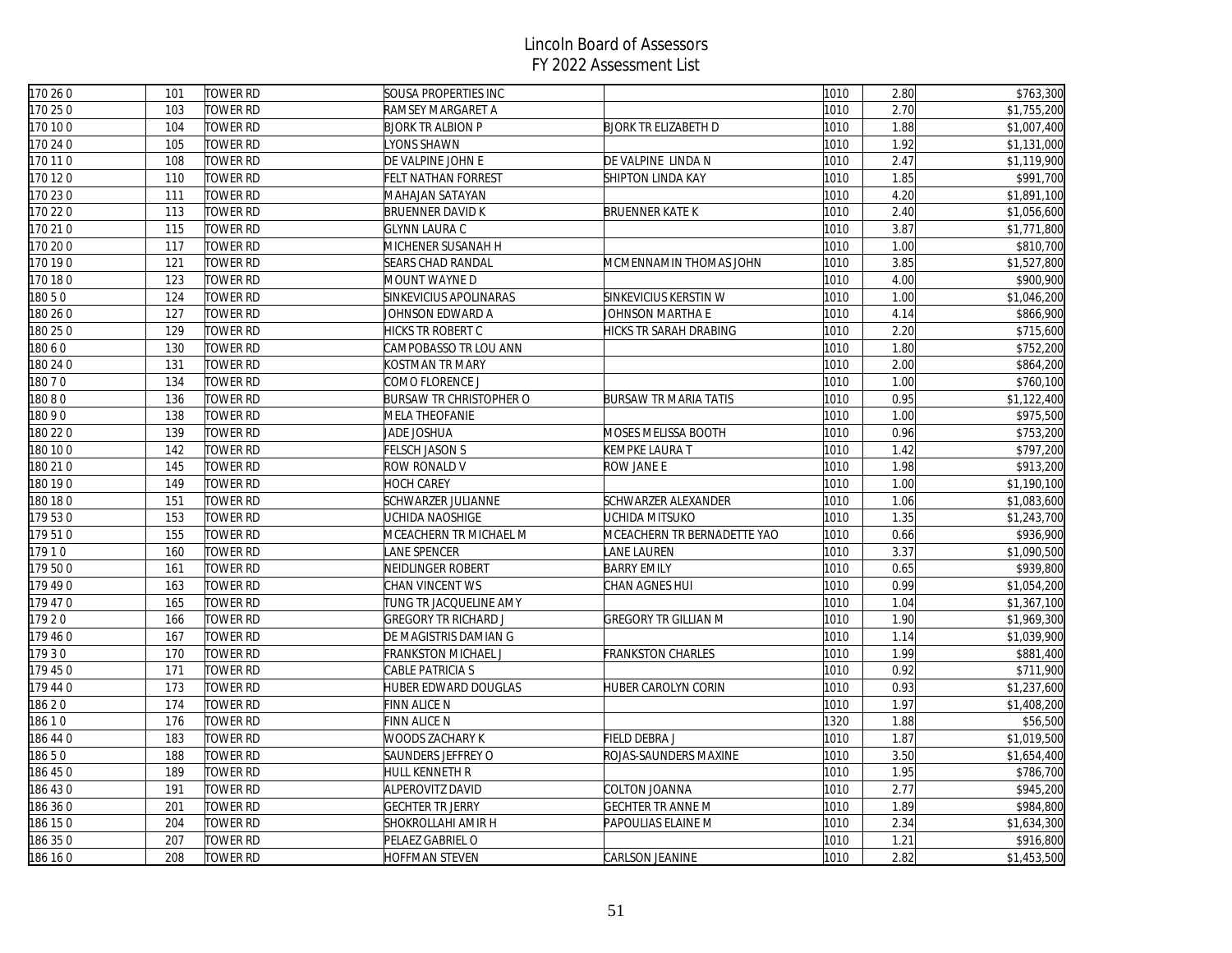| 170 26 0 | 101 | <b>TOWER RD</b> | <b>SOUSA PROPERTIES INC</b>    |                              | 1010 | 2.80 | \$763,300                |
|----------|-----|-----------------|--------------------------------|------------------------------|------|------|--------------------------|
| 170 25 0 | 103 | TOWER RD        | RAMSEY MARGARET A              |                              | 1010 | 2.70 | \$1,755,200              |
| 170 10 0 | 104 | TOWER RD        | <b>BJORK TR ALBION P</b>       | <b>BJORK TR ELIZABETH D</b>  | 1010 | 1.88 | \$1,007,400              |
| 170 24 0 | 105 | <b>TOWER RD</b> | YONS SHAWN                     |                              | 1010 | 1.92 | \$1,131,000              |
| 170 11 0 | 108 | <b>TOWER RD</b> | DE VALPINE JOHN E              | DE VALPINE LINDA N           | 1010 | 2.47 | \$1,119,900              |
| 170 120  | 110 | <b>TOWER RD</b> | <b>FELT NATHAN FORREST</b>     | SHIPTON LINDA KAY            | 1010 | 1.85 | \$991,700                |
| 170 23 0 | 111 | <b>TOWER RD</b> | MAHAJAN SATAYAN                |                              | 1010 | 4.20 | \$1,891,100              |
| 170 22 0 | 113 | TOWER RD        | <b>BRUENNER DAVID K</b>        | <b>BRUENNER KATE K</b>       | 1010 | 2.40 | \$1,056,600              |
| 170 210  | 115 | <b>TOWER RD</b> | <b>GLYNN LAURA C</b>           |                              | 1010 | 3.87 | \$1,771,800              |
| 170 20 0 | 117 | <b>TOWER RD</b> | MICHENER SUSANAH H             |                              | 1010 | 1.00 | \$810,700                |
| 170 190  | 121 | <b>TOWER RD</b> | <b>SEARS CHAD RANDAL</b>       | MCMENNAMIN THOMAS JOHN       | 1010 | 3.85 | \$1,527,800              |
| 170 180  | 123 | <b>TOWER RD</b> | MOUNT WAYNE D                  |                              | 1010 | 4.00 | \$900,900                |
| 18050    | 124 | TOWER RD        | SINKEVICIUS APOLINARAS         | SINKEVICIUS KERSTIN W        | 1010 | 1.00 | \$1,046,200              |
| 180 26 0 | 127 | TOWER RD        | JOHNSON EDWARD A               | JOHNSON MARTHA E             | 1010 | 4.14 | \$866,900                |
| 180 25 0 | 129 | <b>TOWER RD</b> | HICKS TR ROBERT C              | HICKS TR SARAH DRABING       | 1010 | 2.20 | \$715,600                |
| 18060    | 130 | <b>TOWER RD</b> | CAMPOBASSO TR LOU ANN          |                              | 1010 | 1.80 | \$752,200                |
| 180 24 0 | 131 | <b>TOWER RD</b> | KOSTMAN TR MARY                |                              | 1010 | 2.00 | \$864,200                |
| 18070    | 134 | TOWER RD        | COMO FLORENCE J                |                              | 1010 | 1.00 | \$760,100                |
| 18080    | 136 | TOWER RD        | <b>BURSAW TR CHRISTOPHER O</b> | <b>BURSAW TR MARIA TATIS</b> | 1010 | 0.95 | \$1,122,400              |
| 18090    | 138 | <b>TOWER RD</b> | MELA THEOFANIE                 |                              | 1010 | 1.00 | \$975,500                |
| 180 22 0 | 139 | <b>TOWER RD</b> | JADE JOSHUA                    | MOSES MELISSA BOOTH          | 1010 | 0.96 | \$753,200                |
| 180 10 0 | 142 | <b>TOWER RD</b> | <b>FELSCH JASON S</b>          | KEMPKE LAURA T               | 1010 | 1.42 | \$797,200                |
| 180 21 0 | 145 | <b>TOWER RD</b> | ROW RONALD V                   | ROW JANE E                   | 1010 | 1.98 | \$913,200                |
| 180 190  | 149 | <b>TOWER RD</b> | <b>HOCH CAREY</b>              |                              | 1010 | 1.00 | \$1,190,100              |
| 180 18 0 | 151 | TOWER RD        | SCHWARZER JULIANNE             | SCHWARZER ALEXANDER          | 1010 | 1.06 | \$1,083,600              |
| 179 530  | 153 | <b>TOWER RD</b> | UCHIDA NAOSHIGE                | UCHIDA MITSUKO               | 1010 | 1.35 | \$1,243,700              |
| 179510   | 155 | <b>TOWER RD</b> | MCEACHERN TR MICHAEL M         | MCEACHERN TR BERNADETTE YAO  | 1010 | 0.66 | \$936,900                |
| 17910    | 160 | TOWER RD        | ANE SPENCER                    | LANE LAUREN                  | 1010 | 3.37 | \$1,090,500              |
| 179 500  | 161 | TOWER RD        | NEIDLINGER ROBERT              | <b>BARRY EMILY</b>           | 1010 | 0.65 | \$939,800                |
| 179490   | 163 | TOWER RD        | CHAN VINCENT WS                | CHAN AGNES HUI               | 1010 | 0.99 | $\overline{\$1,054,200}$ |
| 179 47 0 | 165 | TOWER RD        | TUNG TR JACQUELINE AMY         |                              | 1010 | 1.04 | \$1,367,100              |
| 17920    | 166 | TOWER RD        | <b>GREGORY TR RICHARD J</b>    | <b>GREGORY TR GILLIAN M</b>  | 1010 | 1.90 | \$1,969,300              |
| 179 460  | 167 | <b>TOWER RD</b> | DE MAGISTRIS DAMIAN G          |                              | 1010 | 1.14 | \$1,039,900              |
| 17930    | 170 | <b>TOWER RD</b> | FRANKSTON MICHAEL J            | <b>FRANKSTON CHARLES</b>     | 1010 | 1.99 | \$881,400                |
| 179 450  | 171 | TOWER RD        | CABLE PATRICIA S               |                              | 1010 | 0.92 | \$711,900                |
| 179 44 0 | 173 | TOWER RD        | HUBER EDWARD DOUGLAS           | HUBER CAROLYN CORIN          | 1010 | 0.93 | \$1,237,600              |
| 18620    | 174 | TOWER RD        | FINN ALICE N                   |                              | 1010 | 1.97 | \$1,408,200              |
| 18610    | 176 | <b>TOWER RD</b> | <b>FINN ALICE N</b>            |                              | 1320 | 1.88 | \$56,500                 |
| 86 44 0  | 183 | TOWER RD        | WOODS ZACHARY K                | FIELD DEBRA J                | 1010 | 1.87 | \$1,019,500              |
| 18650    | 188 | <b>TOWER RD</b> | SAUNDERS JEFFREY O             | ROJAS-SAUNDERS MAXINE        | 1010 | 3.50 | \$1,654,400              |
| 186 45 0 | 189 | TOWER RD        | HULL KENNETH R                 |                              | 1010 | 1.95 | \$786,700                |
| 186 430  | 191 | TOWER RD        | ALPEROVITZ DAVID               | COLTON JOANNA                | 1010 | 2.77 | \$945,200                |
| 186 36 0 | 201 | <b>TOWER RD</b> | <b>GECHTER TR JERRY</b>        | <b>GECHTER TR ANNE M</b>     | 1010 | 1.89 | \$984,800                |
| 86 15 0  | 204 | <b>TOWER RD</b> | SHOKROLLAHI AMIR H             | PAPOULIAS ELAINE M           | 1010 | 2.34 | \$1,634,300              |
| 186 35 0 | 207 | <b>TOWER RD</b> | PELAEZ GABRIEL O               |                              | 1010 | 1.21 | \$916,800                |
| 186 16 0 | 208 | <b>TOWER RD</b> | <b>HOFFMAN STEVEN</b>          | CARLSON JEANINE              | 1010 | 2.82 | \$1,453,500              |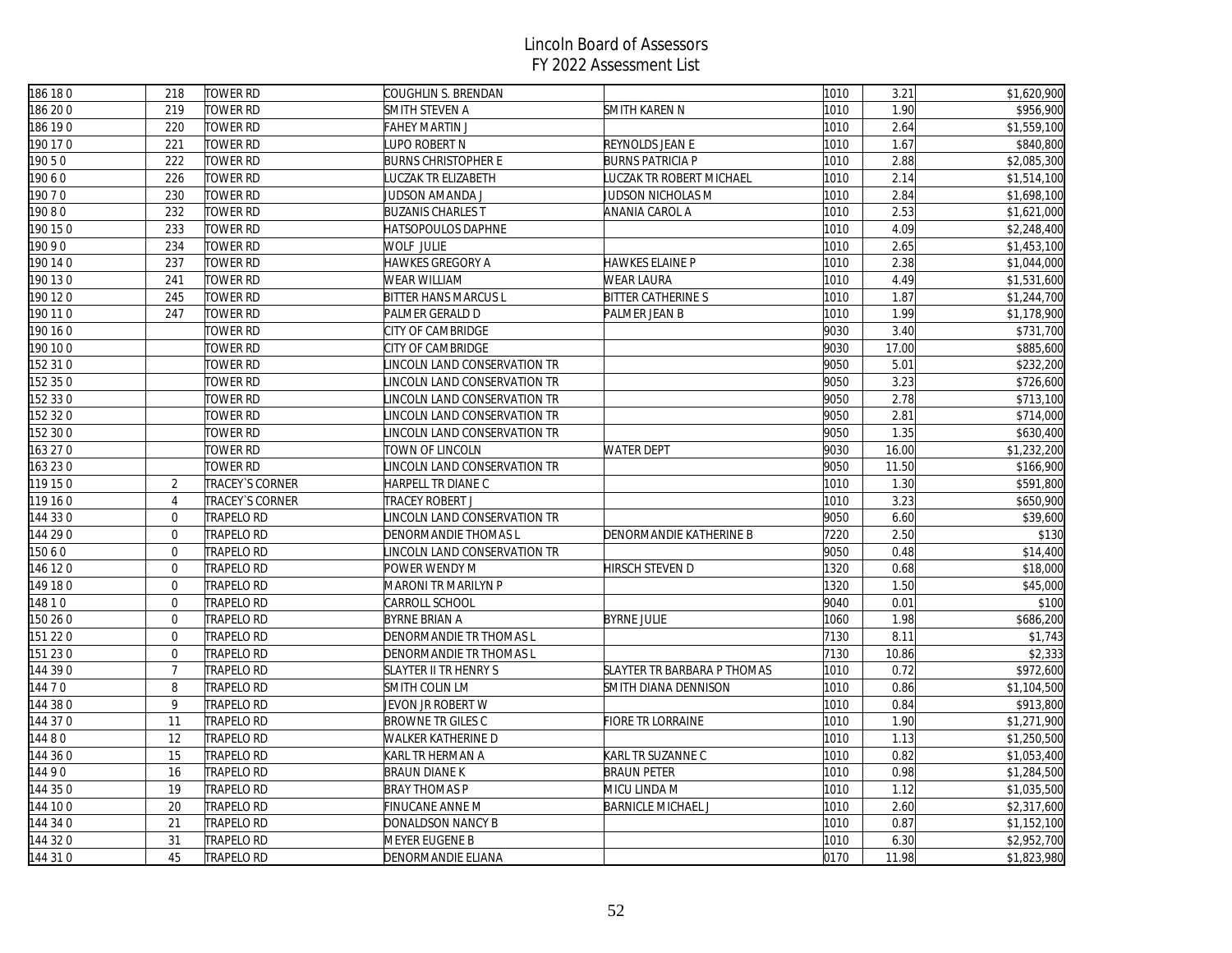| 186 180  | 218              | TOWER RD          | COUGHLIN S. BRENDAN            |                             | 1010 | 3.21  | \$1,620,900 |
|----------|------------------|-------------------|--------------------------------|-----------------------------|------|-------|-------------|
| 186 200  | 219              | <b>TOWER RD</b>   | SMITH STEVEN A                 | <b>SMITH KAREN N</b>        | 1010 | 1.90  | \$956,900   |
| 186 190  | 220              | TOWER RD          | FAHEY MARTIN J                 |                             | 1010 | 2.64  | \$1,559,100 |
| 190 17 0 | 221              | TOWER RD          | LUPO ROBERT N                  | REYNOLDS JEAN E             | 1010 | 1.67  | \$840,800   |
| 19050    | 222              | <b>TOWER RD</b>   | <b>BURNS CHRISTOPHER E</b>     | <b>BURNS PATRICIA P</b>     | 1010 | 2.88  | \$2,085,300 |
| 19060    | 226              | <b>TOWER RD</b>   | <b>UCZAK TR ELIZABETH</b>      | LUCZAK TR ROBERT MICHAEL    | 1010 | 2.14  | \$1,514,100 |
| 19070    | 230              | <b>TOWER RD</b>   | JUDSON AMANDA J                | JUDSON NICHOLAS M           | 1010 | 2.84  | \$1,698,100 |
| 19080    | 232              | <b>TOWER RD</b>   | <b>BUZANIS CHARLES T</b>       | ANANIA CAROL A              | 1010 | 2.53  | \$1,621,000 |
| 190150   | 233              | <b>TOWER RD</b>   | HATSOPOULOS DAPHNE             |                             | 1010 | 4.09  | \$2,248,400 |
| 9090     | 234              | TOWER RD          | WOLF JULIE                     |                             | 1010 | 2.65  | \$1,453,100 |
| 190140   | 237              | TOWER RD          | HAWKES GREGORY A               | HAWKES ELAINE P             | 1010 | 2.38  | \$1,044,000 |
| 190130   | 241              | <b>TOWER RD</b>   | WEAR WILLIAM                   | <b>WEAR LAURA</b>           | 1010 | 4.49  | \$1,531,600 |
| 190 120  | 245              | <b>TOWER RD</b>   | <b>BITTER HANS MARCUS L</b>    | <b>BITTER CATHERINE S</b>   | 1010 | 1.87  | \$1,244,700 |
| 190 110  | 247              | <b>TOWER RD</b>   | PALMER GERALD D                | PALMER JEAN B               | 1010 | 1.99  | \$1,178,900 |
| 190160   |                  | TOWER RD          | CITY OF CAMBRIDGE              |                             | 9030 | 3.40  | \$731,700   |
| 190 10 0 |                  | TOWER RD          | CITY OF CAMBRIDGE              |                             | 9030 | 17.00 | \$885,600   |
| 152 31 0 |                  | <b>TOWER RD</b>   | INCOLN LAND CONSERVATION TR    |                             | 9050 | 5.01  | \$232,200   |
| 152 35 0 |                  | <b>TOWER RD</b>   | INCOLN LAND CONSERVATION TR    |                             | 9050 | 3.23  | \$726,600   |
| 152 33 0 |                  | TOWER RD          | INCOLN LAND CONSERVATION TR    |                             | 9050 | 2.78  | \$713,100   |
| 152 32 0 |                  | TOWER RD          | INCOLN LAND CONSERVATION TR    |                             | 9050 | 2.81  | \$714,000   |
| 152 30 0 |                  | <b>TOWER RD</b>   | INCOLN LAND CONSERVATION TR    |                             | 9050 | 1.35  | \$630,400   |
| 163 27 0 |                  | TOWER RD          | TOWN OF LINCOLN                | <b>WATER DEPT</b>           | 9030 | 16.00 | \$1,232,200 |
| 163230   |                  | TOWER RD          | INCOLN LAND CONSERVATION TR    |                             | 9050 | 11.50 | \$166,900   |
| 119 15 0 | 2                | TRACEY'S CORNER   | HARPELL TR DIANE C             |                             | 1010 | 1.30  | \$591,800   |
| 119 16 0 | $\overline{4}$   | TRACEY'S CORNER   | TRACEY ROBERT J                |                             | 1010 | 3.23  | \$650,900   |
| 144 330  | $\Omega$         | TRAPELO RD        | INCOLN LAND CONSERVATION TR    |                             | 9050 | 6.60  | \$39,600    |
| 144 29 0 | $\boldsymbol{0}$ | <b>TRAPELO RD</b> | DENORMANDIE THOMAS L           | DENORMANDIE KATHERINE B     | 7220 | 2.50  | \$130       |
| 15060    | $\overline{0}$   | <b>TRAPELO RD</b> | INCOLN LAND CONSERVATION TR    |                             | 9050 | 0.48  | \$14,400    |
| 146 120  | $\mathbf 0$      | <b>TRAPELO RD</b> | POWER WENDY M                  | HIRSCH STEVEN D             | 1320 | 0.68  | \$18,000    |
| 149 180  | $\overline{0}$   | TRAPELO RD        | MARONI TR MARILYN P            |                             | 1320 | 1.50  | \$45,000    |
| 4810     | $\overline{0}$   | TRAPELO RD        | CARROLL SCHOOL                 |                             | 9040 | 0.01  | \$100       |
| 150 26 0 | $\overline{0}$   | <b>TRAPELO RD</b> | <b>BYRNE BRIAN A</b>           | <b>BYRNE JULIE</b>          | 1060 | 1.98  | \$686,200   |
| 151 22 0 | $\Omega$         | TRAPELO RD        | <b>DENORMANDIE TR THOMAS L</b> |                             | 7130 | 8.11  | \$1,743     |
| 151 230  | $\mathbf 0$      | TRAPELO RD        | DENORMANDIE TR THOMAS L        |                             | 7130 | 10.86 | \$2,333     |
| 144 39 0 | $\overline{7}$   | TRAPELO RD        | <b>SLAYTER II TR HENRY S</b>   | SLAYTER TR BARBARA P THOMAS | 1010 | 0.72  | \$972,600   |
| 14470    | 8                | <b>TRAPELO RD</b> | SMITH COLIN LM                 | SMITH DIANA DENNISON        | 1010 | 0.86  | \$1,104,500 |
| 144 38 0 | 9                | <b>TRAPELO RD</b> | JEVON JR ROBERT W              |                             | 1010 | 0.84  | \$913,800   |
| 144 370  | 11               | <b>TRAPELO RD</b> | <b>BROWNE TR GILES C</b>       | <b>FIORE TR LORRAINE</b>    | 1010 | 1.90  | \$1,271,900 |
| 14480    | 12               | TRAPELO RD        | WALKER KATHERINE D             |                             | 1010 | 1.13  | \$1,250,500 |
| 144 36 0 | 15               | TRAPELO RD        | KARL TR HERMAN A               | KARL TR SUZANNE C           | 1010 | 0.82  | \$1,053,400 |
| 14490    | 16               | TRAPELO RD        | <b>BRAUN DIANE K</b>           | <b>BRAUN PETER</b>          | 1010 | 0.98  | \$1,284,500 |
| 144 35 0 | 19               | <b>TRAPELO RD</b> | <b>BRAY THOMAS P</b>           | MICU LINDA M                | 1010 | 1.12  | \$1,035,500 |
| 144 100  | 20               | TRAPELO RD        | FINUCANE ANNE M                | <b>BARNICLE MICHAEL J</b>   | 1010 | 2.60  | \$2,317,600 |
| 144 34 0 | 21               | <b>TRAPELO RD</b> | DONALDSON NANCY B              |                             | 1010 | 0.87  | \$1,152,100 |
| 144 32 0 | 31               | TRAPELO RD        | MEYER EUGENE B                 |                             | 1010 | 6.30  | \$2,952,700 |
| 144 31 0 | 45               | <b>TRAPELO RD</b> | DENORMANDIE ELIANA             |                             | 0170 | 11.98 | \$1,823,980 |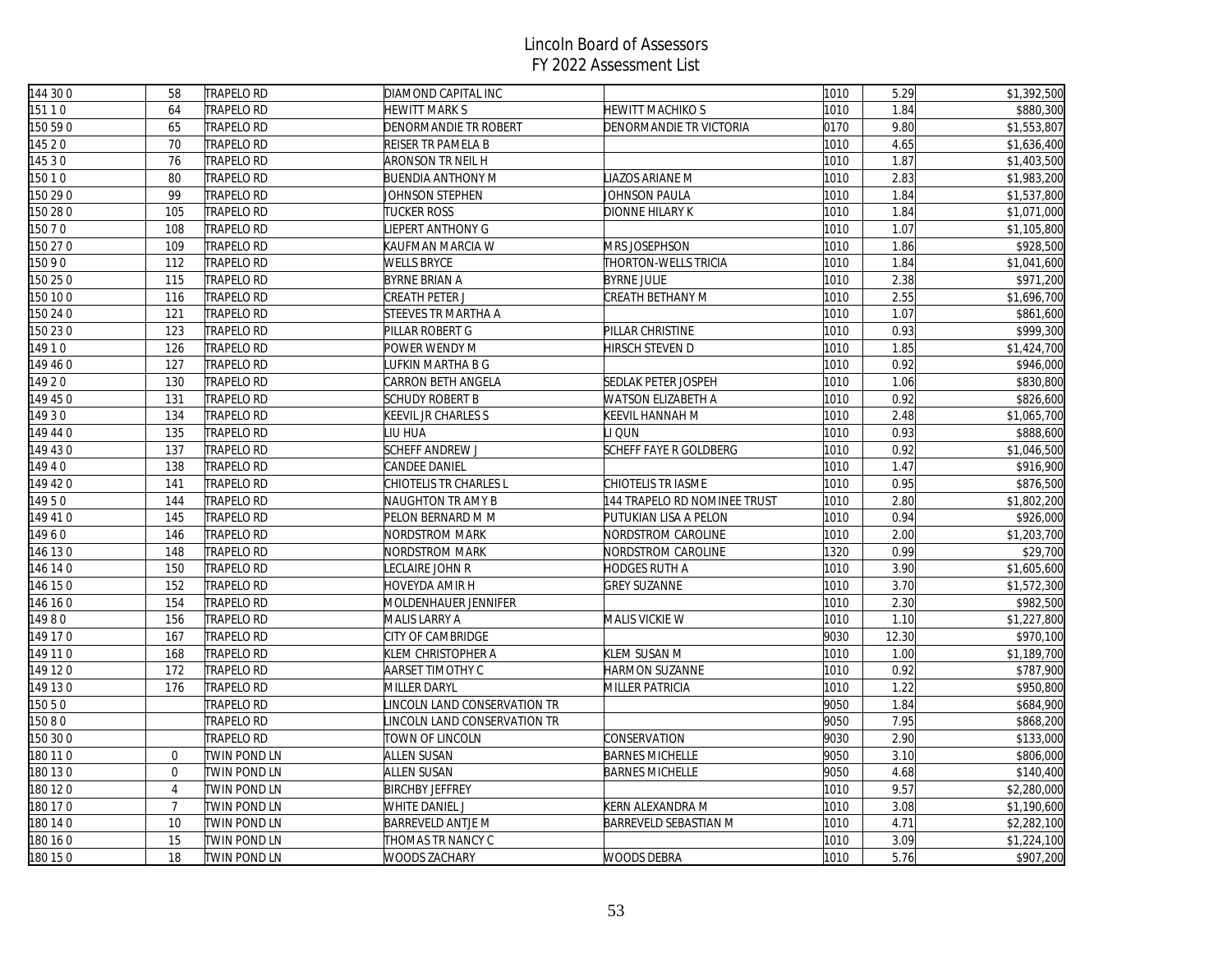| 144 300  | 58             | <b>TRAPELO RD</b> | DIAMOND CAPITAL INC         |                              | 1010 | 5.29  | \$1,392,500           |
|----------|----------------|-------------------|-----------------------------|------------------------------|------|-------|-----------------------|
| 15110    | 64             | TRAPELO RD        | <b>IEWITT MARK S</b>        | HEWITT MACHIKO S             | 1010 | 1.84  | \$880,300             |
| 150 59 0 | 65             | TRAPELO RD        | DENORMANDIE TR ROBERT       | DENORMANDIE TR VICTORIA      | 0170 | 9.80  | \$1,553,807           |
| 145 2 0  | 70             | <b>TRAPELO RD</b> | <b>REISER TR PAMELA B</b>   |                              | 1010 | 4.65  | \$1,636,400           |
| 14530    | 76             | TRAPELO RD        | ARONSON TR NEIL H           |                              | 1010 | 1.87  | \$1,403,500           |
| 15010    | 80             | TRAPELO RD        | <b>BUENDIA ANTHONY M</b>    | <b>LIAZOS ARIANE M</b>       | 1010 | 2.83  | \$1,983,200           |
| 150 29 0 | 99             | <b>TRAPELO RD</b> | <b>JOHNSON STEPHEN</b>      | JOHNSON PAULA                | 1010 | 1.84  | \$1,537,800           |
| 150 28 0 | 105            | <b>TRAPELO RD</b> | <b>TUCKER ROSS</b>          | <b>DIONNE HILARY K</b>       | 1010 | 1.84  | \$1,071,000           |
| 150 7 0  | 108            | TRAPELO RD        | IEPERT ANTHONY G            |                              | 1010 | 1.07  | \$1,105,800           |
| 150 27 0 | 109            | TRAPELO RD        | KAUFMAN MARCIA W            | MRS JOSEPHSON                | 1010 | 1.86  | \$928,500             |
| 15090    | 112            | <b>TRAPELO RD</b> | <b>WELLS BRYCE</b>          | THORTON-WELLS TRICIA         | 1010 | 1.84  | \$1,041,600           |
| 150 25 0 | 115            | <b>TRAPELO RD</b> | <b>BYRNE BRIAN A</b>        | <b>BYRNE JULIE</b>           | 1010 | 2.38  | \$971,200             |
| 150 10 0 | 116            | <b>TRAPELO RD</b> | CREATH PETER J              | CREATH BETHANY M             | 1010 | 2.55  | \$1,696,700           |
| 150 24 0 | 121            | TRAPELO RD        | STEEVES TR MARTHA A         |                              | 1010 | 1.07  | \$861,600             |
| 150 23 0 | 123            | <b>TRAPELO RD</b> | PILLAR ROBERT G             | PILLAR CHRISTINE             | 1010 | 0.93  | \$999,300             |
| 14910    | 126            | TRAPELO RD        | POWER WENDY M               | HIRSCH STEVEN D              | 1010 | 1.85  | \$1,424,700           |
| 149 46 0 | 127            | <b>TRAPELO RD</b> | UFKIN MARTHA B G            |                              | 1010 | 0.92  | \$946,000             |
| 14920    | 130            | TRAPELO RD        | CARRON BETH ANGELA          | SEDLAK PETER JOSPEH          | 1010 | 1.06  | \$830,800             |
| 49 45 0  | 131            | <b>TRAPELO RD</b> | <b>SCHUDY ROBERT B</b>      | WATSON ELIZABETH A           | 1010 | 0.92  | \$826,600             |
| 14930    | 134            | <b>TRAPELO RD</b> | <b>KEEVIL JR CHARLES S</b>  | KEEVIL HANNAH M              | 1010 | 2.48  | \$1,065,700           |
| 149 44 0 | 135            | <b>TRAPELO RD</b> | <b>IU HUA</b>               | LI QUN                       | 1010 | 0.93  | \$888,600             |
| 149 430  | 137            | <b>TRAPELO RD</b> | SCHEFF ANDREW J             | SCHEFF FAYE R GOLDBERG       | 1010 | 0.92  | \$1,046,500           |
| 4940     | 138            | <b>TRAPELO RD</b> | CANDEE DANIEL               |                              | 1010 | 1.47  | \$916,900             |
| 149 420  | 141            | <b>TRAPELO RD</b> | CHIOTELIS TR CHARLES L      | CHIOTELIS TR IASME           | 1010 | 0.95  | \$876,500             |
| 14950    | 144            | <b>TRAPELO RD</b> | NAUGHTON TR AMY B           | 144 TRAPELO RD NOMINEE TRUST | 1010 | 2.80  | \$1,802,200           |
| 149 410  | 145            | <b>TRAPELO RD</b> | PELON BERNARD M M           | PUTUKIAN LISA A PELON        | 1010 | 0.94  | \$926,000             |
| 14960    | 146            | TRAPELO RD        | NORDSTROM MARK              | NORDSTROM CAROLINE           | 1010 | 2.00  | \$1,203,700           |
| 146 130  | 148            | TRAPELO RD        | NORDSTROM MARK              | NORDSTROM CAROLINE           | 1320 | 0.99  | \$29,700              |
| 146 14 0 | 150            | TRAPELO RD        | eclaire John R.             | HODGES RUTH A                | 1010 | 3.90  | \$1,605,600           |
| 146 150  | 152            | <b>TRAPELO RD</b> | HOVEYDA AMIR H              | <b>GREY SUZANNE</b>          | 1010 | 3.70  | \$1,572,300           |
| 46 16 0  | 154            | TRAPELO RD        | MOLDENHAUER JENNIFER        |                              | 1010 | 2.30  | \$982,500             |
| 14980    | 156            | <b>TRAPELO RD</b> | MALIS LARRY A               | MALIS VICKIE W               | 1010 | 1.10  | \$1,227,800           |
| 149 170  | 167            | <b>TRAPELO RD</b> | CITY OF CAMBRIDGE           |                              | 9030 | 12.30 | \$970,100             |
| 149 110  | 168            | <b>TRAPELO RD</b> | KLEM CHRISTOPHER A          | KLEM SUSAN M                 | 1010 | 1.00  | \$1,189,700           |
| 149 120  | 172            | TRAPELO RD        | AARSET TIMOTHY C            | HARMON SUZANNE               | 1010 | 0.92  | \$787,900             |
| 149 130  | 176            | TRAPELO RD        | MILLER DARYL                | MILLER PATRICIA              | 1010 | 1.22  | \$950,800             |
| 150 5 0  |                | TRAPELO RD        | INCOLN LAND CONSERVATION TR |                              | 9050 | 1.84  | \$684,900             |
| 15080    |                | TRAPELO RD        | INCOLN LAND CONSERVATION TR |                              | 9050 | 7.95  | \$868,200             |
| 150 30 0 |                | TRAPELO RD        | TOWN OF LINCOLN             | CONSERVATION                 | 9030 | 2.90  | \$133,000             |
| 180 11 0 | $\overline{0}$ | TWIN POND LN      | ALLEN SUSAN                 | <b>BARNES MICHELLE</b>       | 9050 | 3.10  | \$806,000             |
| 180 13 0 | $\overline{0}$ | TWIN POND LN      | ALLEN SUSAN                 | <b>BARNES MICHELLE</b>       | 9050 | 4.68  | \$140,400             |
| 180 12 0 | $\overline{4}$ | TWIN POND LN      | <b>BIRCHBY JEFFREY</b>      |                              | 1010 | 9.57  | \$2,280,000           |
| 180 17 0 | $\overline{7}$ | TWIN POND LN      | WHITE DANIEL J              | KERN ALEXANDRA M             | 1010 | 3.08  | \$1,190,600           |
| 180 14 0 | 10             | TWIN POND LN      | <b>BARREVELD ANTJE M</b>    | BARREVELD SEBASTIAN M        | 1010 | 4.71  | \$2,282,100           |
| 180 16 0 | 15             | TWIN POND LN      | THOMAS TR NANCY C           |                              | 1010 | 3.09  | \$1,224,100           |
| 180 15 0 | 18             | TWIN POND LN      | WOODS ZACHARY               | WOODS DEBRA                  | 1010 | 5.76  | $\overline{$907,200}$ |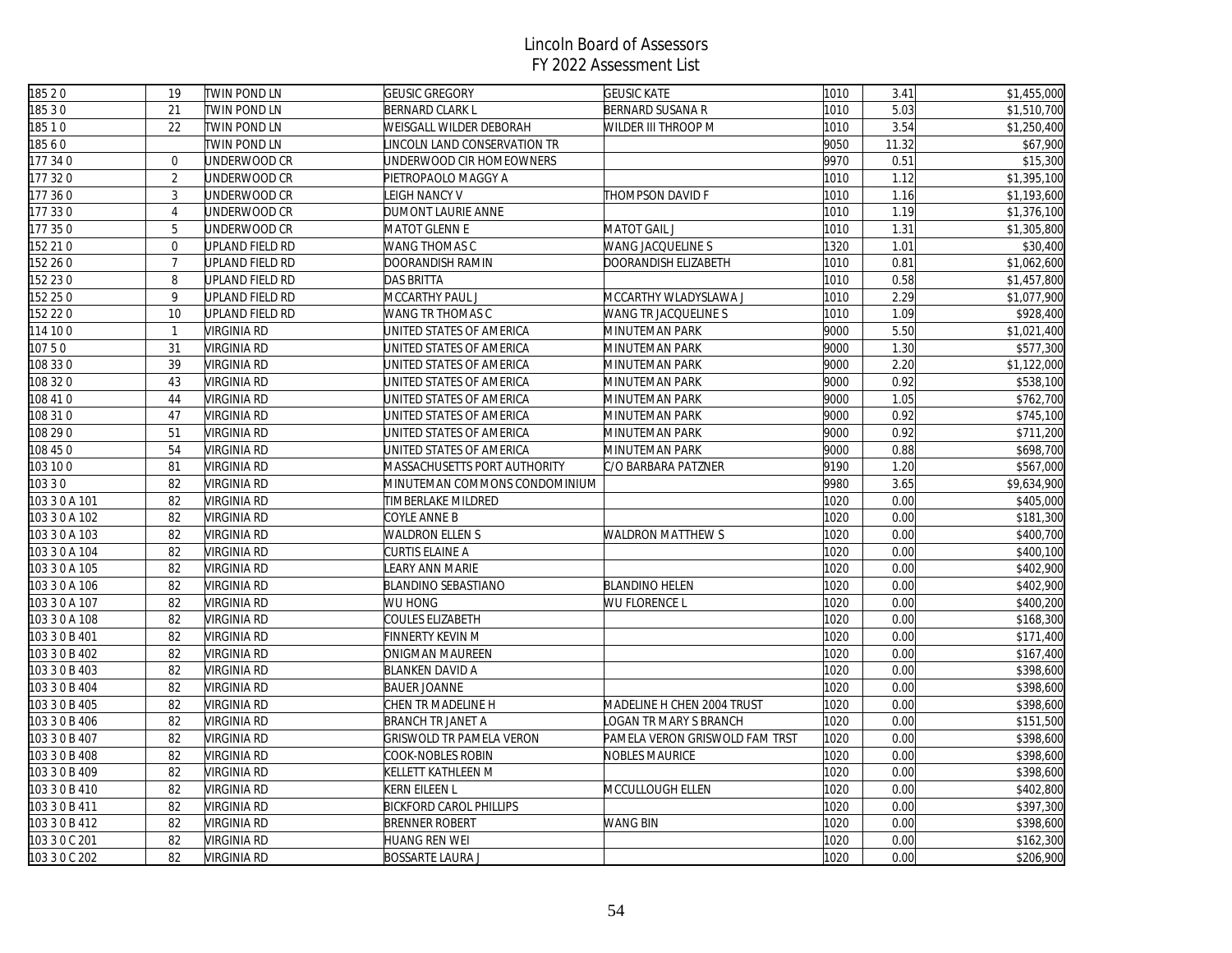| 18520         | 19             | <b>TWIN POND LN</b> | <b>GEUSIC GREGORY</b>           | <b>GEUSIC KATE</b>             | 1010 | 3.41  | \$1,455,000           |
|---------------|----------------|---------------------|---------------------------------|--------------------------------|------|-------|-----------------------|
| 18530         | 21             | <b>TWIN POND LN</b> | <b>BERNARD CLARK L</b>          | <b>BERNARD SUSANA R</b>        | 1010 | 5.03  | \$1,510,700           |
| 18510         | 22             | TWIN POND LN        | WEISGALL WILDER DEBORAH         | WILDER III THROOP M            | 1010 | 3.54  | \$1,250,400           |
| 18560         |                | <b>TWIN POND LN</b> | INCOLN LAND CONSERVATION TR     |                                | 9050 | 11.32 | \$67,900              |
| 177 340       | $\mathbf 0$    | UNDERWOOD CR        | UNDERWOOD CIR HOMEOWNERS        |                                | 9970 | 0.51  | \$15,300              |
| 177 320       | $\overline{2}$ | UNDERWOOD CR        | PIETROPAOLO MAGGY A             |                                | 1010 | 1.12  | \$1,395,100           |
| 177 360       | $\mathfrak{Z}$ | UNDERWOOD CR        | LEIGH NANCY V                   | THOMPSON DAVID F               | 1010 | 1.16  | \$1,193,600           |
| 177 330       | $\overline{4}$ | UNDERWOOD CR        | DUMONT LAURIE ANNE              |                                | 1010 | 1.19  | \$1,376,100           |
| 177 350       | 5              | UNDERWOOD CR        | <b>MATOT GLENN E</b>            | <b>MATOT GAIL J</b>            | 1010 | 1.31  | \$1,305,800           |
| 52 21 0       | $\overline{0}$ | UPLAND FIELD RD     | WANG THOMAS C                   | WANG JACQUELINE S              | 1320 | 1.01  | \$30,400              |
| 152 26 0      | $\overline{7}$ | UPLAND FIELD RD     | DOORANDISH RAMIN                | DOORANDISH ELIZABETH           | 1010 | 0.81  | \$1,062,600           |
| 152 23 0      | 8              | UPLAND FIELD RD     | <b>DAS BRITTA</b>               |                                | 1010 | 0.58  | \$1,457,800           |
| 152 25 0      | 9              | UPLAND FIELD RD     | MCCARTHY PAUL J                 | MCCARTHY WLADYSLAWA J          | 1010 | 2.29  | \$1,077,900           |
| 152 22 0      | 10             | UPLAND FIELD RD     | WANG TR THOMAS C                | WANG TR JACQUELINE S           | 1010 | 1.09  | \$928,400             |
| 114 10 0      | $\overline{1}$ | VIRGINIA RD         | UNITED STATES OF AMERICA        | MINUTEMAN PARK                 | 9000 | 5.50  | \$1,021,400           |
| 10750         | 31             | <b>VIRGINIA RD</b>  | UNITED STATES OF AMERICA        | MINUTEMAN PARK                 | 9000 | 1.30  | \$577,300             |
| 108 33 0      | 39             | <b>VIRGINIA RD</b>  | JNITED STATES OF AMERICA        | MINUTEMAN PARK                 | 9000 | 2.20  | \$1,122,000           |
| 108 32 0      | 43             | <b>VIRGINIA RD</b>  | JNITED STATES OF AMERICA        | MINUTEMAN PARK                 | 9000 | 0.92  | \$538,100             |
| 108 41 0      | 44             | <b>VIRGINIA RD</b>  | UNITED STATES OF AMERICA        | MINUTEMAN PARK                 | 9000 | 1.05  | \$762,700             |
| 108 31 0      | 47             | <b>VIRGINIA RD</b>  | UNITED STATES OF AMERICA        | MINUTEMAN PARK                 | 9000 | 0.92  | \$745,100             |
| 108 29 0      | 51             | <b>VIRGINIA RD</b>  | UNITED STATES OF AMERICA        | MINUTEMAN PARK                 | 9000 | 0.92  | \$711,200             |
| 108 45 0      | 54             | <b>VIRGINIA RD</b>  | UNITED STATES OF AMERICA        | MINUTEMAN PARK                 | 9000 | 0.88  | \$698,700             |
| 103 10 0      | 81             | <b>VIRGINIA RD</b>  | MASSACHUSETTS PORT AUTHORITY    | C/O BARBARA PATZNER            | 9190 | 1.20  | \$567,000             |
| 103 3 0       | 82             | <b>VIRGINIA RD</b>  | MINUTEMAN COMMONS CONDOMINIUM   |                                | 9980 | 3.65  | \$9,634,900           |
| 103 3 0 A 101 | 82             | <b>VIRGINIA RD</b>  | TIMBERLAKE MILDRED              |                                | 1020 | 0.00  | \$405,000             |
| 103 3 0 A 102 | 82             | VIRGINIA RD         | COYLE ANNE B                    |                                | 1020 | 0.00  | \$181,300             |
| 103 3 0 A 103 | 82             | <b>VIRGINIA RD</b>  | <b>WALDRON ELLEN S</b>          | WALDRON MATTHEW S              | 1020 | 0.00  | \$400,700             |
| 103 3 0 A 104 | 82             | <b>VIRGINIA RD</b>  | CURTIS ELAINE A                 |                                | 1020 | 0.00  | \$400,100             |
| 103 3 0 A 105 | 82             | <b>VIRGINIA RD</b>  | LEARY ANN MARIE                 |                                | 1020 | 0.00  | \$402,900             |
| 103 3 0 A 106 | 82             | <b>VIRGINIA RD</b>  | <b>BLANDINO SEBASTIANO</b>      | <b>BLANDINO HELEN</b>          | 1020 | 0.00  | \$402,900             |
| 103 3 0 A 107 | 82             | <b>VIRGINIA RD</b>  | WU HONG                         | WU FLORENCE L                  | 1020 | 0.00  | \$400,200             |
| 103 3 0 A 108 | 82             | <b>VIRGINIA RD</b>  | COULES ELIZABETH                |                                | 1020 | 0.00  | \$168,300             |
| 103 3 0 B 401 | 82             | <b>VIRGINIA RD</b>  | FINNERTY KEVIN M                |                                | 1020 | 0.00  | \$171,400             |
| 103 3 0 B 402 | 82             | VIRGINIA RD         | ONIGMAN MAUREEN                 |                                | 1020 | 0.00  | \$167,400             |
| 103 3 0 B 403 | 82             | <b>VIRGINIA RD</b>  | <b>BLANKEN DAVID A</b>          |                                | 1020 | 0.00  | \$398,600             |
| 103 3 0 B 404 | 82             | <b>VIRGINIA RD</b>  | <b>BAUER JOANNE</b>             |                                | 1020 | 0.00  | \$398,600             |
| 103 3 0 B 405 | 82             | <b>VIRGINIA RD</b>  | CHEN TR MADELINE H              | MADELINE H CHEN 2004 TRUST     | 1020 | 0.00  | \$398,600             |
| 103 3 0 B 406 | 82             | <b>VIRGINIA RD</b>  | <b>BRANCH TR JANET A</b>        | OGAN TR MARY S BRANCH          | 1020 | 0.00  | $\overline{$}151,500$ |
| 103 3 0 B 407 | 82             | VIRGINIA RD         | <b>GRISWOLD TR PAMELA VERON</b> | PAMELA VERON GRISWOLD FAM TRST | 1020 | 0.00  | \$398,600             |
| 103 3 0 B 408 | 82             | VIRGINIA RD         | COOK-NOBLES ROBIN               | NOBLES MAURICE                 | 1020 | 0.00  | \$398,600             |
| 103 3 0 B 409 | 82             | <b>VIRGINIA RD</b>  | KELLETT KATHLEEN M              |                                | 1020 | 0.00  | \$398,600             |
| 103 3 0 B 410 | 82             | <b>VIRGINIA RD</b>  | KERN EILEEN L                   | MCCULLOUGH ELLEN               | 1020 | 0.00  | \$402,800             |
| 103 3 0 B 411 | 82             | <b>VIRGINIA RD</b>  | <b>BICKFORD CAROL PHILLIPS</b>  |                                | 1020 | 0.00  | \$397,300             |
| 103 3 0 B 412 | 82             | <b>VIRGINIA RD</b>  | <b>BRENNER ROBERT</b>           | WANG BIN                       | 1020 | 0.00  | \$398,600             |
| 103 3 0 C 201 | 82             | <b>VIRGINIA RD</b>  | <b>HUANG REN WEI</b>            |                                | 1020 | 0.00  | \$162,300             |
| 103 3 0 C 202 | 82             | <b>VIRGINIA RD</b>  | <b>BOSSARTE LAURA J</b>         |                                | 1020 | 0.00  | \$206,900             |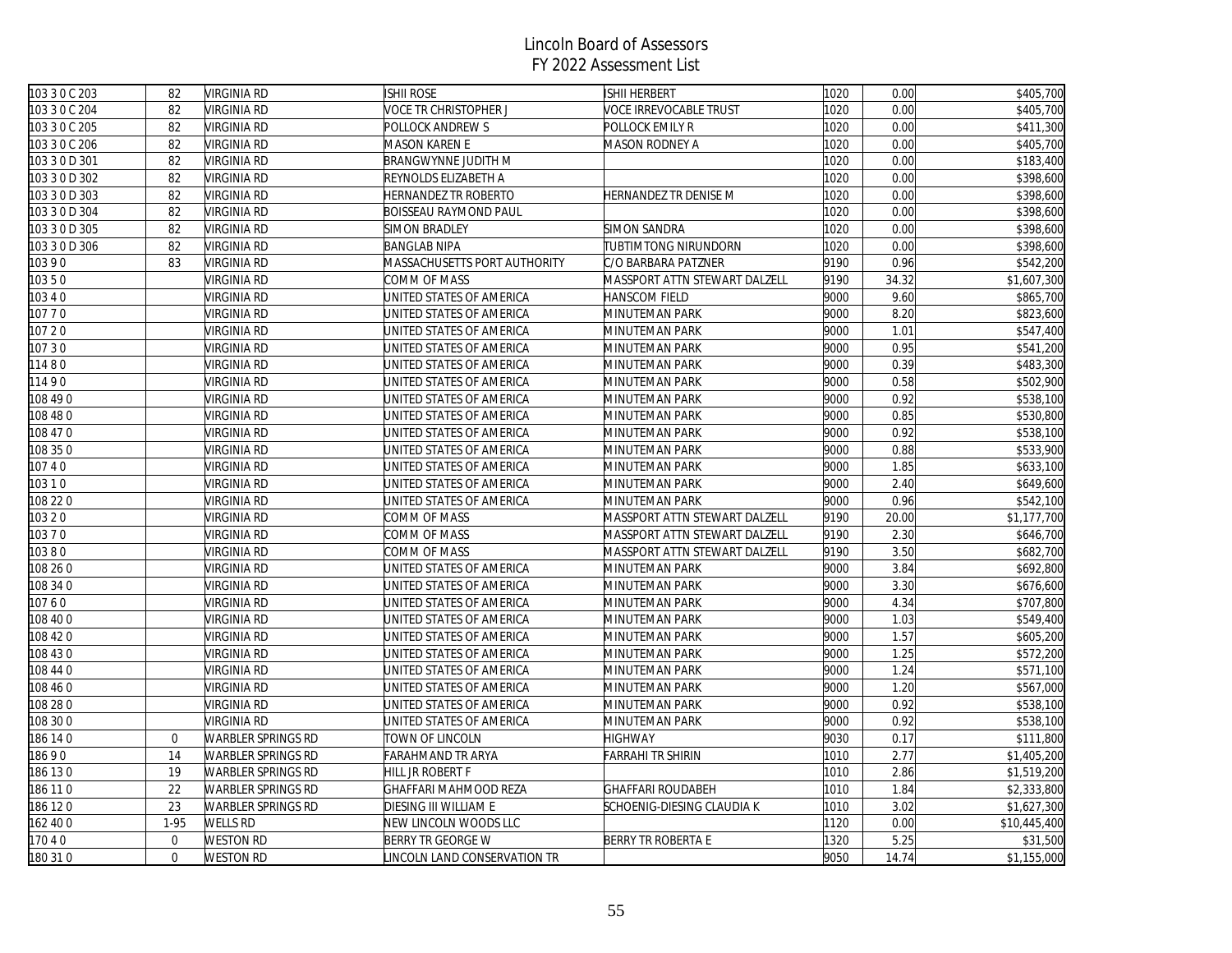| 103 3 0 C 203 | 82               | <b>VIRGINIA RD</b>        | <b>ISHII ROSE</b>            | <b>ISHII HERBERT</b>          | 1020 | 0.00  | \$405,700             |
|---------------|------------------|---------------------------|------------------------------|-------------------------------|------|-------|-----------------------|
| 103 3 0 C 204 | 82               | VIRGINIA RD               | VOCE TR CHRISTOPHER J        | VOCE IRREVOCABLE TRUST        | 1020 | 0.00  | \$405,700             |
| 103 3 0 C 205 | 82               | VIRGINIA RD               | POLLOCK ANDREW S             | POLLOCK EMILY R               | 1020 | 0.00  | \$411,300             |
| 103 3 0 C 206 | 82               | <b>VIRGINIA RD</b>        | MASON KAREN E                | <b>MASON RODNEY A</b>         | 1020 | 0.00  | \$405,700             |
| 103 3 0 D 301 | 82               | <b>VIRGINIA RD</b>        | <b>BRANGWYNNE JUDITH M</b>   |                               | 1020 | 0.00  | \$183,400             |
| 103 3 0 D 302 | 82               | VIRGINIA RD               | REYNOLDS ELIZABETH A         |                               | 1020 | 0.00  | \$398,600             |
| 103 3 0 D 303 | 82               | VIRGINIA RD               | HERNANDEZ TR ROBERTO         | HERNANDEZ TR DENISE M         | 1020 | 0.00  | \$398,600             |
| 103 3 0 D 304 | 82               | <b>VIRGINIA RD</b>        | <b>BOISSEAU RAYMOND PAUL</b> |                               | 1020 | 0.00  | \$398,600             |
| 103 3 0 D 305 | 82               | <b>VIRGINIA RD</b>        | <b>SIMON BRADLEY</b>         | <b>SIMON SANDRA</b>           | 1020 | 0.00  | \$398,600             |
| 103 3 0 D 306 | 82               | VIRGINIA RD               | <b>BANGLAB NIPA</b>          | TUBTIMTONG NIRUNDORN          | 1020 | 0.00  | \$398,600             |
| 10390         | 83               | VIRGINIA RD               | MASSACHUSETTS PORT AUTHORITY | C/O BARBARA PATZNER           | 9190 | 0.96  | \$542,200             |
| 10350         |                  | <b>VIRGINIA RD</b>        | COMM OF MASS                 | MASSPORT ATTN STEWART DALZELL | 9190 | 34.32 | \$1,607,300           |
| 103 4 0       |                  | VIRGINIA RD               | UNITED STATES OF AMERICA     | <b>HANSCOM FIELD</b>          | 9000 | 9.60  | \$865,700             |
| 10770         |                  | VIRGINIA RD               | JNITED STATES OF AMERICA     | MINUTEMAN PARK                | 9000 | 8.20  | \$823,600             |
| 107 20        |                  | VIRGINIA RD               | JNITED STATES OF AMERICA     | MINUTEMAN PARK                | 9000 | 1.01  | $\overline{$}547,400$ |
| 10730         |                  | VIRGINIA RD               | JNITED STATES OF AMERICA     | MINUTEMAN PARK                | 9000 | 0.95  | \$541,200             |
| 11480         |                  | <b>VIRGINIA RD</b>        | UNITED STATES OF AMERICA     | MINUTEMAN PARK                | 9000 | 0.39  | \$483,300             |
| 11490         |                  | VIRGINIA RD               | JNITED STATES OF AMERICA     | MINUTEMAN PARK                | 9000 | 0.58  | \$502,900             |
| 108 49 0      |                  | VIRGINIA RD               | JNITED STATES OF AMERICA     | MINUTEMAN PARK                | 9000 | 0.92  | \$538,100             |
| 08 48 0       |                  | VIRGINIA RD               | JNITED STATES OF AMERICA     | MINUTEMAN PARK                | 9000 | 0.85  | \$530,800             |
| 108 47 0      |                  | <b>VIRGINIA RD</b>        | JNITED STATES OF AMERICA     | MINUTEMAN PARK                | 9000 | 0.92  | \$538,100             |
| 108 35 0      |                  | <b>VIRGINIA RD</b>        | JNITED STATES OF AMERICA     | MINUTEMAN PARK                | 9000 | 0.88  | \$533,900             |
| 10740         |                  | VIRGINIA RD               | JNITED STATES OF AMERICA     | MINUTEMAN PARK                | 9000 | 1.85  | \$633,100             |
| 10310         |                  | VIRGINIA RD               | JNITED STATES OF AMERICA     | MINUTEMAN PARK                | 9000 | 2.40  | \$649,600             |
| 108 22 0      |                  | <b>VIRGINIA RD</b>        | UNITED STATES OF AMERICA     | MINUTEMAN PARK                | 9000 | 0.96  | \$542,100             |
| 103 2 0       |                  | VIRGINIA RD               | COMM OF MASS                 | MASSPORT ATTN STEWART DALZELL | 9190 | 20.00 | \$1,177,700           |
| 10370         |                  | <b>VIRGINIA RD</b>        | COMM OF MASS                 | MASSPORT ATTN STEWART DALZELL | 9190 | 2.30  | \$646,700             |
| 10380         |                  | VIRGINIA RD               | COMM OF MASS                 | MASSPORT ATTN STEWART DALZELL | 9190 | 3.50  | \$682,700             |
| 108 26 0      |                  | <b>VIRGINIA RD</b>        | JNITED STATES OF AMERICA     | MINUTEMAN PARK                | 9000 | 3.84  | \$692,800             |
| 108 34 0      |                  | <b>VIRGINIA RD</b>        | UNITED STATES OF AMERICA     | MINUTEMAN PARK                | 9000 | 3.30  | \$676,600             |
| 10760         |                  | VIRGINIA RD               | JNITED STATES OF AMERICA     | MINUTEMAN PARK                | 9000 | 4.34  | \$707,800             |
| 08 40 0       |                  | VIRGINIA RD               | JNITED STATES OF AMERICA     | MINUTEMAN PARK                | 9000 | 1.03  | \$549,400             |
| 108 42 0      |                  | VIRGINIA RD               | JNITED STATES OF AMERICA     | MINUTEMAN PARK                | 9000 | 1.57  | \$605,200             |
| 108 43 0      |                  | VIRGINIA RD               | UNITED STATES OF AMERICA     | MINUTEMAN PARK                | 9000 | 1.25  | \$572,200             |
| 108 44 0      |                  | <b>VIRGINIA RD</b>        | JNITED STATES OF AMERICA     | MINUTEMAN PARK                | 9000 | 1.24  | \$571,100             |
| 08 46 0       |                  | VIRGINIA RD               | JNITED STATES OF AMERICA     | MINUTEMAN PARK                | 9000 | 1.20  | \$567,000             |
| 08 28 0       |                  | VIRGINIA RD               | JNITED STATES OF AMERICA     | MINUTEMAN PARK                | 9000 | 0.92  | \$538,100             |
| 08 30 0       |                  | <b>VIRGINIA RD</b>        | UNITED STATES OF AMERICA     | MINUTEMAN PARK                | 9000 | 0.92  | \$538,100             |
| 186 14 0      | $\mathbf{0}$     | WARBLER SPRINGS RD        | TOWN OF LINCOLN              | <b>HIGHWAY</b>                | 9030 | 0.17  | \$111,800             |
| 8690          | 14               | WARBLER SPRINGS RD        | FARAHMAND TR ARYA            | <b>FARRAHI TR SHIRIN</b>      | 1010 | 2.77  | \$1,405,200           |
| 86 13 0       | 19               | WARBLER SPRINGS RD        | HILL JR ROBERT F             |                               | 1010 | 2.86  | \$1,519,200           |
| 186 110       | 22               | WARBLER SPRINGS RD        | GHAFFARI MAHMOOD REZA        | <b>GHAFFARI ROUDABEH</b>      | 1010 | 1.84  | \$2,333,800           |
| 186 120       | 23               | <b>WARBLER SPRINGS RD</b> | <b>DIESING III WILLIAM E</b> | SCHOENIG-DIESING CLAUDIA K    | 1010 | 3.02  | \$1,627,300           |
| 62 40 0       | 1-95             | WELLS RD                  | NEW LINCOLN WOODS LLC        |                               | 1120 | 0.00  | \$10,445,400          |
| 17040         | $\boldsymbol{0}$ | <b>WESTON RD</b>          | BERRY TR GEORGE W            | BERRY TR ROBERTA E            | 1320 | 5.25  | \$31,500              |
| 180 31 0      | $\mathbf 0$      | <b>WESTON RD</b>          | INCOLN LAND CONSERVATION TR  |                               | 9050 | 14.74 | \$1,155,000           |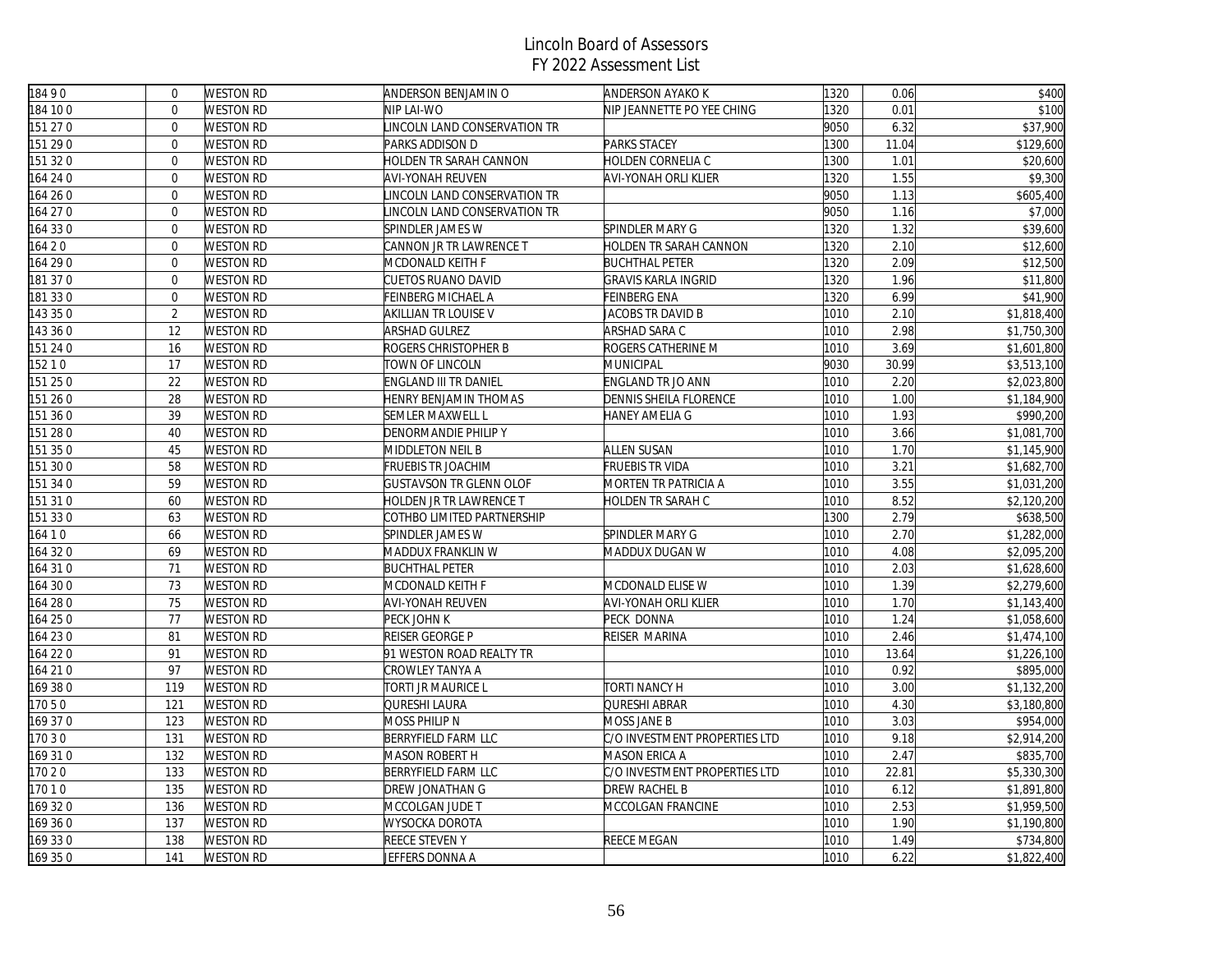| 18490    | $\Omega$       | <b>WESTON RD</b> | ANDERSON BENJAMIN O            | <b>ANDERSON AYAKO K</b>       | 1320 | 0.06  | \$400       |
|----------|----------------|------------------|--------------------------------|-------------------------------|------|-------|-------------|
| 184 10 0 | $\mathbf{0}$   | WESTON RD        | NIP LAI-WO                     | NIP JEANNETTE PO YEE CHING    | 1320 | 0.01  | \$100       |
| 151 27 0 | $\mathbf{0}$   | WESTON RD        | INCOLN LAND CONSERVATION TR    |                               | 9050 | 6.32  | \$37,900    |
| 151 290  | $\mathbf{0}$   | WESTON RD        | PARKS ADDISON D                | PARKS STACEY                  | 1300 | 11.04 | \$129,600   |
| 151 320  | $\Omega$       | <b>WESTON RD</b> | HOLDEN TR SARAH CANNON         | HOLDEN CORNELIA C             | 1300 | 1.01  | \$20,600    |
| 164 24 0 | $\mathbf 0$    | <b>WESTON RD</b> | AVI-YONAH REUVEN               | AVI-YONAH ORLI KLIER          | 1320 | 1.55  | \$9,300     |
| 164 26 0 | $\mathbf{0}$   | WESTON RD        | LINCOLN LAND CONSERVATION TR   |                               | 9050 | 1.13  | \$605,400   |
| 164 27 0 | $\mathbf{0}$   | WESTON RD        | INCOLN LAND CONSERVATION TR    |                               | 9050 | 1.16  | \$7,000     |
| 164 33 0 | $\mathbf{0}$   | WESTON RD        | SPINDLER JAMES W               | SPINDLER MARY G               | 1320 | 1.32  | \$39,600    |
| 164 20   | $\mathbf 0$    | <b>WESTON RD</b> | CANNON JR TR LAWRENCE T        | HOLDEN TR SARAH CANNON        | 1320 | 2.10  | \$12,600    |
| 164 29 0 | $\mathbf{0}$   | <b>WESTON RD</b> | MCDONALD KEITH F               | <b>BUCHTHAL PETER</b>         | 1320 | 2.09  | \$12,500    |
| 181 37 0 | $\mathbf{0}$   | WESTON RD        | CUETOS RUANO DAVID             | <b>GRAVIS KARLA INGRID</b>    | 1320 | 1.96  | \$11,800    |
| 181 330  | $\mathbf{0}$   | WESTON RD        | FEINBERG MICHAEL A             | <b>FEINBERG ENA</b>           | 1320 | 6.99  | \$41,900    |
| 143 35 0 | $\overline{2}$ | WESTON RD        | AKILLIAN TR LOUISE V           | JACOBS TR DAVID B             | 1010 | 2.10  | \$1,818,400 |
| 143 36 0 | 12             | <b>WESTON RD</b> | ARSHAD GULREZ                  | ARSHAD SARA C                 | 1010 | 2.98  | \$1,750,300 |
| 151 24 0 | 16             | <b>WESTON RD</b> | ROGERS CHRISTOPHER B           | ROGERS CATHERINE M            | 1010 | 3.69  | \$1,601,800 |
| 15210    | 17             | WESTON RD        | TOWN OF LINCOLN                | MUNICIPAL                     | 9030 | 30.99 | \$3,513,100 |
| 151 250  | 22             | WESTON RD        | ENGLAND III TR DANIEL          | ENGLAND TR JO ANN             | 1010 | 2.20  | \$2,023,800 |
| 151 26 0 | 28             | <b>WESTON RD</b> | HENRY BENJAMIN THOMAS          | DENNIS SHEILA FLORENCE        | 1010 | 1.00  | \$1,184,900 |
| 151 360  | 39             | WESTON RD        | SEMLER MAXWELL L               | HANEY AMELIA G                | 1010 | 1.93  | \$990,200   |
| 151 28 0 | 40             | WESTON RD        | DENORMANDIE PHILIP Y           |                               | 1010 | 3.66  | \$1,081,700 |
| 151 35 0 | 45             | WESTON RD        | MIDDLETON NEIL B               | <b>ALLEN SUSAN</b>            | 1010 | 1.70  | \$1,145,900 |
| 151 30 0 | 58             | <b>WESTON RD</b> | <b>FRUEBIS TR JOACHIM</b>      | <b>FRUEBIS TR VIDA</b>        | 1010 | 3.21  | \$1,682,700 |
| 151 34 0 | 59             | <b>WESTON RD</b> | <b>GUSTAVSON TR GLENN OLOF</b> | MORTEN TR PATRICIA A          | 1010 | 3.55  | \$1,031,200 |
| 151 31 0 | 60             | <b>WESTON RD</b> | HOLDEN JR TR LAWRENCE T        | <b>HOLDEN TR SARAH C</b>      | 1010 | 8.52  | \$2,120,200 |
| 151 330  | 63             | WESTON RD        | COTHBO LIMITED PARTNERSHIP     |                               | 1300 | 2.79  | \$638,500   |
| 164 1 0  | 66             | <b>WESTON RD</b> | SPINDLER JAMES W               | SPINDLER MARY G               | 1010 | 2.70  | \$1,282,000 |
| 164 32 0 | 69             | <b>WESTON RD</b> | MADDUX FRANKLIN W              | MADDUX DUGAN W                | 1010 | 4.08  | \$2,095,200 |
| 164 31 0 | 71             | WESTON RD        | <b>BUCHTHAL PETER</b>          |                               | 1010 | 2.03  | \$1,628,600 |
| 164 30 0 | 73             | WESTON RD        | MCDONALD KEITH F               | MCDONALD ELISE W              | 1010 | 1.39  | \$2,279,600 |
| 164 28 0 | 75             | WESTON RD        | AVI-YONAH REUVEN               | AVI-YONAH ORLI KLIER          | 1010 | 1.70  | \$1,143,400 |
| 164 25 0 | 77             | WESTON RD        | PECK JOHN K                    | PECK DONNA                    | 1010 | 1.24  | \$1,058,600 |
| 164 230  | 81             | <b>WESTON RD</b> | REISER GEORGE P                | REISER MARINA                 | 1010 | 2.46  | \$1,474,100 |
| 164 220  | 91             | WESTON RD        | 91 WESTON ROAD REALTY TR       |                               | 1010 | 13.64 | \$1,226,100 |
| 164 210  | 97             | <b>WESTON RD</b> | CROWLEY TANYA A                |                               | 1010 | 0.92  | \$895,000   |
| 169 38 0 | 119            | WESTON RD        | TORTI JR MAURICE L             | TORTI NANCY H                 | 1010 | 3.00  | \$1,132,200 |
| 17050    | 121            | WESTON RD        | QURESHI LAURA                  | <b>QURESHI ABRAR</b>          | 1010 | 4.30  | \$3,180,800 |
| 169 370  | 123            | <b>WESTON RD</b> | MOSS PHILIP N                  | <b>MOSS JANE B</b>            | 1010 | 3.03  | \$954,000   |
| 17030    | 131            | WESTON RD        | BERRYFIELD FARM LLC            | C/O INVESTMENT PROPERTIES LTD | 1010 | 9.18  | \$2,914,200 |
| 169 310  | 132            | <b>WESTON RD</b> | MASON ROBERT H                 | MASON ERICA A                 | 1010 | 2.47  | \$835,700   |
| 17020    | 133            | <b>WESTON RD</b> | BERRYFIELD FARM LLC            | C/O INVESTMENT PROPERTIES LTD | 1010 | 22.81 | \$5,330,300 |
| 17010    | 135            | <b>WESTON RD</b> | DREW JONATHAN G                | DREW RACHEL B                 | 1010 | 6.12  | \$1,891,800 |
| 169 320  | 136            | <b>WESTON RD</b> | MCCOLGAN JUDE T                | MCCOLGAN FRANCINE             | 1010 | 2.53  | \$1,959,500 |
| 169 360  | 137            | <b>WESTON RD</b> | WYSOCKA DOROTA                 |                               | 1010 | 1.90  | \$1,190,800 |
| 169 330  | 138            | WESTON RD        | REECE STEVEN Y                 | REECE MEGAN                   | 1010 | 1.49  | \$734,800   |
| 169 35 0 | 141            | <b>WESTON RD</b> | JEFFERS DONNA A                |                               | 1010 | 6.22  | \$1,822,400 |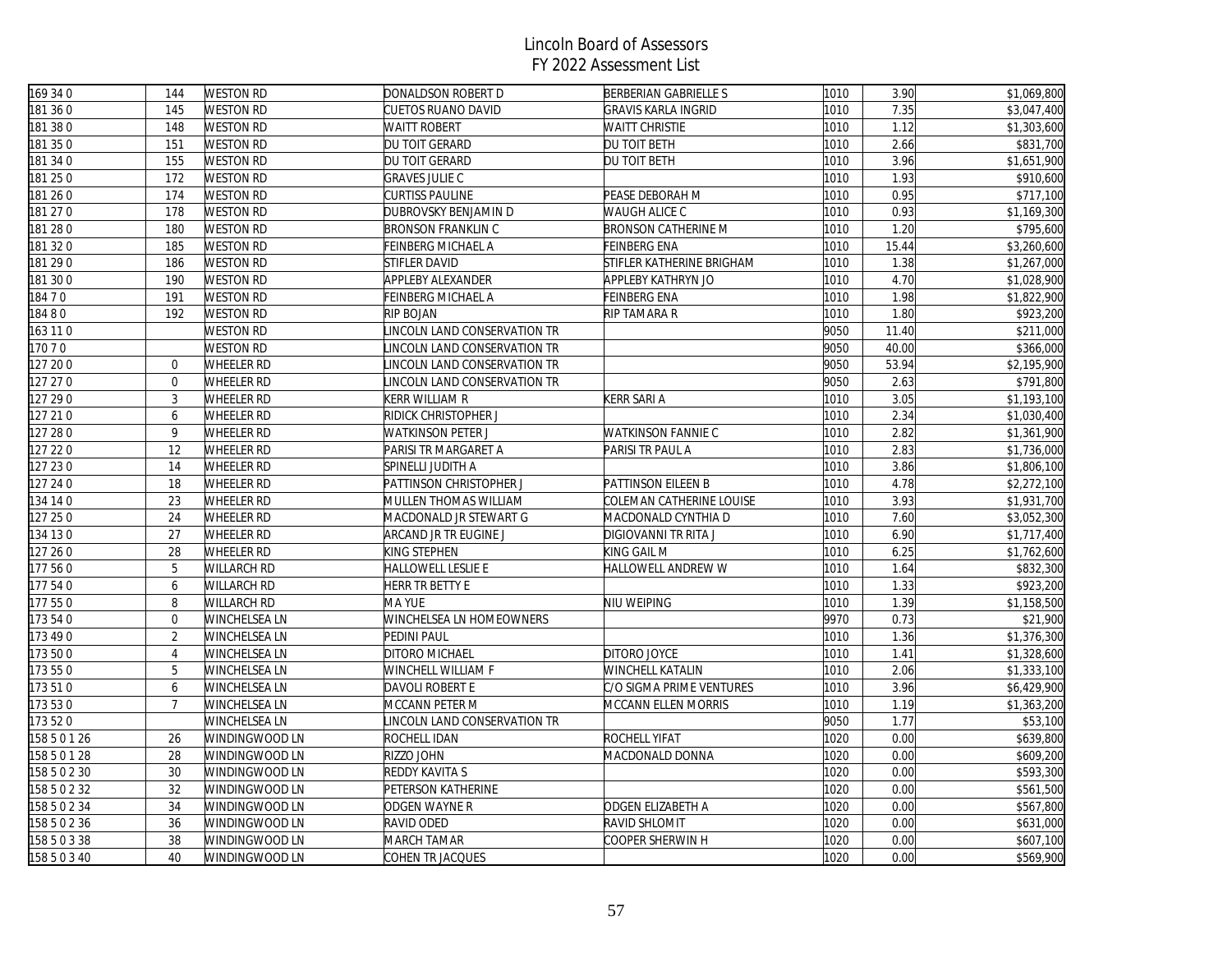| 169 34 0     | 144            | <b>WESTON RD</b>   | DONALDSON ROBERT D           | BERBERIAN GABRIELLE S      | 1010 | 3.90  | \$1,069,800          |
|--------------|----------------|--------------------|------------------------------|----------------------------|------|-------|----------------------|
| 181 36 0     | 145            | <b>WESTON RD</b>   | CUETOS RUANO DAVID           | <b>GRAVIS KARLA INGRID</b> | 1010 | 7.35  | \$3,047,400          |
| 181 38 0     | 148            | <b>WESTON RD</b>   | <b>WAITT ROBERT</b>          | <b>WAITT CHRISTIE</b>      | 1010 | 1.12  | \$1,303,600          |
| 181 350      | 151            | <b>WESTON RD</b>   | DU TOIT GERARD               | DU TOIT BETH               | 1010 | 2.66  | \$831,700            |
| 181 34 0     | 155            | <b>WESTON RD</b>   | DU TOIT GERARD               | DU TOIT BETH               | 1010 | 3.96  | \$1,651,900          |
| 181 25 0     | 172            | <b>WESTON RD</b>   | <b>GRAVES JULIE C</b>        |                            | 1010 | 1.93  | \$910,600            |
| 181 26 0     | 174            | <b>WESTON RD</b>   | <b>CURTISS PAULINE</b>       | PEASE DEBORAH M            | 1010 | 0.95  | \$717,100            |
| 181 27 0     | 178            | <b>WESTON RD</b>   | DUBROVSKY BENJAMIN D         | WAUGH ALICE C              | 1010 | 0.93  | \$1,169,300          |
| 181 28 0     | 180            | <b>WESTON RD</b>   | <b>BRONSON FRANKLIN C</b>    | <b>BRONSON CATHERINE M</b> | 1010 | 1.20  | \$795,600            |
| 181320       | 185            | <b>WESTON RD</b>   | FEINBERG MICHAEL A           | <b>FEINBERG ENA</b>        | 1010 | 15.44 | \$3,260,600          |
| 181 29 0     | 186            | <b>WESTON RD</b>   | <b>STIFLER DAVID</b>         | STIFLER KATHERINE BRIGHAM  | 1010 | 1.38  | \$1,267,000          |
| 181 300      | 190            | <b>WESTON RD</b>   | APPLEBY ALEXANDER            | APPLEBY KATHRYN JO         | 1010 | 4.70  | \$1,028,900          |
| 18470        | 191            | <b>WESTON RD</b>   | FEINBERG MICHAEL A           | <b>FEINBERG ENA</b>        | 1010 | 1.98  | \$1,822,900          |
| 18480        | 192            | <b>WESTON RD</b>   | RIP BOJAN                    | RIP TAMARA R               | 1010 | 1.80  | \$923,200            |
| 163 11 0     |                | WESTON RD          | LINCOLN LAND CONSERVATION TR |                            | 9050 | 11.40 | \$211,000            |
| 17070        |                | <b>WESTON RD</b>   | INCOLN LAND CONSERVATION TR  |                            | 9050 | 40.00 | \$366,000            |
| 127 200      | $\mathbf{0}$   | <b>WHEELER RD</b>  | INCOLN LAND CONSERVATION TR  |                            | 9050 | 53.94 | \$2,195,900          |
| 127 27 0     | $\overline{0}$ | <b>WHEELER RD</b>  | INCOLN LAND CONSERVATION TR  |                            | 9050 | 2.63  | \$791,800            |
| 127 29 0     | $\overline{3}$ | WHEELER RD         | KERR WILLIAM R               | KERR SARI A                | 1010 | 3.05  | \$1,193,100          |
| 127 21 0     | 6              | WHEELER RD         | RIDICK CHRISTOPHER J         |                            | 1010 | 2.34  | \$1,030,400          |
| 127 28 0     | 9              | <b>WHEELER RD</b>  | WATKINSON PETER J            | <b>WATKINSON FANNIE C</b>  | 1010 | 2.82  | \$1,361,900          |
| 127 22 0     | 12             | <b>WHEELER RD</b>  | PARISI TR MARGARET A         | PARISI TR PAUL A           | 1010 | 2.83  | \$1,736,000          |
| 127 230      | 14             | WHEELER RD         | SPINELLI JUDITH A            |                            | 1010 | 3.86  | \$1,806,100          |
| 127 24 0     | 18             | <b>WHEELER RD</b>  | PATTINSON CHRISTOPHER J      | PATTINSON EILEEN B         | 1010 | 4.78  | \$2,272,100          |
| 134 14 0     | 23             | <b>WHEELER RD</b>  | MULLEN THOMAS WILLIAM        | COLEMAN CATHERINE LOUISE   | 1010 | 3.93  | \$1,931,700          |
| 127 25 0     | 24             | <b>WHEELER RD</b>  | MACDONALD JR STEWART G       | MACDONALD CYNTHIA D        | 1010 | 7.60  | \$3,052,300          |
| 134 130      | 27             | WHEELER RD         | ARCAND JR TR EUGINE J        | DIGIOVANNI TR RITA J       | 1010 | 6.90  | \$1,717,400          |
| 127 26 0     | 28             | WHEELER RD         | KING STEPHEN                 | KING GAIL M                | 1010 | 6.25  | \$1,762,600          |
| 177 560      | 5              | WILLARCH RD        | HALLOWELL LESLIE E           | HALLOWELL ANDREW W         | 1010 | 1.64  | \$832,300            |
| 177540       | 6              | <b>WILLARCH RD</b> | HERR TR BETTY E              |                            | 1010 | 1.33  | \$923,200            |
| 177 550      | 8              | WILLARCH RD        | MA YUE                       | NIU WEIPING                | 1010 | 1.39  | \$1,158,500          |
| 173 54 0     | $\mathbf{0}$   | WINCHELSEA LN      | WINCHELSEA LN HOMEOWNERS     |                            | 9970 | 0.73  | \$21,900             |
| 173 49 0     | $\overline{2}$ | WINCHELSEA LN      | PEDINI PAUL                  |                            | 1010 | 1.36  | \$1,376,300          |
| 173 500      | $\overline{4}$ | WINCHELSEA LN      | DITORO MICHAEL               | DITORO JOYCE               | 1010 | 1.41  | \$1,328,600          |
| 173 550      | 5              | WINCHELSEA LN      | WINCHELL WILLIAM F           | WINCHELL KATALIN           | 1010 | 2.06  | \$1,333,100          |
| 173510       | 6              | WINCHELSEA LN      | DAVOLI ROBERT E              | C/O SIGMA PRIME VENTURES   | 1010 | 3.96  | \$6,429,900          |
| 173530       | $\overline{7}$ | WINCHELSEA LN      | MCCANN PETER M               | MCCANN ELLEN MORRIS        | 1010 | 1.19  | \$1,363,200          |
| 173 520      |                | WINCHELSEA LN      | INCOLN LAND CONSERVATION TR  |                            | 9050 | 1.77  | $\overline{$}53,100$ |
| 158 5 0 1 26 | 26             | WINDINGWOOD LN     | ROCHELL IDAN                 | ROCHELL YIFAT              | 1020 | 0.00  | \$639,800            |
| 158 5 0 1 28 | 28             | WINDINGWOOD LN     | RIZZO JOHN                   | MACDONALD DONNA            | 1020 | 0.00  | \$609,200            |
| 158 5 0 2 30 | 30             | WINDINGWOOD LN     | <b>REDDY KAVITA S</b>        |                            | 1020 | 0.00  | \$593,300            |
| 158 5 0 2 32 | 32             | WINDINGWOOD LN     | PETERSON KATHERINE           |                            | 1020 | 0.00  | \$561,500            |
| 158 5 0 2 34 | 34             | WINDINGWOOD LN     | ODGEN WAYNE R                | ODGEN ELIZABETH A          | 1020 | 0.00  | \$567,800            |
| 158 5 0 2 36 | 36             | WINDINGWOOD LN     | RAVID ODED                   | RAVID SHLOMIT              | 1020 | 0.00  | \$631,000            |
| 158 5 0 3 38 | 38             | WINDINGWOOD LN     | MARCH TAMAR                  | COOPER SHERWIN H           | 1020 | 0.00  | \$607,100            |
| 158 5 0 3 40 | 40             | WINDINGWOOD LN     | COHEN TR JACQUES             |                            | 1020 | 0.00  | \$569,900            |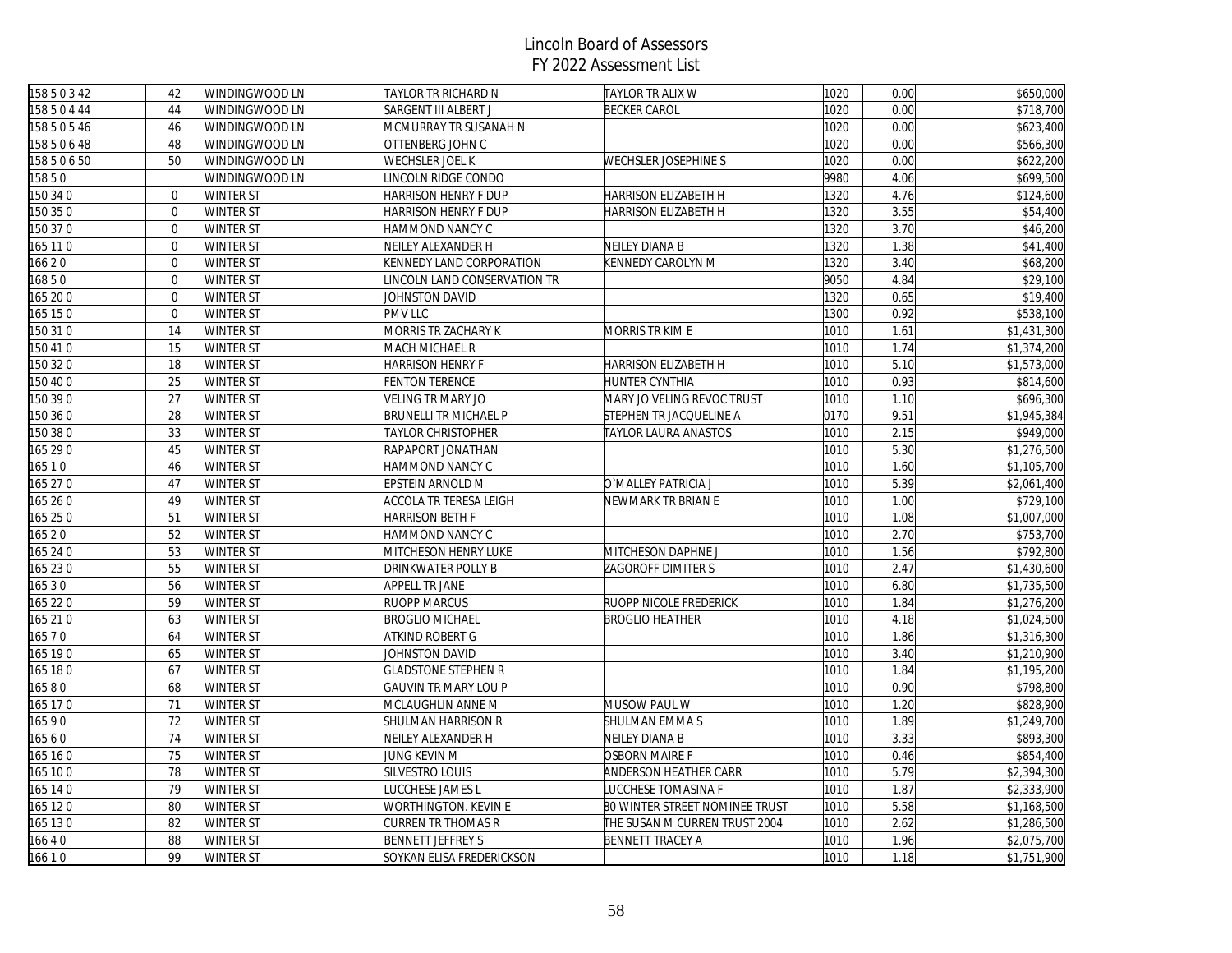| 15850342     | 42             | WINDINGWOOD LN | TAYLOR TR RICHARD N         | <b>TAYLOR TR ALIX W</b>        | 1020 | 0.00 | \$650,000   |
|--------------|----------------|----------------|-----------------------------|--------------------------------|------|------|-------------|
| 15850444     | 44             | WINDINGWOOD LN | SARGENT III ALBERT J        | <b>BECKER CAROL</b>            | 1020 | 0.00 | \$718,700   |
| 15850546     | 46             | WINDINGWOOD LN | MCMURRAY TR SUSANAH N       |                                | 1020 | 0.00 | \$623,400   |
| 158 5 0 6 48 | 48             | WINDINGWOOD LN | OTTENBERG JOHN C            |                                | 1020 | 0.00 | \$566,300   |
| 15850650     | 50             | WINDINGWOOD LN | WECHSLER JOEL K             | WECHSLER JOSEPHINE S           | 1020 | 0.00 | \$622,200   |
| 15850        |                | WINDINGWOOD LN | INCOLN RIDGE CONDO          |                                | 9980 | 4.06 | \$699,500   |
| 150 34 0     | $\mathbf{0}$   | WINTER ST      | HARRISON HENRY F DUP        | HARRISON ELIZABETH H           | 1320 | 4.76 | \$124,600   |
| 150 35 0     | $\mathbf{0}$   | WINTER ST      | HARRISON HENRY F DUP        | HARRISON ELIZABETH H           | 1320 | 3.55 | \$54,400    |
| 150 370      | $\mathbf{0}$   | WINTER ST      | HAMMOND NANCY C             |                                | 1320 | 3.70 | \$46,200    |
| 165 110      | $\Omega$       | WINTER ST      | NEILEY ALEXANDER H          | NEILEY DIANA B                 | 1320 | 1.38 | \$41,400    |
| 16620        | $\mathbf 0$    | WINTER ST      | KENNEDY LAND CORPORATION    | KENNEDY CAROLYN M              | 1320 | 3.40 | \$68,200    |
| 16850        | $\mathbf{0}$   | WINTER ST      | INCOLN LAND CONSERVATION TR |                                | 9050 | 4.84 | \$29,100    |
| 165 20 0     | $\overline{0}$ | WINTER ST      | JOHNSTON DAVID              |                                | 1320 | 0.65 | \$19,400    |
| 165 150      | $\mathbf{0}$   | WINTER ST      | PMV LLC                     |                                | 1300 | 0.92 | \$538,100   |
| 150 310      | 14             | WINTER ST      | MORRIS TR ZACHARY K         | MORRIS TR KIM E                | 1010 | 1.61 | \$1,431,300 |
| 150 41 0     | 15             | WINTER ST      | MACH MICHAEL R              |                                | 1010 | 1.74 | \$1,374,200 |
| 150 320      | 18             | WINTER ST      | <b>HARRISON HENRY F</b>     | HARRISON ELIZABETH H           | 1010 | 5.10 | \$1,573,000 |
| 150 40 0     | 25             | WINTER ST      | FENTON TERENCE              | HUNTER CYNTHIA                 | 1010 | 0.93 | \$814,600   |
| 150 39 0     | 27             | WINTER ST      | VELING TR MARY JO           | MARY JO VELING REVOC TRUST     | 1010 | 1.10 | \$696,300   |
| 150 36 0     | 28             | WINTER ST      | BRUNELLI TR MICHAEL P       | STEPHEN TR JACQUELINE A        | 0170 | 9.51 | \$1,945,384 |
| 150 38 0     | 33             | WINTER ST      | TAYLOR CHRISTOPHER          | TAYLOR LAURA ANASTOS           | 1010 | 2.15 | \$949,000   |
| 165 29 0     | 45             | WINTER ST      | RAPAPORT JONATHAN           |                                | 1010 | 5.30 | \$1,276,500 |
| 165 1 0      | 46             | WINTER ST      | HAMMOND NANCY C             |                                | 1010 | 1.60 | \$1,105,700 |
| 165 27 0     | 47             | WINTER ST      | EPSTEIN ARNOLD M            | O`MALLEY PATRICIA J            | 1010 | 5.39 | \$2,061,400 |
| 165 26 0     | 49             | WINTER ST      | ACCOLA TR TERESA LEIGH      | NEWMARK TR BRIAN E             | 1010 | 1.00 | \$729,100   |
| 165 25 0     | 51             | WINTER ST      | HARRISON BETH F             |                                | 1010 | 1.08 | \$1,007,000 |
| 165 2 0      | 52             | WINTER ST      | HAMMOND NANCY C             |                                | 1010 | 2.70 | \$753,700   |
| 165 24 0     | 53             | WINTER ST      | MITCHESON HENRY LUKE        | MITCHESON DAPHNE J             | 1010 | 1.56 | \$792,800   |
| 165 230      | 55             | WINTER ST      | DRINKWATER POLLY B          | ZAGOROFF DIMITER S             | 1010 | 2.47 | \$1,430,600 |
| 165 3 0      | 56             | WINTER ST      | APPELL TR JANE              |                                | 1010 | 6.80 | \$1,735,500 |
| 165 22 0     | 59             | WINTER ST      | RUOPP MARCUS                | RUOPP NICOLE FREDERICK         | 1010 | 1.84 | \$1,276,200 |
| 165 210      | 63             | WINTER ST      | <b>BROGLIO MICHAEL</b>      | <b>BROGLIO HEATHER</b>         | 1010 | 4.18 | \$1,024,500 |
| 16570        | 64             | WINTER ST      | ATKIND ROBERT G             |                                | 1010 | 1.86 | \$1,316,300 |
| 165 190      | 65             | WINTER ST      | JOHNSTON DAVID              |                                | 1010 | 3.40 | \$1,210,900 |
| 165 180      | 67             | WINTER ST      | <b>GLADSTONE STEPHEN R</b>  |                                | 1010 | 1.84 | \$1,195,200 |
| 16580        | 68             | WINTER ST      | GAUVIN TR MARY LOU P        |                                | 1010 | 0.90 | \$798,800   |
| 165 170      | 71             | WINTER ST      | MCLAUGHLIN ANNE M           | MUSOW PAUL W                   | 1010 | 1.20 | \$828,900   |
| 16590        | 72             | WINTER ST      | SHULMAN HARRISON R          | SHULMAN EMMA S                 | 1010 | 1.89 | \$1,249,700 |
| 16560        | 74             | WINTER ST      | NEILEY ALEXANDER H          | <b>NEILEY DIANA B</b>          | 1010 | 3.33 | \$893,300   |
| 165 160      | 75             | WINTER ST      | JUNG KEVIN M                | <b>OSBORN MAIRE F</b>          | 1010 | 0.46 | \$854,400   |
| 165 100      | 78             | WINTER ST      | SILVESTRO LOUIS             | ANDERSON HEATHER CARR          | 1010 | 5.79 | \$2,394,300 |
| 165 14 0     | 79             | WINTER ST      | <b>UCCHESE JAMES L</b>      | LUCCHESE TOMASINA F            | 1010 | 1.87 | \$2,333,900 |
| 165 120      | 80             | WINTER ST      | WORTHINGTON. KEVIN E        | 80 WINTER STREET NOMINEE TRUST | 1010 | 5.58 | \$1,168,500 |
| 165 130      | 82             | WINTER ST      | CURREN TR THOMAS R          | THE SUSAN M CURREN TRUST 2004  | 1010 | 2.62 | \$1,286,500 |
| 16640        | 88             | WINTER ST      | <b>BENNETT JEFFREY S</b>    | <b>BENNETT TRACEY A</b>        | 1010 | 1.96 | \$2,075,700 |
| 16610        | 99             | WINTER ST      | SOYKAN ELISA FREDERICKSON   |                                | 1010 | 1.18 | \$1,751,900 |